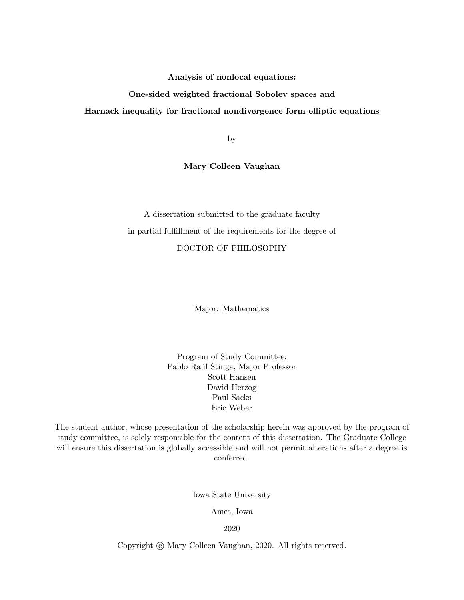Analysis of nonlocal equations:

## One-sided weighted fractional Sobolev spaces and

### Harnack inequality for fractional nondivergence form elliptic equations

by

Mary Colleen Vaughan

A dissertation submitted to the graduate faculty in partial fulfillment of the requirements for the degree of DOCTOR OF PHILOSOPHY

Major: Mathematics

Program of Study Committee: Pablo Raúl Stinga, Major Professor Scott Hansen David Herzog Paul Sacks Eric Weber

The student author, whose presentation of the scholarship herein was approved by the program of study committee, is solely responsible for the content of this dissertation. The Graduate College will ensure this dissertation is globally accessible and will not permit alterations after a degree is conferred.

Iowa State University

Ames, Iowa

2020

Copyright  $\odot$  Mary Colleen Vaughan, 2020. All rights reserved.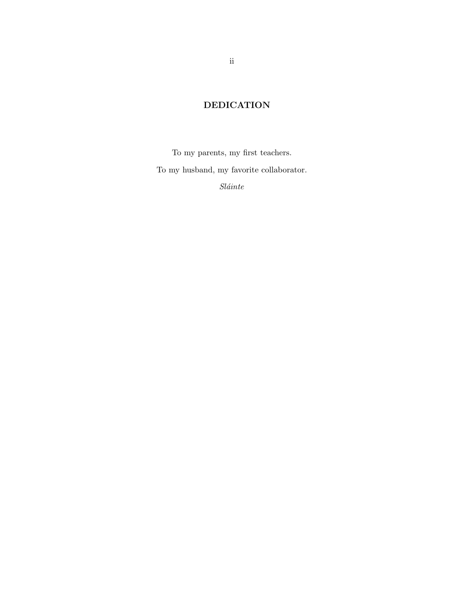# DEDICATION

To my parents, my first teachers. To my husband, my favorite collaborator.  $Sl\'ante$ 

ii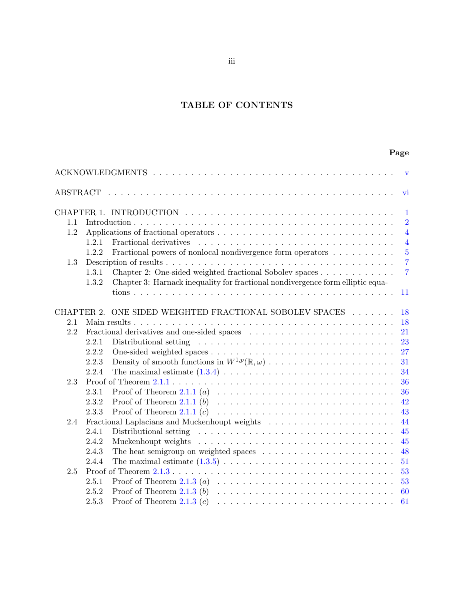# TABLE OF CONTENTS

# Page

| $\mathbf{v}$ |       |                                                                                                            |  |  |
|--------------|-------|------------------------------------------------------------------------------------------------------------|--|--|
|              |       | vi                                                                                                         |  |  |
|              |       | $\mathbf 1$                                                                                                |  |  |
| 1.1          |       | $\overline{2}$                                                                                             |  |  |
| 1.2          |       | $\overline{4}$                                                                                             |  |  |
|              | 1.2.1 | Fractional derivatives<br>$\overline{4}$                                                                   |  |  |
|              | 1.2.2 | Fractional powers of nonlocal nondivergence form operators $\dots \dots \dots$<br>$\overline{5}$           |  |  |
| 1.3          |       | $\overline{7}$                                                                                             |  |  |
|              | 1.3.1 | Chapter 2: One-sided weighted fractional Sobolev spaces<br>$\overline{7}$                                  |  |  |
|              | 1.3.2 | Chapter 3: Harnack inequality for fractional nondivergence form elliptic equa-                             |  |  |
|              |       | 11                                                                                                         |  |  |
|              |       | CHAPTER 2. ONE SIDED WEIGHTED FRACTIONAL SOBOLEV SPACES<br>18                                              |  |  |
| 2.1          |       | 18                                                                                                         |  |  |
| 2.2          |       | 21                                                                                                         |  |  |
|              | 2.2.1 | 23                                                                                                         |  |  |
|              | 2.2.2 | 27                                                                                                         |  |  |
|              | 2.2.3 | 31                                                                                                         |  |  |
|              | 2.2.4 | 34                                                                                                         |  |  |
| 2.3          |       | 36                                                                                                         |  |  |
|              | 2.3.1 | 36                                                                                                         |  |  |
|              | 2.3.2 | 42                                                                                                         |  |  |
|              | 2.3.3 | 43                                                                                                         |  |  |
| 2.4          | 44    |                                                                                                            |  |  |
|              | 2.4.1 | 45                                                                                                         |  |  |
|              | 2.4.2 | 45                                                                                                         |  |  |
|              | 2.4.3 | The heat semigroup on weighted spaces $\dots \dots \dots \dots \dots \dots \dots$<br>48                    |  |  |
|              | 2.4.4 | 51                                                                                                         |  |  |
| 2.5          |       | 53                                                                                                         |  |  |
|              | 2.5.1 | Proof of Theorem 2.1.3 (a) $\dots \dots \dots \dots \dots \dots \dots \dots \dots \dots \dots \dots$<br>53 |  |  |
|              | 2.5.2 | 60                                                                                                         |  |  |
|              | 2.5.3 | 61                                                                                                         |  |  |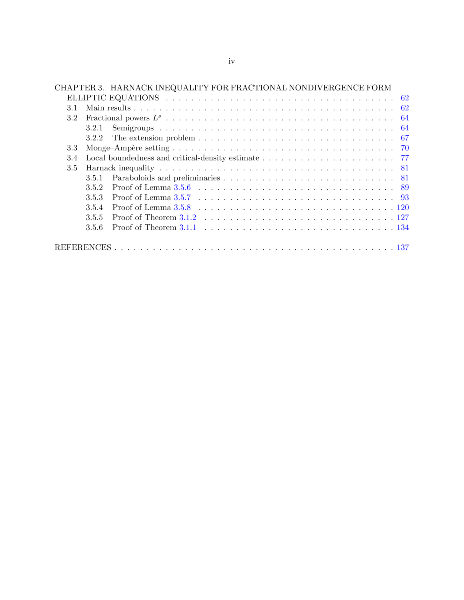|     |       | CHAPTER 3. HARNACK INEQUALITY FOR FRACTIONAL NONDIVERGENCE FORM                                                                                                                                                                |
|-----|-------|--------------------------------------------------------------------------------------------------------------------------------------------------------------------------------------------------------------------------------|
|     |       |                                                                                                                                                                                                                                |
| 3.1 |       |                                                                                                                                                                                                                                |
| 3.2 |       |                                                                                                                                                                                                                                |
|     | 3.2.1 |                                                                                                                                                                                                                                |
|     | 3.2.2 |                                                                                                                                                                                                                                |
| 3.3 |       |                                                                                                                                                                                                                                |
| 3.4 |       |                                                                                                                                                                                                                                |
| 3.5 |       |                                                                                                                                                                                                                                |
|     | 3.5.1 |                                                                                                                                                                                                                                |
|     | 352   |                                                                                                                                                                                                                                |
|     | 3.5.3 | Proof of Lemma 3.5.7 (a) in the set of the set of the set of the set of the set of the set of the set of the set of the set of the set of the set of the set of the set of the set of the set of the set of the set of the set |
|     | 3.5.4 |                                                                                                                                                                                                                                |
|     | 3.5.5 |                                                                                                                                                                                                                                |
|     | 3.5.6 | Proof of Theorem 3.1.1 $\ldots$ $\ldots$ $\ldots$ $\ldots$ $\ldots$ $\ldots$ $\ldots$ $\ldots$ $\ldots$ $\ldots$ $\ldots$ 134                                                                                                  |
|     |       |                                                                                                                                                                                                                                |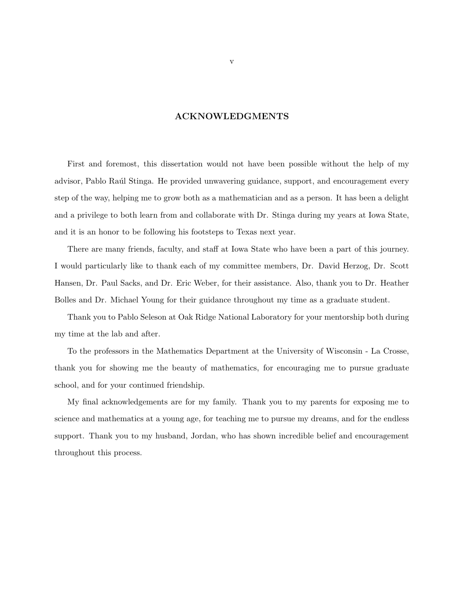# ACKNOWLEDGMENTS

<span id="page-4-0"></span>First and foremost, this dissertation would not have been possible without the help of my advisor, Pablo Raúl Stinga. He provided unwavering guidance, support, and encouragement every step of the way, helping me to grow both as a mathematician and as a person. It has been a delight and a privilege to both learn from and collaborate with Dr. Stinga during my years at Iowa State, and it is an honor to be following his footsteps to Texas next year.

There are many friends, faculty, and staff at Iowa State who have been a part of this journey. I would particularly like to thank each of my committee members, Dr. David Herzog, Dr. Scott Hansen, Dr. Paul Sacks, and Dr. Eric Weber, for their assistance. Also, thank you to Dr. Heather Bolles and Dr. Michael Young for their guidance throughout my time as a graduate student.

Thank you to Pablo Seleson at Oak Ridge National Laboratory for your mentorship both during my time at the lab and after.

To the professors in the Mathematics Department at the University of Wisconsin - La Crosse, thank you for showing me the beauty of mathematics, for encouraging me to pursue graduate school, and for your continued friendship.

My final acknowledgements are for my family. Thank you to my parents for exposing me to science and mathematics at a young age, for teaching me to pursue my dreams, and for the endless support. Thank you to my husband, Jordan, who has shown incredible belief and encouragement throughout this process.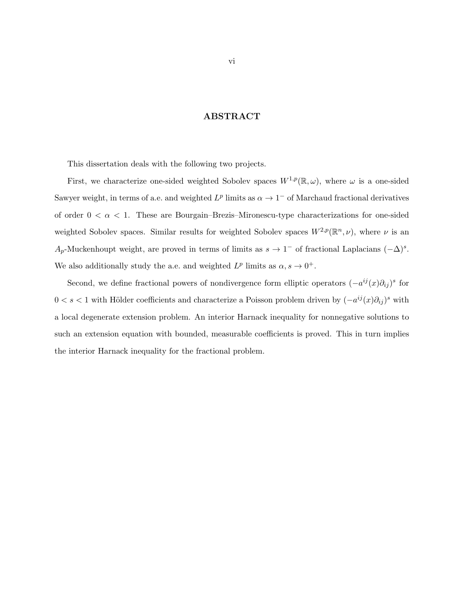# ABSTRACT

<span id="page-5-0"></span>This dissertation deals with the following two projects.

First, we characterize one-sided weighted Sobolev spaces  $W^{1,p}(\mathbb{R}, \omega)$ , where  $\omega$  is a one-sided Sawyer weight, in terms of a.e. and weighted  $L^p$  limits as  $\alpha \to 1^-$  of Marchaud fractional derivatives of order  $0 < \alpha < 1$ . These are Bourgain–Brezis–Mironescu-type characterizations for one-sided weighted Sobolev spaces. Similar results for weighted Sobolev spaces  $W^{2,p}(\mathbb{R}^n,\nu)$ , where  $\nu$  is an  $A_p$ -Muckenhoupt weight, are proved in terms of limits as  $s \to 1^-$  of fractional Laplacians  $(-\Delta)^s$ . We also additionally study the a.e. and weighted  $L^p$  limits as  $\alpha, s \to 0^+$ .

Second, we define fractional powers of nondivergence form elliptic operators  $(-a^{ij}(x)\partial_{ij})^s$  for  $0 < s < 1$  with Hölder coefficients and characterize a Poisson problem driven by  $(-a^{ij}(x)\partial_{ij})^s$  with a local degenerate extension problem. An interior Harnack inequality for nonnegative solutions to such an extension equation with bounded, measurable coefficients is proved. This in turn implies the interior Harnack inequality for the fractional problem.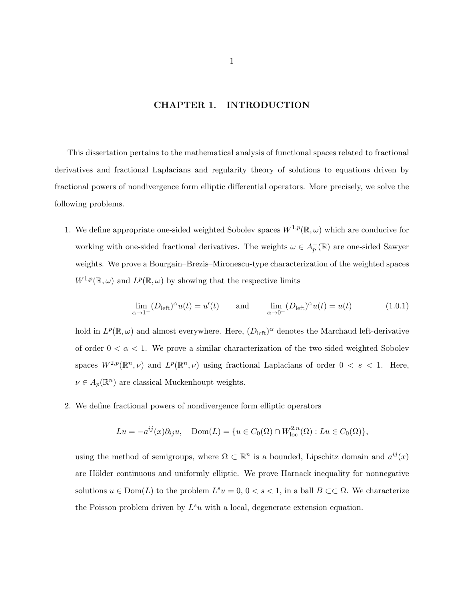## CHAPTER 1. INTRODUCTION

<span id="page-6-0"></span>This dissertation pertains to the mathematical analysis of functional spaces related to fractional derivatives and fractional Laplacians and regularity theory of solutions to equations driven by fractional powers of nondivergence form elliptic differential operators. More precisely, we solve the following problems.

1. We define appropriate one-sided weighted Sobolev spaces  $W^{1,p}(\mathbb{R}, \omega)$  which are conducive for working with one-sided fractional derivatives. The weights  $\omega \in A_p^-(\mathbb{R})$  are one-sided Sawyer weights. We prove a Bourgain–Brezis–Mironescu-type characterization of the weighted spaces  $W^{1,p}(\mathbb{R},\omega)$  and  $L^p(\mathbb{R},\omega)$  by showing that the respective limits

$$
\lim_{\alpha \to 1^{-}} (D_{\text{left}})^{\alpha} u(t) = u'(t) \quad \text{and} \quad \lim_{\alpha \to 0^{+}} (D_{\text{left}})^{\alpha} u(t) = u(t) \quad (1.0.1)
$$

hold in  $L^p(\mathbb{R}, \omega)$  and almost everywhere. Here,  $(D_{\text{left}})^\alpha$  denotes the Marchaud left-derivative of order  $0 < \alpha < 1$ . We prove a similar characterization of the two-sided weighted Sobolev spaces  $W^{2,p}(\mathbb{R}^n,\nu)$  and  $L^p(\mathbb{R}^n,\nu)$  using fractional Laplacians of order  $0 < s < 1$ . Here,  $\nu \in A_p(\mathbb{R}^n)$  are classical Muckenhoupt weights.

2. We define fractional powers of nondivergence form elliptic operators

$$
Lu = -a^{ij}(x)\partial_{ij}u, \quad \text{Dom}(L) = \{u \in C_0(\Omega) \cap W^{2,n}_{loc}(\Omega) : Lu \in C_0(\Omega)\},
$$

using the method of semigroups, where  $\Omega \subset \mathbb{R}^n$  is a bounded, Lipschitz domain and  $a^{ij}(x)$ are Hölder continuous and uniformly elliptic. We prove Harnack inequality for nonnegative solutions  $u \in \text{Dom}(L)$  to the problem  $L^s u = 0, 0 < s < 1$ , in a ball  $B \subset\subset \Omega$ . We characterize the Poisson problem driven by  $L^s u$  with a local, degenerate extension equation.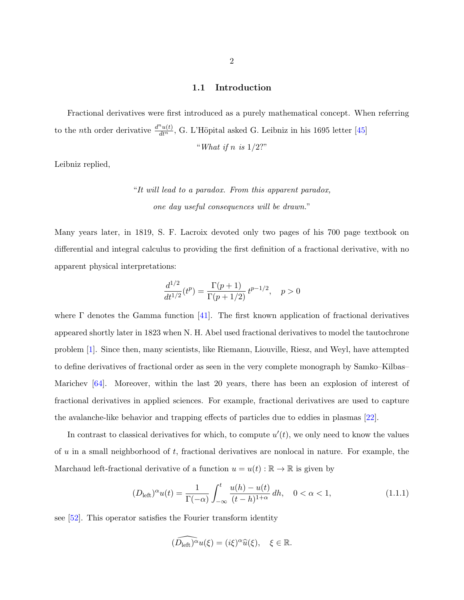#### 1.1 Introduction

<span id="page-7-0"></span>Fractional derivatives were first introduced as a purely mathematical concept. When referring to the *n*th order derivative  $\frac{d^n u(t)}{dt^n}$ , G. L'Höpital asked G. Leibniz in his 1695 letter [\[45\]](#page-144-0)

"What if n is  $1/2$ ?"

Leibniz replied,

"It will lead to a paradox. From this apparent paradox, one day useful consequences will be drawn."

Many years later, in 1819, S. F. Lacroix devoted only two pages of his 700 page textbook on differential and integral calculus to providing the first definition of a fractional derivative, with no apparent physical interpretations:

$$
\frac{d^{1/2}}{dt^{1/2}}(t^p) = \frac{\Gamma(p+1)}{\Gamma(p+1/2)} t^{p-1/2}, \quad p > 0
$$

where  $\Gamma$  denotes the Gamma function [\[41\]](#page-144-0). The first known application of fractional derivatives appeared shortly later in 1823 when N. H. Abel used fractional derivatives to model the tautochrone problem [\[1\]](#page-142-0). Since then, many scientists, like Riemann, Liouville, Riesz, and Weyl, have attempted to define derivatives of fractional order as seen in the very complete monograph by Samko–Kilbas– Marichev [\[64\]](#page-146-0). Moreover, within the last 20 years, there has been an explosion of interest of fractional derivatives in applied sciences. For example, fractional derivatives are used to capture the avalanche-like behavior and trapping effects of particles due to eddies in plasmas [\[22\]](#page-143-0).

In contrast to classical derivatives for which, to compute  $u'(t)$ , we only need to know the values of u in a small neighborhood of t, fractional derivatives are nonlocal in nature. For example, the Marchaud left-fractional derivative of a function  $u = u(t) : \mathbb{R} \to \mathbb{R}$  is given by

$$
(D_{\text{left}})^{\alpha}u(t) = \frac{1}{\Gamma(-\alpha)} \int_{-\infty}^{t} \frac{u(h) - u(t)}{(t - h)^{1 + \alpha}} dh, \quad 0 < \alpha < 1,
$$
 (1.1.1)

see [\[52\]](#page-145-0). This operator satisfies the Fourier transform identity

$$
(\widehat{D_{\text{left}}})^{\alpha}u(\xi) = (i\xi)^{\alpha}\widehat{u}(\xi), \quad \xi \in \mathbb{R}.
$$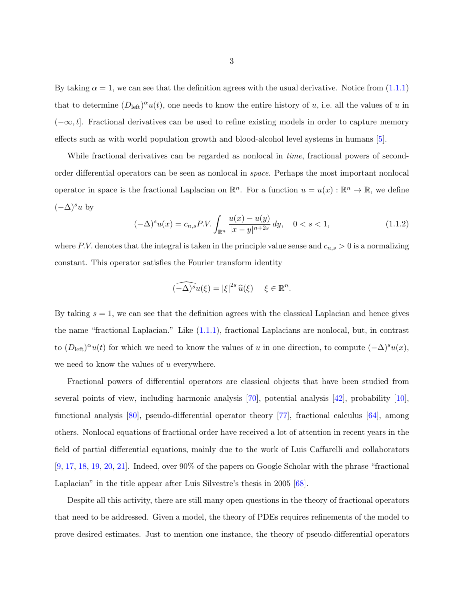By taking  $\alpha = 1$ , we can see that the definition agrees with the usual derivative. Notice from  $(1.1.1)$ that to determine  $(D_{\text{left}})^{\alpha}u(t)$ , one needs to know the entire history of u, i.e. all the values of u in  $(-\infty, t]$ . Fractional derivatives can be used to refine existing models in order to capture memory effects such as with world population growth and blood-alcohol level systems in humans [\[5\]](#page-142-0).

While fractional derivatives can be regarded as nonlocal in *time*, fractional powers of secondorder differential operators can be seen as nonlocal in space. Perhaps the most important nonlocal operator in space is the fractional Laplacian on  $\mathbb{R}^n$ . For a function  $u = u(x) : \mathbb{R}^n \to \mathbb{R}$ , we define  $(-\Delta)^s u$  by

$$
(-\Delta)^s u(x) = c_{n,s} P.V. \int_{\mathbb{R}^n} \frac{u(x) - u(y)}{|x - y|^{n+2s}} dy, \quad 0 < s < 1,\tag{1.1.2}
$$

where P.V. denotes that the integral is taken in the principle value sense and  $c_{n,s} > 0$  is a normalizing constant. This operator satisfies the Fourier transform identity

$$
\widehat{(-\Delta)^s}u(\xi)=|\xi|^{2s}\,\widehat{u}(\xi)\quad \xi\in\mathbb{R}^n.
$$

By taking  $s = 1$ , we can see that the definition agrees with the classical Laplacian and hence gives the name "fractional Laplacian." Like [\(1.1.1\)](#page-7-0), fractional Laplacians are nonlocal, but, in contrast to  $(D_{\text{left}})^{\alpha}u(t)$  for which we need to know the values of u in one direction, to compute  $(-\Delta)^{s}u(x)$ , we need to know the values of u everywhere.

Fractional powers of differential operators are classical objects that have been studied from several points of view, including harmonic analysis [\[70\]](#page-146-0), potential analysis [\[42\]](#page-144-0), probability [\[10\]](#page-142-0), functional analysis [\[80\]](#page-146-0), pseudo-differential operator theory [\[77\]](#page-146-0), fractional calculus [\[64\]](#page-146-0), among others. Nonlocal equations of fractional order have received a lot of attention in recent years in the field of partial differential equations, mainly due to the work of Luis Caffarelli and collaborators [\[9,](#page-142-0) [17,](#page-143-0) [18,](#page-143-0) [19,](#page-143-0) [20,](#page-143-0) [21\]](#page-143-0). Indeed, over 90% of the papers on Google Scholar with the phrase "fractional Laplacian" in the title appear after Luis Silvestre's thesis in 2005 [\[68\]](#page-146-0).

Despite all this activity, there are still many open questions in the theory of fractional operators that need to be addressed. Given a model, the theory of PDEs requires refinements of the model to prove desired estimates. Just to mention one instance, the theory of pseudo-differential operators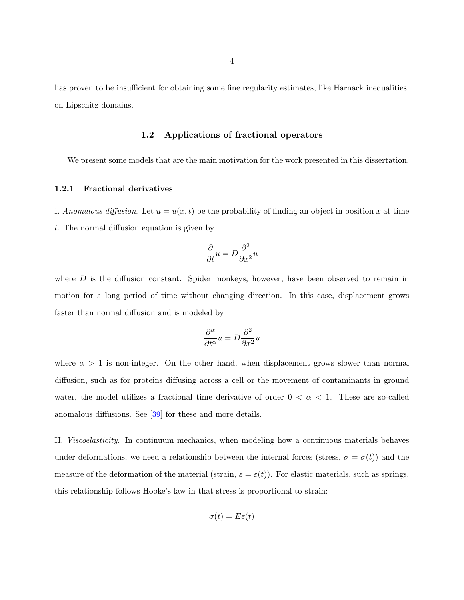<span id="page-9-0"></span>has proven to be insufficient for obtaining some fine regularity estimates, like Harnack inequalities, on Lipschitz domains.

## 1.2 Applications of fractional operators

We present some models that are the main motivation for the work presented in this dissertation.

#### 1.2.1 Fractional derivatives

I. Anomalous diffusion. Let  $u = u(x, t)$  be the probability of finding an object in position x at time t. The normal diffusion equation is given by

$$
\frac{\partial}{\partial t}u = D\frac{\partial^2}{\partial x^2}u
$$

where  $D$  is the diffusion constant. Spider monkeys, however, have been observed to remain in motion for a long period of time without changing direction. In this case, displacement grows faster than normal diffusion and is modeled by

$$
\frac{\partial^{\alpha}}{\partial t^{\alpha}}u = D \frac{\partial^2}{\partial x^2}u
$$

where  $\alpha > 1$  is non-integer. On the other hand, when displacement grows slower than normal diffusion, such as for proteins diffusing across a cell or the movement of contaminants in ground water, the model utilizes a fractional time derivative of order  $0 < \alpha < 1$ . These are so-called anomalous diffusions. See [\[39\]](#page-144-0) for these and more details.

II. Viscoelasticity. In continuum mechanics, when modeling how a continuous materials behaves under deformations, we need a relationship between the internal forces (stress,  $\sigma = \sigma(t)$ ) and the measure of the deformation of the material (strain,  $\varepsilon = \varepsilon(t)$ ). For elastic materials, such as springs, this relationship follows Hooke's law in that stress is proportional to strain:

$$
\sigma(t) = E\varepsilon(t)
$$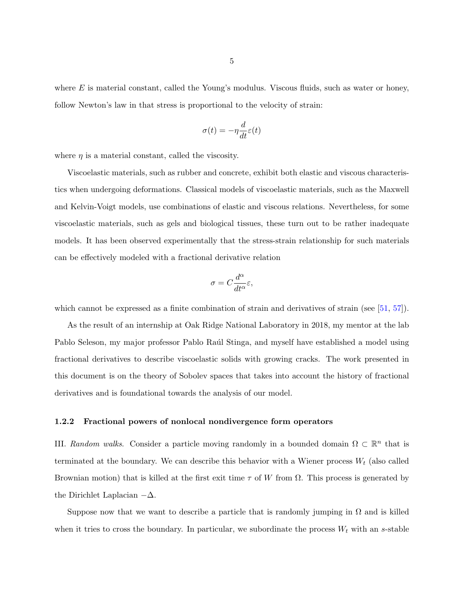<span id="page-10-0"></span>where  $E$  is material constant, called the Young's modulus. Viscous fluids, such as water or honey, follow Newton's law in that stress is proportional to the velocity of strain:

$$
\sigma(t) = -\eta \frac{d}{dt} \varepsilon(t)
$$

where  $\eta$  is a material constant, called the viscosity.

Viscoelastic materials, such as rubber and concrete, exhibit both elastic and viscous characteristics when undergoing deformations. Classical models of viscoelastic materials, such as the Maxwell and Kelvin-Voigt models, use combinations of elastic and viscous relations. Nevertheless, for some viscoelastic materials, such as gels and biological tissues, these turn out to be rather inadequate models. It has been observed experimentally that the stress-strain relationship for such materials can be effectively modeled with a fractional derivative relation

$$
\sigma = C \frac{d^\alpha}{dt^\alpha} \varepsilon,
$$

which cannot be expressed as a finite combination of strain and derivatives of strain (see [\[51,](#page-145-0) [57\]](#page-145-0)).

As the result of an internship at Oak Ridge National Laboratory in 2018, my mentor at the lab Pablo Seleson, my major professor Pablo Raúl Stinga, and myself have established a model using fractional derivatives to describe viscoelastic solids with growing cracks. The work presented in this document is on the theory of Sobolev spaces that takes into account the history of fractional derivatives and is foundational towards the analysis of our model.

#### 1.2.2 Fractional powers of nonlocal nondivergence form operators

III. Random walks. Consider a particle moving randomly in a bounded domain  $\Omega \subset \mathbb{R}^n$  that is terminated at the boundary. We can describe this behavior with a Wiener process  $W_t$  (also called Brownian motion) that is killed at the first exit time  $\tau$  of W from  $\Omega$ . This process is generated by the Dirichlet Laplacian  $-\Delta$ .

Suppose now that we want to describe a particle that is randomly jumping in  $\Omega$  and is killed when it tries to cross the boundary. In particular, we subordinate the process  $W_t$  with an s-stable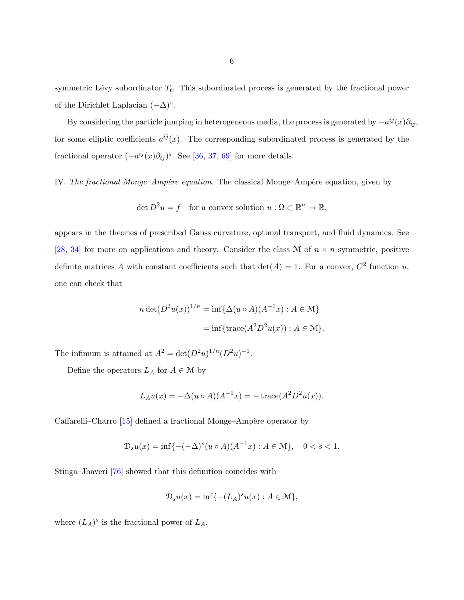symmetric Lévy subordinator  $T_t$ . This subordinated process is generated by the fractional power of the Dirichlet Laplacian  $(-\Delta)^s$ .

By considering the particle jumping in heterogeneous media, the process is generated by  $-a^{ij}(x)\partial_{ij}$ , for some elliptic coefficients  $a^{ij}(x)$ . The corresponding subordinated process is generated by the fractional operator  $(-a^{ij}(x)\partial_{ij})^s$ . See [\[36,](#page-144-0) [37,](#page-144-0) [69\]](#page-146-0) for more details.

IV. The fractional Monge–Ampère equation. The classical Monge–Ampère equation, given by

$$
\det D^2 u = f \quad \text{for a convex solution } u : \Omega \subset \mathbb{R}^n \to \mathbb{R},
$$

appears in the theories of prescribed Gauss curvature, optimal transport, and fluid dynamics. See [\[28,](#page-143-0) [34\]](#page-144-0) for more on applications and theory. Consider the class M of  $n \times n$  symmetric, positive definite matrices A with constant coefficients such that  $\det(A) = 1$ . For a convex,  $C^2$  function u, one can check that

$$
n \det(D^2 u(x))^{1/n} = \inf \{ \Delta(u \circ A)(A^{-1}x) : A \in \mathcal{M} \}
$$

$$
= \inf \{ \text{trace}(A^2 D^2 u(x)) : A \in \mathcal{M} \}.
$$

The infimum is attained at  $A^2 = \det(D^2u)^{1/n}(D^2u)^{-1}$ .

Define the operators  $L_A$  for  $A \in \mathcal{M}$  by

$$
L_A u(x) = -\Delta(u \circ A)(A^{-1}x) = -\operatorname{trace}(A^2 D^2 u(x)).
$$

Caffarelli–Charro  $[15]$  defined a fractional Monge–Ampère operator by

$$
\mathcal{D}_s u(x) = \inf \{ -(-\Delta)^s (u \circ A)(A^{-1}x) : A \in \mathcal{M} \}, \quad 0 < s < 1.
$$

Stinga–Jhaveri [\[76\]](#page-146-0) showed that this definition coincides with

$$
\mathcal{D}_s u(x) = \inf \{ -(L_A)^s u(x) : A \in \mathcal{M} \},
$$

where  $(L_A)^s$  is the fractional power of  $L_A$ .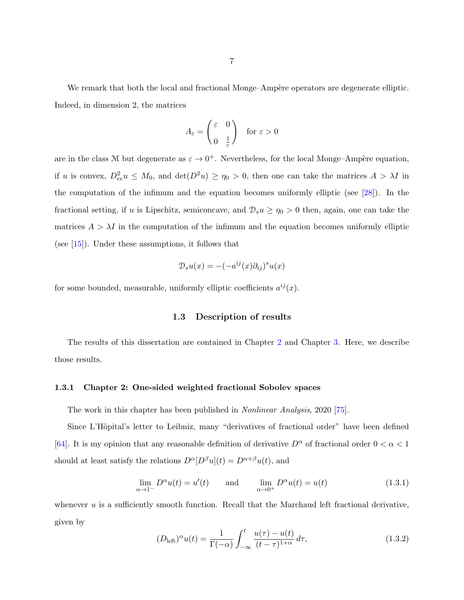<span id="page-12-0"></span>We remark that both the local and fractional Monge–Ampère operators are degenerate elliptic. Indeed, in dimension 2, the matrices

$$
A_{\varepsilon} = \begin{pmatrix} \varepsilon & 0 \\ 0 & \frac{1}{\varepsilon} \end{pmatrix} \quad \text{for } \varepsilon > 0
$$

are in the class M but degenerate as  $\varepsilon \to 0^+$ . Nevertheless, for the local Monge–Ampère equation, if u is convex,  $D_{ee}^2 u \leq M_0$ , and  $\det(D^2 u) \geq \eta_0 > 0$ , then one can take the matrices  $A > \lambda I$  in the computation of the infimum and the equation becomes uniformly elliptic (see [\[28\]](#page-143-0)). In the fractional setting, if u is Lipschitz, semiconcave, and  $\mathcal{D}_{s}u \geq \eta_0 > 0$  then, again, one can take the matrices  $A > \lambda I$  in the computation of the infimum and the equation becomes uniformly elliptic (see [\[15\]](#page-142-0)). Under these assumptions, it follows that

$$
\mathcal{D}_s u(x) = -(-a^{ij}(x)\partial_{ij})^s u(x)
$$

for some bounded, measurable, uniformly elliptic coefficients  $a^{ij}(x)$ .

## 1.3 Description of results

The results of this dissertation are contained in Chapter [2](#page-23-0) and Chapter [3.](#page-67-0) Here, we describe those results.

#### 1.3.1 Chapter 2: One-sided weighted fractional Sobolev spaces

The work in this chapter has been published in Nonlinear Analysis, 2020 [\[75\]](#page-146-0).

Since L'Höpital's letter to Leibniz, many "derivatives of fractional order" have been defined [\[64\]](#page-146-0). It is my opinion that any reasonable definition of derivative  $D^{\alpha}$  of fractional order  $0 < \alpha < 1$ should at least satisfy the relations  $D^{\alpha}[D^{\beta}u](t) = D^{\alpha+\beta}u(t),$  and

$$
\lim_{\alpha \to 1^{-}} D^{\alpha} u(t) = u'(t) \quad \text{and} \quad \lim_{\alpha \to 0^{+}} D^{\alpha} u(t) = u(t) \quad (1.3.1)
$$

whenever  $u$  is a sufficiently smooth function. Recall that the Marchaud left fractional derivative, given by

$$
(D_{\text{left}})^{\alpha}u(t) = \frac{1}{\Gamma(-\alpha)} \int_{-\infty}^{t} \frac{u(\tau) - u(t)}{(t - \tau)^{1 + \alpha}} d\tau,
$$
\n(1.3.2)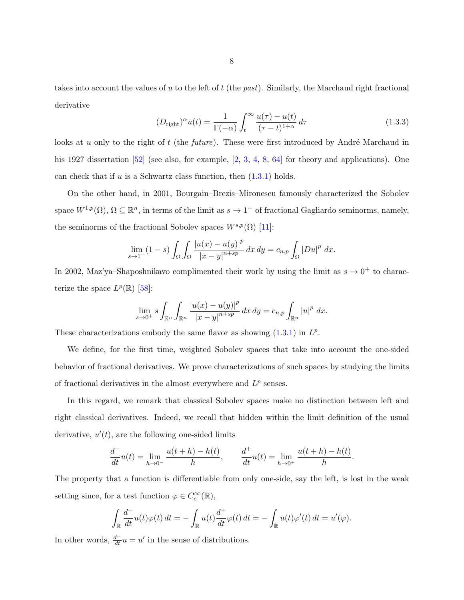<span id="page-13-0"></span>takes into account the values of u to the left of t (the past). Similarly, the Marchaud right fractional derivative

$$
(D_{\text{right}})^\alpha u(t) = \frac{1}{\Gamma(-\alpha)} \int_t^\infty \frac{u(\tau) - u(t)}{(\tau - t)^{1+\alpha}} d\tau \tag{1.3.3}
$$

looks at u only to the right of t (the *future*). These were first introduced by André Marchaud in his 1927 dissertation [\[52\]](#page-145-0) (see also, for example, [\[2,](#page-142-0) [3,](#page-142-0) [4,](#page-142-0) [8,](#page-142-0) [64\]](#page-146-0) for theory and applications). One can check that if  $u$  is a Schwartz class function, then  $(1.3.1)$  holds.

On the other hand, in 2001, Bourgain–Brezis–Mironescu famously characterized the Sobolev space  $W^{1,p}(\Omega)$ ,  $\Omega \subseteq \mathbb{R}^n$ , in terms of the limit as  $s \to 1^-$  of fractional Gagliardo seminorms, namely, the seminorms of the fractional Sobolev spaces  $W^{s,p}(\Omega)$  [\[11\]](#page-142-0):

$$
\lim_{s \to 1^-} (1-s) \int_{\Omega} \int_{\Omega} \frac{|u(x) - u(y)|^p}{|x - y|^{n+sp}} dx dy = c_{n,p} \int_{\Omega} |Du|^p dx.
$$

In 2002, Maz'ya–Shaposhnikavo complimented their work by using the limit as  $s \to 0^+$  to characterize the space  $L^p(\mathbb{R})$  [\[58\]](#page-145-0):

$$
\lim_{s \to 0^+} s \int_{\mathbb{R}^n} \int_{\mathbb{R}^n} \frac{|u(x) - u(y)|^p}{|x - y|^{n + sp}} dx dy = c_{n,p} \int_{\mathbb{R}^n} |u|^p dx.
$$

These characterizations embody the same flavor as showing  $(1.3.1)$  in  $L^p$ .

We define, for the first time, weighted Sobolev spaces that take into account the one-sided behavior of fractional derivatives. We prove characterizations of such spaces by studying the limits of fractional derivatives in the almost everywhere and  $L^p$  senses.

In this regard, we remark that classical Sobolev spaces make no distinction between left and right classical derivatives. Indeed, we recall that hidden within the limit definition of the usual derivative,  $u'(t)$ , are the following one-sided limits

$$
\frac{d^+}{dt}u(t) = \lim_{h \to 0^-} \frac{u(t+h) - h(t)}{h}, \qquad \frac{d^+}{dt}u(t) = \lim_{h \to 0^+} \frac{u(t+h) - h(t)}{h}.
$$

The property that a function is differentiable from only one-side, say the left, is lost in the weak setting since, for a test function  $\varphi \in C_c^{\infty}(\mathbb{R}),$ 

$$
\int_{\mathbb{R}} \frac{d^{-}}{dt} u(t) \varphi(t) dt = - \int_{\mathbb{R}} u(t) \frac{d^{+}}{dt} \varphi(t) dt = - \int_{\mathbb{R}} u(t) \varphi'(t) dt = u'(\varphi).
$$

In other words,  $\frac{d}{dt}u = u'$  in the sense of distributions.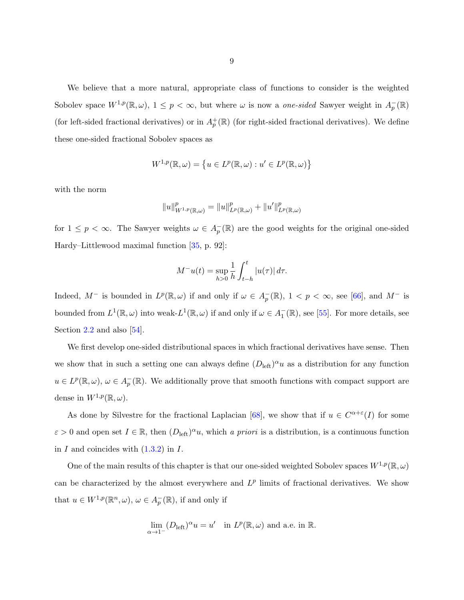We believe that a more natural, appropriate class of functions to consider is the weighted Sobolev space  $W^{1,p}(\mathbb{R}, \omega)$ ,  $1 \leq p < \infty$ , but where  $\omega$  is now a *one-sided* Sawyer weight in  $A_p^-(\mathbb{R})$ (for left-sided fractional derivatives) or in  $A_p^+(\mathbb{R})$  (for right-sided fractional derivatives). We define these one-sided fractional Sobolev spaces as

$$
W^{1,p}(\mathbb{R},\omega) = \left\{ u \in L^p(\mathbb{R},\omega) : u' \in L^p(\mathbb{R},\omega) \right\}
$$

with the norm

$$
||u||_{W^{1,p}(\mathbb{R},\omega)}^p = ||u||_{L^p(\mathbb{R},\omega)}^p + ||u'||_{L^p(\mathbb{R},\omega)}^p
$$

for  $1 \leq p < \infty$ . The Sawyer weights  $\omega \in A_p^-(\mathbb{R})$  are the good weights for the original one-sided Hardy–Littlewood maximal function [\[35,](#page-144-0) p. 92]:

$$
M^{-}u(t) = \sup_{h>0} \frac{1}{h} \int_{t-h}^{t} |u(\tau)| d\tau.
$$

Indeed,  $M^-$  is bounded in  $L^p(\mathbb{R}, \omega)$  if and only if  $\omega \in A_p^-(\mathbb{R})$ ,  $1 < p < \infty$ , see [\[66\]](#page-146-0), and  $M^-$  is bounded from  $L^1(\mathbb{R}, \omega)$  into weak- $L^1(\mathbb{R}, \omega)$  if and only if  $\omega \in A_1^-(\mathbb{R})$ , see [\[55\]](#page-145-0). For more details, see Section [2.2](#page-26-0) and also [\[54\]](#page-145-0).

We first develop one-sided distributional spaces in which fractional derivatives have sense. Then we show that in such a setting one can always define  $(D_{\text{left}})^{\alpha}u$  as a distribution for any function  $u \in L^p(\mathbb{R}, \omega), \omega \in A_p^-(\mathbb{R})$ . We additionally prove that smooth functions with compact support are dense in  $W^{1,p}(\mathbb{R},\omega)$ .

As done by Silvestre for the fractional Laplacian [\[68\]](#page-146-0), we show that if  $u \in C^{\alpha+\epsilon}(I)$  for some  $\varepsilon > 0$  and open set  $I \in \mathbb{R}$ , then  $(D_{\text{left}})^{\alpha} u$ , which a priori is a distribution, is a continuous function in  $I$  and coincides with  $(1.3.2)$  in  $I$ .

One of the main results of this chapter is that our one-sided weighted Sobolev spaces  $W^{1,p}(\mathbb{R}, \omega)$ can be characterized by the almost everywhere and  $L^p$  limits of fractional derivatives. We show that  $u \in W^{1,p}(\mathbb{R}^n, \omega), \omega \in A_p^-(\mathbb{R})$ , if and only if

$$
\lim_{\alpha \to 1^-} (D_{\text{left}})^\alpha u = u' \text{ in } L^p(\mathbb{R}, \omega) \text{ and a.e. in } \mathbb{R}.
$$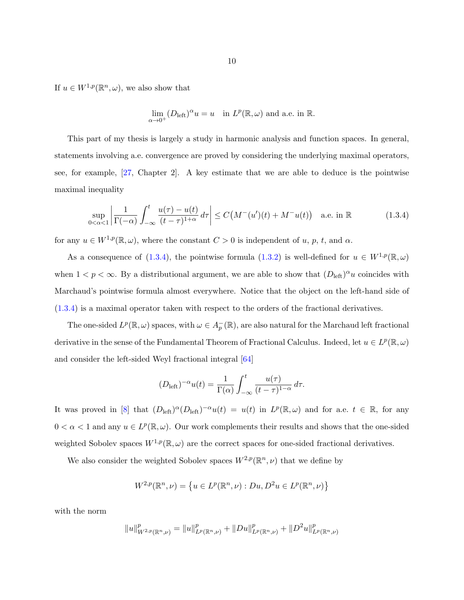<span id="page-15-0"></span>If  $u \in W^{1,p}(\mathbb{R}^n, \omega)$ , we also show that

$$
\lim_{\alpha \to 0^+} (D_{\text{left}})^{\alpha} u = u \quad \text{in } L^p(\mathbb{R}, \omega) \text{ and a.e. in } \mathbb{R}.
$$

This part of my thesis is largely a study in harmonic analysis and function spaces. In general, statements involving a.e. convergence are proved by considering the underlying maximal operators, see, for example, [\[27,](#page-143-0) Chapter 2]. A key estimate that we are able to deduce is the pointwise maximal inequality

$$
\sup_{0<\alpha<1} \left| \frac{1}{\Gamma(-\alpha)} \int_{-\infty}^t \frac{u(\tau) - u(t)}{(t-\tau)^{1+\alpha}} d\tau \right| \le C\big(M^-(u')(t) + M^-u(t)\big) \quad \text{a.e. in } \mathbb{R} \tag{1.3.4}
$$

for any  $u \in W^{1,p}(\mathbb{R}, \omega)$ , where the constant  $C > 0$  is independent of u, p, t, and  $\alpha$ .

As a consequence of (1.3.4), the pointwise formula [\(1.3.2\)](#page-12-0) is well-defined for  $u \in W^{1,p}(\mathbb{R}, \omega)$ when  $1 < p < \infty$ . By a distributional argument, we are able to show that  $(D_{\text{left}})^{\alpha}u$  coincides with Marchaud's pointwise formula almost everywhere. Notice that the object on the left-hand side of (1.3.4) is a maximal operator taken with respect to the orders of the fractional derivatives.

The one-sided  $L^p(\mathbb{R}, \omega)$  spaces, with  $\omega \in A_p^-(\mathbb{R})$ , are also natural for the Marchaud left fractional derivative in the sense of the Fundamental Theorem of Fractional Calculus. Indeed, let  $u \in L^p(\mathbb{R}, \omega)$ and consider the left-sided Weyl fractional integral [\[64\]](#page-146-0)

$$
(D_{\text{left}})^{-\alpha}u(t) = \frac{1}{\Gamma(\alpha)} \int_{-\infty}^{t} \frac{u(\tau)}{(t-\tau)^{1-\alpha}} d\tau.
$$

It was proved in [\[8\]](#page-142-0) that  $(D_{\text{left}})^{\alpha}(D_{\text{left}})^{-\alpha}u(t) = u(t)$  in  $L^p(\mathbb{R}, \omega)$  and for a.e.  $t \in \mathbb{R}$ , for any  $0 < \alpha < 1$  and any  $u \in L^p(\mathbb{R}, \omega)$ . Our work complements their results and shows that the one-sided weighted Sobolev spaces  $W^{1,p}(\mathbb{R}, \omega)$  are the correct spaces for one-sided fractional derivatives.

We also consider the weighted Sobolev spaces  $W^{2,p}(\mathbb{R}^n,\nu)$  that we define by

$$
W^{2,p}(\mathbb{R}^n, \nu) = \{ u \in L^p(\mathbb{R}^n, \nu) : Du, D^2u \in L^p(\mathbb{R}^n, \nu) \}
$$

with the norm

$$
||u||_{W^{2,p}(\mathbb{R}^n,\nu)}^p=||u||_{L^p(\mathbb{R}^n,\nu)}^p+||Du||_{L^p(\mathbb{R}^n,\nu)}^p+||D^2u||_{L^p(\mathbb{R}^n,\nu)}^p
$$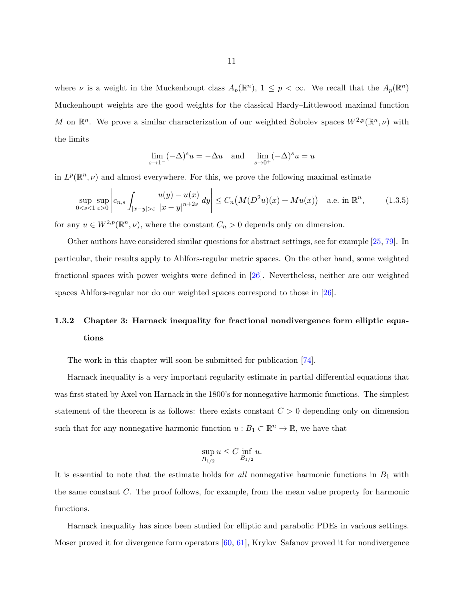<span id="page-16-0"></span>where  $\nu$  is a weight in the Muckenhoupt class  $A_p(\mathbb{R}^n)$ ,  $1 \leq p < \infty$ . We recall that the  $A_p(\mathbb{R}^n)$ Muckenhoupt weights are the good weights for the classical Hardy–Littlewood maximal function M on  $\mathbb{R}^n$ . We prove a similar characterization of our weighted Sobolev spaces  $W^{2,p}(\mathbb{R}^n,\nu)$  with the limits

$$
\lim_{s \to 1^{-}} (-\Delta)^{s} u = -\Delta u \quad \text{and} \quad \lim_{s \to 0^{+}} (-\Delta)^{s} u = u
$$

in  $L^p(\mathbb{R}^n,\nu)$  and almost everywhere. For this, we prove the following maximal estimate

$$
\sup_{0 < s < 1} \sup_{\varepsilon > 0} \left| c_{n,s} \int_{|x-y| > \varepsilon} \frac{u(y) - u(x)}{|x-y|^{n+2s}} dy \right| \le C_n \left( M(D^2 u)(x) + M u(x) \right) \quad \text{a.e. in } \mathbb{R}^n,\tag{1.3.5}
$$

for any  $u \in W^{2,p}(\mathbb{R}^n,\nu)$ , where the constant  $C_n > 0$  depends only on dimension.

Other authors have considered similar questions for abstract settings, see for example [\[25,](#page-143-0) [79\]](#page-146-0). In particular, their results apply to Ahlfors-regular metric spaces. On the other hand, some weighted fractional spaces with power weights were defined in [\[26\]](#page-143-0). Nevertheless, neither are our weighted spaces Ahlfors-regular nor do our weighted spaces correspond to those in [\[26\]](#page-143-0).

# 1.3.2 Chapter 3: Harnack inequality for fractional nondivergence form elliptic equations

The work in this chapter will soon be submitted for publication [\[74\]](#page-146-0).

Harnack inequality is a very important regularity estimate in partial differential equations that was first stated by Axel von Harnack in the 1800's for nonnegative harmonic functions. The simplest statement of the theorem is as follows: there exists constant  $C > 0$  depending only on dimension such that for any nonnegative harmonic function  $u : B_1 \subset \mathbb{R}^n \to \mathbb{R}$ , we have that

$$
\sup_{B_{1/2}} u \le C \inf_{B_{1/2}} u.
$$

It is essential to note that the estimate holds for *all* nonnegative harmonic functions in  $B_1$  with the same constant C. The proof follows, for example, from the mean value property for harmonic functions.

Harnack inequality has since been studied for elliptic and parabolic PDEs in various settings. Moser proved it for divergence form operators [\[60,](#page-145-0) [61\]](#page-145-0), Krylov–Safanov proved it for nondivergence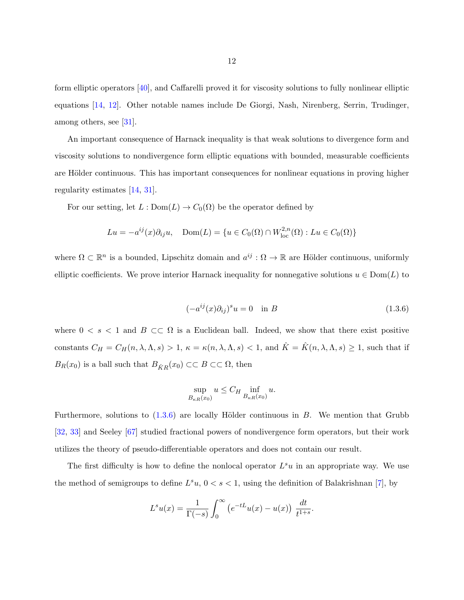<span id="page-17-0"></span>form elliptic operators [\[40\]](#page-144-0), and Caffarelli proved it for viscosity solutions to fully nonlinear elliptic equations [\[14,](#page-142-0) [12\]](#page-142-0). Other notable names include De Giorgi, Nash, Nirenberg, Serrin, Trudinger, among others, see [\[31\]](#page-143-0).

An important consequence of Harnack inequality is that weak solutions to divergence form and viscosity solutions to nondivergence form elliptic equations with bounded, measurable coefficients are Hölder continuous. This has important consequences for nonlinear equations in proving higher regularity estimates [\[14,](#page-142-0) [31\]](#page-143-0).

For our setting, let  $L: \text{Dom}(L) \to C_0(\Omega)$  be the operator defined by

$$
Lu = -a^{ij}(x)\partial_{ij}u, \quad \text{Dom}(L) = \{u \in C_0(\Omega) \cap W^{2,n}_{\text{loc}}(\Omega) : Lu \in C_0(\Omega)\}
$$

where  $\Omega \subset \mathbb{R}^n$  is a bounded, Lipschitz domain and  $a^{ij} : \Omega \to \mathbb{R}$  are Hölder continuous, uniformly elliptic coefficients. We prove interior Harnack inequality for nonnegative solutions  $u \in Dom(L)$  to

$$
(-a^{ij}(x)\partial_{ij})^s u = 0 \quad \text{in } B \tag{1.3.6}
$$

where  $0 \lt s \lt 1$  and  $B \subset\subset \Omega$  is a Euclidean ball. Indeed, we show that there exist positive constants  $C_H = C_H(n, \lambda, \Lambda, s) > 1$ ,  $\kappa = \kappa(n, \lambda, \Lambda, s) < 1$ , and  $\hat{K} = \hat{K}(n, \lambda, \Lambda, s) \ge 1$ , such that if  $B_R(x_0)$  is a ball such that  $B_{\hat{K}R}(x_0) \subset\subset B \subset\subset \Omega$ , then

$$
\sup_{B_{\kappa R}(x_0)} u \le C_H \inf_{B_{\kappa R}(x_0)} u.
$$

Furthermore, solutions to  $(1.3.6)$  are locally Hölder continuous in B. We mention that Grubb [\[32,](#page-144-0) [33\]](#page-144-0) and Seeley [\[67\]](#page-146-0) studied fractional powers of nondivergence form operators, but their work utilizes the theory of pseudo-differentiable operators and does not contain our result.

The first difficulty is how to define the nonlocal operator  $L^s u$  in an appropriate way. We use the method of semigroups to define  $L^s u$ ,  $0 < s < 1$ , using the definition of Balakrishnan [\[7\]](#page-142-0), by

$$
L^{s}u(x) = \frac{1}{\Gamma(-s)} \int_0^{\infty} \left( e^{-tL} u(x) - u(x) \right) \frac{dt}{t^{1+s}}.
$$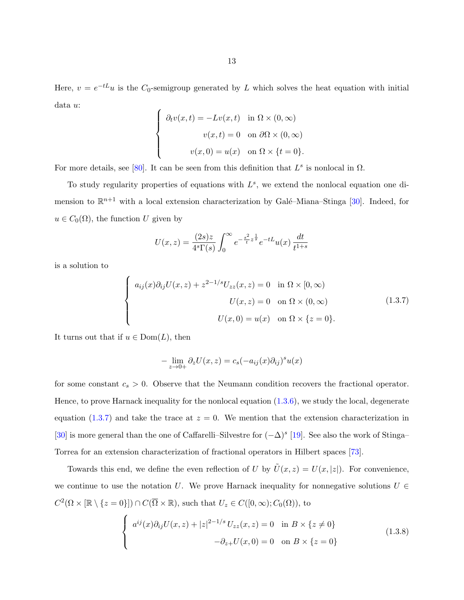<span id="page-18-0"></span>Here,  $v = e^{-tL}u$  is the  $C_0$ -semigroup generated by L which solves the heat equation with initial data u:

$$
\begin{cases}\n\partial_t v(x,t) = -Lv(x,t) & \text{in } \Omega \times (0,\infty) \\
v(x,t) = 0 & \text{on } \partial\Omega \times (0,\infty) \\
v(x,0) = u(x) & \text{on } \Omega \times \{t=0\}.\n\end{cases}
$$

For more details, see [\[80\]](#page-146-0). It can be seen from this definition that  $L^s$  is nonlocal in  $\Omega$ .

To study regularity properties of equations with  $L^s$ , we extend the nonlocal equation one dimension to  $\mathbb{R}^{n+1}$  with a local extension characterization by Galé–Miana–Stinga [\[30\]](#page-143-0). Indeed, for  $u \in C_0(\Omega)$ , the function U given by

$$
U(x, z) = \frac{(2s)z}{4^s \Gamma(s)} \int_0^\infty e^{-\frac{s^2}{t} z^{\frac{1}{s}}} e^{-tL} u(x) \frac{dt}{t^{1+s}}
$$

is a solution to

$$
\begin{cases}\na_{ij}(x)\partial_{ij}U(x,z) + z^{2-1/s}U_{zz}(x,z) = 0 & \text{in } \Omega \times [0,\infty) \\
U(x,z) = 0 & \text{on } \Omega \times (0,\infty) \\
U(x,0) = u(x) & \text{on } \Omega \times \{z=0\}.\n\end{cases}
$$
\n(1.3.7)

It turns out that if  $u \in \text{Dom}(L)$ , then

$$
-\lim_{z \to 0+} \partial_z U(x, z) = c_s (-a_{ij}(x)\partial_{ij})^s u(x)
$$

for some constant  $c_s > 0$ . Observe that the Neumann condition recovers the fractional operator. Hence, to prove Harnack inequality for the nonlocal equation [\(1.3.6\)](#page-17-0), we study the local, degenerate equation (1.3.7) and take the trace at  $z = 0$ . We mention that the extension characterization in [\[30\]](#page-143-0) is more general than the one of Caffarelli–Silvestre for  $(-\Delta)^s$  [\[19\]](#page-143-0). See also the work of Stinga– Torrea for an extension characterization of fractional operators in Hilbert spaces [\[73\]](#page-146-0).

Towards this end, we define the even reflection of U by  $\tilde{U}(x, z) = U(x, |z|)$ . For convenience, we continue to use the notation U. We prove Harnack inequality for nonnegative solutions  $U \in$  $C^2(\Omega \times [\mathbb{R} \setminus \{z = 0\}]) \cap C(\overline{\Omega} \times \mathbb{R})$ , such that  $U_z \in C([0, \infty); C_0(\Omega))$ , to

$$
\begin{cases}\n a^{ij}(x)\partial_{ij}U(x,z) + |z|^{2-1/s}U_{zz}(x,z) = 0 & \text{in } B \times \{z \neq 0\} \\
 -\partial_{z+}U(x,0) = 0 & \text{on } B \times \{z = 0\}\n\end{cases}
$$
\n(1.3.8)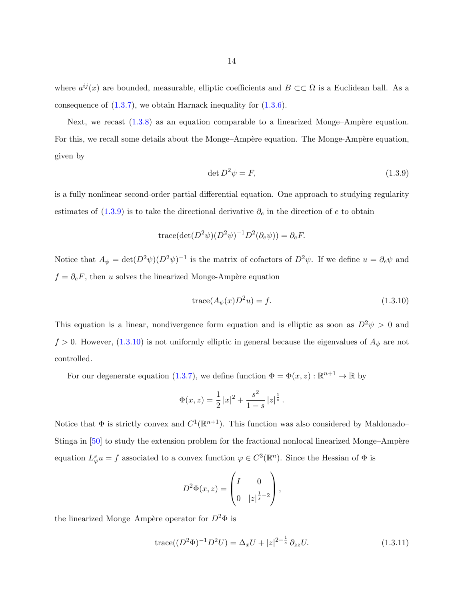<span id="page-19-0"></span>where  $a^{ij}(x)$  are bounded, measurable, elliptic coefficients and  $B \subset\subset \Omega$  is a Euclidean ball. As a consequence of  $(1.3.7)$ , we obtain Harnack inequality for  $(1.3.6)$ .

Next, we recast  $(1.3.8)$  as an equation comparable to a linearized Monge–Ampère equation. For this, we recall some details about the Monge–Ampère equation. The Monge-Ampère equation, given by

$$
\det D^2 \psi = F,\tag{1.3.9}
$$

is a fully nonlinear second-order partial differential equation. One approach to studying regularity estimates of  $(1.3.9)$  is to take the directional derivative  $\partial_e$  in the direction of e to obtain

trace
$$
(det(D^2\psi)(D^2\psi)^{-1}D^2(\partial_e\psi)) = \partial_e F
$$
.

Notice that  $A_{\psi} = det(D^2 \psi)(D^2 \psi)^{-1}$  is the matrix of cofactors of  $D^2 \psi$ . If we define  $u = \partial_e \psi$  and  $f = \partial_e F$ , then u solves the linearized Monge-Ampère equation

$$
trace(A_{\psi}(x)D^2u) = f.
$$
\n(1.3.10)

This equation is a linear, nondivergence form equation and is elliptic as soon as  $D^2 \psi > 0$  and  $f > 0$ . However, (1.3.10) is not uniformly elliptic in general because the eigenvalues of  $A_{\psi}$  are not controlled.

For our degenerate equation [\(1.3.7\)](#page-18-0), we define function  $\Phi = \Phi(x, z) : \mathbb{R}^{n+1} \to \mathbb{R}$  by

$$
\Phi(x,z) = \frac{1}{2} |x|^2 + \frac{s^2}{1-s} |z|^{\frac{1}{s}}.
$$

Notice that  $\Phi$  is strictly convex and  $C^1(\mathbb{R}^{n+1})$ . This function was also considered by Maldonado– Stinga in  $[50]$  to study the extension problem for the fractional nonlocal linearized Monge–Ampère equation  $L^s_\varphi u = f$  associated to a convex function  $\varphi \in C^3(\mathbb{R}^n)$ . Since the Hessian of  $\Phi$  is

$$
D^2\Phi(x,z) = \begin{pmatrix} I & 0 \\ 0 & |z|^{\frac{1}{s}-2} \end{pmatrix},
$$

the linearized Monge–Ampère operator for  $D^2\Phi$  is

trace
$$
((D^2\Phi)^{-1}D^2U) = \Delta_x U + |z|^{2-\frac{1}{s}} \partial_{zz}U.
$$
 (1.3.11)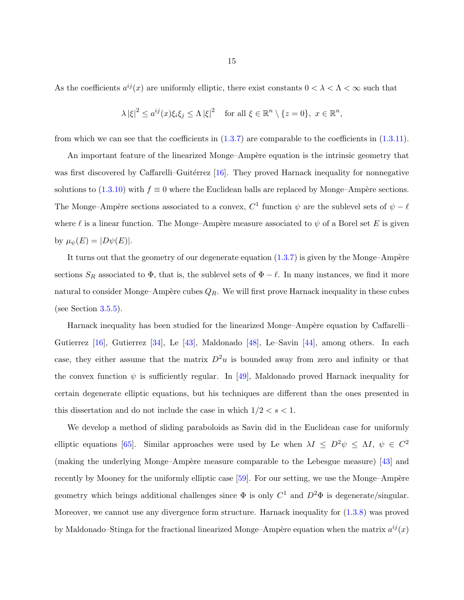As the coefficients  $a^{ij}(x)$  are uniformly elliptic, there exist constants  $0 < \lambda < \Lambda < \infty$  such that

$$
\lambda |\xi|^2 \le a^{ij}(x)\xi_i\xi_j \le \Lambda |\xi|^2 \quad \text{for all } \xi \in \mathbb{R}^n \setminus \{z = 0\}, \ x \in \mathbb{R}^n,
$$

from which we can see that the coefficients in  $(1.3.7)$  are comparable to the coefficients in  $(1.3.11)$ .

An important feature of the linearized Monge–Ampère equation is the intrinsic geometry that was first discovered by Caffarelli–Guitérrez  $[16]$ . They proved Harnack inequality for nonnegative solutions to [\(1.3.10\)](#page-19-0) with  $f \equiv 0$  where the Euclidean balls are replaced by Monge–Ampère sections. The Monge–Ampère sections associated to a convex,  $C^1$  function  $\psi$  are the sublevel sets of  $\psi - \ell$ where  $\ell$  is a linear function. The Monge–Ampère measure associated to  $\psi$  of a Borel set E is given by  $\mu_{\psi}(E) = |D\psi(E)|$ .

It turns out that the geometry of our degenerate equation  $(1.3.7)$  is given by the Monge–Ampère sections  $S_R$  associated to  $\Phi$ , that is, the sublevel sets of  $\Phi - \ell$ . In many instances, we find it more natural to consider Monge–Ampère cubes  $Q_R$ . We will first prove Harnack inequality in these cubes (see Section [3.5.5\)](#page-132-0).

Harnack inequality has been studied for the linearized Monge–Ampère equation by Caffarelli– Gutierrez [\[16\]](#page-143-0), Gutierrez [\[34\]](#page-144-0), Le [\[43\]](#page-144-0), Maldonado [\[48\]](#page-145-0), Le–Savin [\[44\]](#page-144-0), among others. In each case, they either assume that the matrix  $D^2u$  is bounded away from zero and infinity or that the convex function  $\psi$  is sufficiently regular. In [\[49\]](#page-145-0), Maldonado proved Harnack inequality for certain degenerate elliptic equations, but his techniques are different than the ones presented in this dissertation and do not include the case in which  $1/2 < s < 1$ .

We develop a method of sliding paraboloids as Savin did in the Euclidean case for uniformly elliptic equations [\[65\]](#page-146-0). Similar approaches were used by Le when  $\lambda I \leq D^2 \psi \leq \Lambda I$ ,  $\psi \in C^2$ (making the underlying Monge–Ampère measure comparable to the Lebesgue measure) [\[43\]](#page-144-0) and recently by Mooney for the uniformly elliptic case  $[59]$ . For our setting, we use the Monge–Ampère geometry which brings additional challenges since  $\Phi$  is only  $C^1$  and  $D^2\Phi$  is degenerate/singular. Moreover, we cannot use any divergence form structure. Harnack inequality for [\(1.3.8\)](#page-18-0) was proved by Maldonado–Stinga for the fractional linearized Monge–Ampère equation when the matrix  $a^{ij}(x)$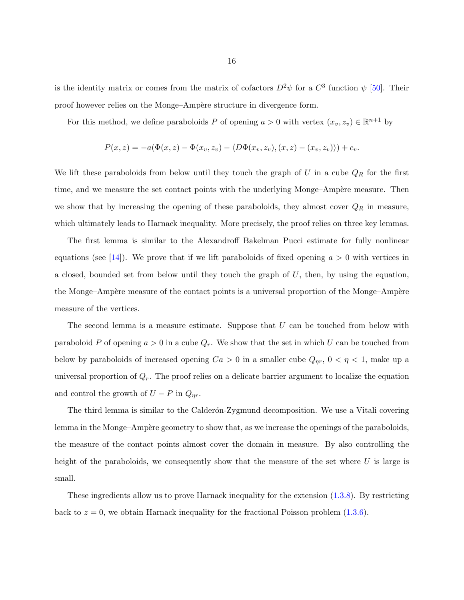is the identity matrix or comes from the matrix of cofactors  $D^2\psi$  for a  $C^3$  function  $\psi$  [\[50\]](#page-145-0). Their proof however relies on the Monge–Ampère structure in divergence form.

For this method, we define paraboloids P of opening  $a > 0$  with vertex  $(x_v, z_v) \in \mathbb{R}^{n+1}$  by

$$
P(x, z) = -a(\Phi(x, z) - \Phi(x_v, z_v) - \langle D\Phi(x_v, z_v), (x, z) - (x_v, z_v) \rangle) + c_v.
$$

We lift these paraboloids from below until they touch the graph of  $U$  in a cube  $Q_R$  for the first time, and we measure the set contact points with the underlying Monge–Ampère measure. Then we show that by increasing the opening of these paraboloids, they almost cover  $Q_R$  in measure, which ultimately leads to Harnack inequality. More precisely, the proof relies on three key lemmas.

The first lemma is similar to the Alexandroff–Bakelman–Pucci estimate for fully nonlinear equations (see [\[14\]](#page-142-0)). We prove that if we lift paraboloids of fixed opening  $a > 0$  with vertices in a closed, bounded set from below until they touch the graph of  $U$ , then, by using the equation, the Monge–Ampère measure of the contact points is a universal proportion of the Monge–Ampère measure of the vertices.

The second lemma is a measure estimate. Suppose that  $U$  can be touched from below with paraboloid P of opening  $a > 0$  in a cube  $Q_r$ . We show that the set in which U can be touched from below by paraboloids of increased opening  $Ca > 0$  in a smaller cube  $Q_{\eta r}$ ,  $0 < \eta < 1$ , make up a universal proportion of  $Q_r$ . The proof relies on a delicate barrier argument to localize the equation and control the growth of  $U - P$  in  $Q_{\eta r}$ .

The third lemma is similar to the Calderon-Zygmund decomposition. We use a Vitali covering lemma in the Monge–Ampère geometry to show that, as we increase the openings of the paraboloids, the measure of the contact points almost cover the domain in measure. By also controlling the height of the paraboloids, we consequently show that the measure of the set where  $U$  is large is small.

These ingredients allow us to prove Harnack inequality for the extension [\(1.3.8\)](#page-18-0). By restricting back to  $z = 0$ , we obtain Harnack inequality for the fractional Poisson problem  $(1.3.6)$ .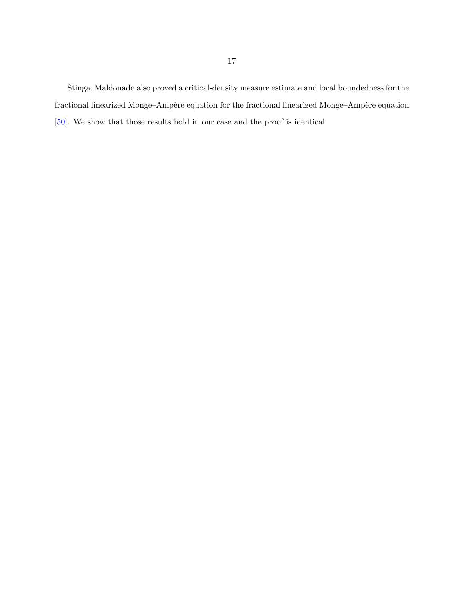Stinga–Maldonado also proved a critical-density measure estimate and local boundedness for the fractional linearized Monge–Ampère equation for the fractional linearized Monge–Ampère equation [\[50\]](#page-145-0). We show that those results hold in our case and the proof is identical.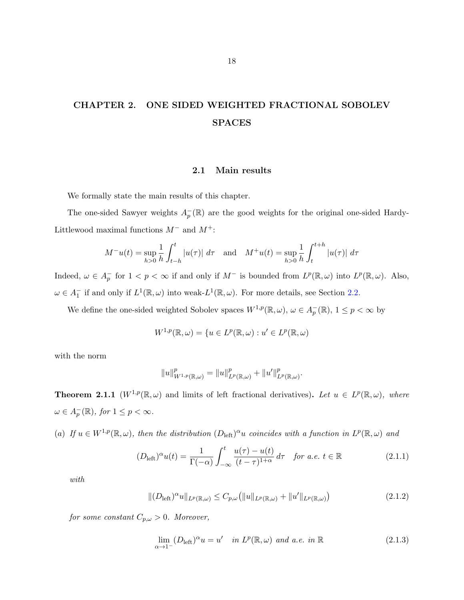# <span id="page-23-0"></span>CHAPTER 2. ONE SIDED WEIGHTED FRACTIONAL SOBOLEV SPACES

# 2.1 Main results

We formally state the main results of this chapter.

The one-sided Sawyer weights  $A_p^-(\mathbb{R})$  are the good weights for the original one-sided Hardy-Littlewood maximal functions  $M^-$  and  $M^+$ :

$$
M^{-}u(t) = \sup_{h>0} \frac{1}{h} \int_{t-h}^{t} |u(\tau)| d\tau \text{ and } M^{+}u(t) = \sup_{h>0} \frac{1}{h} \int_{t}^{t+h} |u(\tau)| d\tau
$$

Indeed,  $\omega \in A_p^-$  for  $1 < p < \infty$  if and only if  $M^-$  is bounded from  $L^p(\mathbb{R}, \omega)$  into  $L^p(\mathbb{R}, \omega)$ . Also,  $\omega \in A_1^-$  if and only if  $L^1(\mathbb{R}, \omega)$  into weak- $L^1(\mathbb{R}, \omega)$ . For more details, see Section [2.2.](#page-26-0)

We define the one-sided weighted Sobolev spaces  $W^{1,p}(\mathbb{R}, \omega)$ ,  $\omega \in A_p^-(\mathbb{R})$ ,  $1 \leq p < \infty$  by

$$
W^{1,p}(\mathbb{R},\omega) = \{ u \in L^p(\mathbb{R},\omega) : u' \in L^p(\mathbb{R},\omega) \}
$$

with the norm

$$
||u||_{W^{1,p}(\mathbb{R},\omega)}^p=||u||_{L^p(\mathbb{R},\omega)}^p+||u'||_{L^p(\mathbb{R},\omega)}^p.
$$

**Theorem 2.1.1**  $(W^{1,p}(\mathbb{R}, \omega))$  and limits of left fractional derivatives). Let  $u \in L^p(\mathbb{R}, \omega)$ , where  $\omega \in A_p^-(\mathbb{R})$ , for  $1 \leq p < \infty$ .

(a) If  $u \in W^{1,p}(\mathbb{R}, \omega)$ , then the distribution  $(D_{\text{left}})^\alpha u$  coincides with a function in  $L^p(\mathbb{R}, \omega)$  and

$$
(D_{\text{left}})^{\alpha}u(t) = \frac{1}{\Gamma(-\alpha)} \int_{-\infty}^{t} \frac{u(\tau) - u(t)}{(t - \tau)^{1 + \alpha}} d\tau \quad \text{for a.e. } t \in \mathbb{R}
$$
 (2.1.1)

with

$$
\|(D_{\text{left}})^{\alpha}u\|_{L^{p}(\mathbb{R},\omega)} \leq C_{p,\omega}(\|u\|_{L^{p}(\mathbb{R},\omega)} + \|u'\|_{L^{p}(\mathbb{R},\omega)})
$$
\n(2.1.2)

for some constant  $C_{p,\omega} > 0$ . Moreover,

$$
\lim_{\alpha \to 1^{-}} (D_{\text{left}})^{\alpha} u = u' \quad \text{in } L^{p}(\mathbb{R}, \omega) \text{ and a.e. in } \mathbb{R}
$$
\n(2.1.3)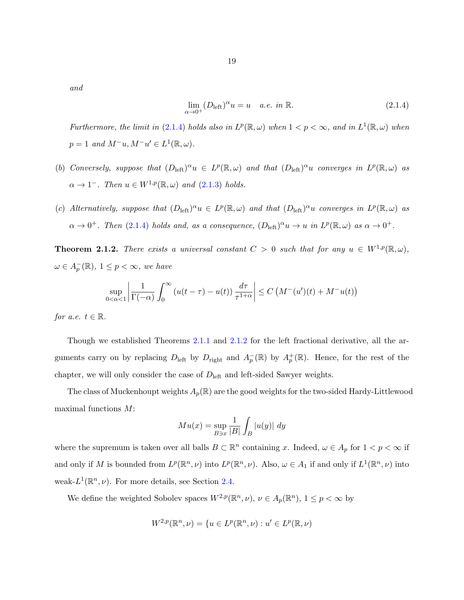<span id="page-24-0"></span>and

$$
\lim_{\alpha \to 0^+} (D_{\text{left}})^\alpha u = u \quad a.e. \text{ in } \mathbb{R}. \tag{2.1.4}
$$

Furthermore, the limit in (2.1.4) holds also in  $L^p(\mathbb{R}, \omega)$  when  $1 < p < \infty$ , and in  $L^1(\mathbb{R}, \omega)$  when  $p = 1$  and  $M^-u, M^-u' \in L^1(\mathbb{R}, \omega)$ .

- (b) Conversely, suppose that  $(D_{\text{left}})^{\alpha}u \in L^{p}(\mathbb{R},\omega)$  and that  $(D_{\text{left}})^{\alpha}u$  converges in  $L^{p}(\mathbb{R},\omega)$  as  $\alpha \to 1^-$ . Then  $u \in W^{1,p}(\mathbb{R}, \omega)$  and  $(2.1.3)$  holds.
- (c) Alternatively, suppose that  $(D_{\text{left}})^{\alpha}u \in L^{p}(\mathbb{R},\omega)$  and that  $(D_{\text{left}})^{\alpha}u$  converges in  $L^{p}(\mathbb{R},\omega)$  as  $\alpha \to 0^+$ . Then (2.1.4) holds and, as a consequence,  $(D_{\text{left}})^{\alpha}u \to u$  in  $L^p(\mathbb{R}, \omega)$  as  $\alpha \to 0^+$ .

**Theorem 2.1.2.** There exists a universal constant  $C > 0$  such that for any  $u \in W^{1,p}(\mathbb{R}, \omega)$ ,  $\omega \in A_p^-(\mathbb{R}), 1 \leq p < \infty$ , we have

$$
\sup_{0<\alpha<1}\left|\frac{1}{\Gamma(-\alpha)}\int_0^\infty \left(u(t-\tau)-u(t)\right)\frac{d\tau}{\tau^{1+\alpha}}\right|\leq C\left(M^-(u')(t)+M^-u(t)\right)
$$

for a.e.  $t \in \mathbb{R}$ .

Though we established Theorems [2.1.1](#page-23-0) and 2.1.2 for the left fractional derivative, all the arguments carry on by replacing  $D_{\text{left}}$  by  $D_{\text{right}}$  and  $A_p^-(\mathbb{R})$  by  $A_p^+(\mathbb{R})$ . Hence, for the rest of the chapter, we will only consider the case of  $D_{\text{left}}$  and left-sided Sawyer weights.

The class of Muckenhoupt weights  $A_p(\mathbb{R})$  are the good weights for the two-sided Hardy-Littlewood maximal functions M:

$$
Mu(x) = \sup_{B \ni x} \frac{1}{|B|} \int_B |u(y)| dy
$$

where the supremum is taken over all balls  $B \subset \mathbb{R}^n$  containing x. Indeed,  $\omega \in A_p$  for  $1 < p < \infty$  if and only if M is bounded from  $L^p(\mathbb{R}^n,\nu)$  into  $L^p(\mathbb{R}^n,\nu)$ . Also,  $\omega \in A_1$  if and only if  $L^1(\mathbb{R}^n,\nu)$  into weak- $L^1(\mathbb{R}^n, \nu)$ . For more details, see Section [2.4.](#page-49-0)

We define the weighted Sobolev spaces  $W^{2,p}(\mathbb{R}^n,\nu), \nu \in A_p(\mathbb{R}^n), 1 \leq p < \infty$  by

$$
W^{2,p}(\mathbb{R}^n, \nu) = \{ u \in L^p(\mathbb{R}^n, \nu) : u' \in L^p(\mathbb{R}, \nu) \}
$$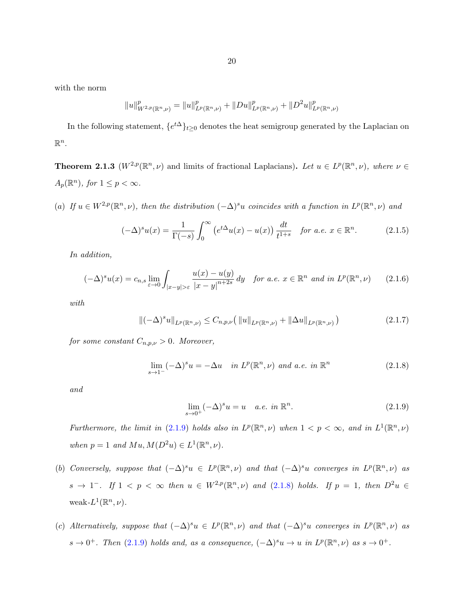<span id="page-25-0"></span>with the norm

$$
||u||_{W^{2,p}(\mathbb{R}^n,\nu)}^p = ||u||_{L^p(\mathbb{R}^n,\nu)}^p + ||Du||_{L^p(\mathbb{R}^n,\nu)}^p + ||D^2u||_{L^p(\mathbb{R}^n,\nu)}^p
$$

In the following statement,  $\{e^{t\Delta}\}_{t\geq 0}$  denotes the heat semigroup generated by the Laplacian on  $\mathbb{R}^n$ .

**Theorem 2.1.3** ( $W^{2,p}(\mathbb{R}^n,\nu)$  and limits of fractional Laplacians). Let  $u \in L^p(\mathbb{R}^n,\nu)$ , where  $\nu \in L^p(\mathbb{R}^n,\nu)$  $A_p(\mathbb{R}^n)$ , for  $1 \leq p < \infty$ .

(a) If  $u \in W^{2,p}(\mathbb{R}^n, \nu)$ , then the distribution  $(-\Delta)^s u$  coincides with a function in  $L^p(\mathbb{R}^n, \nu)$  and

$$
(-\Delta)^s u(x) = \frac{1}{\Gamma(-s)} \int_0^\infty \left( e^{t\Delta} u(x) - u(x) \right) \frac{dt}{t^{1+s}} \quad \text{for a.e. } x \in \mathbb{R}^n. \tag{2.1.5}
$$

In addition,

$$
(-\Delta)^s u(x) = c_{n,s} \lim_{\varepsilon \to 0} \int_{|x-y| > \varepsilon} \frac{u(x) - u(y)}{|x-y|^{n+2s}} dy \quad \text{for a.e. } x \in \mathbb{R}^n \text{ and in } L^p(\mathbb{R}^n, \nu) \qquad (2.1.6)
$$

with

$$
\|(-\Delta)^s u\|_{L^p(\mathbb{R}^n,\nu)} \leq C_{n,p,\nu} \left( \|u\|_{L^p(\mathbb{R}^n,\nu)} + \|\Delta u\|_{L^p(\mathbb{R}^n,\nu)} \right) \tag{2.1.7}
$$

for some constant  $C_{n,p,\nu} > 0$ . Moreover,

$$
\lim_{s \to 1^{-}} (-\Delta)^{s} u = -\Delta u \quad \text{in } L^{p}(\mathbb{R}^{n}, \nu) \text{ and a.e. in } \mathbb{R}^{n}
$$
\n(2.1.8)

and

$$
\lim_{s \to 0^+} (-\Delta)^s u = u \quad a.e. \text{ in } \mathbb{R}^n. \tag{2.1.9}
$$

Furthermore, the limit in (2.1.9) holds also in  $L^p(\mathbb{R}^n,\nu)$  when  $1 < p < \infty$ , and in  $L^1(\mathbb{R}^n,\nu)$ when  $p = 1$  and  $Mu, M(D^2u) \in L^1(\mathbb{R}^n, \nu)$ .

- (b) Conversely, suppose that  $(-\Delta)^s u \in L^p(\mathbb{R}^n, \nu)$  and that  $(-\Delta)^s u$  converges in  $L^p(\mathbb{R}^n, \nu)$  as  $s \to 1^-$ . If  $1 < p < \infty$  then  $u \in W^{2,p}(\mathbb{R}^n, \nu)$  and  $(2.1.8)$  holds. If  $p = 1$ , then  $D^2u \in \mathbb{R}^n$ weak- $L^1(\mathbb{R}^n,\nu)$ .
- (c) Alternatively, suppose that  $(-\Delta)^s u \in L^p(\mathbb{R}^n, \nu)$  and that  $(-\Delta)^s u$  converges in  $L^p(\mathbb{R}^n, \nu)$  as  $s \to 0^+$ . Then (2.1.9) holds and, as a consequence,  $(-\Delta)^s u \to u$  in  $L^p(\mathbb{R}^n, \nu)$  as  $s \to 0^+$ .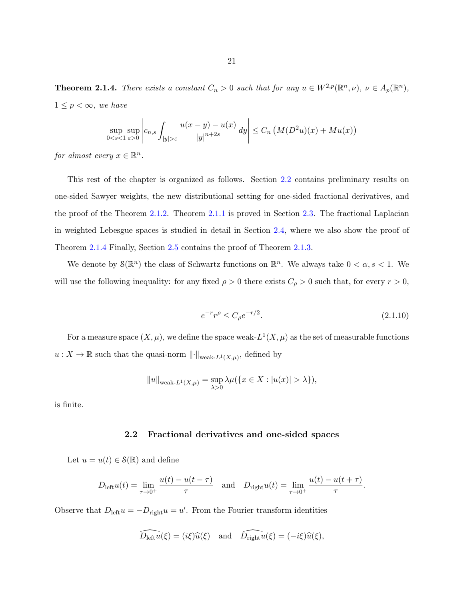<span id="page-26-0"></span>**Theorem 2.1.4.** There exists a constant  $C_n > 0$  such that for any  $u \in W^{2,p}(\mathbb{R}^n, \nu)$ ,  $\nu \in A_p(\mathbb{R}^n)$ ,  $1 \leq p < \infty$ , we have

$$
\sup_{0 < s < 1} \sup_{\varepsilon > 0} \left| c_{n,s} \int_{|y| > \varepsilon} \frac{u(x - y) - u(x)}{|y|^{n+2s}} \, dy \right| \le C_n \left( M(D^2 u)(x) + M u(x) \right)
$$

for almost every  $x \in \mathbb{R}^n$ .

This rest of the chapter is organized as follows. Section 2.2 contains preliminary results on one-sided Sawyer weights, the new distributional setting for one-sided fractional derivatives, and the proof of the Theorem [2.1.2.](#page-24-0) Theorem [2.1.1](#page-23-0) is proved in Section [2.3.](#page-41-0) The fractional Laplacian in weighted Lebesgue spaces is studied in detail in Section [2.4,](#page-49-0) where we also show the proof of Theorem [2.1.4](#page-25-0) Finally, Section [2.5](#page-58-0) contains the proof of Theorem [2.1.3.](#page-25-0)

We denote by  $\mathcal{S}(\mathbb{R}^n)$  the class of Schwartz functions on  $\mathbb{R}^n$ . We always take  $0 < \alpha, s < 1$ . We will use the following inequality: for any fixed  $\rho > 0$  there exists  $C_{\rho} > 0$  such that, for every  $r > 0$ ,

$$
e^{-r}r^{\rho} \le C_{\rho}e^{-r/2}.\tag{2.1.10}
$$

For a measure space  $(X, \mu)$ , we define the space weak- $L^1(X, \mu)$  as the set of measurable functions  $u: X \to \mathbb{R}$  such that the quasi-norm  $\lVert \cdot \rVert_{\text{weak-}L^1(X,\mu)}$ , defined by

$$
||u||_{\text{weak-}L^{1}(X,\mu)} = \sup_{\lambda>0} \lambda \mu(\{x \in X : |u(x)| > \lambda\}),
$$

is finite.

#### 2.2 Fractional derivatives and one-sided spaces

Let  $u = u(t) \in \mathcal{S}(\mathbb{R})$  and define

$$
D_{\text{left}}u(t) = \lim_{\tau \to 0^+} \frac{u(t) - u(t - \tau)}{\tau} \quad \text{and} \quad D_{\text{right}}u(t) = \lim_{\tau \to 0^+} \frac{u(t) - u(t + \tau)}{\tau}.
$$

Observe that  $D_{\text{left}}u = -D_{\text{right}}u = u'$ . From the Fourier transform identities

$$
\widehat{D_{\text{left}}u}(\xi) = (i\xi)\widehat{u}(\xi) \quad \text{and} \quad \widehat{D_{\text{right}}u}(\xi) = (-i\xi)\widehat{u}(\xi),
$$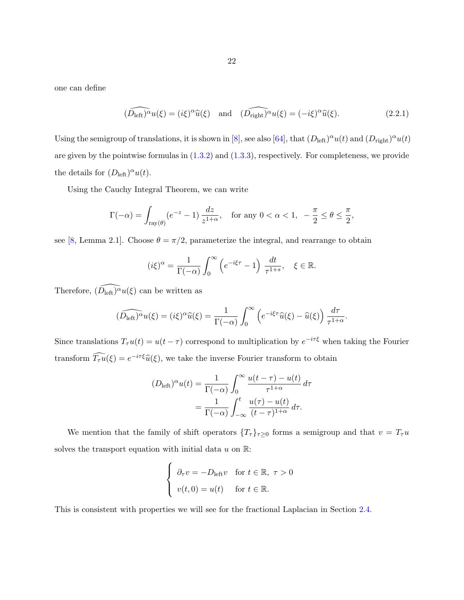<span id="page-27-0"></span>one can define

$$
(\widehat{D_{\text{left}}})^{\alpha}u(\xi) = (i\xi)^{\alpha}\widehat{u}(\xi) \quad \text{and} \quad (\widehat{D_{\text{right}}})^{\alpha}u(\xi) = (-i\xi)^{\alpha}\widehat{u}(\xi). \tag{2.2.1}
$$

Using the semigroup of translations, it is shown in [\[8\]](#page-142-0), see also [\[64\]](#page-146-0), that  $(D_{\text{left}})^{\alpha}u(t)$  and  $(D_{\text{right}})^{\alpha}u(t)$ are given by the pointwise formulas in  $(1.3.2)$  and  $(1.3.3)$ , respectively. For completeness, we provide the details for  $(D_{\text{left}})^\alpha u(t)$ .

Using the Cauchy Integral Theorem, we can write

$$
\Gamma(-\alpha) = \int_{\text{ray}(\theta)} (e^{-z} - 1) \frac{dz}{z^{1+\alpha}}, \quad \text{for any } 0 < \alpha < 1, \ -\frac{\pi}{2} \le \theta \le \frac{\pi}{2},
$$

see [\[8,](#page-142-0) Lemma 2.1]. Choose  $\theta = \pi/2$ , parameterize the integral, and rearrange to obtain

$$
(i\xi)^{\alpha} = \frac{1}{\Gamma(-\alpha)} \int_0^{\infty} \left( e^{-i\xi\tau} - 1 \right) \frac{dt}{\tau^{1+s}}, \quad \xi \in \mathbb{R}.
$$

Therefore,  $\widehat{(D_{\text{left}})}^{\alpha}u(\xi)$  can be written as

$$
(\widehat{D_{\text{left}}})^{\alpha}u(\xi) = (i\xi)^{\alpha}\widehat{u}(\xi) = \frac{1}{\Gamma(-\alpha)}\int_0^{\infty} \left(e^{-i\xi\tau}\widehat{u}(\xi) - \widehat{u}(\xi)\right)\frac{d\tau}{\tau^{1+\alpha}}.
$$

Since translations  $T_\tau u(t) = u(t-\tau)$  correspond to multiplication by  $e^{-i\tau\xi}$  when taking the Fourier transform  $\widehat{T}_{\tau}u(\xi) = e^{-i\tau\xi}\widehat{u}(\xi)$ , we take the inverse Fourier transform to obtain

$$
(D_{\text{left}})^{\alpha}u(t) = \frac{1}{\Gamma(-\alpha)} \int_0^{\infty} \frac{u(t-\tau) - u(t)}{\tau^{1+\alpha}} d\tau
$$

$$
= \frac{1}{\Gamma(-\alpha)} \int_{-\infty}^t \frac{u(\tau) - u(t)}{(t-\tau)^{1+\alpha}} d\tau.
$$

We mention that the family of shift operators  $\{T_\tau\}_{\tau\geq 0}$  forms a semigroup and that  $v = T_\tau u$ solves the transport equation with initial data  $u$  on  $\mathbb{R}$ :

$$
\begin{cases}\n\partial_{\tau}v = -D_{\text{left}}v & \text{for } t \in \mathbb{R}, \ \tau > 0 \\
v(t, 0) = u(t) & \text{for } t \in \mathbb{R}.\n\end{cases}
$$

This is consistent with properties we will see for the fractional Laplacian in Section [2.4.](#page-49-0)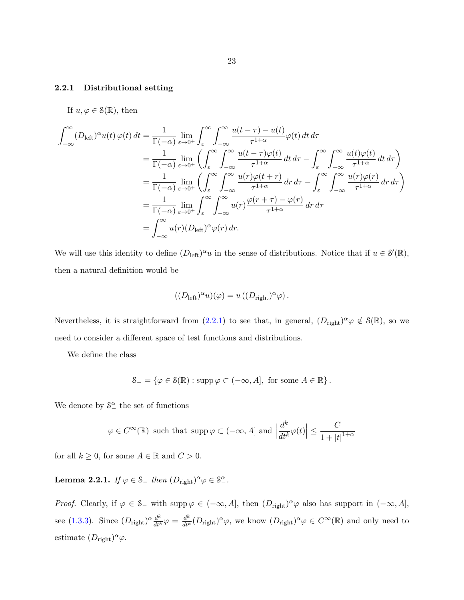#### <span id="page-28-0"></span>2.2.1 Distributional setting

If  $u, \varphi \in \mathcal{S}(\mathbb{R})$ , then

$$
\int_{-\infty}^{\infty} (D_{\text{left}})^{\alpha} u(t) \varphi(t) dt = \frac{1}{\Gamma(-\alpha)} \lim_{\varepsilon \to 0^{+}} \int_{\varepsilon}^{\infty} \int_{-\infty}^{\infty} \frac{u(t-\tau) - u(t)}{\tau^{1+\alpha}} \varphi(t) dt d\tau \n= \frac{1}{\Gamma(-\alpha)} \lim_{\varepsilon \to 0^{+}} \left( \int_{\varepsilon}^{\infty} \int_{-\infty}^{\infty} \frac{u(t-\tau) \varphi(t)}{\tau^{1+\alpha}} dt d\tau - \int_{\varepsilon}^{\infty} \int_{-\infty}^{\infty} \frac{u(t) \varphi(t)}{\tau^{1+\alpha}} dt d\tau \right) \n= \frac{1}{\Gamma(-\alpha)} \lim_{\varepsilon \to 0^{+}} \left( \int_{\varepsilon}^{\infty} \int_{-\infty}^{\infty} \frac{u(r) \varphi(t+r)}{\tau^{1+\alpha}} dr d\tau - \int_{\varepsilon}^{\infty} \int_{-\infty}^{\infty} \frac{u(r) \varphi(r)}{\tau^{1+\alpha}} dr d\tau \right) \n= \frac{1}{\Gamma(-\alpha)} \lim_{\varepsilon \to 0^{+}} \int_{\varepsilon}^{\infty} \int_{-\infty}^{\infty} u(r) \frac{\varphi(r+\tau) - \varphi(r)}{\tau^{1+\alpha}} dr d\tau \n= \int_{-\infty}^{\infty} u(r) (D_{\text{left}})^{\alpha} \varphi(r) dr.
$$

We will use this identity to define  $(D_{\text{left}})^{\alpha}u$  in the sense of distributions. Notice that if  $u \in \mathcal{S}'(\mathbb{R})$ , then a natural definition would be

$$
((D_{\text{left}})^{\alpha}u)(\varphi) = u ((D_{\text{right}})^{\alpha}\varphi).
$$

Nevertheless, it is straightforward from  $(2.2.1)$  to see that, in general,  $(D_{\text{right}})^{\alpha} \varphi \notin \mathcal{S}(\mathbb{R})$ , so we need to consider a different space of test functions and distributions.

We define the class

$$
\mathcal{S}_{-} = \{ \varphi \in \mathcal{S}(\mathbb{R}) : \operatorname{supp} \varphi \subset (-\infty, A], \text{ for some } A \in \mathbb{R} \}.
$$

We denote by  $S^{\alpha}_{-}$  the set of functions

$$
\varphi \in C^{\infty}(\mathbb{R})
$$
 such that  $\text{supp}\,\varphi \subset (-\infty, A]$  and  $\left| \frac{d^k}{dt^k} \varphi(t) \right| \leq \frac{C}{1 + |t|^{1+\alpha}}$ 

for all  $k \geq 0$ , for some  $A \in \mathbb{R}$  and  $C > 0$ .

**Lemma 2.2.1.** If  $\varphi \in \mathcal{S}_-$  then  $(D_{\text{right}})^\alpha \varphi \in \mathcal{S}_-^\alpha$ .

*Proof.* Clearly, if  $\varphi \in S_-\$  with supp  $\varphi \in (-\infty, A]$ , then  $(D_{\text{right}})^\alpha \varphi$  also has support in  $(-\infty, A]$ , see [\(1.3.3\)](#page-13-0). Since  $(D_{\text{right}})^{\alpha} \frac{d^k}{dt^k} \varphi = \frac{d^k}{dt^k} (D_{\text{right}})^{\alpha} \varphi$ , we know  $(D_{\text{right}})^{\alpha} \varphi \in C^{\infty}(\mathbb{R})$  and only need to estimate  $(D_{\text{right}})^{\alpha}\varphi$ .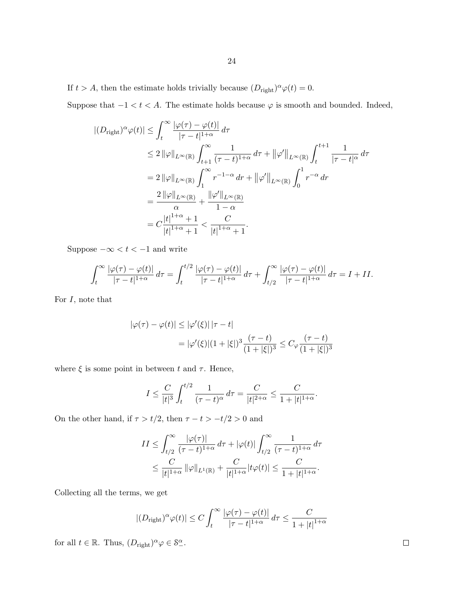If  $t > A$ , then the estimate holds trivially because  $(D_{\text{right}})^{\alpha} \varphi(t) = 0$ .

Suppose that  $-1 < t < A$ . The estimate holds because  $\varphi$  is smooth and bounded. Indeed,

$$
\begin{split} |(D_{\text{right}})^\alpha \varphi(t)| &\leq \int_t^\infty \frac{|\varphi(\tau) - \varphi(t)|}{|\tau - t|^{1+\alpha}} \, d\tau \\ &\leq 2 \, \|\varphi\|_{L^\infty(\mathbb{R})} \int_{t+1}^\infty \frac{1}{(\tau - t)^{1+\alpha}} \, d\tau + \|\varphi'\|_{L^\infty(\mathbb{R})} \int_t^{t+1} \frac{1}{|\tau - t|^\alpha} \, d\tau \\ &= 2 \, \|\varphi\|_{L^\infty(\mathbb{R})} \int_1^\infty r^{-1-\alpha} \, dr + \|\varphi'\|_{L^\infty(\mathbb{R})} \int_0^1 r^{-\alpha} \, dr \\ &= \frac{2 \, \|\varphi\|_{L^\infty(\mathbb{R})}}{\alpha} + \frac{\|\varphi'\|_{L^\infty(\mathbb{R})}}{1-\alpha} \\ &= C \frac{|t|^{1+\alpha} + 1}{|t|^{1+\alpha} + 1} < \frac{C}{|t|^{1+\alpha} + 1}. \end{split}
$$

Suppose  $-\infty < t < -1$  and write

$$
\int_t^{\infty} \frac{|\varphi(\tau) - \varphi(t)|}{|\tau - t|^{1+\alpha}} d\tau = \int_t^{t/2} \frac{|\varphi(\tau) - \varphi(t)|}{|\tau - t|^{1+\alpha}} d\tau + \int_{t/2}^{\infty} \frac{|\varphi(\tau) - \varphi(t)|}{|\tau - t|^{1+\alpha}} d\tau = I + II.
$$

For  $I$ , note that

$$
|\varphi(\tau) - \varphi(t)| \le |\varphi'(\xi)| |\tau - t|
$$
  
=  $|\varphi'(\xi)|(1 + |\xi|)^3 \frac{(\tau - t)}{(1 + |\xi|)^3} \le C_{\varphi} \frac{(\tau - t)}{(1 + |\xi|)^3}$ 

where  $\xi$  is some point in between t and  $\tau$ . Hence,

$$
I \le \frac{C}{|t|^3} \int_t^{t/2} \frac{1}{(\tau - t)^{\alpha}} d\tau = \frac{C}{|t|^{2+\alpha}} \le \frac{C}{1 + |t|^{1+\alpha}}.
$$

On the other hand, if  $\tau > t/2$ , then  $\tau - t > -t/2 > 0$  and

$$
II \leq \int_{t/2}^{\infty} \frac{|\varphi(\tau)|}{(\tau - t)^{1+\alpha}} d\tau + |\varphi(t)| \int_{t/2}^{\infty} \frac{1}{(\tau - t)^{1+\alpha}} d\tau
$$
  

$$
\leq \frac{C}{|t|^{1+\alpha}} ||\varphi||_{L^{1}(\mathbb{R})} + \frac{C}{|t|^{1+\alpha}} |t\varphi(t)| \leq \frac{C}{1 + |t|^{1+\alpha}}.
$$

Collecting all the terms, we get

$$
|(D_{\text{right}})^\alpha \varphi(t)| \le C \int_t^\infty \frac{|\varphi(\tau) - \varphi(t)|}{|\tau - t|^{1+\alpha}} d\tau \le \frac{C}{1 + |t|^{1+\alpha}}
$$

for all  $t \in \mathbb{R}$ . Thus,  $(D_{\text{right}})^{\alpha} \varphi \in \mathcal{S}_{-}^{\alpha}$ .

 $\Box$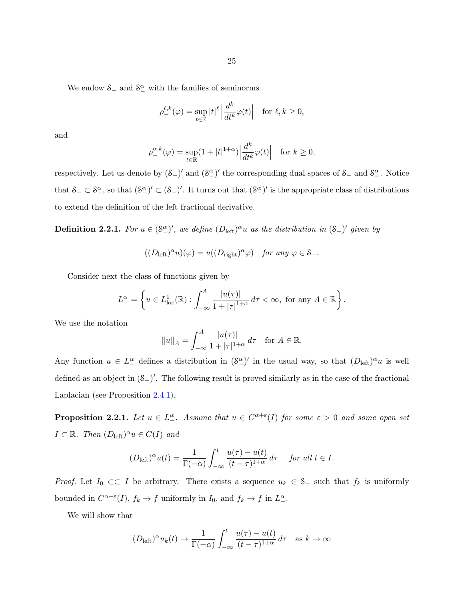25

We endow  $\mathcal{S}_-$  and  $\mathcal{S}_-^{\alpha}$  with the families of seminorms

$$
\rho_-^{\ell,k}(\varphi) = \sup_{t \in \mathbb{R}} |t|^{\ell} \left| \frac{d^k}{dt^k} \varphi(t) \right| \quad \text{for } \ell, k \ge 0,
$$

and

$$
\rho^{\alpha,k}_-(\varphi) = \sup_{t \in \mathbb{R}} (1+|t|^{1+\alpha}) \left| \frac{d^k}{dt^k} \varphi(t) \right| \quad \text{for } k \ge 0,
$$

respectively. Let us denote by  $(S_)'$  and  $(S_-')'$  the corresponding dual spaces of  $S_$  and  $S_-'$ . Notice that  $S_-\subset S_-\gamma$ , so that  $(S_-\gamma')'\subset (S_-\gamma')'$ . It turns out that  $(S_-\gamma')'$  is the appropriate class of distributions to extend the definition of the left fractional derivative.

**Definition 2.2.1.** For  $u \in (\mathcal{S}_-^{\alpha})'$ , we define  $(D_{\text{left}})^{\alpha}u$  as the distribution in  $(\mathcal{S}_-)$ ' given by

$$
((D_{\text{left}})^{\alpha}u)(\varphi) = u((D_{\text{right}})^{\alpha}\varphi) \quad \text{for any } \varphi \in \mathcal{S}_{-}.
$$

Consider next the class of functions given by

$$
L_{-}^{\alpha} = \left\{ u \in L_{\text{loc}}^{1}(\mathbb{R}) : \int_{-\infty}^{A} \frac{|u(\tau)|}{1 + |\tau|^{1+\alpha}} d\tau < \infty, \text{ for any } A \in \mathbb{R} \right\}.
$$

We use the notation

$$
||u||_A = \int_{-\infty}^A \frac{|u(\tau)|}{1 + |\tau|^{1+\alpha}} d\tau
$$
 for  $A \in \mathbb{R}$ .

Any function  $u \in L^{\alpha}$  defines a distribution in  $(\mathcal{S}^{\alpha})'$  in the usual way, so that  $(D_{\text{left}})^{\alpha}u$  is well defined as an object in  $(\mathcal{S}_-)^\prime$ . The following result is proved similarly as in the case of the fractional Laplacian (see Proposition [2.4.1\)](#page-50-0).

**Proposition 2.2.1.** Let  $u \in L^{\alpha}_-$ . Assume that  $u \in C^{\alpha+\varepsilon}(I)$  for some  $\varepsilon > 0$  and some open set  $I \subset \mathbb{R}$ . Then  $(D_{\text{left}})^\alpha u \in C(I)$  and

$$
(D_{\text{left}})^{\alpha}u(t) = \frac{1}{\Gamma(-\alpha)} \int_{-\infty}^{t} \frac{u(\tau) - u(t)}{(t - \tau)^{1 + \alpha}} d\tau \quad \text{ for all } t \in I.
$$

*Proof.* Let  $I_0 \subset \subset I$  be arbitrary. There exists a sequence  $u_k \in S_-\$  such that  $f_k$  is uniformly bounded in  $C^{\alpha+\varepsilon}(I)$ ,  $f_k \to f$  uniformly in  $I_0$ , and  $f_k \to f$  in  $L_+^{\alpha}$ .

We will show that

$$
(D_{\text{left}})^{\alpha} u_k(t) \to \frac{1}{\Gamma(-\alpha)} \int_{-\infty}^t \frac{u(\tau) - u(t)}{(t - \tau)^{1 + \alpha}} d\tau \text{ as } k \to \infty
$$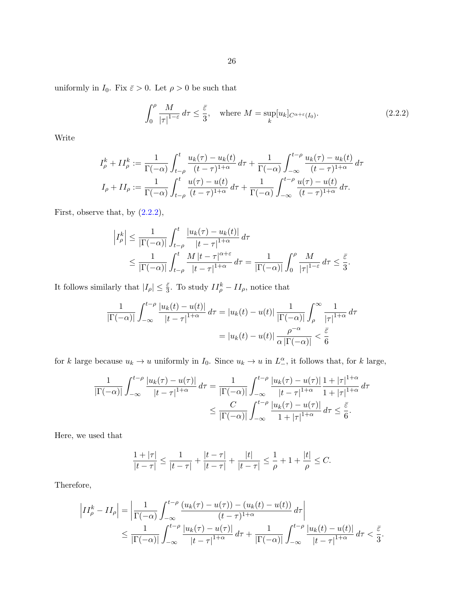uniformly in  $I_0$ . Fix  $\bar{\varepsilon} > 0$ . Let  $\rho > 0$  be such that

$$
\int_0^{\rho} \frac{M}{|\tau|^{1-\varepsilon}} d\tau \le \frac{\bar{\varepsilon}}{3}, \quad \text{where } M = \sup_k [u_k]_{C^{\alpha+\varepsilon}(I_0)}.
$$
\n(2.2.2)

Write

$$
I_{\rho}^{k} + II_{\rho}^{k} := \frac{1}{\Gamma(-\alpha)} \int_{t-\rho}^{t} \frac{u_{k}(\tau) - u_{k}(t)}{(t-\tau)^{1+\alpha}} d\tau + \frac{1}{\Gamma(-\alpha)} \int_{-\infty}^{t-\rho} \frac{u_{k}(\tau) - u_{k}(t)}{(t-\tau)^{1+\alpha}} d\tau
$$

$$
I_{\rho} + II_{\rho} := \frac{1}{\Gamma(-\alpha)} \int_{t-\rho}^{t} \frac{u(\tau) - u(t)}{(t-\tau)^{1+\alpha}} d\tau + \frac{1}{\Gamma(-\alpha)} \int_{-\infty}^{t-\rho} \frac{u(\tau) - u(t)}{(t-\tau)^{1+\alpha}} d\tau.
$$

First, observe that, by  $(2.2.2)$ ,

$$
\left| I_{\rho}^{k} \right| \leq \frac{1}{\left| \Gamma(-\alpha) \right|} \int_{t-\rho}^{t} \frac{\left| u_{k}(\tau) - u_{k}(t) \right|}{\left| t - \tau \right|^{1+\alpha}} d\tau
$$
  

$$
\leq \frac{1}{\left| \Gamma(-\alpha) \right|} \int_{t-\rho}^{t} \frac{M \left| t - \tau \right|^{\alpha+\varepsilon}}{\left| t - \tau \right|^{1+\alpha}} d\tau = \frac{1}{\left| \Gamma(-\alpha) \right|} \int_{0}^{\rho} \frac{M}{\left| \tau \right|^{1-\varepsilon}} d\tau \leq \frac{\bar{\varepsilon}}{3}.
$$

It follows similarly that  $|I_{\rho}| \leq \frac{\bar{\varepsilon}}{3}$ . To study  $II_{\rho}^{k} - II_{\rho}$ , notice that

$$
\frac{1}{|\Gamma(-\alpha)|} \int_{-\infty}^{t-\rho} \frac{|u_k(t) - u(t)|}{|t - \tau|^{1+\alpha}} d\tau = |u_k(t) - u(t)| \frac{1}{|\Gamma(-\alpha)|} \int_{\rho}^{\infty} \frac{1}{|\tau|^{1+\alpha}} d\tau
$$

$$
= |u_k(t) - u(t)| \frac{\rho^{-\alpha}}{\alpha |\Gamma(-\alpha)|} < \frac{\bar{\varepsilon}}{6}
$$

for k large because  $u_k \to u$  uniformly in  $I_0$ . Since  $u_k \to u$  in  $L^{\alpha}_{-}$ , it follows that, for k large,

$$
\frac{1}{|\Gamma(-\alpha)|} \int_{-\infty}^{t-\rho} \frac{|u_k(\tau) - u(\tau)|}{|t-\tau|^{1+\alpha}} d\tau = \frac{1}{|\Gamma(-\alpha)|} \int_{-\infty}^{t-\rho} \frac{|u_k(\tau) - u(\tau)|}{|t-\tau|^{1+\alpha}} \frac{1+|\tau|^{1+\alpha}}{1+|\tau|^{1+\alpha}} d\tau
$$

$$
\leq \frac{C}{|\Gamma(-\alpha)|} \int_{-\infty}^{t-\rho} \frac{|u_k(\tau) - u(\tau)|}{1+|\tau|^{1+\alpha}} d\tau \leq \frac{\bar{\varepsilon}}{6}.
$$

Here, we used that

$$
\frac{1+|\tau|}{|t-\tau|} \le \frac{1}{|t-\tau|} + \frac{|t-\tau|}{|t-\tau|} + \frac{|t|}{|t-\tau|} \le \frac{1}{\rho} + 1 + \frac{|t|}{\rho} \le C.
$$

Therefore,

$$
\left|II_{\rho}^{k} - II_{\rho}\right| = \left|\frac{1}{\Gamma(-\alpha)} \int_{-\infty}^{t-\rho} \frac{(u_{k}(\tau) - u(\tau)) - (u_{k}(t) - u(t))}{(t-\tau)^{1+\alpha}} d\tau\right|
$$
  

$$
\leq \frac{1}{|\Gamma(-\alpha)|} \int_{-\infty}^{t-\rho} \frac{|u_{k}(\tau) - u(\tau)|}{|t-\tau|^{1+\alpha}} d\tau + \frac{1}{|\Gamma(-\alpha)|} \int_{-\infty}^{t-\rho} \frac{|u_{k}(t) - u(t)|}{|t-\tau|^{1+\alpha}} d\tau < \frac{\bar{\varepsilon}}{3}.
$$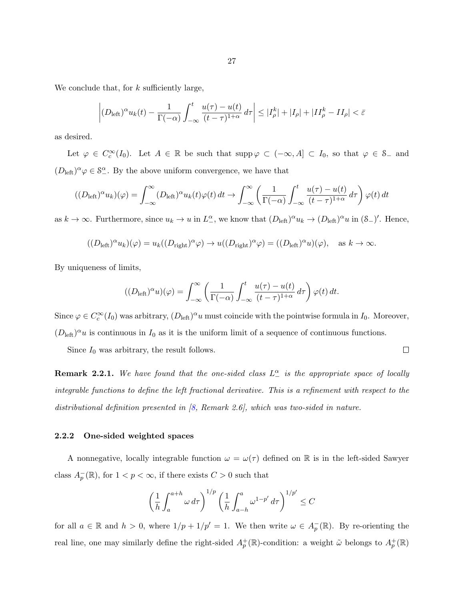<span id="page-32-0"></span>We conclude that, for  $k$  sufficiently large,

$$
\left| (D_{\text{left}})^{\alpha} u_k(t) - \frac{1}{\Gamma(-\alpha)} \int_{-\infty}^t \frac{u(\tau) - u(t)}{(t - \tau)^{1 + \alpha}} d\tau \right| \leq |I^k_\rho| + |I_\rho| + |II^k_\rho - II_\rho| < \bar{\varepsilon}
$$

as desired.

Let  $\varphi \in C_c^{\infty}(I_0)$ . Let  $A \in \mathbb{R}$  be such that supp  $\varphi \subset (-\infty, A] \subset I_0$ , so that  $\varphi \in S_-$  and  $(D_{\text{left}})^{\alpha}\varphi \in \mathcal{S}_{-}^{\alpha}$ . By the above uniform convergence, we have that

$$
((D_{\text{left}})^{\alpha} u_k)(\varphi) = \int_{-\infty}^{\infty} (D_{\text{left}})^{\alpha} u_k(t)\varphi(t) dt \to \int_{-\infty}^{\infty} \left(\frac{1}{\Gamma(-\alpha)} \int_{-\infty}^{t} \frac{u(\tau) - u(t)}{(t - \tau)^{1 + \alpha}} d\tau\right) \varphi(t) dt
$$

as  $k \to \infty$ . Furthermore, since  $u_k \to u$  in  $L^{\alpha}_{-}$ , we know that  $(D_{\text{left}})^{\alpha} u_k \to (D_{\text{left}})^{\alpha} u$  in  $(\mathcal{S}_{-})'$ . Hence,

$$
((D_{\text{left}})^{\alpha} u_k)(\varphi) = u_k((D_{\text{right}})^{\alpha} \varphi) \to u((D_{\text{right}})^{\alpha} \varphi) = ((D_{\text{left}})^{\alpha} u)(\varphi), \text{ as } k \to \infty.
$$

By uniqueness of limits,

$$
((D_{\text{left}})^\alpha u)(\varphi) = \int_{-\infty}^\infty \left( \frac{1}{\Gamma(-\alpha)} \int_{-\infty}^t \frac{u(\tau) - u(t)}{(t - \tau)^{1 + \alpha}} d\tau \right) \varphi(t) dt.
$$

Since  $\varphi \in C_c^{\infty}(I_0)$  was arbitrary,  $(D_{\text{left}})^{\alpha}u$  must coincide with the pointwise formula in  $I_0$ . Moreover,  $(D_{\text{left}})^{\alpha}u$  is continuous in  $I_0$  as it is the uniform limit of a sequence of continuous functions.

Since  $I_0$  was arbitrary, the result follows.

 $\Box$ 

**Remark 2.2.1.** We have found that the one-sided class  $L_-\alpha$  is the appropriate space of locally integrable functions to define the left fractional derivative. This is a refinement with respect to the distributional definition presented in [\[8,](#page-142-0) Remark 2.6], which was two-sided in nature.

#### 2.2.2 One-sided weighted spaces

A nonnegative, locally integrable function  $\omega = \omega(\tau)$  defined on R is in the left-sided Sawyer class  $A_p^-(\mathbb{R})$ , for  $1 < p < \infty$ , if there exists  $C > 0$  such that

$$
\left(\frac{1}{h}\int_{a}^{a+h} \omega \,d\tau\right)^{1/p} \left(\frac{1}{h}\int_{a-h}^{a} \omega^{1-p'} \,d\tau\right)^{1/p'} \leq C
$$

for all  $a \in \mathbb{R}$  and  $h > 0$ , where  $1/p + 1/p' = 1$ . We then write  $\omega \in A_p^-(\mathbb{R})$ . By re-orienting the real line, one may similarly define the right-sided  $A_p^+(\mathbb{R})$ -condition: a weight  $\tilde{\omega}$  belongs to  $A_p^+(\mathbb{R})$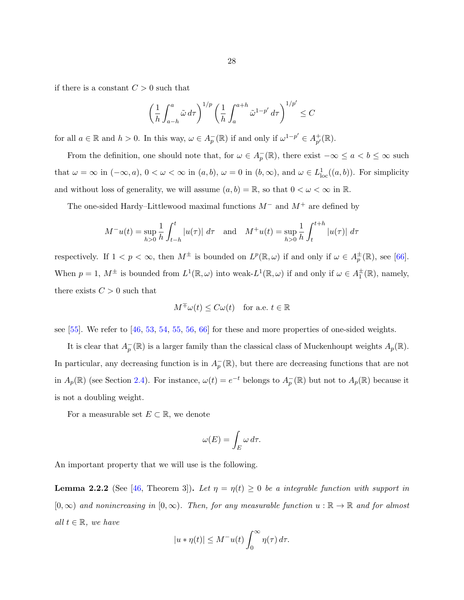if there is a constant  $C > 0$  such that

$$
\left(\frac{1}{h}\int_{a-h}^{a}\tilde{\omega}\,d\tau\right)^{1/p}\left(\frac{1}{h}\int_{a}^{a+h}\tilde{\omega}^{1-p'}\,d\tau\right)^{1/p'}\leq C
$$

for all  $a \in \mathbb{R}$  and  $h > 0$ . In this way,  $\omega \in A_p^-(\mathbb{R})$  if and only if  $\omega^{1-p'} \in A_{p'}^+$  $_{p^{\prime}}^{+}(\mathbb{R}).$ 

From the definition, one should note that, for  $\omega \in A_p^-(\mathbb{R})$ , there exist  $-\infty \le a < b \le \infty$  such that  $\omega = \infty$  in  $(-\infty, a)$ ,  $0 < \omega < \infty$  in  $(a, b)$ ,  $\omega = 0$  in  $(b, \infty)$ , and  $\omega \in L^1_{loc}((a, b))$ . For simplicity and without loss of generality, we will assume  $(a, b) = \mathbb{R}$ , so that  $0 < \omega < \infty$  in  $\mathbb{R}$ .

The one-sided Hardy–Littlewood maximal functions  $M^-$  and  $M^+$  are defined by

$$
M^{-}u(t) = \sup_{h>0} \frac{1}{h} \int_{t-h}^{t} |u(\tau)| d\tau \text{ and } M^{+}u(t) = \sup_{h>0} \frac{1}{h} \int_{t}^{t+h} |u(\tau)| d\tau
$$

respectively. If  $1 < p < \infty$ , then  $M^{\pm}$  is bounded on  $L^p(\mathbb{R}, \omega)$  if and only if  $\omega \in A_p^{\pm}(\mathbb{R})$ , see [\[66\]](#page-146-0). When  $p = 1$ ,  $M^{\pm}$  is bounded from  $L^1(\mathbb{R}, \omega)$  into weak- $L^1(\mathbb{R}, \omega)$  if and only if  $\omega \in A_1^{\pm}(\mathbb{R})$ , namely, there exists  $C > 0$  such that

$$
M^{\mp}\omega(t) \le C\omega(t) \quad \text{for a.e. } t \in \mathbb{R}
$$

see  $[55]$ . We refer to  $[46, 53, 54, 55, 56, 66]$  $[46, 53, 54, 55, 56, 66]$  $[46, 53, 54, 55, 56, 66]$  $[46, 53, 54, 55, 56, 66]$  $[46, 53, 54, 55, 56, 66]$  $[46, 53, 54, 55, 56, 66]$  $[46, 53, 54, 55, 56, 66]$  $[46, 53, 54, 55, 56, 66]$  $[46, 53, 54, 55, 56, 66]$  $[46, 53, 54, 55, 56, 66]$  for these and more properties of one-sided weights.

It is clear that  $A_p^-(\mathbb{R})$  is a larger family than the classical class of Muckenhoupt weights  $A_p(\mathbb{R})$ . In particular, any decreasing function is in  $A_p^-(\mathbb{R})$ , but there are decreasing functions that are not in  $A_p(\mathbb{R})$  (see Section [2.4\)](#page-49-0). For instance,  $\omega(t) = e^{-t}$  belongs to  $A_p(\mathbb{R})$  but not to  $A_p(\mathbb{R})$  because it is not a doubling weight.

For a measurable set  $E \subset \mathbb{R}$ , we denote

$$
\omega(E) = \int_E \omega \, d\tau.
$$

An important property that we will use is the following.

**Lemma 2.2.2** (See [\[46,](#page-144-0) Theorem 3]). Let  $\eta = \eta(t) \geq 0$  be a integrable function with support in  $[0, \infty)$  and nonincreasing in  $[0, \infty)$ . Then, for any measurable function  $u : \mathbb{R} \to \mathbb{R}$  and for almost all  $t \in \mathbb{R}$ , we have

$$
|u * \eta(t)| \le M^{-}u(t) \int_0^{\infty} \eta(\tau) d\tau.
$$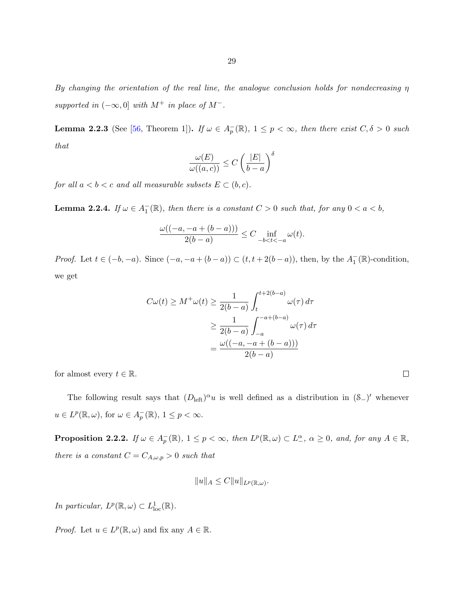<span id="page-34-0"></span>By changing the orientation of the real line, the analogue conclusion holds for nondecreasing  $\eta$ supported in  $(-\infty, 0]$  with  $M^+$  in place of  $M^-$ .

**Lemma 2.2.3** (See [\[56,](#page-145-0) Theorem 1]). If  $\omega \in A_p^-(\mathbb{R})$ ,  $1 \leq p < \infty$ , then there exist  $C, \delta > 0$  such that

$$
\frac{\omega(E)}{\omega((a,c))} \le C \left(\frac{|E|}{b-a}\right)^{\delta}
$$

for all  $a < b < c$  and all measurable subsets  $E \subset (b, c)$ .

**Lemma 2.2.4.** If  $\omega \in A_1^-(\mathbb{R})$ , then there is a constant  $C > 0$  such that, for any  $0 < a < b$ ,

$$
\frac{\omega((-a,-a+(b-a)))}{2(b-a)}\leq C\inf_{-b
$$

*Proof.* Let  $t \in (-b, -a)$ . Since  $(-a, -a + (b - a)) \subset (t, t + 2(b - a))$ , then, by the  $A_1^-(\mathbb{R})$ -condition, we get

$$
C\omega(t) \ge M^+\omega(t) \ge \frac{1}{2(b-a)} \int_t^{t+2(b-a)} \omega(\tau) d\tau
$$

$$
\ge \frac{1}{2(b-a)} \int_{-a}^{-a+(b-a)} \omega(\tau) d\tau
$$

$$
= \frac{\omega((-a, -a+(b-a)))}{2(b-a)}
$$

for almost every  $t \in \mathbb{R}$ .

The following result says that  $(D_{\text{left}})^{\alpha}u$  is well defined as a distribution in  $(\mathcal{S}_-)$ ' whenever  $u \in L^p(\mathbb{R}, \omega)$ , for  $\omega \in A_p^-(\mathbb{R})$ ,  $1 \le p < \infty$ .

**Proposition 2.2.2.** If  $\omega \in A_p^-(\mathbb{R})$ ,  $1 \leq p < \infty$ , then  $L^p(\mathbb{R}, \omega) \subset L_+^{\alpha}$ ,  $\alpha \geq 0$ , and, for any  $A \in \mathbb{R}$ , there is a constant  $C = C_{A,\omega,p} > 0$  such that

$$
||u||_A \leq C||u||_{L^p(\mathbb{R},\omega)}.
$$

In particular,  $L^p(\mathbb{R}, \omega) \subset L^1_{loc}(\mathbb{R})$ .

*Proof.* Let  $u \in L^p(\mathbb{R}, \omega)$  and fix any  $A \in \mathbb{R}$ .

 $\Box$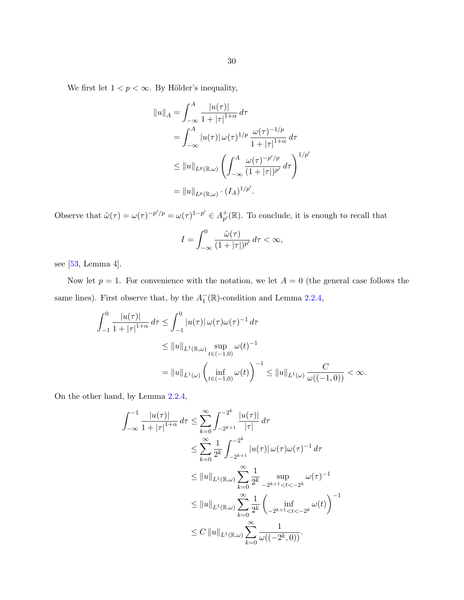We first let  $1 < p < \infty.$  By Hölder's inequality,

$$
||u||_A = \int_{-\infty}^A \frac{|u(\tau)|}{1 + |\tau|^{1+\alpha}} d\tau
$$
  
= 
$$
\int_{-\infty}^A |u(\tau)| \, \omega(\tau)^{1/p} \, \frac{\omega(\tau)^{-1/p}}{1 + |\tau|^{1+\alpha}} d\tau
$$
  

$$
\leq ||u||_{L^p(\mathbb{R}, \omega)} \left( \int_{-\infty}^A \frac{\omega(\tau)^{-p'/p}}{(1 + |\tau|)^{p'}} d\tau \right)^{1/p'}
$$
  
= 
$$
||u||_{L^p(\mathbb{R}, \omega)} \cdot (I_A)^{1/p'}.
$$

Observe that  $\tilde{\omega}(\tau) = \omega(\tau)^{-p'/p} = \omega(\tau)^{1-p'} \in A_{n'}^+$  $_{p'}^+(\mathbb{R})$ . To conclude, it is enough to recall that

$$
I = \int_{-\infty}^{0} \frac{\tilde{\omega}(\tau)}{(1+|\tau|)^{p'}} d\tau < \infty,
$$

see [\[53,](#page-145-0) Lemma 4].

Now let  $p = 1$ . For convenience with the notation, we let  $A = 0$  (the general case follows the same lines). First observe that, by the  $A_1^-(\mathbb{R})$ -condition and Lemma [2.2.4,](#page-34-0)

$$
\int_{-1}^{0} \frac{|u(\tau)|}{1+|\tau|^{1+\alpha}} d\tau \le \int_{-1}^{0} |u(\tau)| \, \omega(\tau) \omega(\tau)^{-1} d\tau
$$
\n
$$
\le \|u\|_{L^{1}(\mathbb{R},\omega)} \sup_{t \in (-1,0)} \omega(t)^{-1}
$$
\n
$$
= \|u\|_{L^{1}(\omega)} \left(\inf_{t \in (-1,0)} \omega(t)\right)^{-1} \le \|u\|_{L^{1}(\omega)} \frac{C}{\omega((-1,0))} < \infty.
$$

On the other hand, by Lemma [2.2.4,](#page-34-0)

$$
\int_{-\infty}^{-1} \frac{|u(\tau)|}{1+|\tau|^{1+\alpha}} d\tau \le \sum_{k=0}^{\infty} \int_{-2^{k+1}}^{-2^{k}} \frac{|u(\tau)|}{|\tau|} d\tau
$$
  
\n
$$
\le \sum_{k=0}^{\infty} \frac{1}{2^{k}} \int_{-2^{k+1}}^{-2^{k}} |u(\tau)| \, \omega(\tau) \omega(\tau)^{-1} d\tau
$$
  
\n
$$
\le \|u\|_{L^{1}(\mathbb{R},\omega)} \sum_{k=0}^{\infty} \frac{1}{2^{k}} \sup_{-2^{k+1} < t < -2^{k}} \omega(\tau)^{-1}
$$
  
\n
$$
\le \|u\|_{L^{1}(\mathbb{R},\omega)} \sum_{k=0}^{\infty} \frac{1}{2^{k}} \left(\inf_{-2^{k+1} < t < -2^{k}} \omega(t)\right)^{-1}
$$
  
\n
$$
\le C \, \|u\|_{L^{1}(\mathbb{R},\omega)} \sum_{k=0}^{\infty} \frac{1}{\omega((-2^{k},0))}.
$$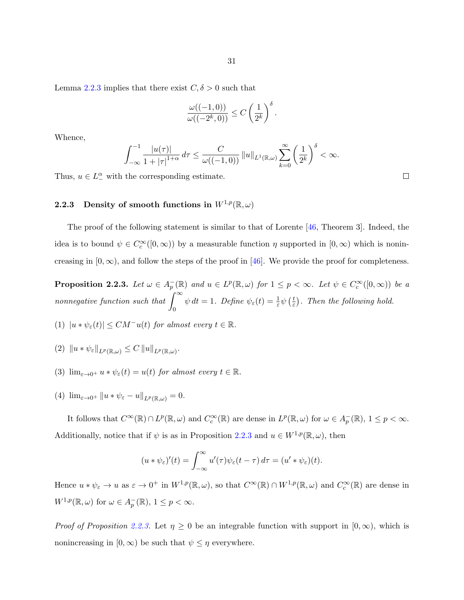Lemma [2.2.3](#page-34-0) implies that there exist  $C, \delta > 0$  such that

$$
\frac{\omega((-1,0))}{\omega((-2^k,0))} \le C\left(\frac{1}{2^k}\right)^{\delta}.
$$

Whence,

$$
\int_{-\infty}^{-1} \frac{|u(\tau)|}{1+|\tau|^{1+\alpha}} d\tau \leq \frac{C}{\omega((-1,0))} ||u||_{L^1(\mathbb{R},\omega)} \sum_{k=0}^{\infty} \left(\frac{1}{2^k}\right)^{\delta} < \infty.
$$

Thus,  $u \in L^{\alpha}_{-}$  with the corresponding estimate.

## 2.2.3 Density of smooth functions in  $W^{1,p}(\mathbb{R},\omega)$

The proof of the following statement is similar to that of Lorente [\[46,](#page-144-0) Theorem 3]. Indeed, the idea is to bound  $\psi \in C_c^{\infty}([0,\infty))$  by a measurable function  $\eta$  supported in  $[0,\infty)$  which is nonincreasing in  $[0, \infty)$ , and follow the steps of the proof in [\[46\]](#page-144-0). We provide the proof for completeness.

**Proposition 2.2.3.** Let  $\omega \in A_p^-(\mathbb{R})$  and  $u \in L^p(\mathbb{R}, \omega)$  for  $1 \leq p < \infty$ . Let  $\psi \in C_c^{\infty}([0, \infty))$  be a nonnegative function such that  $\int_{0}^{\infty}$ 0  $\psi dt = 1$ . Define  $\psi_{\varepsilon}(t) = \frac{1}{\varepsilon} \psi\left(\frac{t}{\varepsilon}\right)$  $(\frac{t}{\varepsilon})$ . Then the following hold.

- (1)  $|u * \psi_{\varepsilon}(t)| \leq CM^{-}u(t)$  for almost every  $t \in \mathbb{R}$ .
- $(2) \|u * \psi_{\varepsilon}\|_{L^{p}(\mathbb{R},\omega)} \leq C \|u\|_{L^{p}(\mathbb{R},\omega)}.$
- (3)  $\lim_{\varepsilon \to 0^+} u * \psi_{\varepsilon}(t) = u(t)$  for almost every  $t \in \mathbb{R}$ .
- (4)  $\lim_{\varepsilon\to 0^+} ||u*\psi_{\varepsilon}-u||_{L^p(\mathbb{R},\omega)}=0.$

It follows that  $C^{\infty}(\mathbb{R}) \cap L^p(\mathbb{R}, \omega)$  and  $C_c^{\infty}(\mathbb{R})$  are dense in  $L^p(\mathbb{R}, \omega)$  for  $\omega \in A_p^-(\mathbb{R}), 1 \leq p < \infty$ . Additionally, notice that if  $\psi$  is as in Proposition 2.2.3 and  $u \in W^{1,p}(\mathbb{R}, \omega)$ , then

$$
(u * \psi_{\varepsilon})'(t) = \int_{-\infty}^{\infty} u'(\tau)\psi_{\varepsilon}(t-\tau) d\tau = (u' * \psi_{\varepsilon})(t).
$$

Hence  $u * \psi_{\varepsilon} \to u$  as  $\varepsilon \to 0^+$  in  $W^{1,p}(\mathbb{R}, \omega)$ , so that  $C^{\infty}(\mathbb{R}) \cap W^{1,p}(\mathbb{R}, \omega)$  and  $C_c^{\infty}(\mathbb{R})$  are dense in  $W^{1,p}(\mathbb{R},\omega)$  for  $\omega \in A_p^-(\mathbb{R}), 1 \leq p < \infty$ .

*Proof of Proposition 2.2.3.* Let  $\eta \geq 0$  be an integrable function with support in  $[0, \infty)$ , which is nonincreasing in  $[0, \infty)$  be such that  $\psi \leq \eta$  everywhere.

 $\Box$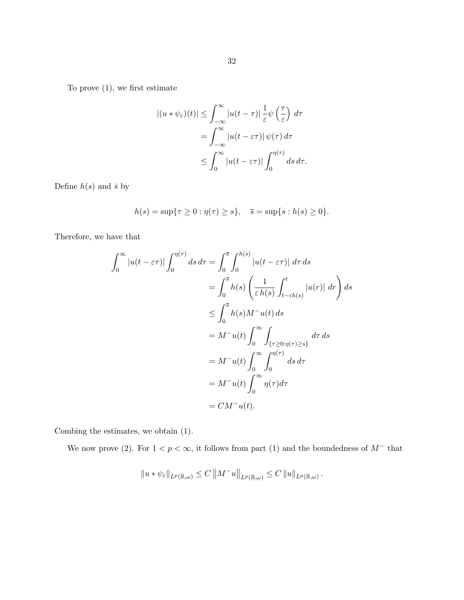To prove (1), we first estimate

$$
\begin{aligned} |(u * \psi_{\varepsilon})(t)| &\leq \int_{-\infty}^{\infty} |u(t - \tau)| \frac{1}{\varepsilon} \psi\left(\frac{\tau}{\varepsilon}\right) d\tau \\ &= \int_{-\infty}^{\infty} |u(t - \varepsilon \tau)| \psi(\tau) d\tau \\ &\leq \int_{0}^{\infty} |u(t - \varepsilon \tau)| \int_{0}^{\eta(\tau)} ds \, d\tau. \end{aligned}
$$

Define  $h(s)$  and  $\bar{s}$  by

$$
h(s) = \sup\{\tau \ge 0 : \eta(\tau) \ge s\}, \quad \overline{s} = \sup\{s : h(s) \ge 0\}.
$$

Therefore, we have that

$$
\int_0^\infty |u(t - \varepsilon \tau)| \int_0^{\eta(\tau)} ds \, d\tau = \int_0^{\overline{s}} \int_0^{h(s)} |u(t - \varepsilon \tau)| \, d\tau \, ds
$$
  
\n
$$
= \int_0^{\overline{s}} h(s) \left( \frac{1}{\varepsilon h(s)} \int_{t - \varepsilon h(s)}^t |u(r)| \, dr \right) ds
$$
  
\n
$$
\leq \int_0^{\overline{s}} h(s) M^- u(t) \, ds
$$
  
\n
$$
= M^- u(t) \int_0^\infty \int_{\{\tau \geq 0 : \eta(\tau) \geq s\}}^{\infty} d\tau \, ds
$$
  
\n
$$
= M^- u(t) \int_0^\infty \int_0^{\eta(\tau)} ds \, d\tau
$$
  
\n
$$
= M^- u(t) \int_0^\infty \eta(\tau) d\tau
$$
  
\n
$$
= CM^- u(t).
$$

Combing the estimates, we obtain (1).

We now prove (2). For  $1 < p < \infty$ , it follows from part (1) and the boundedness of  $M^-$  that

$$
||u*\psi_{\varepsilon}||_{L^p(\mathbb{R},\omega)} \leq C ||M^- u||_{L^p(\mathbb{R},\omega)} \leq C ||u||_{L^p(\mathbb{R},\omega)}.
$$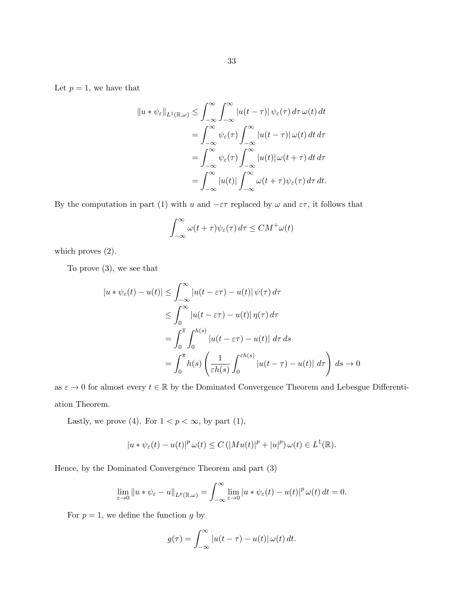$$
||u * \psi_{\varepsilon}||_{L^{1}(\mathbb{R},\omega)} \leq \int_{-\infty}^{\infty} \int_{-\infty}^{\infty} |u(t-\tau)| \psi_{\varepsilon}(\tau) d\tau \, \omega(t) dt
$$
  
\n
$$
= \int_{-\infty}^{\infty} \psi_{\varepsilon}(\tau) \int_{-\infty}^{\infty} |u(t-\tau)| \, \omega(t) dt d\tau
$$
  
\n
$$
= \int_{-\infty}^{\infty} \psi_{\varepsilon}(\tau) \int_{-\infty}^{\infty} |u(t)| \, \omega(t+\tau) dt d\tau
$$
  
\n
$$
= \int_{-\infty}^{\infty} |u(t)| \int_{-\infty}^{\infty} \omega(t+\tau) \psi_{\varepsilon}(\tau) d\tau dt.
$$

By the computation in part (1) with u and  $-\varepsilon\tau$  replaced by  $\omega$  and  $\varepsilon\tau$ , it follows that

$$
\int_{-\infty}^{\infty} \omega(t+\tau)\psi_{\varepsilon}(\tau) d\tau \leq CM^{+}\omega(t)
$$

which proves  $(2)$ .

To prove (3), we see that

$$
|u * \psi_{\varepsilon}(t) - u(t)| \leq \int_{-\infty}^{\infty} |u(t - \varepsilon \tau) - u(t)| \psi(\tau) d\tau
$$
  
\n
$$
\leq \int_{0}^{\infty} |u(t - \varepsilon \tau) - u(t)| \eta(\tau) d\tau
$$
  
\n
$$
= \int_{0}^{\overline{s}} \int_{0}^{h(s)} |u(t - \varepsilon \tau) - u(t)| d\tau ds
$$
  
\n
$$
= \int_{0}^{\overline{s}} h(s) \left( \frac{1}{\varepsilon h(s)} \int_{0}^{\varepsilon h(s)} |u(t - \tau) - u(t)| d\tau \right) ds \to 0
$$

as  $\varepsilon \to 0$  for almost every  $t \in \mathbb{R}$  by the Dominated Convergence Theorem and Lebesgue Differentiation Theorem.

Lastly, we prove (4). For  $1 < p < \infty$ , by part (1),

$$
|u*\psi_{\varepsilon}(t)-u(t)|^p\,\omega(t)\leq C\,(|Mu(t)|^p+|u|^p)\,\omega(t)\in L^1(\mathbb{R}).
$$

Hence, by the Dominated Convergence Theorem and part (3)

$$
\lim_{\varepsilon \to 0} \|u * \psi_{\varepsilon} - u\|_{L^{p}(\mathbb{R}, \omega)} = \int_{-\infty}^{\infty} \lim_{\varepsilon \to 0} |u * \psi_{\varepsilon}(t) - u(t)|^{p} \, \omega(t) \, dt = 0.
$$

For  $p = 1$ , we define the function g by

$$
g(\tau) = \int_{-\infty}^{\infty} |u(t - \tau) - u(t)| \, \omega(t) \, dt.
$$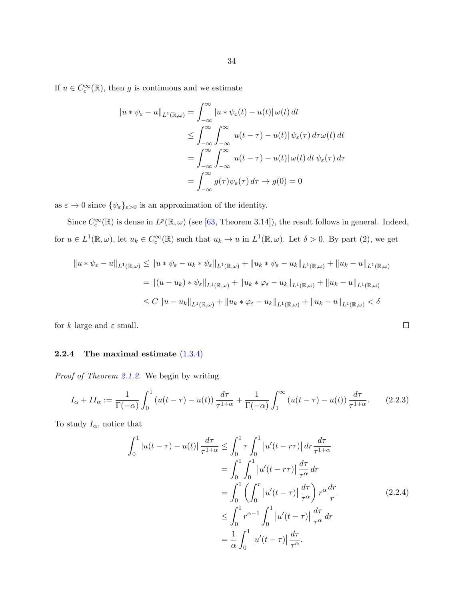<span id="page-39-0"></span>If  $u \in C_c^{\infty}(\mathbb{R})$ , then g is continuous and we estimate

$$
||u * \psi_{\varepsilon} - u||_{L^{1}(\mathbb{R}, \omega)} = \int_{-\infty}^{\infty} |u * \psi_{\varepsilon}(t) - u(t)| \, \omega(t) \, dt
$$
  
\n
$$
\leq \int_{-\infty}^{\infty} \int_{-\infty}^{\infty} |u(t - \tau) - u(t)| \, \psi_{\varepsilon}(\tau) \, d\tau \omega(t) \, dt
$$
  
\n
$$
= \int_{-\infty}^{\infty} \int_{-\infty}^{\infty} |u(t - \tau) - u(t)| \, \omega(t) \, dt \, \psi_{\varepsilon}(\tau) \, d\tau
$$
  
\n
$$
= \int_{-\infty}^{\infty} g(\tau) \psi_{\varepsilon}(\tau) \, d\tau \to g(0) = 0
$$

as  $\varepsilon\to 0$  since  $\{\psi_\varepsilon\}_{\varepsilon>0}$  is an approximation of the identity.

Since  $C_c^{\infty}(\mathbb{R})$  is dense in  $L^p(\mathbb{R}, \omega)$  (see [\[63,](#page-145-0) Theorem 3.14]), the result follows in general. Indeed, for  $u \in L^1(\mathbb{R}, \omega)$ , let  $u_k \in C_c^{\infty}(\mathbb{R})$  such that  $u_k \to u$  in  $L^1(\mathbb{R}, \omega)$ . Let  $\delta > 0$ . By part (2), we get

$$
||u * \psi_{\varepsilon} - u||_{L^{1}(\mathbb{R}, \omega)} \le ||u * \psi_{\varepsilon} - u_{k} * \psi_{\varepsilon}||_{L^{1}(\mathbb{R}, \omega)} + ||u_{k} * \psi_{\varepsilon} - u_{k}||_{L^{1}(\mathbb{R}, \omega)} + ||u_{k} - u||_{L^{1}(\mathbb{R}, \omega)}
$$
  
\n
$$
= ||(u - u_{k}) * \psi_{\varepsilon}||_{L^{1}(\mathbb{R}, \omega)} + ||u_{k} * \varphi_{\varepsilon} - u_{k}||_{L^{1}(\mathbb{R}, \omega)} + ||u_{k} - u||_{L^{1}(\mathbb{R}, \omega)}
$$
  
\n
$$
\le C ||u - u_{k}||_{L^{1}(\mathbb{R}, \omega)} + ||u_{k} * \varphi_{\varepsilon} - u_{k}||_{L^{1}(\mathbb{R}, \omega)} + ||u_{k} - u||_{L^{1}(\mathbb{R}, \omega)} < \delta
$$

for k large and  $\varepsilon$  small.

#### 2.2.4 The maximal estimate [\(1.3.4\)](#page-15-0)

Proof of Theorem [2.1.2.](#page-24-0) We begin by writing

$$
I_{\alpha} + II_{\alpha} := \frac{1}{\Gamma(-\alpha)} \int_0^1 \left( u(t - \tau) - u(t) \right) \frac{d\tau}{\tau^{1+\alpha}} + \frac{1}{\Gamma(-\alpha)} \int_1^{\infty} \left( u(t - \tau) - u(t) \right) \frac{d\tau}{\tau^{1+\alpha}}.
$$
 (2.2.3)

To study  $I_{\alpha}$ , notice that

$$
\int_0^1 |u(t-\tau) - u(t)| \frac{d\tau}{\tau^{1+\alpha}} \le \int_0^1 \tau \int_0^1 |u'(t-\tau\tau)| \, d\tau \frac{d\tau}{\tau^{1+\alpha}}
$$
  
\n
$$
= \int_0^1 \int_0^1 |u'(t-\tau\tau)| \frac{d\tau}{\tau^{\alpha}} \, d\tau
$$
  
\n
$$
= \int_0^1 \left( \int_0^r |u'(t-\tau)| \frac{d\tau}{\tau^{\alpha}} \right) r^{\alpha} \frac{dr}{r}
$$
  
\n
$$
\le \int_0^1 r^{\alpha-1} \int_0^1 |u'(t-\tau)| \frac{d\tau}{\tau^{\alpha}} \, d\tau
$$
  
\n
$$
= \frac{1}{\alpha} \int_0^1 |u'(t-\tau)| \frac{d\tau}{\tau^{\alpha}}.
$$
\n(2.2.4)

 $\Box$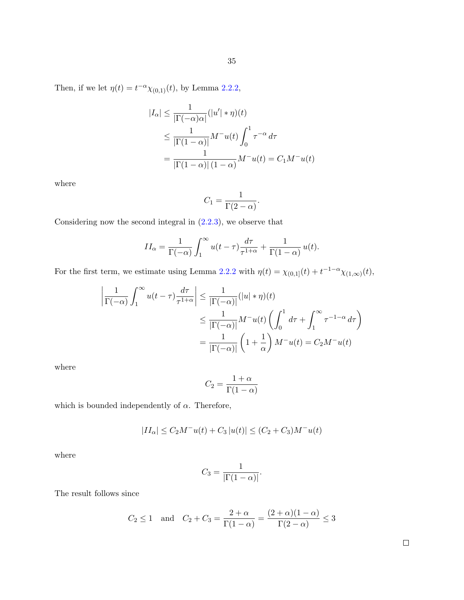Then, if we let  $\eta(t) = t^{-\alpha} \chi_{(0,1)}(t)$ , by Lemma [2.2.2,](#page-33-0)

$$
|I_{\alpha}| \leq \frac{1}{|\Gamma(-\alpha)\alpha|} (|u'| \ast \eta)(t)
$$
  
\n
$$
\leq \frac{1}{|\Gamma(1-\alpha)|} M^{-}u(t) \int_{0}^{1} \tau^{-\alpha} d\tau
$$
  
\n
$$
= \frac{1}{|\Gamma(1-\alpha)| (1-\alpha)} M^{-}u(t) = C_{1} M^{-}u(t)
$$

where

$$
C_1 = \frac{1}{\Gamma(2-\alpha)}.
$$

Considering now the second integral in  $(2.2.3)$ , we observe that

$$
II_{\alpha} = \frac{1}{\Gamma(-\alpha)} \int_{1}^{\infty} u(t-\tau) \frac{d\tau}{\tau^{1+\alpha}} + \frac{1}{\Gamma(1-\alpha)} u(t).
$$

For the first term, we estimate using Lemma [2.2.2](#page-33-0) with  $\eta(t) = \chi_{(0,1]}(t) + t^{-1-\alpha}\chi_{(1,\infty)}(t)$ ,

$$
\left| \frac{1}{\Gamma(-\alpha)} \int_1^{\infty} u(t - \tau) \frac{d\tau}{\tau^{1+\alpha}} \right| \leq \frac{1}{|\Gamma(-\alpha)|} (|u| * \eta)(t)
$$
  

$$
\leq \frac{1}{|\Gamma(-\alpha)|} M^{-} u(t) \left( \int_0^1 d\tau + \int_1^{\infty} \tau^{-1-\alpha} d\tau \right)
$$
  

$$
= \frac{1}{|\Gamma(-\alpha)|} \left( 1 + \frac{1}{\alpha} \right) M^{-} u(t) = C_2 M^{-} u(t)
$$

where

$$
C_2 = \frac{1+\alpha}{\Gamma(1-\alpha)}
$$

which is bounded independently of  $\alpha$ . Therefore,

$$
|II_{\alpha}| \le C_2 M^- u(t) + C_3 |u(t)| \le (C_2 + C_3) M^- u(t)
$$

where

$$
C_3 = \frac{1}{|\Gamma(1-\alpha)|}.
$$

The result follows since

$$
C_2 \le 1
$$
 and  $C_2 + C_3 = \frac{2+\alpha}{\Gamma(1-\alpha)} = \frac{(2+\alpha)(1-\alpha)}{\Gamma(2-\alpha)} \le 3$ 

 $\Box$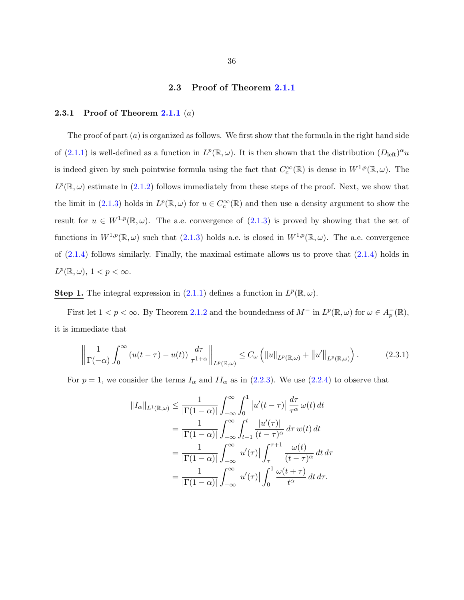#### 2.3 Proof of Theorem [2.1.1](#page-23-0)

#### <span id="page-41-0"></span>2.3.1 Proof of Theorem [2.1.1](#page-23-0)  $(a)$

The proof of part  $(a)$  is organized as follows. We first show that the formula in the right hand side of [\(2.1.1\)](#page-23-0) is well-defined as a function in  $L^p(\mathbb{R}, \omega)$ . It is then shown that the distribution  $(D_{\text{left}})^\alpha u$ is indeed given by such pointwise formula using the fact that  $C_c^{\infty}(\mathbb{R})$  is dense in  $W^{1,p}(\mathbb{R}, \omega)$ . The  $L^p(\mathbb{R}, \omega)$  estimate in [\(2.1.2\)](#page-23-0) follows immediately from these steps of the proof. Next, we show that the limit in [\(2.1.3\)](#page-23-0) holds in  $L^p(\mathbb{R}, \omega)$  for  $u \in C_c^{\infty}(\mathbb{R})$  and then use a density argument to show the result for  $u \in W^{1,p}(\mathbb{R}, \omega)$ . The a.e. convergence of  $(2.1.3)$  is proved by showing that the set of functions in  $W^{1,p}(\mathbb{R}, \omega)$  such that  $(2.1.3)$  holds a.e. is closed in  $W^{1,p}(\mathbb{R}, \omega)$ . The a.e. convergence of  $(2.1.4)$  follows similarly. Finally, the maximal estimate allows us to prove that  $(2.1.4)$  holds in  $L^p(\mathbb{R},\omega), 1 < p < \infty.$ 

# **Step 1.** The integral expression in [\(2.1.1\)](#page-23-0) defines a function in  $L^p(\mathbb{R}, \omega)$ .

First let  $1 < p < \infty$ . By Theorem [2.1.2](#page-24-0) and the boundedness of  $M^-$  in  $L^p(\mathbb{R}, \omega)$  for  $\omega \in A_p^-(\mathbb{R})$ , it is immediate that

$$
\left\| \frac{1}{\Gamma(-\alpha)} \int_0^\infty \left( u(t-\tau) - u(t) \right) \frac{d\tau}{\tau^{1+\alpha}} \right\|_{L^p(\mathbb{R},\omega)} \le C_\omega \left( \|u\|_{L^p(\mathbb{R},\omega)} + \|u'\|_{L^p(\mathbb{R},\omega)} \right). \tag{2.3.1}
$$

For  $p = 1$ , we consider the terms  $I_{\alpha}$  and  $II_{\alpha}$  as in [\(2.2.3\)](#page-39-0). We use [\(2.2.4\)](#page-39-0) to observe that

$$
||I_{\alpha}||_{L^{1}(\mathbb{R},\omega)} \leq \frac{1}{|\Gamma(1-\alpha)|} \int_{-\infty}^{\infty} \int_{0}^{1} |u'(t-\tau)| \frac{d\tau}{\tau^{\alpha}} \omega(t) dt
$$
  
\n
$$
= \frac{1}{|\Gamma(1-\alpha)|} \int_{-\infty}^{\infty} \int_{t-1}^{t} \frac{|u'(\tau)|}{(t-\tau)^{\alpha}} d\tau w(t) dt
$$
  
\n
$$
= \frac{1}{|\Gamma(1-\alpha)|} \int_{-\infty}^{\infty} |u'(\tau)| \int_{\tau}^{\tau+1} \frac{\omega(t)}{(t-\tau)^{\alpha}} dt d\tau
$$
  
\n
$$
= \frac{1}{|\Gamma(1-\alpha)|} \int_{-\infty}^{\infty} |u'(\tau)| \int_{0}^{1} \frac{\omega(t+\tau)}{t^{\alpha}} dt d\tau.
$$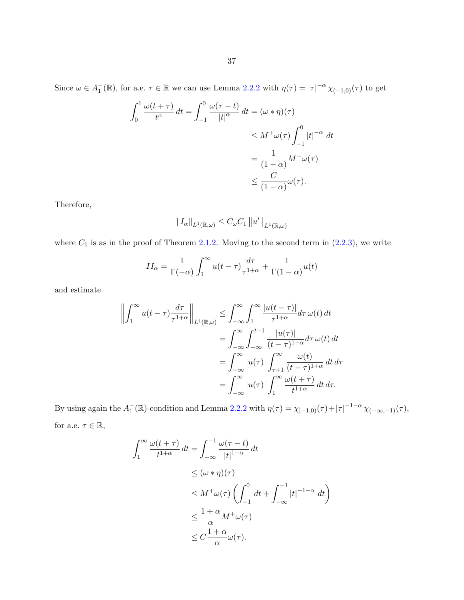Since  $\omega \in A_1^-(\mathbb{R})$ , for a.e.  $\tau \in \mathbb{R}$  we can use Lemma [2.2.2](#page-33-0) with  $\eta(\tau) = |\tau|^{-\alpha} \chi_{(-1,0)}(\tau)$  to get

$$
\int_0^1 \frac{\omega(t+\tau)}{t^{\alpha}} dt = \int_{-1}^0 \frac{\omega(\tau-t)}{|t|^{\alpha}} dt = (\omega * \eta)(\tau)
$$
  

$$
\leq M^+\omega(\tau) \int_{-1}^0 |t|^{-\alpha} dt
$$
  

$$
= \frac{1}{(1-\alpha)} M^+\omega(\tau)
$$
  

$$
\leq \frac{C}{(1-\alpha)} \omega(\tau).
$$

Therefore,

$$
||I_{\alpha}||_{L^{1}(\mathbb{R},\omega)} \leq C_{\omega}C_{1}||u'||_{L^{1}(\mathbb{R},\omega)}
$$

where  $C_1$  is as in the proof of Theorem [2.1.2.](#page-24-0) Moving to the second term in  $(2.2.3)$ , we write

$$
II_{\alpha} = \frac{1}{\Gamma(-\alpha)} \int_{1}^{\infty} u(t-\tau) \frac{d\tau}{\tau^{1+\alpha}} + \frac{1}{\Gamma(1-\alpha)} u(t)
$$

and estimate

$$
\left\| \int_{1}^{\infty} u(t-\tau) \frac{d\tau}{\tau^{1+\alpha}} \right\|_{L^{1}(\mathbb{R},\omega)} \leq \int_{-\infty}^{\infty} \int_{1}^{\infty} \frac{|u(t-\tau)|}{\tau^{1+\alpha}} d\tau \, \omega(t) dt
$$
  

$$
= \int_{-\infty}^{\infty} \int_{-\infty}^{t-1} \frac{|u(\tau)|}{(t-\tau)^{1+\alpha}} d\tau \, \omega(t) dt
$$
  

$$
= \int_{-\infty}^{\infty} |u(\tau)| \int_{\tau+1}^{\infty} \frac{\omega(t)}{(t-\tau)^{1+\alpha}} dt d\tau
$$
  

$$
= \int_{-\infty}^{\infty} |u(\tau)| \int_{1}^{\infty} \frac{\omega(t+\tau)}{t^{1+\alpha}} dt d\tau.
$$

By using again the  $A_1^-(\mathbb{R})$ -condition and Lemma [2.2.2](#page-33-0) with  $\eta(\tau) = \chi_{[-1,0)}(\tau) + |\tau|^{-1-\alpha} \chi_{(-\infty,-1)}(\tau)$ , for a.e.  $\tau \in \mathbb{R},$ 

$$
\int_{1}^{\infty} \frac{\omega(t+\tau)}{t^{1+\alpha}} dt = \int_{-\infty}^{-1} \frac{\omega(\tau-t)}{|t|^{1+\alpha}} dt
$$
  
\n
$$
\leq (\omega * \eta)(\tau)
$$
  
\n
$$
\leq M^{+}\omega(\tau) \left(\int_{-1}^{0} dt + \int_{-\infty}^{-1} |t|^{-1-\alpha} dt\right)
$$
  
\n
$$
\leq \frac{1+\alpha}{\alpha} M^{+}\omega(\tau)
$$
  
\n
$$
\leq C \frac{1+\alpha}{\alpha} \omega(\tau).
$$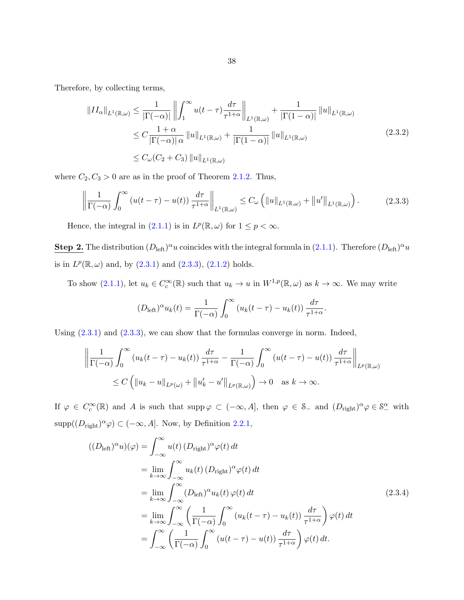<span id="page-43-0"></span>Therefore, by collecting terms,

$$
\|II_{\alpha}\|_{L^{1}(\mathbb{R},\omega)} \leq \frac{1}{|\Gamma(-\alpha)|} \left\| \int_{1}^{\infty} u(t-\tau) \frac{d\tau}{\tau^{1+\alpha}} \right\|_{L^{1}(\mathbb{R},\omega)} + \frac{1}{|\Gamma(1-\alpha)|} \|u\|_{L^{1}(\mathbb{R},\omega)}
$$
  
\n
$$
\leq C \frac{1+\alpha}{|\Gamma(-\alpha)| \alpha} \|u\|_{L^{1}(\mathbb{R},\omega)} + \frac{1}{|\Gamma(1-\alpha)|} \|u\|_{L^{1}(\mathbb{R},\omega)}
$$
  
\n
$$
\leq C_{\omega}(C_{2} + C_{3}) \|u\|_{L^{1}(\mathbb{R},\omega)}
$$
\n(2.3.2)

where  $C_2, C_3 > 0$  are as in the proof of Theorem [2.1.2.](#page-24-0) Thus,

$$
\left\| \frac{1}{\Gamma(-\alpha)} \int_0^\infty \left( u(t-\tau) - u(t) \right) \frac{d\tau}{\tau^{1+\alpha}} \right\|_{L^1(\mathbb{R},\omega)} \le C_\omega \left( \|u\|_{L^1(\mathbb{R},\omega)} + \|u'\|_{L^1(\mathbb{R},\omega)} \right). \tag{2.3.3}
$$

Hence, the integral in [\(2.1.1\)](#page-23-0) is in  $L^p(\mathbb{R}, \omega)$  for  $1 \leq p < \infty$ .

**Step 2.** The distribution  $(D_{\text{left}})^{\alpha}u$  coincides with the integral formula in [\(2.1.1\)](#page-23-0). Therefore  $(D_{\text{left}})^{\alpha}u$ is in  $L^p(\mathbb{R}, \omega)$  and, by  $(2.3.1)$  and  $(2.3.3)$ ,  $(2.1.2)$  holds.

To show  $(2.1.1)$ , let  $u_k \in C_c^{\infty}(\mathbb{R})$  such that  $u_k \to u$  in  $W^{1,p}(\mathbb{R}, \omega)$  as  $k \to \infty$ . We may write

$$
(D_{\text{left}})^{\alpha} u_k(t) = \frac{1}{\Gamma(-\alpha)} \int_0^{\infty} (u_k(t-\tau) - u_k(t)) \frac{d\tau}{\tau^{1+\alpha}}.
$$

Using  $(2.3.1)$  and  $(2.3.3)$ , we can show that the formulas converge in norm. Indeed,

$$
\left\| \frac{1}{\Gamma(-\alpha)} \int_0^\infty \left( u_k(t-\tau) - u_k(t) \right) \frac{d\tau}{\tau^{1+\alpha}} - \frac{1}{\Gamma(-\alpha)} \int_0^\infty \left( u(t-\tau) - u(t) \right) \frac{d\tau}{\tau^{1+\alpha}} \right\|_{L^p(\mathbb{R},\omega)}
$$
  
\$\leq C \left( \left\| u\_k - u \right\|\_{L^p(\omega)} + \left\| u'\_k - u' \right\|\_{L^p(\mathbb{R},\omega)} \right) \to 0 \text{ as } k \to \infty\$.

If  $\varphi \in C_c^{\infty}(\mathbb{R})$  and A is such that  $\text{supp}\,\varphi \subset (-\infty, A]$ , then  $\varphi \in \mathcal{S}_-$  and  $(D_{\text{right}})^{\alpha} \varphi \in \mathcal{S}_-^{\alpha}$  with  $\text{supp}((D_{\text{right}})^{\alpha}\varphi) \subset (-\infty, A].$  Now, by Definition [2.2.1,](#page-30-0)

$$
((D_{\text{left}})^{\alpha}u)(\varphi) = \int_{-\infty}^{\infty} u(t) (D_{\text{right}})^{\alpha} \varphi(t) dt
$$
  
\n
$$
= \lim_{k \to \infty} \int_{-\infty}^{\infty} u_k(t) (D_{\text{right}})^{\alpha} \varphi(t) dt
$$
  
\n
$$
= \lim_{k \to \infty} \int_{-\infty}^{\infty} (D_{\text{left}})^{\alpha} u_k(t) \varphi(t) dt
$$
  
\n
$$
= \lim_{k \to \infty} \int_{-\infty}^{\infty} \left( \frac{1}{\Gamma(-\alpha)} \int_{0}^{\infty} (u_k(t-\tau) - u_k(t)) \frac{d\tau}{\tau^{1+\alpha}} \right) \varphi(t) dt
$$
  
\n
$$
= \int_{-\infty}^{\infty} \left( \frac{1}{\Gamma(-\alpha)} \int_{0}^{\infty} (u(t-\tau) - u(t)) \frac{d\tau}{\tau^{1+\alpha}} \right) \varphi(t) dt.
$$
 (2.3.4)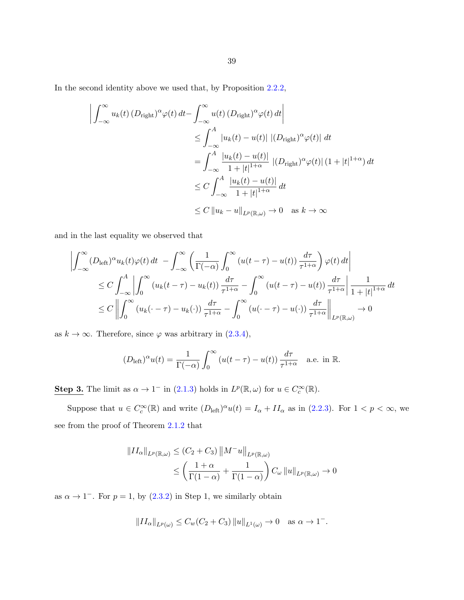In the second identity above we used that, by Proposition [2.2.2,](#page-34-0)

$$
\left| \int_{-\infty}^{\infty} u_k(t) \left( D_{\text{right}} \right)^{\alpha} \varphi(t) dt - \int_{-\infty}^{\infty} u(t) \left( D_{\text{right}} \right)^{\alpha} \varphi(t) dt \right|
$$
  
\n
$$
\leq \int_{-\infty}^{A} |u_k(t) - u(t)| \left| (D_{\text{right}})^{\alpha} \varphi(t) \right| dt
$$
  
\n
$$
= \int_{-\infty}^{A} \frac{|u_k(t) - u(t)|}{1 + |t|^{1 + \alpha}} \left| (D_{\text{right}})^{\alpha} \varphi(t) \right| (1 + |t|^{1 + \alpha}) dt
$$
  
\n
$$
\leq C \int_{-\infty}^{A} \frac{|u_k(t) - u(t)|}{1 + |t|^{1 + \alpha}} dt
$$
  
\n
$$
\leq C \left| |u_k - u| \right|_{L^p(\mathbb{R}, \omega)} \to 0 \text{ as } k \to \infty
$$

and in the last equality we observed that

$$
\left| \int_{-\infty}^{\infty} (D_{\text{left}})^{\alpha} u_k(t) \varphi(t) dt - \int_{-\infty}^{\infty} \left( \frac{1}{\Gamma(-\alpha)} \int_{0}^{\infty} (u(t-\tau) - u(t)) \frac{d\tau}{\tau^{1+\alpha}} \right) \varphi(t) dt \right| \right|
$$
  
\n
$$
\leq C \int_{-\infty}^{A} \left| \int_{0}^{\infty} (u_k(t-\tau) - u_k(t)) \frac{d\tau}{\tau^{1+\alpha}} - \int_{0}^{\infty} (u(t-\tau) - u(t)) \frac{d\tau}{\tau^{1+\alpha}} \right| \frac{1}{1+|t|^{1+\alpha}} dt
$$
  
\n
$$
\leq C \left\| \int_{0}^{\infty} (u_k(\cdot - \tau) - u_k(\cdot)) \frac{d\tau}{\tau^{1+\alpha}} - \int_{0}^{\infty} (u(\cdot - \tau) - u(\cdot)) \frac{d\tau}{\tau^{1+\alpha}} \right\|_{L^{p}(\mathbb{R},\omega)} \to 0
$$

as  $k \to \infty$ . Therefore, since  $\varphi$  was arbitrary in [\(2.3.4\)](#page-43-0),

$$
(D_{\text{left}})^{\alpha}u(t) = \frac{1}{\Gamma(-\alpha)} \int_0^{\infty} \left( u(t-\tau) - u(t) \right) \frac{d\tau}{\tau^{1+\alpha}} \quad \text{a.e. in } \mathbb{R}.
$$

**Step 3.** The limit as  $\alpha \to 1^-$  in [\(2.1.3\)](#page-23-0) holds in  $L^p(\mathbb{R}, \omega)$  for  $u \in C_c^{\infty}(\mathbb{R})$ .

Suppose that  $u \in C_c^{\infty}(\mathbb{R})$  and write  $(D_{\text{left}})^{\alpha}u(t) = I_{\alpha} + II_{\alpha}$  as in  $(2.2.3)$ . For  $1 < p < \infty$ , we see from the proof of Theorem [2.1.2](#page-24-0) that

$$
||II_{\alpha}||_{L^{p}(\mathbb{R},\omega)} \leq (C_{2} + C_{3}) ||M^{-}u||_{L^{p}(\mathbb{R},\omega)}
$$
  
 
$$
\leq \left(\frac{1+\alpha}{\Gamma(1-\alpha)} + \frac{1}{\Gamma(1-\alpha)}\right) C_{\omega} ||u||_{L^{p}(\mathbb{R},\omega)} \to 0
$$

as  $\alpha \to 1^-$ . For  $p = 1$ , by  $(2.3.2)$  in Step 1, we similarly obtain

$$
||II_{\alpha}||_{L^{p}(\omega)} \leq C_{w}(C_2 + C_3) ||u||_{L^{1}(\omega)} \to 0 \quad \text{as } \alpha \to 1^{-}.
$$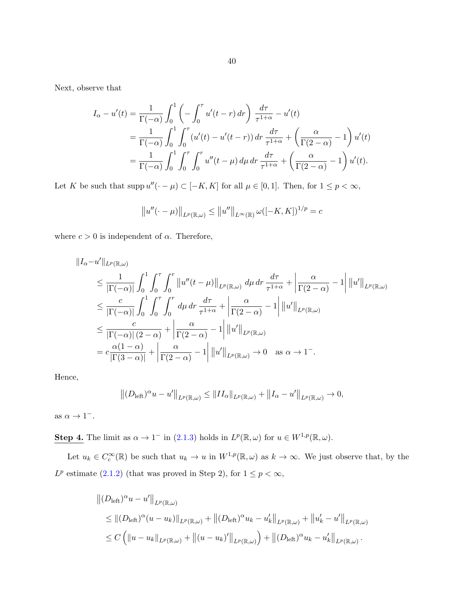Next, observe that

$$
I_{\alpha} - u'(t) = \frac{1}{\Gamma(-\alpha)} \int_0^1 \left( -\int_0^{\tau} u'(t - r) dr \right) \frac{d\tau}{\tau^{1+\alpha}} - u'(t)
$$
  
= 
$$
\frac{1}{\Gamma(-\alpha)} \int_0^1 \int_0^{\tau} (u'(t) - u'(t - r)) dr \frac{d\tau}{\tau^{1+\alpha}} + \left( \frac{\alpha}{\Gamma(2-\alpha)} - 1 \right) u'(t)
$$
  
= 
$$
\frac{1}{\Gamma(-\alpha)} \int_0^1 \int_0^{\tau} \int_0^r u''(t - \mu) d\mu dr \frac{d\tau}{\tau^{1+\alpha}} + \left( \frac{\alpha}{\Gamma(2-\alpha)} - 1 \right) u'(t).
$$

Let K be such that supp  $u''(-\mu) \subset [-K, K]$  for all  $\mu \in [0, 1]$ . Then, for  $1 \leq p < \infty$ ,

$$
||u''(\cdot - \mu)||_{L^p(\mathbb{R}, \omega)} \le ||u''||_{L^{\infty}(\mathbb{R})} \omega([-K, K])^{1/p} = c
$$

where  $c > 0$  is independent of  $\alpha$ . Therefore,

$$
\begin{split}\n\|I_{\alpha} - u'\|_{L^{p}(\mathbb{R},\omega)} \\
&\leq \frac{1}{|\Gamma(-\alpha)|} \int_{0}^{1} \int_{0}^{\tau} \int_{0}^{r} \left\|u''(t-\mu)\right\|_{L^{p}(\mathbb{R},\omega)} d\mu dr \frac{d\tau}{\tau^{1+\alpha}} + \left|\frac{\alpha}{\Gamma(2-\alpha)} - 1\right| \left\|u'\right\|_{L^{p}(\mathbb{R},\omega)} \\
&\leq \frac{c}{|\Gamma(-\alpha)|} \int_{0}^{1} \int_{0}^{\tau} \int_{0}^{r} d\mu dr \frac{d\tau}{\tau^{1+\alpha}} + \left|\frac{\alpha}{\Gamma(2-\alpha)} - 1\right| \left\|u'\right\|_{L^{p}(\mathbb{R},\omega)} \\
&\leq \frac{c}{|\Gamma(-\alpha)| (2-\alpha)} + \left|\frac{\alpha}{\Gamma(2-\alpha)} - 1\right| \left\|u'\right\|_{L^{p}(\mathbb{R},\omega)} \\
&= c \frac{\alpha(1-\alpha)}{|\Gamma(3-\alpha)|} + \left|\frac{\alpha}{\Gamma(2-\alpha)} - 1\right| \left\|u'\right\|_{L^{p}(\mathbb{R},\omega)} \to 0 \quad \text{as } \alpha \to 1^-\n\end{split}
$$

Hence,

$$
||(D_{\text{left}})^{\alpha}u - u'||_{L^p(\mathbb{R},\omega)} \leq ||II_{\alpha}||_{L^p(\mathbb{R},\omega)} + ||I_{\alpha} - u'||_{L^p(\mathbb{R},\omega)} \to 0,
$$

as  $\alpha \to 1^-$ .

**Step 4.** The limit as  $\alpha \to 1^-$  in [\(2.1.3\)](#page-23-0) holds in  $L^p(\mathbb{R}, \omega)$  for  $u \in W^{1,p}(\mathbb{R}, \omega)$ .

Let  $u_k \in C_c^{\infty}(\mathbb{R})$  be such that  $u_k \to u$  in  $W^{1,p}(\mathbb{R}, \omega)$  as  $k \to \infty$ . We just observe that, by the  $L^p$  estimate [\(2.1.2\)](#page-23-0) (that was proved in Step 2), for  $1 \leq p < \infty$ ,

$$
||(D_{\text{left}})^{\alpha}u - u'||_{L^{p}(\mathbb{R},\omega)}
$$
  
\n
$$
\leq ||(D_{\text{left}})^{\alpha}(u - u_{k})||_{L^{p}(\mathbb{R},\omega)} + ||(D_{\text{left}})^{\alpha}u_{k} - u'_{k}||_{L^{p}(\mathbb{R},\omega)} + ||u'_{k} - u'||_{L^{p}(\mathbb{R},\omega)}
$$
  
\n
$$
\leq C (||u - u_{k}||_{L^{p}(\mathbb{R},\omega)} + ||(u - u_{k})'||_{L^{p}(\mathbb{R},\omega)}) + ||(D_{\text{left}})^{\alpha}u_{k} - u'_{k}||_{L^{p}(\mathbb{R},\omega)}.
$$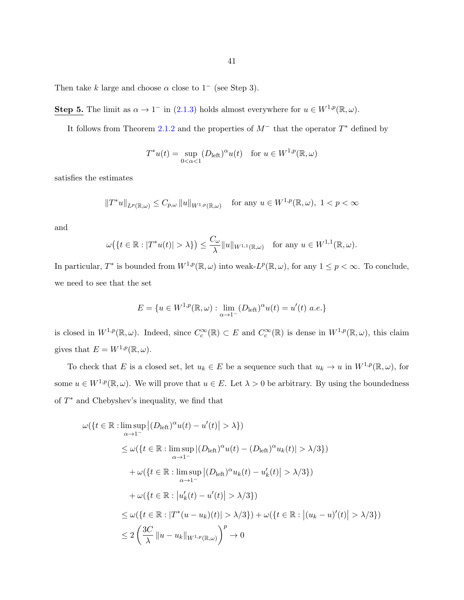Then take k large and choose  $\alpha$  close to 1<sup>-</sup> (see Step 3).

**Step 5.** The limit as  $\alpha \to 1^-$  in [\(2.1.3\)](#page-23-0) holds almost everywhere for  $u \in W^{1,p}(\mathbb{R}, \omega)$ .

It follows from Theorem [2.1.2](#page-24-0) and the properties of  $M^-$  that the operator  $T^*$  defined by

$$
T^*u(t) = \sup_{0 < \alpha < 1} (D_{\text{left}})^{\alpha} u(t) \quad \text{for } u \in W^{1,p}(\mathbb{R}, \omega)
$$

satisfies the estimates

$$
||T^*u||_{L^p(\mathbb{R},\omega)} \leq C_{p,\omega} ||u||_{W^{1,p}(\mathbb{R},\omega)} \quad \text{for any } u \in W^{1,p}(\mathbb{R},\omega), \ 1 < p < \infty
$$

and

$$
\omega\big(\{t\in\mathbb{R}:|T^*u(t)|>\lambda\}\big)\leq\frac{C_\omega}{\lambda}\|u\|_{W^{1,1}(\mathbb{R},\omega)}\quad\text{for any }u\in W^{1,1}(\mathbb{R},\omega).
$$

In particular,  $T^*$  is bounded from  $W^{1,p}(\mathbb{R},\omega)$  into weak- $L^p(\mathbb{R},\omega)$ , for any  $1 \leq p < \infty$ . To conclude, we need to see that the set

$$
E = \{ u \in W^{1,p}(\mathbb{R}, \omega) : \lim_{\alpha \to 1^-} (D_{\text{left}})^\alpha u(t) = u'(t) \ a.e. \}
$$

is closed in  $W^{1,p}(\mathbb{R}, \omega)$ . Indeed, since  $C_c^{\infty}(\mathbb{R}) \subset E$  and  $C_c^{\infty}(\mathbb{R})$  is dense in  $W^{1,p}(\mathbb{R}, \omega)$ , this claim gives that  $E = W^{1,p}(\mathbb{R}, \omega)$ .

To check that E is a closed set, let  $u_k \in E$  be a sequence such that  $u_k \to u$  in  $W^{1,p}(\mathbb{R}, \omega)$ , for some  $u \in W^{1,p}(\mathbb{R}, \omega)$ . We will prove that  $u \in E$ . Let  $\lambda > 0$  be arbitrary. By using the boundedness of  $T^*$  and Chebyshev's inequality, we find that

$$
\omega(\lbrace t \in \mathbb{R} : \limsup_{\alpha \to 1^{-}} |(D_{\text{left}})^{\alpha} u(t) - u'(t)| > \lambda \rbrace)
$$
  
\n
$$
\leq \omega(\lbrace t \in \mathbb{R} : \limsup_{\alpha \to 1^{-}} |(D_{\text{left}})^{\alpha} u(t) - (D_{\text{left}})^{\alpha} u_k(t)| > \lambda/3 \rbrace)
$$
  
\n
$$
+ \omega(\lbrace t \in \mathbb{R} : \limsup_{\alpha \to 1^{-}} |(D_{\text{left}})^{\alpha} u_k(t) - u'_k(t)| > \lambda/3 \rbrace)
$$
  
\n
$$
+ \omega(\lbrace t \in \mathbb{R} : |u'_k(t) - u'(t)| > \lambda/3 \rbrace)
$$
  
\n
$$
\leq \omega(\lbrace t \in \mathbb{R} : |T^*(u - u_k)(t)| > \lambda/3 \rbrace) + \omega(\lbrace t \in \mathbb{R} : |(u_k - u)'(t)| > \lambda/3 \rbrace)
$$
  
\n
$$
\leq 2\left(\frac{3C}{\lambda} || u - u_k ||_{W^{1,p}(\mathbb{R},\omega)}\right)^p \to 0
$$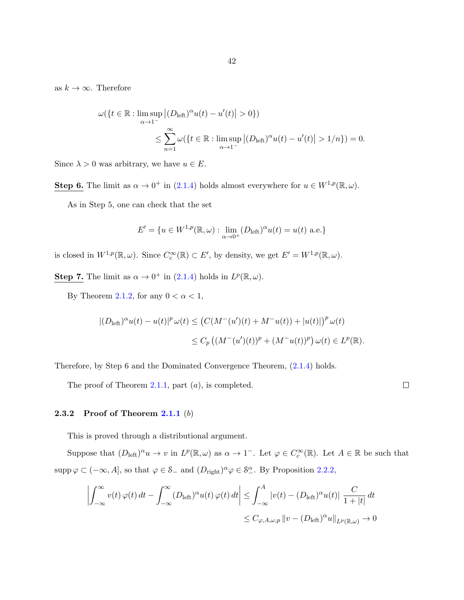as  $k \to \infty$ . Therefore

$$
\omega(\lbrace t \in \mathbb{R} : \limsup_{\alpha \to 1^{-}} |(D_{\text{left}})^{\alpha} u(t) - u'(t)| > 0 \rbrace)
$$
  

$$
\leq \sum_{n=1}^{\infty} \omega(\lbrace t \in \mathbb{R} : \limsup_{\alpha \to 1^{-}} |(D_{\text{left}})^{\alpha} u(t) - u'(t)| > 1/n \rbrace) = 0.
$$

Since  $\lambda > 0$  was arbitrary, we have  $u \in E$ .

**Step 6.** The limit as  $\alpha \to 0^+$  in [\(2.1.4\)](#page-24-0) holds almost everywhere for  $u \in W^{1,p}(\mathbb{R}, \omega)$ .

As in Step 5, one can check that the set

$$
E' = \{ u \in W^{1,p}(\mathbb{R}, \omega) : \lim_{\alpha \to 0^+} (D_{\text{left}})^{\alpha} u(t) = u(t) \text{ a.e.} \}
$$

is closed in  $W^{1,p}(\mathbb{R}, \omega)$ . Since  $C_c^{\infty}(\mathbb{R}) \subset E'$ , by density, we get  $E' = W^{1,p}(\mathbb{R}, \omega)$ .

**Step 7.** The limit as  $\alpha \to 0^+$  in [\(2.1.4\)](#page-24-0) holds in  $L^p(\mathbb{R}, \omega)$ .

By Theorem [2.1.2,](#page-24-0) for any  $0 < \alpha < 1$ ,

$$
|(D_{\text{left}})^{\alpha}u(t) - u(t)|^{p} \omega(t) \le (C(M^{-}(u')(t) + M^{-}u(t)) + |u(t)|)^{p} \omega(t)
$$
  

$$
\le C_{p} ((M^{-}(u')(t))^{p} + (M^{-}u(t))^{p}) \omega(t) \in L^{p}(\mathbb{R}).
$$

Therefore, by Step 6 and the Dominated Convergence Theorem, [\(2.1.4\)](#page-24-0) holds.

The proof of Theorem [2.1.1,](#page-23-0) part  $(a)$ , is completed.

 $\Box$ 

#### **2.3.2** Proof of Theorem  $2.1.1$  (b)

This is proved through a distributional argument.

Suppose that  $(D_{\text{left}})^{\alpha}u \to v$  in  $L^p(\mathbb{R}, \omega)$  as  $\alpha \to 1^-$ . Let  $\varphi \in C_c^{\infty}(\mathbb{R})$ . Let  $A \in \mathbb{R}$  be such that  $\text{supp}\,\varphi\subset(-\infty,A],$  so that  $\varphi\in\mathcal{S}_-$  and  $(D_{\text{right}})^\alpha\varphi\in\mathcal{S}_-^\alpha$ . By Proposition [2.2.2,](#page-34-0)

$$
\left| \int_{-\infty}^{\infty} v(t) \, \varphi(t) \, dt - \int_{-\infty}^{\infty} (D_{\text{left}})^{\alpha} u(t) \, \varphi(t) \, dt \right| \leq \int_{-\infty}^{A} |v(t) - (D_{\text{left}})^{\alpha} u(t)| \, \frac{C}{1 + |t|} \, dt
$$
  

$$
\leq C_{\varphi, A, \omega, p} \|v - (D_{\text{left}})^{\alpha} u\|_{L^{p}(\mathbb{R}, \omega)} \to 0
$$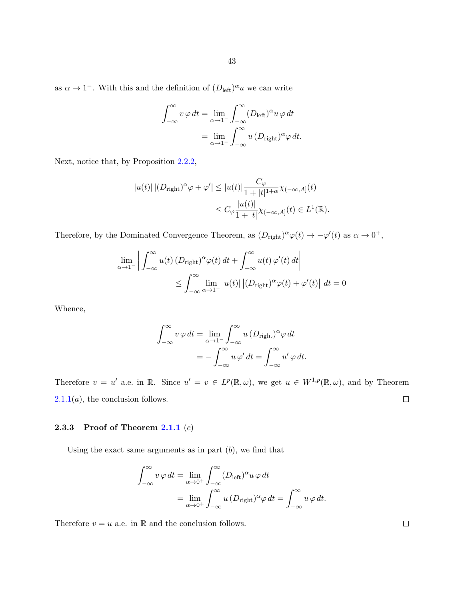as  $\alpha \to 1^-$ . With this and the definition of  $(D_{\text{left}})^\alpha u$  we can write

$$
\int_{-\infty}^{\infty} v \varphi dt = \lim_{\alpha \to 1^{-}} \int_{-\infty}^{\infty} (D_{\text{left}})^{\alpha} u \varphi dt
$$

$$
= \lim_{\alpha \to 1^{-}} \int_{-\infty}^{\infty} u (D_{\text{right}})^{\alpha} \varphi dt.
$$

Next, notice that, by Proposition [2.2.2,](#page-34-0)

$$
|u(t)| |(D_{\text{right}})^\alpha \varphi + \varphi' | \leq |u(t)| \frac{C_{\varphi}}{1 + |t|^{1+\alpha}} \chi_{(-\infty, A]}(t)
$$
  

$$
\leq C_{\varphi} \frac{|u(t)|}{1 + |t|} \chi_{(-\infty, A]}(t) \in L^1(\mathbb{R}).
$$

Therefore, by the Dominated Convergence Theorem, as  $(D_{\text{right}})^{\alpha}\varphi(t) \to -\varphi'(t)$  as  $\alpha \to 0^+,$ 

$$
\lim_{\alpha \to 1^{-}} \left| \int_{-\infty}^{\infty} u(t) \left( D_{\text{right}} \right)^{\alpha} \varphi(t) dt + \int_{-\infty}^{\infty} u(t) \varphi'(t) dt \right|
$$
  

$$
\leq \int_{-\infty}^{\infty} \lim_{\alpha \to 1^{-}} |u(t)| \left| \left( D_{\text{right}} \right)^{\alpha} \varphi(t) + \varphi'(t) \right| dt = 0
$$

Whence,

$$
\int_{-\infty}^{\infty} v \varphi dt = \lim_{\alpha \to 1^{-}} \int_{-\infty}^{\infty} u (D_{\text{right}})^{\alpha} \varphi dt
$$

$$
= - \int_{-\infty}^{\infty} u \varphi' dt = \int_{-\infty}^{\infty} u' \varphi dt.
$$

Therefore  $v = u'$  a.e. in R. Since  $u' = v \in L^p(\mathbb{R}, \omega)$ , we get  $u \in W^{1,p}(\mathbb{R}, \omega)$ , and by Theorem  $\Box$  $2.1.1(a)$  $2.1.1(a)$ , the conclusion follows.

## 2.3.3 Proof of Theorem  $2.1.1(c)$  $2.1.1(c)$

Using the exact same arguments as in part  $(b)$ , we find that

$$
\int_{-\infty}^{\infty} v \varphi dt = \lim_{\alpha \to 0^{+}} \int_{-\infty}^{\infty} (D_{\text{left}})^{\alpha} u \varphi dt
$$
  
= 
$$
\lim_{\alpha \to 0^{+}} \int_{-\infty}^{\infty} u (D_{\text{right}})^{\alpha} \varphi dt = \int_{-\infty}^{\infty} u \varphi dt.
$$

Therefore  $v = u$  a.e. in  $\mathbb R$  and the conclusion follows.

 $\Box$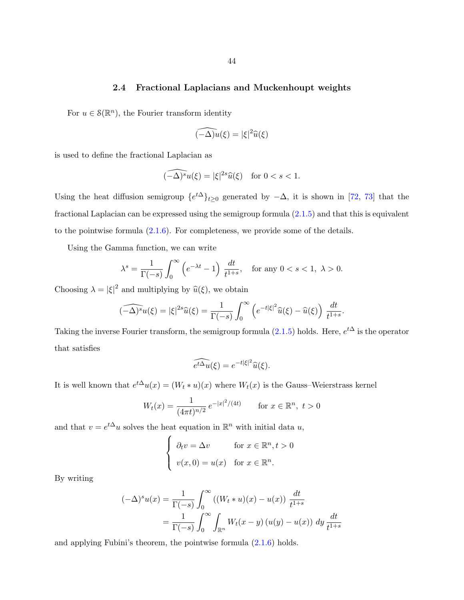## 2.4 Fractional Laplacians and Muckenhoupt weights

<span id="page-49-0"></span>For  $u \in \mathcal{S}(\mathbb{R}^n)$ , the Fourier transform identity

$$
\widehat{(-\Delta)u}(\xi) = |\xi|^2 \widehat{u}(\xi)
$$

is used to define the fractional Laplacian as

$$
\widehat{(-\Delta)^s}u(\xi) = |\xi|^{2s}\widehat{u}(\xi) \quad \text{for } 0 < s < 1.
$$

Using the heat diffusion semigroup  $\{e^{t\Delta}\}_{t\geq 0}$  generated by  $-\Delta$ , it is shown in [\[72,](#page-146-0) [73\]](#page-146-0) that the fractional Laplacian can be expressed using the semigroup formula [\(2.1.5\)](#page-25-0) and that this is equivalent to the pointwise formula [\(2.1.6\)](#page-25-0). For completeness, we provide some of the details.

Using the Gamma function, we can write

$$
\lambda^s = \frac{1}{\Gamma(-s)} \int_0^\infty \left( e^{-\lambda t} - 1 \right) \frac{dt}{t^{1+s}}, \quad \text{for any } 0 < s < 1, \ \lambda > 0.
$$

Choosing  $\lambda = |\xi|^2$  and multiplying by  $\hat{u}(\xi)$ , we obtain

$$
\widehat{(-\Delta)^s}u(\xi) = |\xi|^{2s}\widehat{u}(\xi) = \frac{1}{\Gamma(-s)}\int_0^\infty \left(e^{-t|\xi|^2}\widehat{u}(\xi) - \widehat{u}(\xi)\right)\frac{dt}{t^{1+s}}.
$$

Taking the inverse Fourier transform, the semigroup formula  $(2.1.5)$  holds. Here,  $e^{t\Delta}$  is the operator that satisfies

$$
\widehat{e^{t\Delta}u}(\xi) = e^{-t|\xi|^2}\widehat{u}(\xi).
$$

It is well known that  $e^{t\Delta}u(x) = (W_t * u)(x)$  where  $W_t(x)$  is the Gauss–Weierstrass kernel

$$
W_t(x) = \frac{1}{(4\pi t)^{n/2}} e^{-|x|^2/(4t)} \qquad \text{for } x \in \mathbb{R}^n, \ t > 0
$$

and that  $v = e^{t\Delta}u$  solves the heat equation in  $\mathbb{R}^n$  with initial data u,

$$
\begin{cases} \n\partial_t v = \Delta v & \text{for } x \in \mathbb{R}^n, t > 0 \\ \nv(x, 0) = u(x) & \text{for } x \in \mathbb{R}^n. \n\end{cases}
$$

By writing

$$
(-\Delta)^s u(x) = \frac{1}{\Gamma(-s)} \int_0^\infty ((W_t * u)(x) - u(x)) \frac{dt}{t^{1+s}}
$$
  
= 
$$
\frac{1}{\Gamma(-s)} \int_0^\infty \int_{\mathbb{R}^n} W_t(x - y) (u(y) - u(x)) dy \frac{dt}{t^{1+s}}
$$

and applying Fubini's theorem, the pointwise formula [\(2.1.6\)](#page-25-0) holds.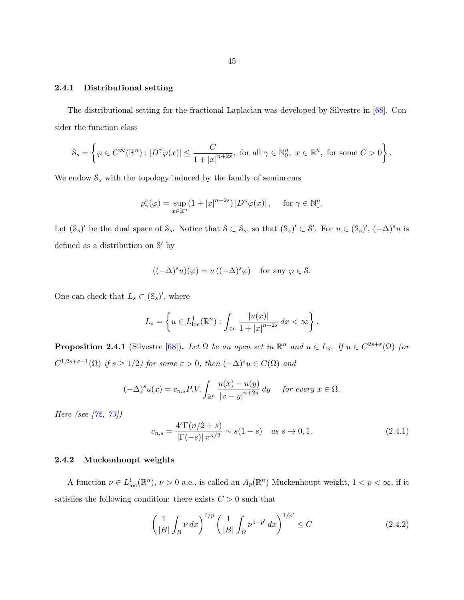#### <span id="page-50-0"></span>2.4.1 Distributional setting

The distributional setting for the fractional Laplacian was developed by Silvestre in [\[68\]](#page-146-0). Consider the function class

$$
\mathcal{S}_s = \left\{ \varphi \in C^{\infty}(\mathbb{R}^n) : |D^{\gamma}\varphi(x)| \leq \frac{C}{1+|x|^{n+2s}}, \text{ for all } \gamma \in \mathbb{N}_0^n, \ x \in \mathbb{R}^n, \text{ for some } C > 0 \right\}.
$$

We endow  $S_s$  with the topology induced by the family of seminorms

$$
\rho^s_\gamma(\varphi) = \sup_{x \in \mathbb{R}^n} (1 + |x|^{n+2s}) |D^\gamma \varphi(x)|, \quad \text{ for } \gamma \in \mathbb{N}_0^n.
$$

Let  $(\mathcal{S}_s)'$  be the dual space of  $\mathcal{S}_s$ . Notice that  $\mathcal{S} \subset \mathcal{S}_s$ , so that  $(\mathcal{S}_s)' \subset \mathcal{S}'$ . For  $u \in (\mathcal{S}_s)'$ ,  $(-\Delta)^s u$  is defined as a distribution on  $S'$  by

$$
((-\Delta)^s u)(\varphi) = u ((-\Delta)^s \varphi) \text{ for any } \varphi \in \mathcal{S}.
$$

One can check that  $L_s \subset (\mathcal{S}_s)'$ , where

$$
L_s = \left\{ u \in L^1_{loc}(\mathbb{R}^n) : \int_{\mathbb{R}^n} \frac{|u(x)|}{1 + |x|^{n+2s}} dx < \infty \right\}.
$$

**Proposition 2.4.1** (Silvestre [\[68\]](#page-146-0)). Let  $\Omega$  be an open set in  $\mathbb{R}^n$  and  $u \in L_s$ . If  $u \in C^{2s+\varepsilon}(\Omega)$  (or  $C^{1,2s+\varepsilon-1}(\Omega)$  if  $s \geq 1/2$ ) for some  $\varepsilon > 0$ , then  $(-\Delta)^s u \in C(\Omega)$  and

$$
(-\Delta)^s u(x) = c_{n,s} P.V. \int_{\mathbb{R}^n} \frac{u(x) - u(y)}{|x - y|^{n+2s}} dy \quad \text{for every } x \in \Omega.
$$

Here (see [\[72,](#page-146-0) [73\]](#page-146-0))

$$
c_{n,s} = \frac{4^s \Gamma(n/2+s)}{|\Gamma(-s)| \pi^{n/2}} \sim s(1-s) \quad \text{as } s \to 0, 1.
$$
 (2.4.1)

#### 2.4.2 Muckenhoupt weights

A function  $\nu \in L^1_{loc}(\mathbb{R}^n)$ ,  $\nu > 0$  a.e., is called an  $A_p(\mathbb{R}^n)$  Muckenhoupt weight,  $1 < p < \infty$ , if it satisfies the following condition: there exists  $C > 0$  such that

$$
\left(\frac{1}{|B|}\int_{B} \nu \,dx\right)^{1/p} \left(\frac{1}{|B|}\int_{B} \nu^{1-p'} \,dx\right)^{1/p'} \le C \tag{2.4.2}
$$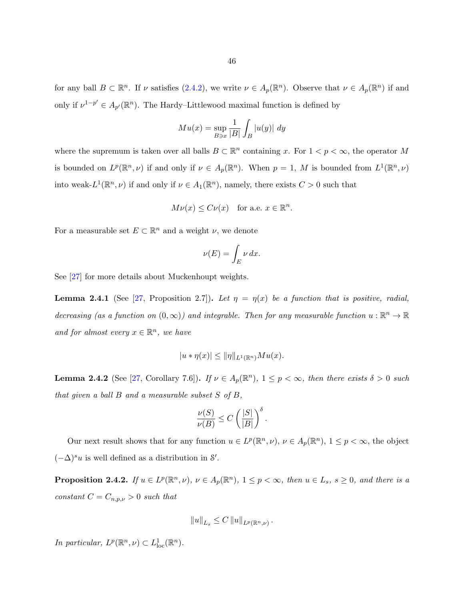<span id="page-51-0"></span>for any ball  $B \subset \mathbb{R}^n$ . If  $\nu$  satisfies  $(2.4.2)$ , we write  $\nu \in A_p(\mathbb{R}^n)$ . Observe that  $\nu \in A_p(\mathbb{R}^n)$  if and only if  $\nu^{1-p'} \in A_{p'}(\mathbb{R}^n)$ . The Hardy–Littlewood maximal function is defined by

$$
Mu(x) = \sup_{B \ni x} \frac{1}{|B|} \int_B |u(y)| dy
$$

where the supremum is taken over all balls  $B \subset \mathbb{R}^n$  containing x. For  $1 < p < \infty$ , the operator M is bounded on  $L^p(\mathbb{R}^n,\nu)$  if and only if  $\nu \in A_p(\mathbb{R}^n)$ . When  $p=1, M$  is bounded from  $L^1(\mathbb{R}^n,\nu)$ into weak- $L^1(\mathbb{R}^n, \nu)$  if and only if  $\nu \in A_1(\mathbb{R}^n)$ , namely, there exists  $C > 0$  such that

$$
M\nu(x) \leq C\nu(x)
$$
 for a.e.  $x \in \mathbb{R}^n$ .

For a measurable set  $E \subset \mathbb{R}^n$  and a weight  $\nu$ , we denote

$$
\nu(E) = \int_E \nu \, dx.
$$

See [\[27\]](#page-143-0) for more details about Muckenhoupt weights.

**Lemma 2.4.1** (See [\[27,](#page-143-0) Proposition 2.7]). Let  $\eta = \eta(x)$  be a function that is positive, radial, decreasing (as a function on  $(0, \infty)$ ) and integrable. Then for any measurable function  $u : \mathbb{R}^n \to \mathbb{R}$ and for almost every  $x \in \mathbb{R}^n$ , we have

$$
|u * \eta(x)| \le ||\eta||_{L^1(\mathbb{R}^n)} M u(x).
$$

**Lemma 2.4.2** (See [\[27,](#page-143-0) Corollary 7.6]). If  $\nu \in A_p(\mathbb{R}^n)$ ,  $1 \leq p < \infty$ , then there exists  $\delta > 0$  such that given a ball  $B$  and a measurable subset  $S$  of  $B$ ,

$$
\frac{\nu(S)}{\nu(B)} \le C \left(\frac{|S|}{|B|}\right)^{\delta}.
$$

Our next result shows that for any function  $u \in L^p(\mathbb{R}^n, \nu)$ ,  $\nu \in A_p(\mathbb{R}^n)$ ,  $1 \leq p < \infty$ , the object  $(-\Delta)^s u$  is well defined as a distribution in S'.

**Proposition 2.4.2.** If  $u \in L^p(\mathbb{R}^n, \nu)$ ,  $\nu \in A_p(\mathbb{R}^n)$ ,  $1 \leq p < \infty$ , then  $u \in L_s$ ,  $s \geq 0$ , and there is a constant  $C = C_{n,p,\nu} > 0$  such that

$$
||u||_{L_s} \leq C ||u||_{L^p(\mathbb{R}^n,\nu)}.
$$

In particular,  $L^p(\mathbb{R}^n, \nu) \subset L^1_{loc}(\mathbb{R}^n)$ .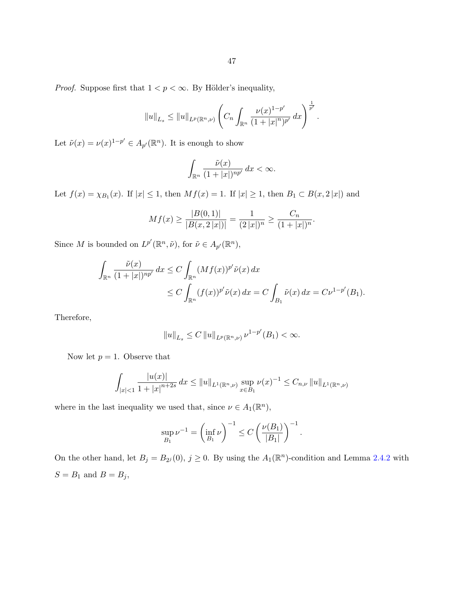*Proof.* Suppose first that  $1 < p < \infty$ . By Hölder's inequality,

$$
||u||_{L_s} \leq ||u||_{L^p(\mathbb{R}^n,\nu)} \left( C_n \int_{\mathbb{R}^n} \frac{\nu(x)^{1-p'}}{(1+|x|^n)^{p'}} dx \right)^{\frac{1}{p'}}.
$$

Let  $\tilde{\nu}(x) = \nu(x)^{1-p'} \in A_{p'}(\mathbb{R}^n)$ . It is enough to show

$$
\int_{\mathbb{R}^n} \frac{\tilde{\nu}(x)}{(1+|x|)^{np'}} dx < \infty.
$$

Let  $f(x) = \chi_{B_1}(x)$ . If  $|x| \leq 1$ , then  $Mf(x) = 1$ . If  $|x| \geq 1$ , then  $B_1 \subset B(x, 2|x|)$  and

$$
Mf(x) \ge \frac{|B(0,1)|}{|B(x,2|x|)|} = \frac{1}{(2|x|)^n} \ge \frac{C_n}{(1+|x|)^n}.
$$

Since M is bounded on  $L^{p'}(\mathbb{R}^n, \tilde{\nu})$ , for  $\tilde{\nu} \in A_{p'}(\mathbb{R}^n)$ ,

$$
\int_{\mathbb{R}^n} \frac{\tilde{\nu}(x)}{(1+|x|)^{np'}} dx \le C \int_{\mathbb{R}^n} (Mf(x))^{p'} \tilde{\nu}(x) dx
$$
  
\n
$$
\le C \int_{\mathbb{R}^n} (f(x))^{p'} \tilde{\nu}(x) dx = C \int_{B_1} \tilde{\nu}(x) dx = C \nu^{1-p'}(B_1).
$$

Therefore,

$$
||u||_{L_s} \leq C ||u||_{L^p(\mathbb{R}^n,\nu)} \nu^{1-p'}(B_1) < \infty.
$$

Now let  $p = 1$ . Observe that

$$
\int_{|x| < 1} \frac{|u(x)|}{1 + |x|^{n+2s}} \, dx \le \|u\|_{L^1(\mathbb{R}^n, \nu)} \sup_{x \in B_1} \nu(x)^{-1} \le C_{n,\nu} \|u\|_{L^1(\mathbb{R}^n, \nu)}
$$

where in the last inequality we used that, since  $\nu \in A_1(\mathbb{R}^n)$ ,

$$
\sup_{B_1} \nu^{-1} = \left(\inf_{B_1} \nu\right)^{-1} \le C \left(\frac{\nu(B_1)}{|B_1|}\right)^{-1}.
$$

On the other hand, let  $B_j = B_{2^j}(0)$ ,  $j \ge 0$ . By using the  $A_1(\mathbb{R}^n)$ -condition and Lemma [2.4.2](#page-51-0) with  $S = B_1$  and  $B = B_j,$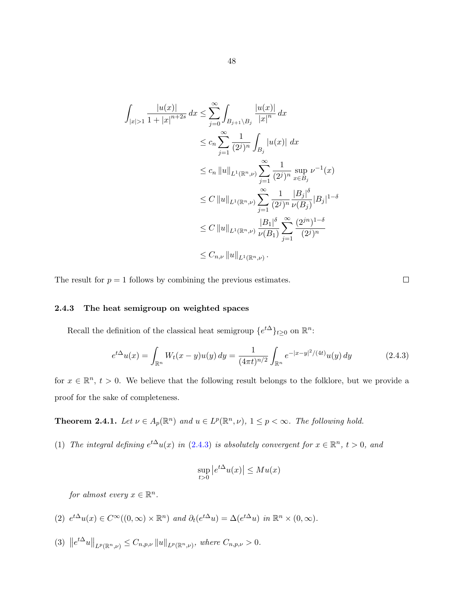<span id="page-53-0"></span>
$$
\int_{|x|>1} \frac{|u(x)|}{1+|x|^{n+2s}} dx \le \sum_{j=0}^{\infty} \int_{B_{j+1}\setminus B_j} \frac{|u(x)|}{|x|^n} dx
$$
  
\n
$$
\le c_n \sum_{j=1}^{\infty} \frac{1}{(2^j)^n} \int_{B_j} |u(x)| dx
$$
  
\n
$$
\le c_n ||u||_{L^1(\mathbb{R}^n,\nu)} \sum_{j=1}^{\infty} \frac{1}{(2^j)^n} \sup_{x \in B_j} \nu^{-1}(x)
$$
  
\n
$$
\le C ||u||_{L^1(\mathbb{R}^n,\nu)} \sum_{j=1}^{\infty} \frac{1}{(2^j)^n} \frac{|B_j|^{\delta}}{\nu(B_j)} |B_j|^{1-\delta}
$$
  
\n
$$
\le C ||u||_{L^1(\mathbb{R}^n,\nu)} \frac{|B_1|^{\delta}}{\nu(B_1)} \sum_{j=1}^{\infty} \frac{(2^{jn})^{1-\delta}}{(2^j)^n}
$$
  
\n
$$
\le C_{n,\nu} ||u||_{L^1(\mathbb{R}^n,\nu)}.
$$

The result for  $p = 1$  follows by combining the previous estimates.

## 2.4.3 The heat semigroup on weighted spaces

Recall the definition of the classical heat semigroup  $\{e^{t\Delta}\}_{t\geq 0}$  on  $\mathbb{R}^n$ :

$$
e^{t\Delta}u(x) = \int_{\mathbb{R}^n} W_t(x - y)u(y) dy = \frac{1}{(4\pi t)^{n/2}} \int_{\mathbb{R}^n} e^{-|x - y|^2/(4t)} u(y) dy \qquad (2.4.3)
$$

 $\Box$ 

for  $x \in \mathbb{R}^n$ ,  $t > 0$ . We believe that the following result belongs to the folklore, but we provide a proof for the sake of completeness.

**Theorem 2.4.1.** Let  $\nu \in A_p(\mathbb{R}^n)$  and  $u \in L^p(\mathbb{R}^n, \nu)$ ,  $1 \leq p < \infty$ . The following hold.

(1) The integral defining  $e^{t\Delta}u(x)$  in (2.4.3) is absolutely convergent for  $x \in \mathbb{R}^n$ ,  $t > 0$ , and

$$
\sup_{t>0} |e^{t\Delta}u(x)| \leq Mu(x)
$$

for almost every  $x \in \mathbb{R}^n$ .

(2) 
$$
e^{t\Delta}u(x) \in C^{\infty}((0,\infty) \times \mathbb{R}^n)
$$
 and  $\partial_t(e^{t\Delta}u) = \Delta(e^{t\Delta}u)$  in  $\mathbb{R}^n \times (0,\infty)$ .

(3)  $||e^{t\Delta}u||_{L^p(\mathbb{R}^n,\nu)} \leq C_{n,p,\nu} ||u||_{L^p(\mathbb{R}^n,\nu)},$  where  $C_{n,p,\nu} > 0$ .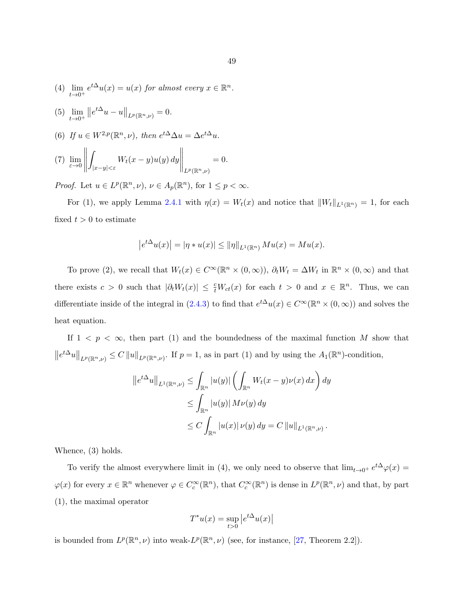- (4)  $\lim_{t \to 0^+} e^{t\Delta} u(x) = u(x)$  for almost every  $x \in \mathbb{R}^n$ .
- $(5)$   $\lim_{t\to 0^+}$  $||e^{t\Delta}u-u||_{L^p(\mathbb{R}^n,\nu)}=0.$
- (6) If  $u \in W^{2,p}(\mathbb{R}^n, \nu)$ , then  $e^{t\Delta}\Delta u = \Delta e^{t\Delta}u$ .

(7) 
$$
\lim_{\varepsilon \to 0} \left\| \int_{|x-y| < \varepsilon} W_t(x-y) u(y) dy \right\|_{L^p(\mathbb{R}^n, \nu)} = 0.
$$

*Proof.* Let  $u \in L^p(\mathbb{R}^n, \nu)$ ,  $\nu \in A_p(\mathbb{R}^n)$ , for  $1 \leq p < \infty$ .

For (1), we apply Lemma [2.4.1](#page-51-0) with  $\eta(x) = W_t(x)$  and notice that  $||W_t||_{L^1(\mathbb{R}^n)} = 1$ , for each fixed  $t > 0$  to estimate

$$
|e^{t\Delta}u(x)| = |\eta * u(x)| \le ||\eta||_{L^1(\mathbb{R}^n)} Mu(x) = Mu(x).
$$

To prove (2), we recall that  $W_t(x) \in C^\infty(\mathbb{R}^n \times (0,\infty))$ ,  $\partial_t W_t = \Delta W_t$  in  $\mathbb{R}^n \times (0,\infty)$  and that there exists  $c > 0$  such that  $|\partial_t W_t(x)| \leq \frac{c}{t} W_{ct}(x)$  for each  $t > 0$  and  $x \in \mathbb{R}^n$ . Thus, we can differentiate inside of the integral in  $(2.4.3)$  to find that  $e^{t\Delta}u(x) \in C^{\infty}(\mathbb{R}^n \times (0,\infty))$  and solves the heat equation.

If  $1 \leq p \leq \infty$ , then part (1) and the boundedness of the maximal function M show that  $||e^{t\Delta}u||_{L^p(\mathbb{R}^n,\nu)} \leq C ||u||_{L^p(\mathbb{R}^n,\nu)}$ . If  $p=1$ , as in part (1) and by using the  $A_1(\mathbb{R}^n)$ -condition,

$$
||e^{t\Delta}u||_{L^1(\mathbb{R}^n,\nu)} \leq \int_{\mathbb{R}^n} |u(y)| \left(\int_{\mathbb{R}^n} W_t(x-y)\nu(x) dx\right) dy
$$
  

$$
\leq \int_{\mathbb{R}^n} |u(y)| M\nu(y) dy
$$
  

$$
\leq C \int_{\mathbb{R}^n} |u(x)| \nu(y) dy = C ||u||_{L^1(\mathbb{R}^n,\nu)}.
$$

Whence, (3) holds.

To verify the almost everywhere limit in (4), we only need to observe that  $\lim_{t\to 0^+} e^{t\Delta}\varphi(x) =$  $\varphi(x)$  for every  $x \in \mathbb{R}^n$  whenever  $\varphi \in C_c^{\infty}(\mathbb{R}^n)$ , that  $C_c^{\infty}(\mathbb{R}^n)$  is dense in  $L^p(\mathbb{R}^n, \nu)$  and that, by part (1), the maximal operator

$$
T^*u(x)=\sup_{t>0}\left|e^{t\Delta}u(x)\right|
$$

is bounded from  $L^p(\mathbb{R}^n,\nu)$  into weak- $L^p(\mathbb{R}^n,\nu)$  (see, for instance, [\[27,](#page-143-0) Theorem 2.2]).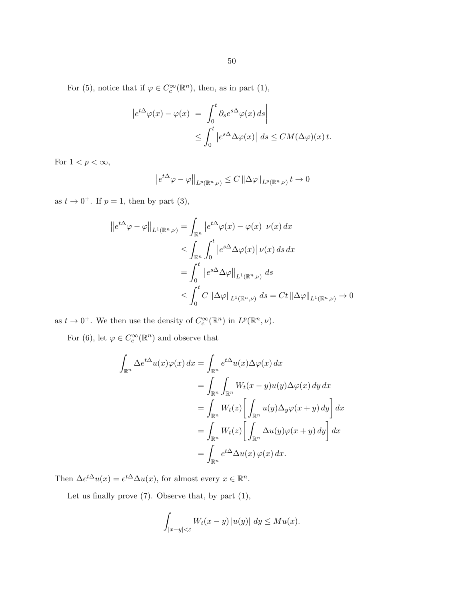50

For (5), notice that if  $\varphi \in C_c^{\infty}(\mathbb{R}^n)$ , then, as in part (1),

$$
\begin{aligned} \left| e^{t\Delta} \varphi(x) - \varphi(x) \right| &= \left| \int_0^t \partial_s e^{s\Delta} \varphi(x) \, ds \right| \\ &\le \int_0^t \left| e^{s\Delta} \Delta \varphi(x) \right| \, ds \le CM(\Delta \varphi)(x) \, t. \end{aligned}
$$

For  $1 < p < \infty$ ,

$$
\left\|e^{t\Delta}\varphi-\varphi\right\|_{L^p(\mathbb{R}^n,\nu)}\leq C\left\|\Delta\varphi\right\|_{L^p(\mathbb{R}^n,\nu)}t\to 0
$$

as  $t \to 0^+$ . If  $p = 1$ , then by part (3),

$$
\begin{aligned}\n\left\|e^{t\Delta}\varphi - \varphi\right\|_{L^1(\mathbb{R}^n,\nu)} &= \int_{\mathbb{R}^n} \left|e^{t\Delta}\varphi(x) - \varphi(x)\right| \nu(x) \, dx \\
&\leq \int_{\mathbb{R}^n} \int_0^t \left|e^{s\Delta}\Delta\varphi(x)\right| \nu(x) \, ds \, dx \\
&= \int_0^t \left\|e^{s\Delta}\Delta\varphi\right\|_{L^1(\mathbb{R}^n,\nu)} \, ds \\
&\leq \int_0^t C \left\|\Delta\varphi\right\|_{L^1(\mathbb{R}^n,\nu)} \, ds = Ct \left\|\Delta\varphi\right\|_{L^1(\mathbb{R}^n,\nu)} \to 0\n\end{aligned}
$$

as  $t \to 0^+$ . We then use the density of  $C_c^{\infty}(\mathbb{R}^n)$  in  $L^p(\mathbb{R}^n, \nu)$ .

For (6), let  $\varphi \in C_c^{\infty}(\mathbb{R}^n)$  and observe that

$$
\int_{\mathbb{R}^n} \Delta e^{t\Delta} u(x) \varphi(x) dx = \int_{\mathbb{R}^n} e^{t\Delta} u(x) \Delta \varphi(x) dx
$$
  
\n
$$
= \int_{\mathbb{R}^n} \int_{\mathbb{R}^n} W_t(x - y) u(y) \Delta \varphi(x) dy dx
$$
  
\n
$$
= \int_{\mathbb{R}^n} W_t(z) \left[ \int_{\mathbb{R}^n} u(y) \Delta_y \varphi(x + y) dy \right] dx
$$
  
\n
$$
= \int_{\mathbb{R}^n} W_t(z) \left[ \int_{\mathbb{R}^n} \Delta u(y) \varphi(x + y) dy \right] dx
$$
  
\n
$$
= \int_{\mathbb{R}^n} e^{t\Delta} \Delta u(x) \varphi(x) dx.
$$

Then  $\Delta e^{t\Delta}u(x) = e^{t\Delta}\Delta u(x)$ , for almost every  $x \in \mathbb{R}^n$ .

Let us finally prove  $(7)$ . Observe that, by part  $(1)$ ,

$$
\int_{|x-y|<\varepsilon} W_t(x-y) \, |u(y)| \, dy \leq M u(x).
$$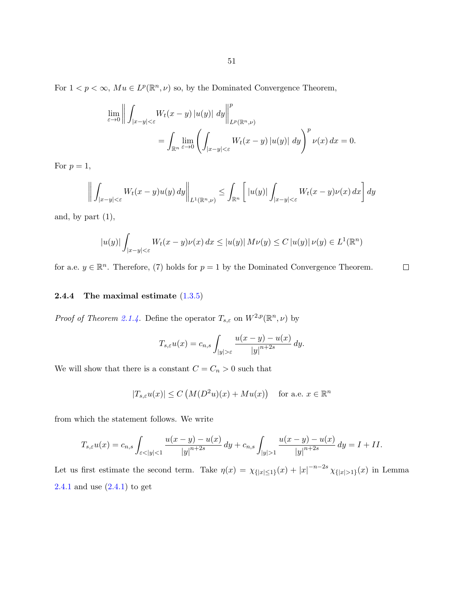For  $1 < p < \infty$ ,  $Mu \in L^p(\mathbb{R}^n, \nu)$  so, by the Dominated Convergence Theorem,

$$
\lim_{\varepsilon \to 0} \left\| \int_{|x-y| < \varepsilon} W_t(x-y) |u(y)| dy \right\|_{L^p(\mathbb{R}^n, \nu)}^p
$$
  
= 
$$
\int_{\mathbb{R}^n} \lim_{\varepsilon \to 0} \left( \int_{|x-y| < \varepsilon} W_t(x-y) |u(y)| dy \right)^p \nu(x) dx = 0.
$$

For  $p=1$ ,

$$
\left\| \int_{|x-y|<\varepsilon} W_t(x-y)u(y) \, dy \right\|_{L^1(\mathbb{R}^n,\nu)} \leq \int_{\mathbb{R}^n} \left[ |u(y)| \int_{|x-y|<\varepsilon} W_t(x-y) \nu(x) \, dx \right] dy
$$

and, by part  $(1)$ ,

$$
|u(y)|\int_{|x-y|<\varepsilon}W_t(x-y)\nu(x)\,dx\leq |u(y)|\,M\nu(y)\leq C\,|u(y)|\,\nu(y)\in L^1(\mathbb{R}^n)
$$

for a.e.  $y \in \mathbb{R}^n$ . Therefore, (7) holds for  $p = 1$  by the Dominated Convergence Theorem.

#### **2.4.4** The maximal estimate  $(1.3.5)$

*Proof of Theorem [2.1.4.](#page-25-0)* Define the operator  $T_{s,\varepsilon}$  on  $W^{2,p}(\mathbb{R}^n,\nu)$  by

$$
T_{s,\varepsilon}u(x) = c_{n,s} \int_{|y|>\varepsilon} \frac{u(x-y) - u(x)}{|y|^{n+2s}} dy.
$$

We will show that there is a constant  $C=C_n>0$  such that

$$
|T_{s,\varepsilon}u(x)| \le C\left(M(D^2u)(x) + Mu(x)\right) \quad \text{for a.e. } x \in \mathbb{R}^n
$$

from which the statement follows. We write

$$
T_{s,\varepsilon}u(x) = c_{n,s} \int_{\varepsilon < |y| < 1} \frac{u(x-y) - u(x)}{|y|^{n+2s}} \, dy + c_{n,s} \int_{|y| > 1} \frac{u(x-y) - u(x)}{|y|^{n+2s}} \, dy = I + II.
$$

Let us first estimate the second term. Take  $\eta(x) = \chi_{\{|x| \leq 1\}}(x) + |x|^{-n-2s} \chi_{\{|x| > 1\}}(x)$  in Lemma [2.4.1](#page-51-0) and use [\(2.4.1\)](#page-50-0) to get

 $\Box$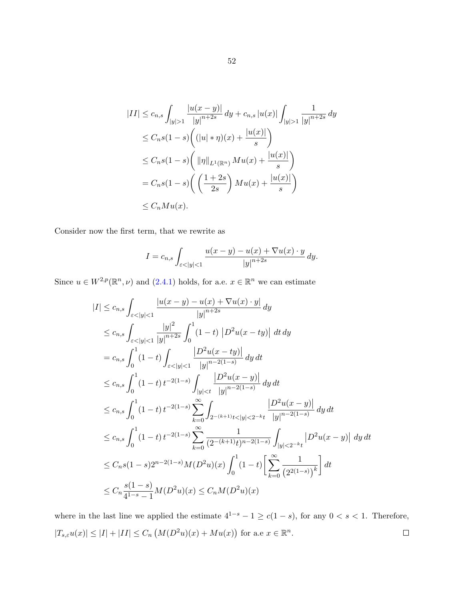$$
|II| \leq c_{n,s} \int_{|y|>1} \frac{|u(x-y)|}{|y|^{n+2s}} dy + c_{n,s} |u(x)| \int_{|y|>1} \frac{1}{|y|^{n+2s}} dy
$$
  
\n
$$
\leq C_n s (1-s) \left( (|u| * \eta)(x) + \frac{|u(x)|}{s} \right)
$$
  
\n
$$
\leq C_n s (1-s) \left( \| \eta \|_{L^1(\mathbb{R}^n)} Mu(x) + \frac{|u(x)|}{s} \right)
$$
  
\n
$$
= C_n s (1-s) \left( \left( \frac{1+2s}{2s} \right) Mu(x) + \frac{|u(x)|}{s} \right)
$$
  
\n
$$
\leq C_n Mu(x).
$$

Consider now the first term, that we rewrite as

$$
I = c_{n,s} \int_{\varepsilon < |y| < 1} \frac{u(x - y) - u(x) + \nabla u(x) \cdot y}{|y|^{n+2s}} \, dy.
$$

Since  $u \in W^{2,p}(\mathbb{R}^n, \nu)$  and  $(2.4.1)$  holds, for a.e.  $x \in \mathbb{R}^n$  we can estimate

$$
|I| \leq c_{n,s} \int_{\varepsilon < |y| < 1} \frac{|u(x - y) - u(x) + \nabla u(x) \cdot y|}{|y|^{n+2s}} dy
$$
  
\n
$$
\leq c_{n,s} \int_{\varepsilon < |y| < 1} \frac{|y|^2}{|y|^{n+2s}} \int_0^1 (1-t) |D^2 u(x - ty)| dt dy
$$
  
\n
$$
= c_{n,s} \int_0^1 (1-t) \int_{\varepsilon < |y| < 1} \frac{|D^2 u(x - ty)|}{|y|^{n-2(1-s)}} dy dt
$$
  
\n
$$
\leq c_{n,s} \int_0^1 (1-t) t^{-2(1-s)} \int_{|y| < t} \frac{|D^2 u(x - y)|}{|y|^{n-2(1-s)}} dy dt
$$
  
\n
$$
\leq c_{n,s} \int_0^1 (1-t) t^{-2(1-s)} \sum_{k=0}^\infty \int_{2^{-(k+1)}t < |y| < 2^{-k}t} \frac{|D^2 u(x - y)|}{|y|^{n-2(1-s)}} dy dt
$$
  
\n
$$
\leq c_{n,s} \int_0^1 (1-t) t^{-2(1-s)} \sum_{k=0}^\infty \frac{1}{(2^{-(k+1)}t)^{n-2(1-s)}} \int_{|y| < 2^{-k}t} |D^2 u(x - y)| dy dt
$$
  
\n
$$
\leq C_{n,s} (1-s) 2^{n-2(1-s)} M(D^2 u)(x) \int_0^1 (1-t) \left[ \sum_{k=0}^\infty \frac{1}{(2^{2(1-s)})^k} \right] dt
$$
  
\n
$$
\leq C_n \frac{s(1-s)}{4^{1-s}-1} M(D^2 u)(x) \leq C_n M(D^2 u)(x)
$$

where in the last line we applied the estimate  $4^{1-s} - 1 \ge c(1-s)$ , for any  $0 < s < 1$ . Therefore,  $|T_{s,\varepsilon}u(x)| \leq |I| + |II| \leq C_n \left(M(D^2u)(x) + Mu(x)\right)$  for a.e  $x \in \mathbb{R}^n$ .  $\Box$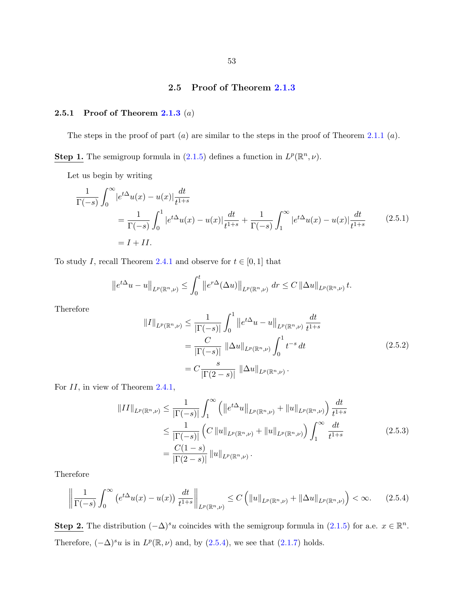## 2.5 Proof of Theorem [2.1.3](#page-25-0)

## <span id="page-58-0"></span>2.5.1 Proof of Theorem  $2.1.3$   $(a)$

The steps in the proof of part  $(a)$  are similar to the steps in the proof of Theorem [2.1.1](#page-23-0)  $(a)$ .

**Step 1.** The semigroup formula in [\(2.1.5\)](#page-25-0) defines a function in  $L^p(\mathbb{R}^n, \nu)$ .

Let us begin by writing

$$
\frac{1}{\Gamma(-s)} \int_0^\infty \left| e^{t\Delta} u(x) - u(x) \right| \frac{dt}{t^{1+s}}
$$
\n
$$
= \frac{1}{\Gamma(-s)} \int_0^1 \left| e^{t\Delta} u(x) - u(x) \right| \frac{dt}{t^{1+s}} + \frac{1}{\Gamma(-s)} \int_1^\infty \left| e^{t\Delta} u(x) - u(x) \right| \frac{dt}{t^{1+s}} \tag{2.5.1}
$$
\n
$$
= I + II.
$$

To study I, recall Theorem [2.4.1](#page-53-0) and observe for  $t \in [0,1]$  that

$$
\left\|e^{t\Delta}u-u\right\|_{L^p(\mathbb{R}^n,\nu)} \leq \int_0^t \left\|e^{r\Delta}(\Delta u)\right\|_{L^p(\mathbb{R}^n,\nu)} dr \leq C \left\|\Delta u\right\|_{L^p(\mathbb{R}^n,\nu)} t.
$$

Therefore

$$
||I||_{L^{p}(\mathbb{R}^{n},\nu)} \leq \frac{1}{|\Gamma(-s)|} \int_{0}^{1} ||e^{t\Delta}u - u||_{L^{p}(\mathbb{R}^{n},\nu)} \frac{dt}{t^{1+s}}
$$
  
\n
$$
= \frac{C}{|\Gamma(-s)|} ||\Delta u||_{L^{p}(\mathbb{R}^{n},\nu)} \int_{0}^{1} t^{-s} dt
$$
  
\n
$$
= C \frac{s}{|\Gamma(2-s)|} ||\Delta u||_{L^{p}(\mathbb{R}^{n},\nu)}.
$$
\n(2.5.2)

For  $II$ , in view of Theorem [2.4.1,](#page-53-0)

$$
||II||_{L^{p}(\mathbb{R}^{n},\nu)} \leq \frac{1}{|\Gamma(-s)|} \int_{1}^{\infty} \left( ||e^{t\Delta}u||_{L^{p}(\mathbb{R}^{n},\nu)} + ||u||_{L^{p}(\mathbb{R}^{n},\nu)} \right) \frac{dt}{t^{1+s}}
$$
  
\n
$$
\leq \frac{1}{|\Gamma(-s)|} \left( C ||u||_{L^{p}(\mathbb{R}^{n},\nu)} + ||u||_{L^{p}(\mathbb{R}^{n},\nu)} \right) \int_{1}^{\infty} \frac{dt}{t^{1+s}}
$$
  
\n
$$
= \frac{C(1-s)}{|\Gamma(2-s)|} ||u||_{L^{p}(\mathbb{R}^{n},\nu)}.
$$
\n(2.5.3)

Therefore

$$
\left\|\frac{1}{\Gamma(-s)}\int_0^\infty \left(e^{t\Delta}u(x)-u(x)\right)\frac{dt}{t^{1+s}}\right\|_{L^p(\mathbb{R}^n,\nu)} \le C\left(\|u\|_{L^p(\mathbb{R}^n,\nu)}+\|\Delta u\|_{L^p(\mathbb{R}^n,\nu)}\right) < \infty. \tag{2.5.4}
$$

Step 2. The distribution  $(-\Delta)^s u$  coincides with the semigroup formula in  $(2.1.5)$  for a.e.  $x \in \mathbb{R}^n$ . Therefore,  $(-\Delta)^s u$  is in  $L^p(\mathbb{R}, \nu)$  and, by  $(2.5.4)$ , we see that  $(2.1.7)$  holds.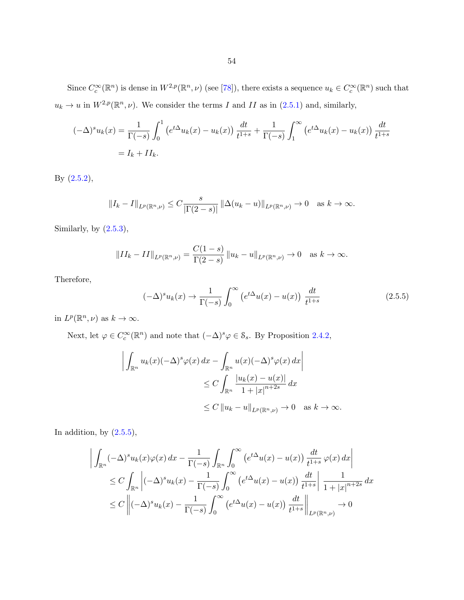Since  $C_c^{\infty}(\mathbb{R}^n)$  is dense in  $W^{2,p}(\mathbb{R}^n,\nu)$  (see [\[78\]](#page-146-0)), there exists a sequence  $u_k \in C_c^{\infty}(\mathbb{R}^n)$  such that  $u_k \to u$  in  $W^{2,p}(\mathbb{R}^n, \nu)$ . We consider the terms I and II as in  $(2.5.1)$  and, similarly,

$$
(-\Delta)^s u_k(x) = \frac{1}{\Gamma(-s)} \int_0^1 (e^{t\Delta} u_k(x) - u_k(x)) \frac{dt}{t^{1+s}} + \frac{1}{\Gamma(-s)} \int_1^\infty (e^{t\Delta} u_k(x) - u_k(x)) \frac{dt}{t^{1+s}}
$$
  
=  $I_k + II_k$ .

By [\(2.5.2\)](#page-58-0),

$$
||I_{k} - I||_{L^{p}(\mathbb{R}^{n},\nu)} \leq C \frac{s}{|\Gamma(2-s)|} ||\Delta(u_{k} - u)||_{L^{p}(\mathbb{R}^{n},\nu)} \to 0 \text{ as } k \to \infty.
$$

Similarly, by  $(2.5.3)$ ,

$$
||II_{k} - II||_{L^{p}(\mathbb{R}^{n},\nu)} = \frac{C(1-s)}{\Gamma(2-s)} ||u_{k} - u||_{L^{p}(\mathbb{R}^{n},\nu)} \to 0 \text{ as } k \to \infty.
$$

Therefore,

$$
(-\Delta)^s u_k(x) \to \frac{1}{\Gamma(-s)} \int_0^\infty \left( e^{t\Delta} u(x) - u(x) \right) \frac{dt}{t^{1+s}} \tag{2.5.5}
$$

in  $L^p(\mathbb{R}^n,\nu)$  as  $k\to\infty$ .

Next, let  $\varphi \in C_c^{\infty}(\mathbb{R}^n)$  and note that  $(-\Delta)^s \varphi \in \mathcal{S}_s$ . By Proposition [2.4.2,](#page-51-0)

$$
\left| \int_{\mathbb{R}^n} u_k(x) (-\Delta)^s \varphi(x) dx - \int_{\mathbb{R}^n} u(x) (-\Delta)^s \varphi(x) dx \right|
$$
  
\n
$$
\leq C \int_{\mathbb{R}^n} \frac{|u_k(x) - u(x)|}{1 + |x|^{n+2s}} dx
$$
  
\n
$$
\leq C \left| |u_k - u| \right|_{L^p(\mathbb{R}^n, \nu)} \to 0 \quad \text{as } k \to \infty.
$$

In addition, by  $(2.5.5)$ ,

$$
\left| \int_{\mathbb{R}^n} (-\Delta)^s u_k(x) \varphi(x) dx - \frac{1}{\Gamma(-s)} \int_{\mathbb{R}^n} \int_0^\infty \left( e^{t\Delta} u(x) - u(x) \right) \frac{dt}{t^{1+s}} \varphi(x) dx \right|
$$
  
\n
$$
\leq C \int_{\mathbb{R}^n} \left| (-\Delta)^s u_k(x) - \frac{1}{\Gamma(-s)} \int_0^\infty \left( e^{t\Delta} u(x) - u(x) \right) \frac{dt}{t^{1+s}} \right| \frac{1}{1+|x|^{n+2s}} dx
$$
  
\n
$$
\leq C \left\| (-\Delta)^s u_k(x) - \frac{1}{\Gamma(-s)} \int_0^\infty \left( e^{t\Delta} u(x) - u(x) \right) \frac{dt}{t^{1+s}} \right\|_{L^p(\mathbb{R}^n, \nu)} \to 0
$$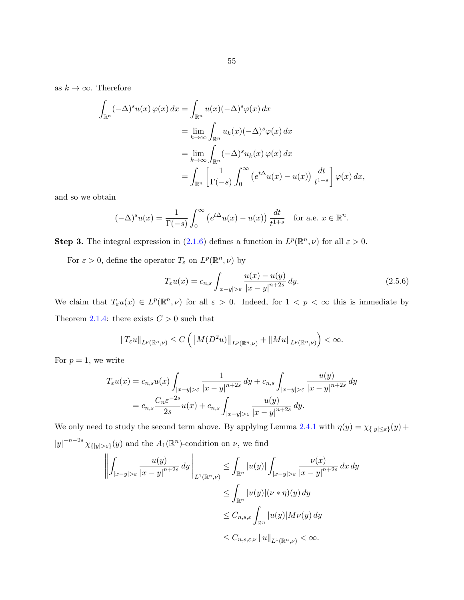<span id="page-60-0"></span>as  $k \to \infty$ . Therefore

$$
\int_{\mathbb{R}^n} (-\Delta)^s u(x) \varphi(x) dx = \int_{\mathbb{R}^n} u(x) (-\Delta)^s \varphi(x) dx
$$
  
\n
$$
= \lim_{k \to \infty} \int_{\mathbb{R}^n} u_k(x) (-\Delta)^s \varphi(x) dx
$$
  
\n
$$
= \lim_{k \to \infty} \int_{\mathbb{R}^n} (-\Delta)^s u_k(x) \varphi(x) dx
$$
  
\n
$$
= \int_{\mathbb{R}^n} \left[ \frac{1}{\Gamma(-s)} \int_0^\infty (e^{t\Delta} u(x) - u(x)) \frac{dt}{t^{1+s}} \right] \varphi(x) dx,
$$

and so we obtain

$$
(-\Delta)^s u(x) = \frac{1}{\Gamma(-s)} \int_0^\infty \left( e^{t\Delta} u(x) - u(x) \right) \frac{dt}{t^{1+s}} \quad \text{for a.e. } x \in \mathbb{R}^n.
$$

**Step 3.** The integral expression in [\(2.1.6\)](#page-25-0) defines a function in  $L^p(\mathbb{R}^n, \nu)$  for all  $\varepsilon > 0$ .

For  $\varepsilon > 0$ , define the operator  $T_{\varepsilon}$  on  $L^p(\mathbb{R}^n, \nu)$  by

$$
T_{\varepsilon}u(x) = c_{n,s} \int_{|x-y| > \varepsilon} \frac{u(x) - u(y)}{|x-y|^{n+2s}} dy.
$$
\n(2.5.6)

We claim that  $T_\varepsilon u(x) \in L^p(\mathbb{R}^n, \nu)$  for all  $\varepsilon > 0$ . Indeed, for  $1 < p < \infty$  this is immediate by Theorem [2.1.4:](#page-25-0) there exists  $C > 0$  such that

$$
||T_{\varepsilon}u||_{L^{p}(\mathbb{R}^n,\nu)} \leq C\left(||M(D^2u)||_{L^{p}(\mathbb{R}^n,\nu)}+||Mu||_{L^{p}(\mathbb{R}^n,\nu)}\right) < \infty.
$$

For  $p = 1$ , we write

$$
T_{\varepsilon}u(x) = c_{n,s}u(x) \int_{|x-y| > \varepsilon} \frac{1}{|x-y|^{n+2s}} dy + c_{n,s} \int_{|x-y| > \varepsilon} \frac{u(y)}{|x-y|^{n+2s}} dy
$$
  
=  $c_{n,s} \frac{C_n \varepsilon^{-2s}}{2s} u(x) + c_{n,s} \int_{|x-y| > \varepsilon} \frac{u(y)}{|x-y|^{n+2s}} dy.$ 

We only need to study the second term above. By applying Lemma [2.4.1](#page-51-0) with  $\eta(y) = \chi_{\{|y| \le \varepsilon\}}(y) +$  $|y|^{-n-2s} \chi_{\{|y|>\varepsilon\}}(y)$  and the  $A_1(\mathbb{R}^n)$ -condition on  $\nu$ , we find

$$
\left\| \int_{|x-y| > \varepsilon} \frac{u(y)}{|x-y|^{n+2s}} dy \right\|_{L^1(\mathbb{R}^n, \nu)} \leq \int_{\mathbb{R}^n} |u(y)| \int_{|x-y| > \varepsilon} \frac{\nu(x)}{|x-y|^{n+2s}} dx dy
$$
  
\n
$$
\leq \int_{\mathbb{R}^n} |u(y)| (\nu * \eta)(y) dy
$$
  
\n
$$
\leq C_{n,s,\varepsilon} \int_{\mathbb{R}^n} |u(y)| M \nu(y) dy
$$
  
\n
$$
\leq C_{n,s,\varepsilon, \nu} \|u\|_{L^1(\mathbb{R}^n, \nu)} < \infty.
$$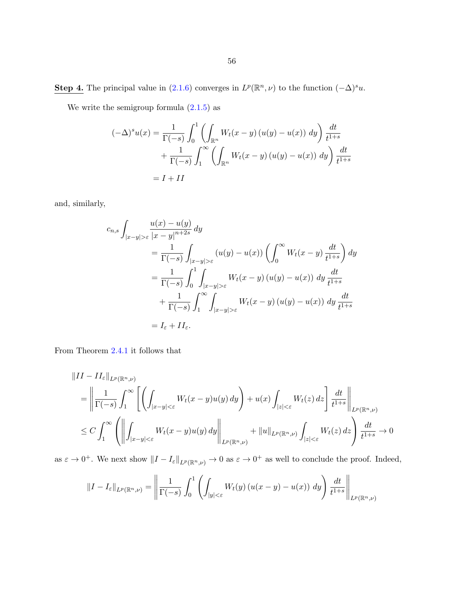**Step 4.** The principal value in  $(2.1.6)$  converges in  $L^p(\mathbb{R}^n, \nu)$  to the function  $(-\Delta)^s u$ .

We write the semigroup formula  $(2.1.5)$  as

$$
(-\Delta)^s u(x) = \frac{1}{\Gamma(-s)} \int_0^1 \left( \int_{\mathbb{R}^n} W_t(x - y) (u(y) - u(x)) dy \right) \frac{dt}{t^{1+s}}
$$

$$
+ \frac{1}{\Gamma(-s)} \int_1^\infty \left( \int_{\mathbb{R}^n} W_t(x - y) (u(y) - u(x)) dy \right) \frac{dt}{t^{1+s}}
$$

$$
= I + II
$$

and, similarly,

$$
c_{n,s} \int_{|x-y| > \varepsilon} \frac{u(x) - u(y)}{|x-y|^{n+2s}} dy
$$
  
\n
$$
= \frac{1}{\Gamma(-s)} \int_{|x-y| > \varepsilon} (u(y) - u(x)) \left( \int_0^\infty W_t(x-y) \frac{dt}{t^{1+s}} \right) dy
$$
  
\n
$$
= \frac{1}{\Gamma(-s)} \int_0^1 \int_{|x-y| > \varepsilon} W_t(x-y) (u(y) - u(x)) dy \frac{dt}{t^{1+s}}
$$
  
\n
$$
+ \frac{1}{\Gamma(-s)} \int_1^\infty \int_{|x-y| > \varepsilon} W_t(x-y) (u(y) - u(x)) dy \frac{dt}{t^{1+s}}
$$
  
\n
$$
= I_\varepsilon + II_\varepsilon.
$$

From Theorem [2.4.1](#page-53-0) it follows that

$$
\|II - II_{\varepsilon}\|_{L^{p}(\mathbb{R}^{n},\nu)}
$$
\n
$$
= \left\|\frac{1}{\Gamma(-s)}\int_{1}^{\infty}\left[\left(\int_{|x-y|<\varepsilon}W_{t}(x-y)u(y)\,dy\right)+u(x)\int_{|z|<\varepsilon}W_{t}(z)\,dz\right]\frac{dt}{t^{1+s}}\right\|_{L^{p}(\mathbb{R}^{n},\nu)}
$$
\n
$$
\leq C\int_{1}^{\infty}\left(\left\|\int_{|x-y|<\varepsilon}W_{t}(x-y)u(y)\,dy\right\|_{L^{p}(\mathbb{R}^{n},\nu)}+\|u\|_{L^{p}(\mathbb{R}^{n},\nu)}\int_{|z|<\varepsilon}W_{t}(z)\,dz\right)\frac{dt}{t^{1+s}}\to 0
$$

as  $\varepsilon \to 0^+$ . We next show  $||I - I_{\varepsilon}||_{L^p(\mathbb{R}^n,\nu)} \to 0$  as  $\varepsilon \to 0^+$  as well to conclude the proof. Indeed,

$$
||I - I_{\varepsilon}||_{L^{p}(\mathbb{R}^{n}, \nu)} = \left\| \frac{1}{\Gamma(-s)} \int_{0}^{1} \left( \int_{|y| < \varepsilon} W_t(y) \left( u(x - y) - u(x) \right) dy \right) \frac{dt}{t^{1+s}} \right\|_{L^{p}(\mathbb{R}^n, \nu)}
$$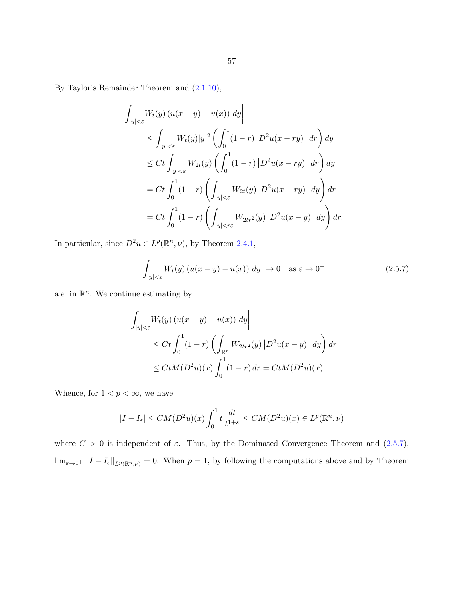By Taylor's Remainder Theorem and [\(2.1.10\)](#page-26-0),

 $\begin{array}{c} \hline \rule{0pt}{2.5ex} \\ \rule{0pt}{2.5ex} \end{array}$ 

$$
\int_{|y|<\varepsilon} W_t(y) \left( u(x-y) - u(x) \right) dy \Big|
$$
\n
$$
\leq \int_{|y|<\varepsilon} W_t(y)|y|^2 \left( \int_0^1 (1-r) \left| D^2 u(x-ry) \right| dr \right) dy
$$
\n
$$
\leq Ct \int_{|y|<\varepsilon} W_{2t}(y) \left( \int_0^1 (1-r) \left| D^2 u(x-ry) \right| dr \right) dy
$$
\n
$$
= Ct \int_0^1 (1-r) \left( \int_{|y|<\varepsilon} W_{2t}(y) \left| D^2 u(x-ry) \right| dy \right) dr
$$
\n
$$
= Ct \int_0^1 (1-r) \left( \int_{|y|<\varepsilon} W_{2tr^2}(y) \left| D^2 u(x-y) \right| dy \right) dr.
$$

In particular, since  $D^2u \in L^p(\mathbb{R}^n, \nu)$ , by Theorem [2.4.1,](#page-53-0)

$$
\left| \int_{|y| < \varepsilon} W_t(y) \left( u(x - y) - u(x) \right) \, dy \right| \to 0 \quad \text{as } \varepsilon \to 0^+ \tag{2.5.7}
$$

a.e. in  $\mathbb{R}^n$ . We continue estimating by

$$
\left| \int_{|y| < \varepsilon} W_t(y) \left( u(x - y) - u(x) \right) dy \right|
$$
\n
$$
\leq Ct \int_0^1 (1 - r) \left( \int_{\mathbb{R}^n} W_{2tr^2}(y) \left| D^2 u(x - y) \right| dy \right) dr
$$
\n
$$
\leq Ct M (D^2 u)(x) \int_0^1 (1 - r) dr = Ct M (D^2 u)(x).
$$

Whence, for  $1 < p < \infty$ , we have

$$
|I - I_{\varepsilon}| \le CM(D^2u)(x) \int_0^1 t \frac{dt}{t^{1+s}} \le CM(D^2u)(x) \in L^p(\mathbb{R}^n, \nu)
$$

where  $C > 0$  is independent of  $\varepsilon$ . Thus, by the Dominated Convergence Theorem and  $(2.5.7)$ ,  $\lim_{\varepsilon\to 0^+}||I-I_{\varepsilon}||_{L^p(\mathbb{R}^n,\nu)}=0.$  When  $p=1$ , by following the computations above and by Theorem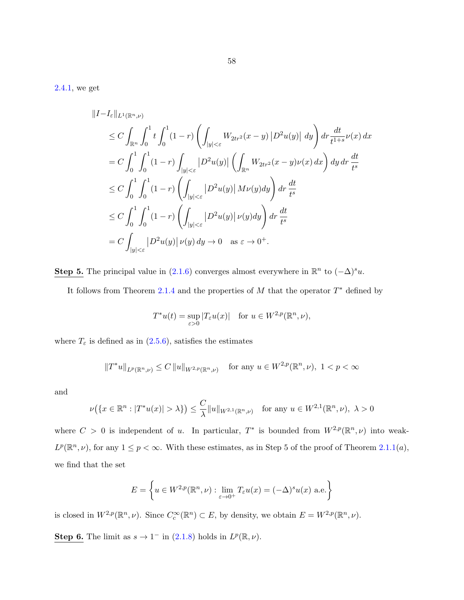[2.4.1,](#page-53-0) we get

$$
||I - I_{\varepsilon}||_{L^{1}(\mathbb{R}^{n}, \nu)}
$$
  
\n
$$
\leq C \int_{\mathbb{R}^{n}} \int_{0}^{1} t \int_{0}^{1} (1 - r) \left( \int_{|y| < \varepsilon} W_{2tr^{2}}(x - y) |D^{2}u(y)| dy \right) dr \frac{dt}{t^{1+s}} \nu(x) dx
$$
  
\n
$$
= C \int_{0}^{1} \int_{0}^{1} (1 - r) \int_{|y| < \varepsilon} |D^{2}u(y)| \left( \int_{\mathbb{R}^{n}} W_{2tr^{2}}(x - y) \nu(x) dx \right) dy dr \frac{dt}{t^{s}}
$$
  
\n
$$
\leq C \int_{0}^{1} \int_{0}^{1} (1 - r) \left( \int_{|y| < \varepsilon} |D^{2}u(y)| M\nu(y) dy \right) dr \frac{dt}{t^{s}}
$$
  
\n
$$
\leq C \int_{0}^{1} \int_{0}^{1} (1 - r) \left( \int_{|y| < \varepsilon} |D^{2}u(y)| \nu(y) dy \right) dr \frac{dt}{t^{s}}
$$
  
\n
$$
= C \int_{|y| < \varepsilon} |D^{2}u(y)| \nu(y) dy \to 0 \quad \text{as } \varepsilon \to 0^{+}.
$$

Step 5. The principal value in [\(2.1.6\)](#page-25-0) converges almost everywhere in  $\mathbb{R}^n$  to  $(-\Delta)^s u$ .

It follows from Theorem [2.1.4](#page-25-0) and the properties of  $M$  that the operator  $T^*$  defined by

$$
T^*u(t) = \sup_{\varepsilon>0} |T_{\varepsilon}u(x)| \quad \text{for } u \in W^{2,p}(\mathbb{R}^n, \nu),
$$

where  $T_{\varepsilon}$  is defined as in [\(2.5.6\)](#page-60-0), satisfies the estimates

$$
||T^*u||_{L^p(\mathbb{R}^n,\nu)} \le C ||u||_{W^{2,p}(\mathbb{R}^n,\nu)} \quad \text{for any } u \in W^{2,p}(\mathbb{R}^n,\nu), \ 1 < p < \infty
$$

and

$$
\nu\big(\{x\in\mathbb{R}^n:|T^*u(x)|>\lambda\}\big)\leq\frac{C}{\lambda}\|u\|_{W^{2,1}(\mathbb{R}^n,\nu)}\quad\text{for any }u\in W^{2,1}(\mathbb{R}^n,\nu),\ \lambda>0
$$

where  $C > 0$  is independent of u. In particular,  $T^*$  is bounded from  $W^{2,p}(\mathbb{R}^n,\nu)$  into weak- $L^p(\mathbb{R}^n,\nu)$ , for any  $1 \leq p < \infty$ . With these estimates, as in Step 5 of the proof of Theorem [2.1.1\(](#page-23-0)*a*), we find that the set

$$
E = \left\{ u \in W^{2,p}(\mathbb{R}^n, \nu) : \lim_{\varepsilon \to 0^+} T_{\varepsilon} u(x) = (-\Delta)^s u(x) \text{ a.e.} \right\}
$$

is closed in  $W^{2,p}(\mathbb{R}^n,\nu)$ . Since  $C_c^{\infty}(\mathbb{R}^n) \subset E$ , by density, we obtain  $E = W^{2,p}(\mathbb{R}^n,\nu)$ .

Step 6. The limit as  $s \to 1^-$  in [\(2.1.8\)](#page-25-0) holds in  $L^p(\mathbb{R}, \nu)$ .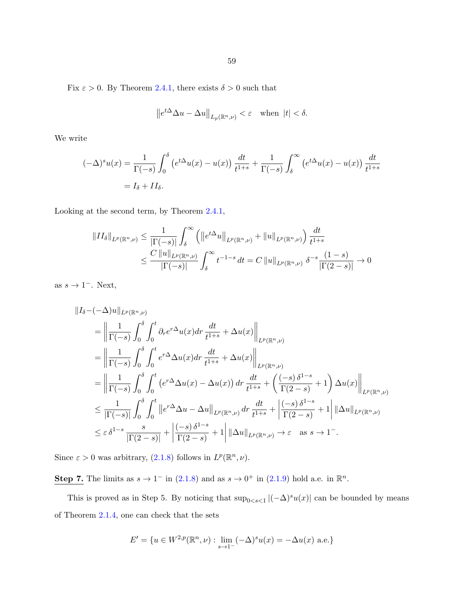Fix  $\varepsilon > 0$ . By Theorem [2.4.1,](#page-53-0) there exists  $\delta > 0$  such that

$$
\left\|e^{t\Delta}\Delta u - \Delta u\right\|_{L_p(\mathbb{R}^n,\nu)} < \varepsilon \quad \text{when } |t| < \delta.
$$

We write

$$
(-\Delta)^s u(x) = \frac{1}{\Gamma(-s)} \int_0^\delta \left( e^{t\Delta} u(x) - u(x) \right) \frac{dt}{t^{1+s}} + \frac{1}{\Gamma(-s)} \int_\delta^\infty \left( e^{t\Delta} u(x) - u(x) \right) \frac{dt}{t^{1+s}}
$$

$$
= I_\delta + II_\delta.
$$

Looking at the second term, by Theorem [2.4.1,](#page-53-0)

$$
||II_{\delta}||_{L^{p}(\mathbb{R}^{n},\nu)} \leq \frac{1}{|\Gamma(-s)|} \int_{\delta}^{\infty} \left( ||e^{t\Delta}u||_{L^{p}(\mathbb{R}^{n},\nu)} + ||u||_{L^{p}(\mathbb{R}^{n},\nu)} \right) \frac{dt}{t^{1+s}}
$$
  

$$
\leq \frac{C ||u||_{L^{p}(\mathbb{R}^{n},\nu)}}{|\Gamma(-s)|} \int_{\delta}^{\infty} t^{-1-s} dt = C ||u||_{L^{p}(\mathbb{R}^{n},\nu)} \delta^{-s} \frac{(1-s)}{|\Gamma(2-s)|} \to 0
$$

as  $s \to 1^-$ . Next,

$$
\begin{split}\n\|I_{\delta} - (-\Delta)u\|_{L^{p}(\mathbb{R}^{n},\nu)} \\
&= \left\|\frac{1}{\Gamma(-s)} \int_{0}^{\delta} \int_{0}^{t} \partial_{r} e^{r\Delta} u(x) dr \frac{dt}{t^{1+s}} + \Delta u(x) \right\|_{L^{p}(\mathbb{R}^{n},\nu)} \\
&= \left\|\frac{1}{\Gamma(-s)} \int_{0}^{\delta} \int_{0}^{t} e^{r\Delta} \Delta u(x) dr \frac{dt}{t^{1+s}} + \Delta u(x) \right\|_{L^{p}(\mathbb{R}^{n},\nu)} \\
&= \left\|\frac{1}{\Gamma(-s)} \int_{0}^{\delta} \int_{0}^{t} \left(e^{r\Delta} \Delta u(x) - \Delta u(x)\right) dr \frac{dt}{t^{1+s}} + \left(\frac{(-s)}{\Gamma(2-s)} \delta^{1-s} + 1\right) \Delta u(x) \right\|_{L^{p}(\mathbb{R}^{n},\nu)} \\
&\leq \frac{1}{|\Gamma(-s)|} \int_{0}^{\delta} \int_{0}^{t} \left\|e^{r\Delta} \Delta u - \Delta u\right\|_{L^{p}(\mathbb{R}^{n},\nu)} dr \frac{dt}{t^{1+s}} + \left|\frac{(-s)}{\Gamma(2-s)} + 1\right| \|\Delta u\|_{L^{p}(\mathbb{R}^{n},\nu)} \\
&\leq \varepsilon \delta^{1-s} \frac{s}{|\Gamma(2-s)|} + \left|\frac{(-s) \delta^{1-s}}{\Gamma(2-s)} + 1\right| \|\Delta u\|_{L^{p}(\mathbb{R}^{n},\nu)} \to \varepsilon \quad \text{as } s \to 1^{-}.\n\end{split}
$$

Since  $\varepsilon > 0$  was arbitrary, [\(2.1.8\)](#page-25-0) follows in  $L^p(\mathbb{R}^n, \nu)$ .

Step 7. The limits as  $s \to 1^-$  in [\(2.1.8\)](#page-25-0) and as  $s \to 0^+$  in [\(2.1.9\)](#page-25-0) hold a.e. in  $\mathbb{R}^n$ .

This is proved as in Step 5. By noticing that  $\sup_{0 \le s \le 1} |(-\Delta)^s u(x)|$  can be bounded by means of Theorem [2.1.4,](#page-25-0) one can check that the sets

$$
E' = \{ u \in W^{2,p}(\mathbb{R}^n, \nu) : \lim_{s \to 1^-} (-\Delta)^s u(x) = -\Delta u(x) \text{ a.e.} \}
$$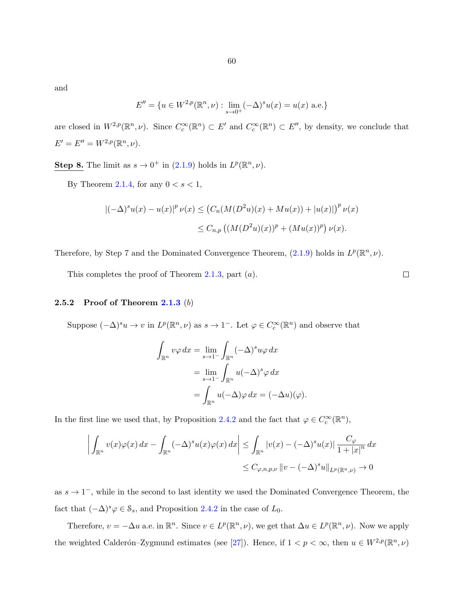and

$$
E'' = \{ u \in W^{2,p}(\mathbb{R}^n, \nu) : \lim_{s \to 0^+} (-\Delta)^s u(x) = u(x) \text{ a.e.} \}
$$

are closed in  $W^{2,p}(\mathbb{R}^n,\nu)$ . Since  $C_c^{\infty}(\mathbb{R}^n) \subset E'$  and  $C_c^{\infty}(\mathbb{R}^n) \subset E''$ , by density, we conclude that  $E' = E'' = W^{2,p}(\mathbb{R}^n, \nu).$ 

**Step 8.** The limit as  $s \to 0^+$  in [\(2.1.9\)](#page-25-0) holds in  $L^p(\mathbb{R}^n, \nu)$ .

By Theorem [2.1.4,](#page-25-0) for any  $0 < s < 1$ ,

$$
|(-\Delta)^s u(x) - u(x)|^p \nu(x) \le (C_n(M(D^2u)(x) + Mu(x)) + |u(x)|)^p \nu(x)
$$
  

$$
\le C_{n,p} \left( (M(D^2u)(x))^p + (Mu(x))^p \right) \nu(x).
$$

Therefore, by Step 7 and the Dominated Convergence Theorem,  $(2.1.9)$  holds in  $L^p(\mathbb{R}^n, \nu)$ .

This completes the proof of Theorem [2.1.3,](#page-25-0) part  $(a)$ .

#### 2.5.2 Proof of Theorem [2.1.3](#page-25-0)  $(b)$

Suppose  $(-\Delta)^s u \to v$  in  $L^p(\mathbb{R}^n, \nu)$  as  $s \to 1^-$ . Let  $\varphi \in C_c^{\infty}(\mathbb{R}^n)$  and observe that

$$
\int_{\mathbb{R}^n} v\varphi \, dx = \lim_{s \to 1^-} \int_{\mathbb{R}^n} (-\Delta)^s u\varphi \, dx
$$

$$
= \lim_{s \to 1^-} \int_{\mathbb{R}^n} u(-\Delta)^s \varphi \, dx
$$

$$
= \int_{\mathbb{R}^n} u(-\Delta) \varphi \, dx = (-\Delta u)(\varphi).
$$

In the first line we used that, by Proposition [2.4.2](#page-51-0) and the fact that  $\varphi \in C_c^{\infty}(\mathbb{R}^n)$ ,

$$
\left| \int_{\mathbb{R}^n} v(x)\varphi(x) dx - \int_{\mathbb{R}^n} (-\Delta)^s u(x)\varphi(x) dx \right| \leq \int_{\mathbb{R}^n} |v(x) - (-\Delta)^s u(x)| \frac{C_{\varphi}}{1 + |x|^n} dx
$$
  

$$
\leq C_{\varphi, n, p, \nu} ||v - (-\Delta)^s u||_{L^p(\mathbb{R}^n, \nu)} \to 0
$$

as  $s \to 1^-$ , while in the second to last identity we used the Dominated Convergence Theorem, the fact that  $(-\Delta)^s \varphi \in \mathcal{S}_s$ , and Proposition [2.4.2](#page-51-0) in the case of  $L_0$ .

Therefore,  $v = -\Delta u$  a.e. in  $\mathbb{R}^n$ . Since  $v \in L^p(\mathbb{R}^n, \nu)$ , we get that  $\Delta u \in L^p(\mathbb{R}^n, \nu)$ . Now we apply the weighted Calderón–Zygmund estimates (see [\[27\]](#page-143-0)). Hence, if  $1 < p < \infty$ , then  $u \in W^{2,p}(\mathbb{R}^n, \nu)$ 

 $\Box$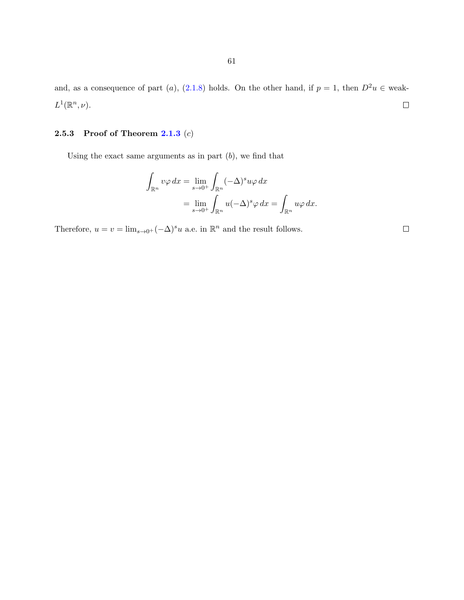and, as a consequence of part (a), [\(2.1.8\)](#page-25-0) holds. On the other hand, if  $p = 1$ , then  $D^2u \in$  weak- $L^1(\mathbb{R}^n,\nu).$  $\Box$ 

# 2.5.3 Proof of Theorem  $2.1.3$   $(c)$

Using the exact same arguments as in part  $(b)$ , we find that

$$
\int_{\mathbb{R}^n} v\varphi \, dx = \lim_{s \to 0^+} \int_{\mathbb{R}^n} (-\Delta)^s u\varphi \, dx
$$

$$
= \lim_{s \to 0^+} \int_{\mathbb{R}^n} u(-\Delta)^s \varphi \, dx = \int_{\mathbb{R}^n} u\varphi \, dx.
$$

Therefore,  $u = v = \lim_{s \to 0^+} (-\Delta)^s u$  a.e. in  $\mathbb{R}^n$  and the result follows.

 $\Box$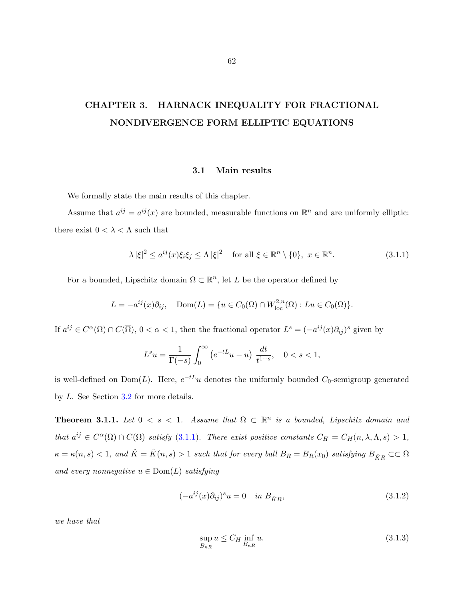# <span id="page-67-0"></span>CHAPTER 3. HARNACK INEQUALITY FOR FRACTIONAL NONDIVERGENCE FORM ELLIPTIC EQUATIONS

## 3.1 Main results

We formally state the main results of this chapter.

Assume that  $a^{ij} = a^{ij}(x)$  are bounded, measurable functions on  $\mathbb{R}^n$  and are uniformly elliptic: there exist  $0 < \lambda < \Lambda$  such that

$$
\lambda |\xi|^2 \le a^{ij}(x)\xi_i \xi_j \le \Lambda |\xi|^2 \quad \text{for all } \xi \in \mathbb{R}^n \setminus \{0\}, \ x \in \mathbb{R}^n. \tag{3.1.1}
$$

For a bounded, Lipschitz domain  $\Omega \subset \mathbb{R}^n$ , let L be the operator defined by

$$
L = -a^{ij}(x)\partial_{ij}, \quad \text{Dom}(L) = \{u \in C_0(\Omega) \cap W^{2,n}_{loc}(\Omega) : Lu \in C_0(\Omega)\}.
$$

If  $a^{ij} \in C^{\alpha}(\Omega) \cap C(\overline{\Omega})$ ,  $0 < \alpha < 1$ , then the fractional operator  $L^{s} = (-a^{ij}(x)\partial_{ij})^{s}$  given by

$$
L^su=\frac{1}{\Gamma(-s)}\int_0^\infty\left(e^{-tL}u-u\right)\,\frac{dt}{t^{1+s}},\quad 0
$$

is well-defined on  $Dom(L)$ . Here,  $e^{-tL}u$  denotes the uniformly bounded  $C_0$ -semigroup generated by L. See Section [3.2](#page-69-0) for more details.

**Theorem 3.1.1.** Let  $0 \leq s \leq 1$ . Assume that  $\Omega \subset \mathbb{R}^n$  is a bounded, Lipschitz domain and that  $a^{ij} \in C^{\alpha}(\Omega) \cap C(\overline{\Omega})$  satisfy (3.1.1). There exist positive constants  $C_H = C_H(n, \lambda, \Lambda, s) > 1$ ,  $\kappa = \kappa(n, s) < 1$ , and  $\hat{K} = \hat{K}(n, s) > 1$  such that for every ball  $B_R = B_R(x_0)$  satisfying  $B_{\hat{K}R} \subset\subset \Omega$ and every nonnegative  $u \in \text{Dom}(L)$  satisfying

$$
(-a^{ij}(x)\partial_{ij})^s u = 0 \quad \text{in } B_{\hat{K}R},\tag{3.1.2}
$$

we have that

$$
\sup_{B_{\kappa R}} u \le C_H \inf_{B_{\kappa R}} u. \tag{3.1.3}
$$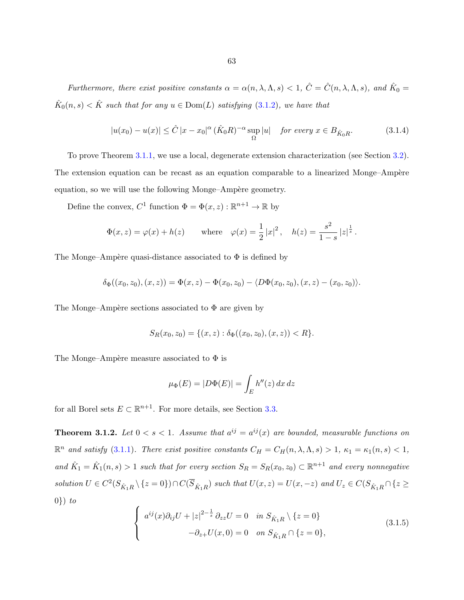<span id="page-68-0"></span>Furthermore, there exist positive constants  $\alpha = \alpha(n, \lambda, \Lambda, s) < 1$ ,  $\hat{C} = \hat{C}(n, \lambda, \Lambda, s)$ , and  $\hat{K}_0 =$  $\hat{K}_0(n,s) < \hat{K}$  such that for any  $u \in \text{Dom}(L)$  satisfying  $(3.1.2)$ , we have that

$$
|u(x_0) - u(x)| \leq \hat{C} |x - x_0|^\alpha (\hat{K}_0 R)^{-\alpha} \sup_{\Omega} |u| \quad \text{for every } x \in B_{\hat{K}_0 R}.\tag{3.1.4}
$$

To prove Theorem [3.1.1,](#page-67-0) we use a local, degenerate extension characterization (see Section [3.2\)](#page-69-0). The extension equation can be recast as an equation comparable to a linearized Monge–Ampère equation, so we will use the following Monge–Ampère geometry.

Define the convex,  $C^1$  function  $\Phi = \Phi(x, z) : \mathbb{R}^{n+1} \to \mathbb{R}$  by

$$
\Phi(x, z) = \varphi(x) + h(z)
$$
 where  $\varphi(x) = \frac{1}{2} |x|^2$ ,  $h(z) = \frac{s^2}{1 - s} |z|^{\frac{1}{s}}$ .

The Monge–Ampère quasi-distance associated to  $\Phi$  is defined by

$$
\delta_{\Phi}((x_0, z_0), (x, z)) = \Phi(x, z) - \Phi(x_0, z_0) - \langle D\Phi(x_0, z_0), (x, z) - (x_0, z_0) \rangle.
$$

The Monge–Ampère sections associated to  $\Phi$  are given by

$$
S_R(x_0, z_0) = \{(x, z) : \delta_{\Phi}((x_0, z_0), (x, z)) < R\}.
$$

The Monge–Ampère measure associated to  $\Phi$  is

$$
\mu_{\Phi}(E) = |D\Phi(E)| = \int_{E} h''(z) \, dx \, dz
$$

for all Borel sets  $E \subset \mathbb{R}^{n+1}$ . For more details, see Section [3.3.](#page-75-0)

**Theorem 3.1.2.** Let  $0 < s < 1$ . Assume that  $a^{ij} = a^{ij}(x)$  are bounded, measurable functions on  $\mathbb{R}^n$  and satisfy [\(3.1.1\)](#page-67-0). There exist positive constants  $C_H = C_H(n, \lambda, \Lambda, s) > 1$ ,  $\kappa_1 = \kappa_1(n, s) < 1$ , and  $\hat{K}_1 = \hat{K}_1(n,s) > 1$  such that for every section  $S_R = S_R(x_0, z_0) \subset \mathbb{R}^{n+1}$  and every nonnegative solution  $U \in C^2(S_{\hat{K}_1R} \setminus \{z=0\}) \cap C(\overline{S}_{\hat{K}_1R})$  such that  $U(x, z) = U(x, -z)$  and  $U_z \in C(S_{\hat{K}_1R} \cap \{z \ge z\})$  $0\}) to$ 

$$
\begin{cases}\n a^{ij}(x)\partial_{ij}U + |z|^{2-\frac{1}{s}}\partial_{zz}U = 0 & \text{in } S_{\hat{K}_1R} \setminus \{z = 0\} \\
 -\partial_{z+}U(x,0) = 0 & \text{on } S_{\hat{K}_1R} \cap \{z = 0\},\n\end{cases}
$$
\n(3.1.5)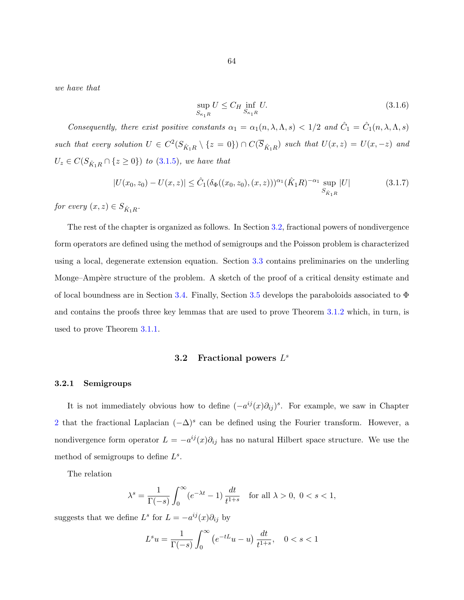<span id="page-69-0"></span>we have that

$$
\sup_{S_{\kappa_1 R}} U \le C_H \inf_{S_{\kappa_1 R}} U. \tag{3.1.6}
$$

Consequently, there exist positive constants  $\alpha_1 = \alpha_1(n, \lambda, \Lambda, s) < 1/2$  and  $\hat{C}_1 = \hat{C}_1(n, \lambda, \Lambda, s)$ such that every solution  $U \in C^2(S_{\hat{K}_1R} \setminus \{z=0\}) \cap C(\overline{S}_{\hat{K}_1R})$  such that  $U(x, z) = U(x, -z)$  and  $U_z \in C(S_{\hat{K}_1R} \cap \{z \geq 0\})$  to  $(3.1.5)$ , we have that

$$
|U(x_0, z_0) - U(x, z)| \leq \hat{C}_1(\delta_{\Phi}((x_0, z_0), (x, z)))^{\alpha_1} (\hat{K}_1 R)^{-\alpha_1} \sup_{S_{\hat{K}_1 R}} |U|
$$
(3.1.7)

for every  $(x, z) \in S_{\hat{K}_1 R}$ .

The rest of the chapter is organized as follows. In Section 3.2, fractional powers of nondivergence form operators are defined using the method of semigroups and the Poisson problem is characterized using a local, degenerate extension equation. Section [3.3](#page-75-0) contains preliminaries on the underling Monge–Ampère structure of the problem. A sketch of the proof of a critical density estimate and of local boundness are in Section [3.4.](#page-82-0) Finally, Section [3.5](#page-86-0) develops the paraboloids associated to  $\Phi$ and contains the proofs three key lemmas that are used to prove Theorem [3.1.2](#page-68-0) which, in turn, is used to prove Theorem [3.1.1.](#page-67-0)

# 3.2 Fractional powers  $L^s$

#### 3.2.1 Semigroups

It is not immediately obvious how to define  $(-a^{ij}(x)\partial_{ij})^s$ . For example, we saw in Chapter [2](#page-23-0) that the fractional Laplacian  $(-\Delta)^s$  can be defined using the Fourier transform. However, a nondivergence form operator  $L = -a^{ij}(x)\partial_{ij}$  has no natural Hilbert space structure. We use the method of semigroups to define  $L^s$ .

The relation

$$
\lambda^s = \frac{1}{\Gamma(-s)} \int_0^\infty (e^{-\lambda t} - 1) \frac{dt}{t^{1+s}} \quad \text{for all } \lambda > 0, \ 0 < s < 1,
$$

suggests that we define  $L^s$  for  $L = -a^{ij}(x)\partial_{ij}$  by

$$
L^s u = \frac{1}{\Gamma(-s)} \int_0^\infty \left( e^{-tL} u - u \right) \frac{dt}{t^{1+s}}, \quad 0 < s < 1
$$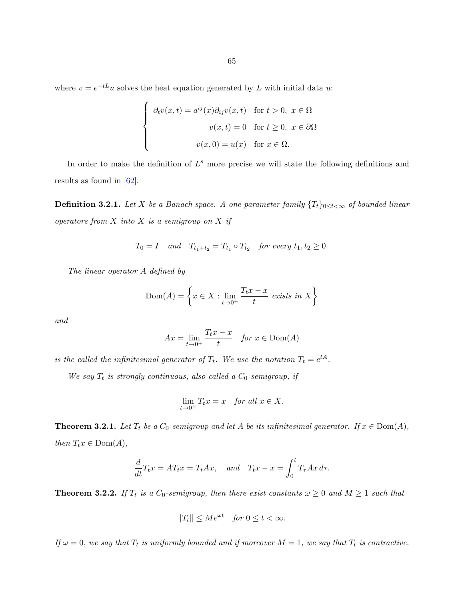where  $v = e^{-tL}u$  solves the heat equation generated by L with initial data u:

$$
\begin{cases}\n\partial_t v(x,t) = a^{ij}(x)\partial_{ij}v(x,t) & \text{for } t > 0, \ x \in \Omega \\
v(x,t) = 0 & \text{for } t \ge 0, \ x \in \partial\Omega \\
v(x,0) = u(x) & \text{for } x \in \Omega.\n\end{cases}
$$

In order to make the definition of  $L^s$  more precise we will state the following definitions and results as found in [\[62\]](#page-145-0).

**Definition 3.2.1.** Let X be a Banach space. A one parameter family  $\{T_t\}_{0 \leq t < \infty}$  of bounded linear operators from  $X$  into  $X$  is a semigroup on  $X$  if

$$
T_0 = I
$$
 and  $T_{t_1+t_2} = T_{t_1} \circ T_{t_2}$  for every  $t_1, t_2 \ge 0$ .

The linear operator A defined by

$$
Dom(A) = \left\{ x \in X : \lim_{t \to 0^+} \frac{T_t x - x}{t} \text{ exists in } X \right\}
$$

and

$$
Ax = \lim_{t \to 0^+} \frac{T_t x - x}{t} \quad \text{for } x \in \text{Dom}(A)
$$

is the called the infinitesimal generator of  $T_t$ . We use the notation  $T_t = e^{tA}$ .

We say  $T_t$  is strongly continuous, also called a  $C_0$ -semigroup, if

$$
\lim_{t \to 0^+} T_t x = x \quad \text{for all } x \in X.
$$

**Theorem 3.2.1.** Let  $T_t$  be a  $C_0$ -semigroup and let  $A$  be its infinitesimal generator. If  $x \in Dom(A)$ , then  $T_tx \in Dom(A)$ ,

$$
\frac{d}{dt}T_t x = AT_t x = T_t Ax, \quad and \quad T_t x - x = \int_0^t T_\tau Ax \, d\tau.
$$

**Theorem 3.2.2.** If  $T_t$  is a  $C_0$ -semigroup, then there exist constants  $\omega \geq 0$  and  $M \geq 1$  such that

$$
||T_t|| \le Me^{\omega t} \quad \text{for } 0 \le t < \infty.
$$

If  $\omega = 0$ , we say that  $T_t$  is uniformly bounded and if moreover  $M = 1$ , we say that  $T_t$  is contractive.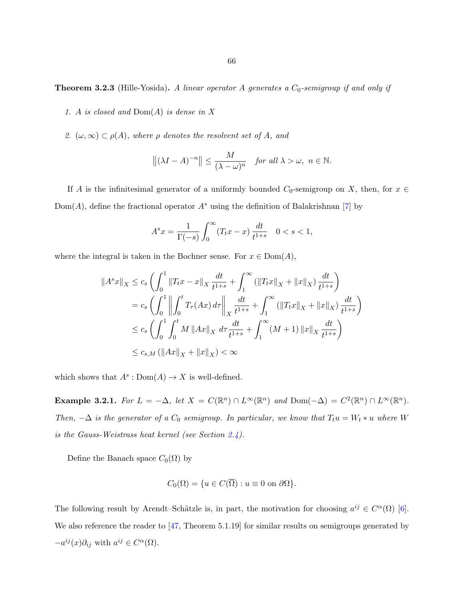**Theorem 3.2.3** (Hille-Yosida). A linear operator A generates a  $C_0$ -semigroup if and only if

- 1. A is closed and  $Dom(A)$  is dense in X
- 2.  $(\omega, \infty) \subset \rho(A)$ , where  $\rho$  denotes the resolvent set of A, and

$$
\left\| (\lambda I - A)^{-n} \right\| \le \frac{M}{(\lambda - \omega)^n} \quad \text{for all } \lambda > \omega, \ n \in \mathbb{N}.
$$

If A is the infinitesimal generator of a uniformly bounded  $C_0$ -semigroup on X, then, for  $x \in$  $Dom(A)$ , define the fractional operator  $A<sup>s</sup>$  using the definition of Balakrishnan [\[7\]](#page-142-0) by

$$
A^s x = \frac{1}{\Gamma(-s)} \int_0^\infty (T_t x - x) \frac{dt}{t^{1+s}} \quad 0 < s < 1,
$$

where the integral is taken in the Bochner sense. For  $x \in Dom(A)$ ,

$$
||A^s x||_X \le c_s \left( \int_0^1 ||T_t x - x||_X \frac{dt}{t^{1+s}} + \int_1^\infty (||T_t x||_X + ||x||_X) \frac{dt}{t^{1+s}} \right)
$$
  
\n
$$
= c_s \left( \int_0^1 \left\| \int_0^t T_\tau (Ax) d\tau \right\|_X \frac{dt}{t^{1+s}} + \int_1^\infty (||T_t x||_X + ||x||_X) \frac{dt}{t^{1+s}} \right)
$$
  
\n
$$
\le c_s \left( \int_0^1 \int_0^t M ||Ax||_X d\tau \frac{dt}{t^{1+s}} + \int_1^\infty (M+1) ||x||_X \frac{dt}{t^{1+s}} \right)
$$
  
\n
$$
\le c_{s,M} (||Ax||_X + ||x||_X) < \infty
$$

which shows that  $A^s: \text{Dom}(A) \to X$  is well-defined.

Example 3.2.1. For  $L = -\Delta$ , let  $X = C(\mathbb{R}^n) \cap L^{\infty}(\mathbb{R}^n)$  and  $Dom(-\Delta) = C^2(\mathbb{R}^n) \cap L^{\infty}(\mathbb{R}^n)$ . Then,  $-\Delta$  is the generator of a  $C_0$  semigroup. In particular, we know that  $T_t u = W_t * u$  where W is the Gauss-Weistrass heat kernel (see Section  $2.4$ ).

Define the Banach space  $C_0(\Omega)$  by

$$
C_0(\Omega) = \{ u \in C(\overline{\Omega}) : u \equiv 0 \text{ on } \partial\Omega \}.
$$

The following result by Arendt–Schätzle is, in part, the motivation for choosing  $a^{ij} \in C^{\alpha}(\Omega)$  [\[6\]](#page-142-0). We also reference the reader to [\[47,](#page-144-0) Theorem 5.1.19] for similar results on semigroups generated by  $-a^{ij}(x)\partial_{ij}$  with  $a^{ij} \in C^{\alpha}(\Omega)$ .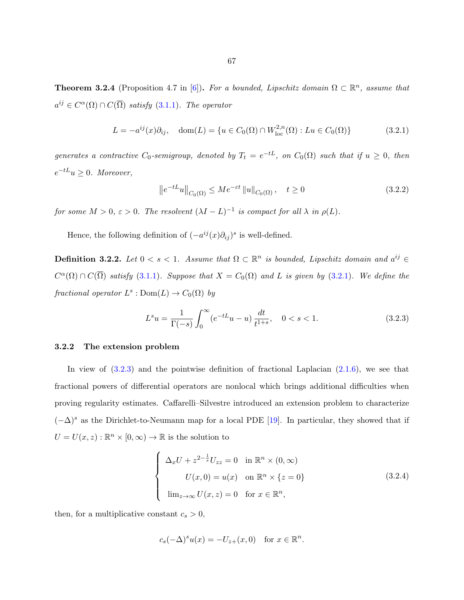<span id="page-72-0"></span>**Theorem 3.2.4** (Proposition 4.7 in [\[6\]](#page-142-0)). For a bounded, Lipschitz domain  $\Omega \subset \mathbb{R}^n$ , assume that  $a^{ij} \in C^{\alpha}(\Omega) \cap C(\overline{\Omega})$  satisfy [\(3.1.1\)](#page-67-0). The operator

$$
L = -a^{ij}(x)\partial_{ij}, \quad \text{dom}(L) = \{u \in C_0(\Omega) \cap W^{2,n}_{\text{loc}}(\Omega) : Lu \in C_0(\Omega)\}
$$
(3.2.1)

generates a contractive  $C_0$ -semigroup, denoted by  $T_t = e^{-tL}$ , on  $C_0(\Omega)$  such that if  $u \geq 0$ , then  $e^{-tL}u \geq 0$ . Moreover,

$$
\left\|e^{-tL}u\right\|_{C_0(\Omega)} \le Me^{-\varepsilon t} \|u\|_{C_0(\Omega)}, \quad t \ge 0 \tag{3.2.2}
$$

for some  $M > 0$ ,  $\varepsilon > 0$ . The resolvent  $(\lambda I - L)^{-1}$  is compact for all  $\lambda$  in  $\rho(L)$ .

Hence, the following definition of  $(-a^{ij}(x)\partial_{ij})^s$  is well-defined.

**Definition 3.2.2.** Let  $0 < s < 1$ . Assume that  $\Omega \subset \mathbb{R}^n$  is bounded, Lipschitz domain and  $a^{ij} \in$  $C^{\alpha}(\Omega) \cap C(\overline{\Omega})$  satisfy [\(3.1.1\)](#page-67-0). Suppose that  $X = C_0(\Omega)$  and L is given by (3.2.1). We define the fractional operator  $L^s : \text{Dom}(L) \to C_0(\Omega)$  by

$$
L^s u = \frac{1}{\Gamma(-s)} \int_0^\infty (e^{-tL} u - u) \frac{dt}{t^{1+s}}, \quad 0 < s < 1. \tag{3.2.3}
$$

# 3.2.2 The extension problem

In view of  $(3.2.3)$  and the pointwise definition of fractional Laplacian  $(2.1.6)$ , we see that fractional powers of differential operators are nonlocal which brings additional difficulties when proving regularity estimates. Caffarelli–Silvestre introduced an extension problem to characterize  $(-\Delta)^s$  as the Dirichlet-to-Neumann map for a local PDE [\[19\]](#page-143-0). In particular, they showed that if  $U = U(x, z) : \mathbb{R}^n \times [0, \infty) \to \mathbb{R}$  is the solution to

$$
\begin{cases}\n\Delta_x U + z^{2-\frac{1}{s}} U_{zz} = 0 & \text{in } \mathbb{R}^n \times (0, \infty) \\
U(x, 0) = u(x) & \text{on } \mathbb{R}^n \times \{z = 0\} \\
\lim_{z \to \infty} U(x, z) = 0 & \text{for } x \in \mathbb{R}^n,\n\end{cases}
$$
\n(3.2.4)

then, for a multiplicative constant  $c_s > 0$ ,

$$
c_s(-\Delta)^s u(x) = -U_{z+}(x,0) \quad \text{for } x \in \mathbb{R}^n.
$$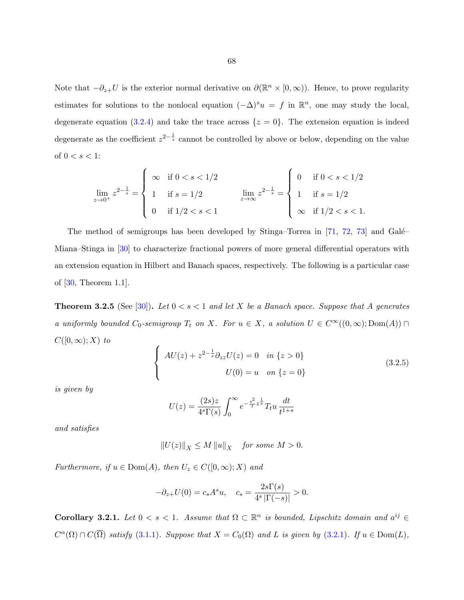<span id="page-73-0"></span>Note that  $-\partial_{z+}U$  is the exterior normal derivative on  $\partial(\mathbb{R}^n \times [0,\infty))$ . Hence, to prove regularity estimates for solutions to the nonlocal equation  $(-\Delta)^s u = f$  in  $\mathbb{R}^n$ , one may study the local, degenerate equation [\(3.2.4\)](#page-72-0) and take the trace across  $\{z = 0\}$ . The extension equation is indeed degenerate as the coefficient  $z^{2-\frac{1}{s}}$  cannot be controlled by above or below, depending on the value of  $0 < s < 1$ :

$$
\lim_{z \to 0^+} z^{2 - \frac{1}{s}} = \begin{cases} \infty & \text{if } 0 < s < 1/2 \\ 1 & \text{if } s = 1/2 \\ 0 & \text{if } 1/2 < s < 1 \end{cases} \qquad \lim_{z \to \infty} z^{2 - \frac{1}{s}} = \begin{cases} 0 & \text{if } 0 < s < 1/2 \\ 1 & \text{if } s = 1/2 \\ \infty & \text{if } 1/2 < s < 1. \end{cases}
$$

The method of semigroups has been developed by Stinga–Torrea in [\[71,](#page-146-0) [72,](#page-146-0) [73\]](#page-146-0) and Galé– Miana–Stinga in [\[30\]](#page-143-0) to characterize fractional powers of more general differential operators with an extension equation in Hilbert and Banach spaces, respectively. The following is a particular case of [\[30,](#page-143-0) Theorem 1.1].

**Theorem 3.2.5** (See [\[30\]](#page-143-0)). Let  $0 < s < 1$  and let X be a Banach space. Suppose that A generates a uniformly bounded  $C_0$ -semigroup  $T_t$  on X. For  $u \in X$ , a solution  $U \in C^{\infty}((0,\infty); \text{Dom}(A)) \cap$  $C([0,\infty);X)$  to

$$
\begin{cases}\nAU(z) + z^{2 - \frac{1}{s}} \partial_{zz} U(z) = 0 & \text{in } \{z > 0\} \\
U(0) = u & \text{on } \{z = 0\}\n\end{cases}
$$
\n(3.2.5)

is given by

$$
U(z) = \frac{(2s)z}{4^{s}\Gamma(s)} \int_{0}^{\infty} e^{-\frac{s^{2}}{t}z^{\frac{1}{s}}} T_{t}u \frac{dt}{t^{1+s}}
$$

and satisfies

$$
||U(z)||_X \le M ||u||_X \quad \text{for some } M > 0.
$$

Furthermore, if  $u \in \text{Dom}(A)$ , then  $U_z \in C([0,\infty);X)$  and

$$
-\partial_{z+}U(0) = c_s A^s u, \quad c_s = \frac{2s\Gamma(s)}{4^s |\Gamma(-s)|} > 0.
$$

Corollary 3.2.1. Let  $0 < s < 1$ . Assume that  $\Omega \subset \mathbb{R}^n$  is bounded, Lipschitz domain and  $a^{ij} \in$  $C^{\alpha}(\Omega) \cap C(\overline{\Omega})$  satisfy [\(3.1.1\)](#page-67-0). Suppose that  $X = C_0(\Omega)$  and L is given by [\(3.2.1\)](#page-72-0). If  $u \in \text{Dom}(L)$ ,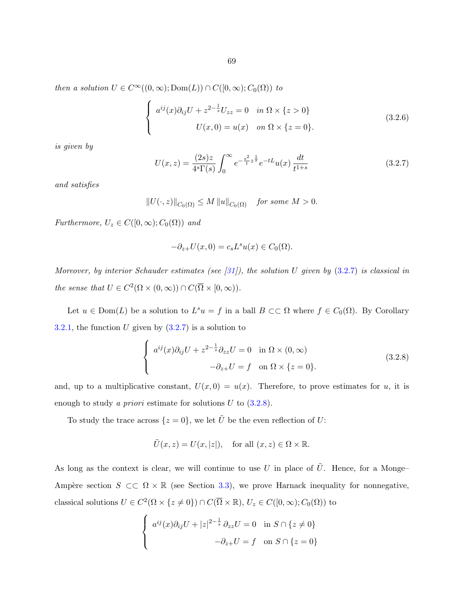then a solution  $U \in C^{\infty}((0,\infty); \text{Dom}(L)) \cap C([0,\infty); C_0(\Omega))$  to

$$
\begin{cases}\n a^{ij}(x)\partial_{ij}U + z^{2-\frac{1}{s}}U_{zz} = 0 & \text{in } \Omega \times \{z > 0\} \\
 U(x,0) = u(x) & \text{on } \Omega \times \{z = 0\}.\n\end{cases}
$$
\n(3.2.6)

is given by

$$
U(x,z) = \frac{(2s)z}{4^s \Gamma(s)} \int_0^\infty e^{-\frac{s^2}{t}z^{\frac{1}{s}}} e^{-tL} u(x) \frac{dt}{t^{1+s}}
$$
(3.2.7)

and satisfies

$$
||U(\cdot,z)||_{C_0(\Omega)} \le M ||u||_{C_0(\Omega)} \quad \text{for some } M > 0.
$$

Furthermore,  $U_z \in C([0,\infty); C_0(\Omega))$  and

$$
-\partial_{z+}U(x,0) = c_s L^s u(x) \in C_0(\Omega).
$$

Moreover, by interior Schauder estimates (see [\[31\]](#page-143-0)), the solution U given by  $(3.2.7)$  is classical in the sense that  $U \in C^2(\Omega \times (0,\infty)) \cap C(\overline{\Omega} \times [0,\infty)).$ 

Let  $u \in \text{Dom}(L)$  be a solution to  $L^s u = f$  in a ball  $B \subset\subset \Omega$  where  $f \in C_0(\Omega)$ . By Corollary [3.2.1,](#page-73-0) the function U given by  $(3.2.7)$  is a solution to

$$
\begin{cases}\n a^{ij}(x)\partial_{ij}U + z^{2-\frac{1}{s}}\partial_{zz}U = 0 & \text{in } \Omega \times (0, \infty) \\
 -\partial_{z+}U = f & \text{on } \Omega \times \{z = 0\}.\n\end{cases}
$$
\n(3.2.8)

and, up to a multiplicative constant,  $U(x, 0) = u(x)$ . Therefore, to prove estimates for u, it is enough to study a *priori* estimate for solutions  $U$  to  $(3.2.8)$ .

To study the trace across  $\{z=0\}$ , we let  $\tilde{U}$  be the even reflection of U:

$$
\tilde{U}(x, z) = U(x, |z|)
$$
, for all  $(x, z) \in \Omega \times \mathbb{R}$ .

As long as the context is clear, we will continue to use U in place of  $\tilde{U}$ . Hence, for a Monge-Ampère section  $S \subset\subset \Omega \times \mathbb{R}$  (see Section [3.3\)](#page-75-0), we prove Harnack inequality for nonnegative, classical solutions  $U \in C^2(\Omega \times \{z \neq 0\}) \cap C(\overline{\Omega} \times \mathbb{R}), U_z \in C([0,\infty); C_0(\Omega))$  to

$$
\begin{cases}\na^{ij}(x)\partial_{ij}U+|z|^{2-\frac{1}{s}}\partial_{zz}U=0 & \text{in } S \cap \{z \neq 0\} \\
-\partial_{z+}U=f & \text{on } S \cap \{z=0\}\n\end{cases}
$$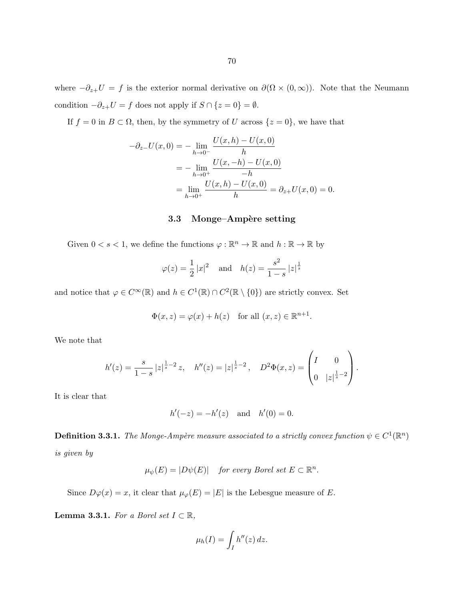<span id="page-75-0"></span>where  $-\partial_{z+}U = f$  is the exterior normal derivative on  $\partial(\Omega \times (0,\infty))$ . Note that the Neumann condition  $-\partial_{z+}U = f$  does not apply if  $S \cap \{z=0\} = \emptyset$ .

If  $f = 0$  in  $B \subset \Omega$ , then, by the symmetry of U across  $\{z = 0\}$ , we have that

$$
-\partial_{z-}U(x,0) = -\lim_{h \to 0^{-}} \frac{U(x,h) - U(x,0)}{h}
$$
  
=  $-\lim_{h \to 0^{+}} \frac{U(x,-h) - U(x,0)}{-h}$   
=  $\lim_{h \to 0^{+}} \frac{U(x,h) - U(x,0)}{h} = \partial_{z+}U(x,0) = 0.$ 

# 3.3 Monge–Ampère setting

Given  $0 < s < 1$ , we define the functions  $\varphi : \mathbb{R}^n \to \mathbb{R}$  and  $h : \mathbb{R} \to \mathbb{R}$  by

$$
\varphi(z) = \frac{1}{2} |x|^2
$$
 and  $h(z) = \frac{s^2}{1-s} |z|^{\frac{1}{s}}$ 

and notice that  $\varphi \in C^{\infty}(\mathbb{R})$  and  $h \in C^{1}(\mathbb{R}) \cap C^{2}(\mathbb{R} \setminus \{0\})$  are strictly convex. Set

$$
\Phi(x, z) = \varphi(x) + h(z) \quad \text{for all } (x, z) \in \mathbb{R}^{n+1}.
$$

We note that

$$
h'(z) = \frac{s}{1-s} |z|^{\frac{1}{s}-2} z, \quad h''(z) = |z|^{\frac{1}{s}-2}, \quad D^2 \Phi(x, z) = \begin{pmatrix} I & 0 \\ 0 & |z|^{\frac{1}{s}-2} \end{pmatrix}.
$$

It is clear that

$$
h'(-z) = -h'(z)
$$
 and  $h'(0) = 0$ .

**Definition 3.3.1.** The Monge-Ampère measure associated to a strictly convex function  $\psi \in C^1(\mathbb{R}^n)$ is given by

$$
\mu_{\psi}(E) = |D\psi(E)| \quad \text{for every Borel set } E \subset \mathbb{R}^n.
$$

Since  $D\varphi(x) = x$ , it clear that  $\mu_{\varphi}(E) = |E|$  is the Lebesgue measure of E.

**Lemma 3.3.1.** For a Borel set  $I \subset \mathbb{R}$ ,

$$
\mu_h(I) = \int_I h''(z) \, dz.
$$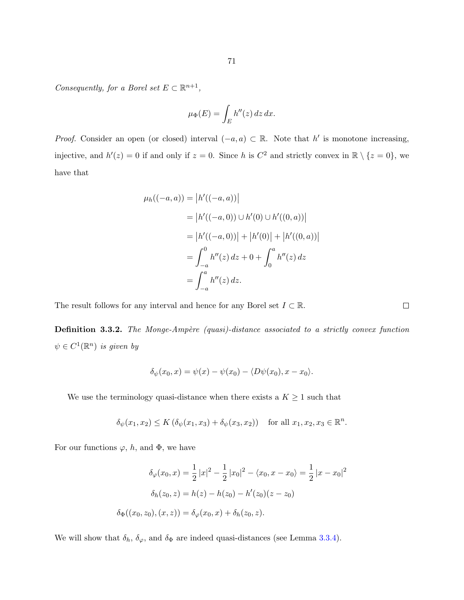Consequently, for a Borel set  $E \subset \mathbb{R}^{n+1}$ ,

$$
\mu_{\Phi}(E) = \int_{E} h''(z) \, dz \, dx.
$$

*Proof.* Consider an open (or closed) interval  $(-a, a) \subset \mathbb{R}$ . Note that h' is monotone increasing, injective, and  $h'(z) = 0$  if and only if  $z = 0$ . Since h is  $C^2$  and strictly convex in  $\mathbb{R} \setminus \{z = 0\}$ , we have that

$$
\mu_h((-a, a)) = |h'((-a, a))|
$$
  
= |h'((-a, 0)) \cup h'(0) \cup h'((0, a))|  
= |h'((-a, 0))| + |h'(0)| + |h'((0, a))|  
=  $\int_{-a}^{0} h''(z) dz + 0 + \int_{0}^{a} h''(z) dz$   
=  $\int_{-a}^{a} h''(z) dz$ .

The result follows for any interval and hence for any Borel set  $I \subset \mathbb{R}$ .

**Definition 3.3.2.** The Monge-Ampère (quasi)-distance associated to a strictly convex function  $\psi \in C^1(\mathbb{R}^n)$  is given by

$$
\delta_{\psi}(x_0,x)=\psi(x)-\psi(x_0)-\langle D\psi(x_0),x-x_0\rangle.
$$

We use the terminology quasi-distance when there exists a  $K \geq 1$  such that

$$
\delta_{\psi}(x_1, x_2) \le K\left(\delta_{\psi}(x_1, x_3) + \delta_{\psi}(x_3, x_2)\right) \quad \text{for all } x_1, x_2, x_3 \in \mathbb{R}^n.
$$

For our functions  $\varphi$ , h, and  $\Phi$ , we have

$$
\delta_{\varphi}(x_0, x) = \frac{1}{2} |x|^2 - \frac{1}{2} |x_0|^2 - \langle x_0, x - x_0 \rangle = \frac{1}{2} |x - x_0|^2
$$

$$
\delta_h(z_0, z) = h(z) - h(z_0) - h'(z_0)(z - z_0)
$$

$$
\delta_{\Phi}((x_0, z_0), (x, z)) = \delta_{\varphi}(x_0, x) + \delta_h(z_0, z).
$$

We will show that  $\delta_h$ ,  $\delta_\varphi$ , and  $\delta_\Phi$  are indeed quasi-distances (see Lemma [3.3.4\)](#page-79-0).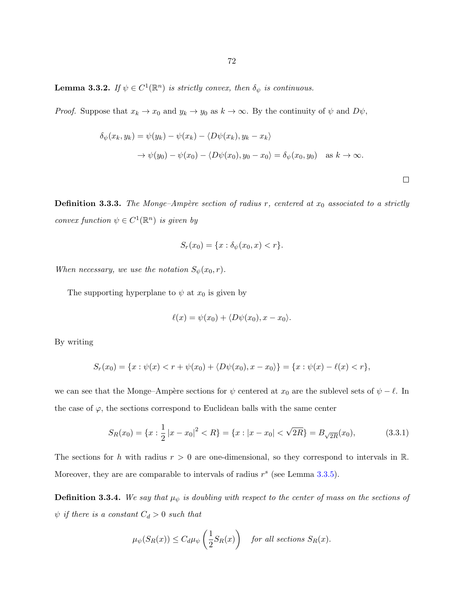<span id="page-77-0"></span>**Lemma 3.3.2.** If  $\psi \in C^1(\mathbb{R}^n)$  is strictly convex, then  $\delta_{\psi}$  is continuous.

*Proof.* Suppose that  $x_k \to x_0$  and  $y_k \to y_0$  as  $k \to \infty$ . By the continuity of  $\psi$  and  $D\psi$ ,

$$
\delta_{\psi}(x_k, y_k) = \psi(y_k) - \psi(x_k) - \langle D\psi(x_k), y_k - x_k \rangle
$$
  
 
$$
\rightarrow \psi(y_0) - \psi(x_0) - \langle D\psi(x_0), y_0 - x_0 \rangle = \delta_{\psi}(x_0, y_0) \text{ as } k \rightarrow \infty.
$$

 $\Box$ 

**Definition 3.3.3.** The Monge–Ampère section of radius r, centered at  $x_0$  associated to a strictly convex function  $\psi \in C^1(\mathbb{R}^n)$  is given by

$$
S_r(x_0) = \{x : \delta_{\psi}(x_0, x) < r\}.
$$

When necessary, we use the notation  $S_{\psi}(x_0, r)$ .

The supporting hyperplane to  $\psi$  at  $x_0$  is given by

$$
\ell(x) = \psi(x_0) + \langle D\psi(x_0), x - x_0 \rangle.
$$

By writing

$$
S_r(x_0) = \{x : \psi(x) < r + \psi(x_0) + \langle D\psi(x_0), x - x_0 \rangle\} = \{x : \psi(x) - \ell(x) < r\},
$$

we can see that the Monge–Ampère sections for  $\psi$  centered at  $x_0$  are the sublevel sets of  $\psi - \ell$ . In the case of  $\varphi$ , the sections correspond to Euclidean balls with the same center

$$
S_R(x_0) = \{x : \frac{1}{2}|x - x_0|^2 < R\} = \{x : |x - x_0| < \sqrt{2R}\} = B_{\sqrt{2R}}(x_0),\tag{3.3.1}
$$

The sections for h with radius  $r > 0$  are one-dimensional, so they correspond to intervals in R. Moreover, they are are comparable to intervals of radius  $r^s$  (see Lemma [3.3.5\)](#page-80-0).

**Definition 3.3.4.** We say that  $\mu_{\psi}$  is doubling with respect to the center of mass on the sections of  $\psi$  if there is a constant  $C_d > 0$  such that

$$
\mu_{\psi}(S_R(x)) \le C_d \mu_{\psi}\left(\frac{1}{2}S_R(x)\right) \quad \text{for all sections } S_R(x).
$$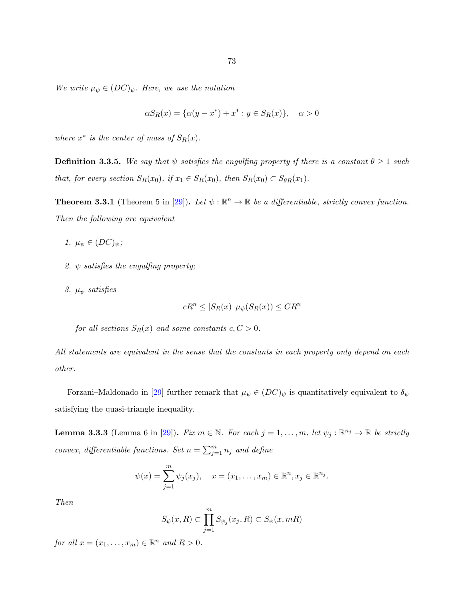<span id="page-78-0"></span>We write  $\mu_{\psi} \in (DC)_{\psi}$ . Here, we use the notation

$$
\alpha S_R(x) = \{ \alpha(y - x^*) + x^* : y \in S_R(x) \}, \quad \alpha > 0
$$

where  $x^*$  is the center of mass of  $S_R(x)$ .

**Definition 3.3.5.** We say that  $\psi$  satisfies the engulfing property if there is a constant  $\theta \geq 1$  such that, for every section  $S_R(x_0)$ , if  $x_1 \in S_R(x_0)$ , then  $S_R(x_0) \subset S_{\theta R}(x_1)$ .

**Theorem 3.3.1** (Theorem 5 in [\[29\]](#page-143-0)). Let  $\psi : \mathbb{R}^n \to \mathbb{R}$  be a differentiable, strictly convex function. Then the following are equivalent

- 1.  $\mu_{\psi} \in (DC)_{\psi};$
- 2.  $\psi$  satisfies the engulfing property;
- 3.  $\mu_{\psi}$  satisfies

$$
cR^{n} \leq |S_{R}(x)| \mu_{\psi}(S_{R}(x)) \leq CR^{n}
$$

for all sections  $S_R(x)$  and some constants  $c, C > 0$ .

All statements are equivalent in the sense that the constants in each property only depend on each other.

Forzani–Maldonado in [\[29\]](#page-143-0) further remark that  $\mu_{\psi} \in (DC)_{\psi}$  is quantitatively equivalent to  $\delta_{\psi}$ satisfying the quasi-triangle inequality.

**Lemma 3.3.3** (Lemma 6 in [\[29\]](#page-143-0)). Fix  $m \in \mathbb{N}$ . For each  $j = 1, ..., m$ , let  $\psi_j : \mathbb{R}^{n_j} \to \mathbb{R}$  be strictly convex, differentiable functions. Set  $n = \sum_{j=1}^{m} n_j$  and define

$$
\psi(x) = \sum_{j=1}^{m} \psi_j(x_j), \quad x = (x_1, ..., x_m) \in \mathbb{R}^n, x_j \in \mathbb{R}^{n_j}.
$$

Then

$$
S_{\psi}(x,R) \subset \prod_{j=1}^{m} S_{\psi_j}(x_j,R) \subset S_{\psi}(x,mR)
$$

for all  $x = (x_1, \ldots, x_m) \in \mathbb{R}^n$  and  $R > 0$ .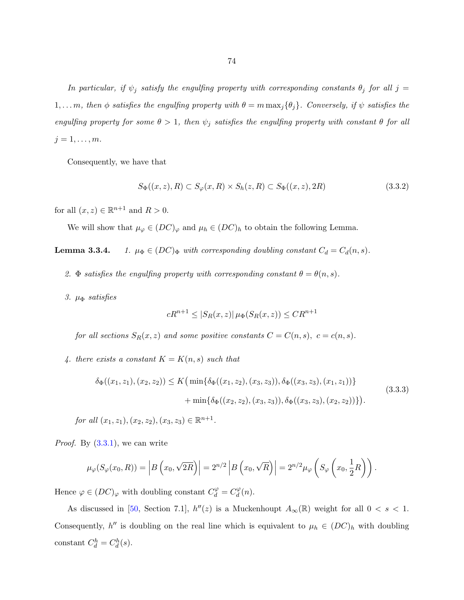<span id="page-79-0"></span>In particular, if  $\psi_j$  satisfy the engulfing property with corresponding constants  $\theta_j$  for all  $j =$  $1, \ldots m$ , then  $\phi$  satisfies the engulfing property with  $\theta = m \max_j {\{\theta_j\}}$ . Conversely, if  $\psi$  satisfies the engulfing property for some  $\theta > 1$ , then  $\psi_j$  satisfies the engulfing property with constant  $\theta$  for all  $j = 1, \ldots, m$ .

Consequently, we have that

$$
S_{\Phi}((x,z),R) \subset S_{\varphi}(x,R) \times S_h(z,R) \subset S_{\Phi}((x,z),2R)
$$
\n(3.3.2)

for all  $(x, z) \in \mathbb{R}^{n+1}$  and  $R > 0$ .

We will show that  $\mu_{\varphi} \in (DC)_{\varphi}$  and  $\mu_h \in (DC)_h$  to obtain the following Lemma.

**Lemma 3.3.4.** 1.  $\mu_{\Phi} \in (DC)_{\Phi}$  with corresponding doubling constant  $C_d = C_d(n, s)$ .

- 2. Φ satisfies the engulfing property with corresponding constant  $\theta = \theta(n, s)$ .
- 3.  $\mu_{\Phi}$  satisfies

$$
cR^{n+1} \le |S_R(x, z)| \mu_{\Phi}(S_R(x, z)) \le CR^{n+1}
$$

for all sections  $S_R(x, z)$  and some positive constants  $C = C(n, s)$ ,  $c = c(n, s)$ .

4. there exists a constant  $K = K(n, s)$  such that

$$
\delta_{\Phi}((x_1, z_1), (x_2, z_2)) \le K \Big( \min \{ \delta_{\Phi}((x_1, z_2), (x_3, z_3)), \delta_{\Phi}((x_3, z_3), (x_1, z_1)) \} + \min \{ \delta_{\Phi}((x_2, z_2), (x_3, z_3)), \delta_{\Phi}((x_3, z_3), (x_2, z_2)) \} \Big). \tag{3.3.3}
$$

for all  $(x_1, z_1), (x_2, z_2), (x_3, z_3) \in \mathbb{R}^{n+1}$ .

*Proof.* By  $(3.3.1)$ , we can write

$$
\mu_{\varphi}(S_{\varphi}(x_0, R)) = |B\left(x_0, \sqrt{2R}\right)| = 2^{n/2} |B\left(x_0, \sqrt{R}\right)| = 2^{n/2} \mu_{\varphi}\left(S_{\varphi}\left(x_0, \frac{1}{2}R\right)\right).
$$

Hence  $\varphi \in (DC)_{\varphi}$  with doubling constant  $C_d^{\varphi} = C_d^{\varphi}$  $\frac{d^{\varphi}}{d}(n).$ 

As discussed in [\[50,](#page-145-0) Section 7.1],  $h''(z)$  is a Muckenhoupt  $A_{\infty}(\mathbb{R})$  weight for all  $0 < s < 1$ . Consequently,  $h''$  is doubling on the real line which is equivalent to  $\mu_h \in (DC)_h$  with doubling constant  $C_d^h = C_d^h(s)$ .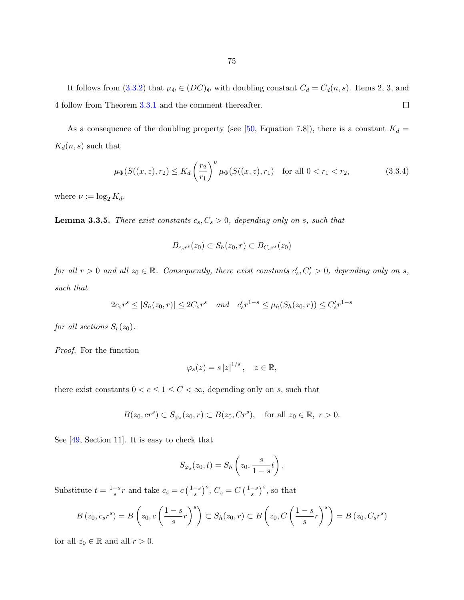<span id="page-80-0"></span>As a consequence of the doubling property (see [\[50,](#page-145-0) Equation 7.8]), there is a constant  $K_d =$  $K_d(n, s)$  such that

$$
\mu_{\Phi}(S((x,z),r_2) \le K_d \left(\frac{r_2}{r_1}\right)^{\nu} \mu_{\Phi}(S((x,z),r_1) \quad \text{for all } 0 < r_1 < r_2,\tag{3.3.4}
$$

where  $\nu := \log_2 K_d$ .

**Lemma 3.3.5.** There exist constants  $c_s, C_s > 0$ , depending only on s, such that

$$
B_{c_s r^s}(z_0) \subset S_h(z_0, r) \subset B_{C_s r^s}(z_0)
$$

for all  $r > 0$  and all  $z_0 \in \mathbb{R}$ . Consequently, there exist constants  $c'_s, C'_s > 0$ , depending only on s, such that

$$
2c_s r^s \le |S_h(z_0, r)| \le 2C_s r^s \quad and \quad c'_s r^{1-s} \le \mu_h(S_h(z_0, r)) \le C'_s r^{1-s}
$$

for all sections  $S_r(z_0)$ .

Proof. For the function

$$
\varphi_s(z) = s |z|^{1/s}, \quad z \in \mathbb{R},
$$

there exist constants  $0 < c \leq 1 \leq C < \infty$ , depending only on  $s,$  such that

$$
B(z_0, cr^s) \subset S_{\varphi_s}(z_0, r) \subset B(z_0, Cr^s), \quad \text{for all } z_0 \in \mathbb{R}, r > 0.
$$

See [\[49,](#page-145-0) Section 11]. It is easy to check that

$$
S_{\varphi_s}(z_0,t)=S_h\left(z_0,\frac{s}{1-s}t\right).
$$

Substitute  $t = \frac{1-s}{s}$  $\frac{-s}{s}r$  and take  $c_s = c\left(\frac{1-s}{s}\right)$  $\left(\frac{-s}{s}\right)^s$ ,  $C_s = C \left(\frac{1-s}{s}\right)$  $\frac{-s}{s}$ , so that

$$
B(z_0, c_s r^s) = B\left(z_0, c\left(\frac{1-s}{s}r\right)^s\right) \subset S_h(z_0, r) \subset B\left(z_0, C\left(\frac{1-s}{s}r\right)^s\right) = B(z_0, C_s r^s)
$$

for all  $z_0 \in \mathbb{R}$  and all  $r > 0$ .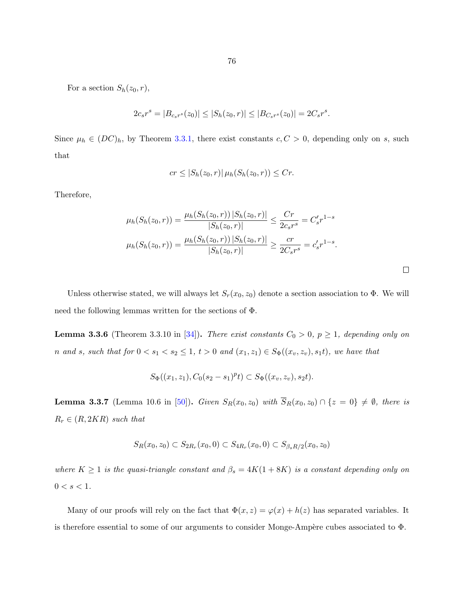76

<span id="page-81-0"></span>For a section  $S_h(z_0, r)$ ,

$$
2c_s r^s = |B_{c_s r^s}(z_0)| \le |S_h(z_0, r)| \le |B_{C_s r^s}(z_0)| = 2C_s r^s.
$$

Since  $\mu_h \in (DC)_h$ , by Theorem [3.3.1,](#page-78-0) there exist constants  $c, C > 0$ , depending only on s, such that

$$
cr \leq |S_h(z_0,r)| \mu_h(S_h(z_0,r)) \leq Cr.
$$

Therefore,

$$
\mu_h(S_h(z_0, r)) = \frac{\mu_h(S_h(z_0, r)) |S_h(z_0, r)|}{|S_h(z_0, r)|} \le \frac{Cr}{2c_s r^s} = C'_s r^{1-s}
$$

$$
\mu_h(S_h(z_0, r)) = \frac{\mu_h(S_h(z_0, r)) |S_h(z_0, r)|}{|S_h(z_0, r)|} \ge \frac{cr}{2C_s r^s} = c'_s r^{1-s}.
$$

Unless otherwise stated, we will always let  $S_r(x_0, z_0)$  denote a section association to  $\Phi$ . We will need the following lemmas written for the sections of Φ.

**Lemma 3.3.6** (Theorem 3.3.10 in [\[34\]](#page-144-0)). There exist constants  $C_0 > 0$ ,  $p \ge 1$ , depending only on n and s, such that for  $0 < s_1 < s_2 \le 1$ ,  $t > 0$  and  $(x_1, z_1) \in S_{\Phi}((x_v, z_v), s_1 t)$ , we have that

$$
S_{\Phi}((x_1, z_1), C_0(s_2 - s_1)^p t) \subset S_{\Phi}((x_v, z_v), s_2 t).
$$

**Lemma 3.3.7** (Lemma 10.6 in [\[50\]](#page-145-0)). Given  $S_R(x_0, z_0)$  with  $\overline{S}_R(x_0, z_0) \cap \{z = 0\} \neq \emptyset$ , there is  $R_r \in (R, 2KR)$  such that

$$
S_R(x_0, z_0) \subset S_{2R_r}(x_0, 0) \subset S_{4R_r}(x_0, 0) \subset S_{\beta_s R/2}(x_0, z_0)
$$

where  $K \geq 1$  is the quasi-triangle constant and  $\beta_s = 4K(1+8K)$  is a constant depending only on  $0 < s < 1$ .

Many of our proofs will rely on the fact that  $\Phi(x, z) = \varphi(x) + h(z)$  has separated variables. It is therefore essential to some of our arguments to consider Monge-Ampère cubes associated to  $\Phi$ .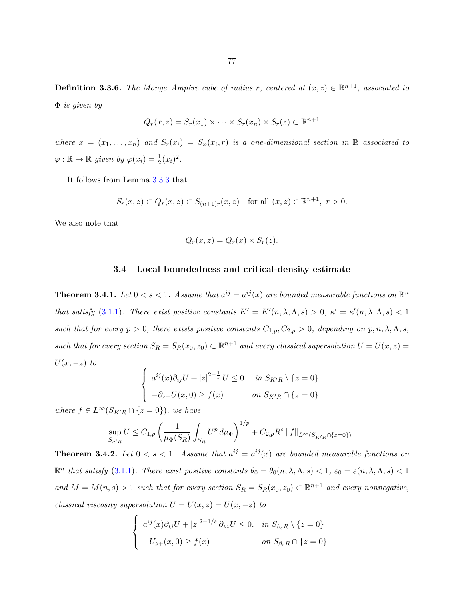<span id="page-82-0"></span>**Definition 3.3.6.** The Monge-Ampère cube of radius r, centered at  $(x, z) \in \mathbb{R}^{n+1}$ , associated to  $\Phi$  is given by

$$
Q_r(x, z) = S_r(x_1) \times \cdots \times S_r(x_n) \times S_r(z) \subset \mathbb{R}^{n+1}
$$

where  $x = (x_1, \ldots, x_n)$  and  $S_r(x_i) = S_\varphi(x_i, r)$  is a one-dimensional section in R associated to  $\varphi : \mathbb{R} \to \mathbb{R}$  given by  $\varphi(x_i) = \frac{1}{2}(x_i)^2$ .

It follows from Lemma [3.3.3](#page-78-0) that

$$
S_r(x, z) \subset Q_r(x, z) \subset S_{(n+1)r}(x, z) \text{ for all } (x, z) \in \mathbb{R}^{n+1}, r > 0.
$$

We also note that

$$
Q_r(x, z) = Q_r(x) \times S_r(z).
$$

## 3.4 Local boundedness and critical-density estimate

**Theorem 3.4.1.** Let  $0 < s < 1$ . Assume that  $a^{ij} = a^{ij}(x)$  are bounded measurable functions on  $\mathbb{R}^n$ that satisfy [\(3.1.1\)](#page-67-0). There exist positive constants  $K' = K'(n, \lambda, \Lambda, s) > 0$ ,  $\kappa' = \kappa'(n, \lambda, \Lambda, s) < 1$ such that for every  $p > 0$ , there exists positive constants  $C_{1,p}, C_{2,p} > 0$ , depending on  $p, n, \lambda, \Lambda, s$ , such that for every section  $S_R = S_R(x_0, z_0) \subset \mathbb{R}^{n+1}$  and every classical supersolution  $U = U(x, z) =$  $U(x, -z)$  to

$$
\begin{cases}\n a^{ij}(x)\partial_{ij}U + |z|^{2-\frac{1}{s}}U \le 0 & \text{in } S_{K'R} \setminus \{z = 0\} \\
 -\partial_{z+}U(x,0) \ge f(x) & \text{on } S_{K'R} \cap \{z = 0\}\n\end{cases}
$$

where  $f \in L^{\infty}(S_{K'R} \cap \{z=0\})$ , we have

$$
\sup_{S_{\kappa'R}} U \le C_{1,p} \left( \frac{1}{\mu_{\Phi}(S_R)} \int_{S_R} U^p \, d\mu_{\Phi} \right)^{1/p} + C_{2,p} R^s \, \|f\|_{L^{\infty}(S_{K'R} \cap \{z=0\})}
$$

.

**Theorem 3.4.2.** Let  $0 < s < 1$ . Assume that  $a^{ij} = a^{ij}(x)$  are bounded measurable functions on  $\mathbb{R}^n$  that satisfy [\(3.1.1\)](#page-67-0). There exist positive constants  $\theta_0 = \theta_0(n, \lambda, \Lambda, s) < 1$ ,  $\varepsilon_0 = \varepsilon(n, \lambda, \Lambda, s) < 1$ and  $M = M(n, s) > 1$  such that for every section  $S_R = S_R(x_0, z_0) \subset \mathbb{R}^{n+1}$  and every nonnegative, classical viscosity supersolution  $U = U(x, z) = U(x, -z)$  to

$$
\begin{cases}\n a^{ij}(x)\partial_{ij}U + |z|^{2-1/s}\partial_{zz}U \le 0, & \text{in } S_{\beta_s R} \setminus \{z = 0\} \\
 -U_{z+}(x,0) \ge f(x) & \text{on } S_{\beta_s R} \cap \{z = 0\}\n\end{cases}
$$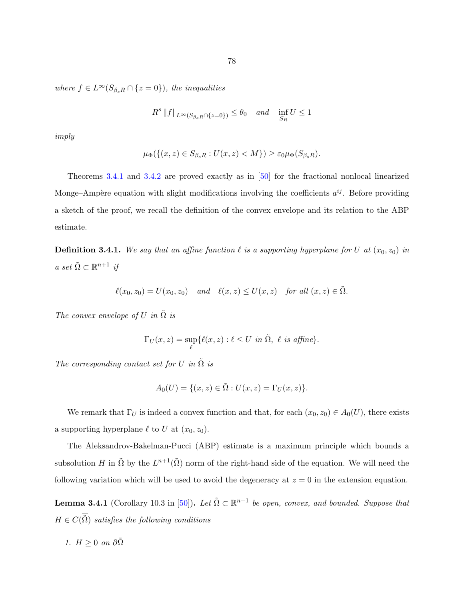<span id="page-83-0"></span>where  $f \in L^{\infty}(S_{\beta_{s}R} \cap \{z=0\})$ , the inequalities

$$
R^s \|f\|_{L^{\infty}(S_{\beta_s R} \cap \{z=0\})} \leq \theta_0 \quad and \quad \inf_{S_R} U \leq 1
$$

imply

$$
\mu_{\Phi}(\{(x,z)\in S_{\beta_{s}R}:U(x,z)
$$

Theorems [3.4.1](#page-82-0) and [3.4.2](#page-82-0) are proved exactly as in [\[50\]](#page-145-0) for the fractional nonlocal linearized Monge–Ampère equation with slight modifications involving the coefficients  $a^{ij}$ . Before providing a sketch of the proof, we recall the definition of the convex envelope and its relation to the ABP estimate.

**Definition 3.4.1.** We say that an affine function  $\ell$  is a supporting hyperplane for U at  $(x_0, z_0)$  in  $a \ set \ \tilde{\Omega} \subset \mathbb{R}^{n+1}$  if

$$
\ell(x_0, z_0) = U(x_0, z_0) \quad and \quad \ell(x, z) \le U(x, z) \quad \text{for all } (x, z) \in \tilde{\Omega}.
$$

The convex envelope of U in  $\tilde{\Omega}$  is

$$
\Gamma_U(x, z) = \sup_{\ell} \{ \ell(x, z) : \ell \leq U \text{ in } \tilde{\Omega}, \ell \text{ is affine} \}.
$$

The corresponding contact set for U in  $\tilde{\Omega}$  is

$$
A_0(U) = \{ (x, z) \in \tilde{\Omega} : U(x, z) = \Gamma_U(x, z) \}.
$$

We remark that  $\Gamma_U$  is indeed a convex function and that, for each  $(x_0, z_0) \in A_0(U)$ , there exists a supporting hyperplane  $\ell$  to U at  $(x_0, z_0)$ .

The Aleksandrov-Bakelman-Pucci (ABP) estimate is a maximum principle which bounds a subsolution H in  $\tilde{\Omega}$  by the  $L^{n+1}(\tilde{\Omega})$  norm of the right-hand side of the equation. We will need the following variation which will be used to avoid the degeneracy at  $z = 0$  in the extension equation.

**Lemma 3.4.1** (Corollary 10.3 in [\[50\]](#page-145-0)). Let  $\tilde{\Omega} \subset \mathbb{R}^{n+1}$  be open, convex, and bounded. Suppose that  $H \in C(\overline{\tilde{\Omega}})$  satisfies the following conditions

1. 
$$
H \geq 0
$$
 on  $\partial \tilde{\Omega}$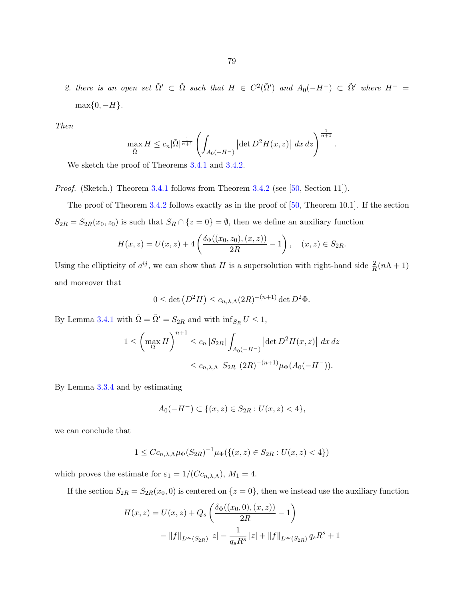2. there is an open set  $\tilde{\Omega}' \subset \tilde{\Omega}$  such that  $H \in C^2(\tilde{\Omega}')$  and  $A_0(-H^-) \subset \tilde{\Omega}'$  where  $H^ \max\{0, -H\}.$ 

Then

$$
\max_{\tilde{\Omega}} H \leq c_n |\tilde{\Omega}|^{\frac{1}{n+1}} \left( \int_{A_0(-H^-)} |\det D^2 H(x,z)| dx dz \right)^{\frac{1}{n+1}}.
$$

We sketch the proof of Theorems [3.4.1](#page-82-0) and [3.4.2.](#page-82-0)

Proof. (Sketch.) Theorem [3.4.1](#page-82-0) follows from Theorem [3.4.2](#page-82-0) (see [\[50,](#page-145-0) Section 11]).

The proof of Theorem [3.4.2](#page-82-0) follows exactly as in the proof of [\[50,](#page-145-0) Theorem 10.1]. If the section  $S_{2R} = S_{2R}(x_0, z_0)$  is such that  $S_R \cap \{z = 0\} = \emptyset$ , then we define an auxiliary function

$$
H(x, z) = U(x, z) + 4\left(\frac{\delta_{\Phi}((x_0, z_0), (x, z))}{2R} - 1\right), \quad (x, z) \in S_{2R}.
$$

Using the ellipticity of  $a^{ij}$ , we can show that H is a supersolution with right-hand side  $\frac{2}{R}(n\Lambda + 1)$ and moreover that

$$
0 \le \det (D^2 H) \le c_{n,\lambda,\Lambda}(2R)^{-(n+1)} \det D^2 \Phi.
$$

By Lemma [3.4.1](#page-83-0) with  $\tilde{\Omega} = \tilde{\Omega}' = S_{2R}$  and with  $\inf_{S_R} U \leq 1$ ,

$$
1 \leq \left(\max_{\Omega} H\right)^{n+1} \leq c_n |S_{2R}| \int_{A_0(-H^-)} |\det D^2 H(x, z)| dx dz
$$
  

$$
\leq c_{n, \lambda, \Lambda} |S_{2R}| (2R)^{-(n+1)} \mu_{\Phi}(A_0(-H^-)).
$$

By Lemma [3.3.4](#page-79-0) and by estimating

$$
A_0(-H^-) \subset \{(x, z) \in S_{2R} : U(x, z) < 4\},\
$$

we can conclude that

$$
1 \le C c_{n,\lambda,\Lambda} \mu_{\Phi}(S_{2R})^{-1} \mu_{\Phi}(\{(x,z) \in S_{2R} : U(x,z) < 4\})
$$

which proves the estimate for  $\varepsilon_1 = 1/(Cc_{n,\lambda,\Lambda})$ ,  $M_1 = 4$ .

If the section  $S_{2R} = S_{2R}(x_0, 0)$  is centered on  $\{z = 0\}$ , then we instead use the auxiliary function

$$
H(x, z) = U(x, z) + Q_s \left( \frac{\delta_{\Phi}((x_0, 0), (x, z))}{2R} - 1 \right)
$$

$$
- ||f||_{L^{\infty}(S_{2R})} |z| - \frac{1}{q_s R^s} |z| + ||f||_{L^{\infty}(S_{2R})} q_s R^s + 1
$$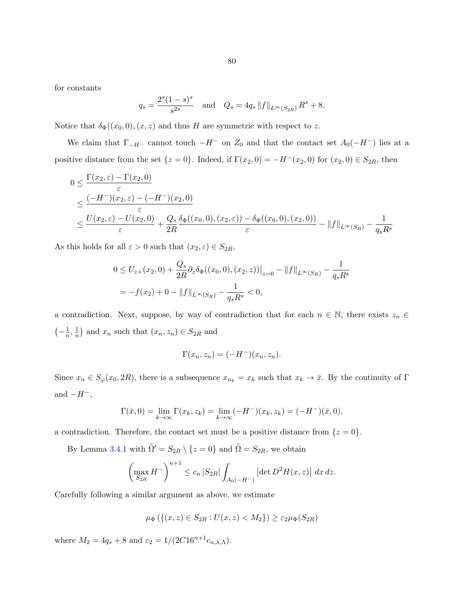for constants

$$
q_s = \frac{2^s (1 - s)^s}{s^{2s}}
$$
 and  $Q_s = 4q_s ||f||_{L^{\infty}(S_{2R})} R^s + 8.$ 

Notice that  $\delta_{\Phi}((x_0,0),(x,z))$  and thus H are symmetric with respect to z.

We claim that  $\Gamma_{-H^-}$  cannot touch  $-H^-$  on  $Z_0$  and that the contact set  $A_0(-H^-)$  lies at a positive distance from the set  $\{z = 0\}$ . Indeed, if  $\Gamma(x_2, 0) = -H^-(x_2, 0)$  for  $(x_2, 0) \in S_{2R}$ , then

$$
0 \leq \frac{\Gamma(x_2, \varepsilon) - \Gamma(x_2, 0)}{\varepsilon}
$$
  
 
$$
\leq \frac{(-H^{-})(x_2, \varepsilon) - (-H^{-})(x_2, 0)}{\varepsilon}
$$
  
 
$$
\leq \frac{U(x_2, \varepsilon) - U(x_2, 0)}{\varepsilon} + \frac{Q_s}{2R} \frac{\delta_{\Phi}((x_0, 0), (x_2, \varepsilon)) - \delta_{\Phi}((x_0, 0), (x_2, 0))}{\varepsilon} - ||f||_{L^{\infty}(S_R)} - \frac{1}{q_s R^s}
$$

As this holds for all  $\varepsilon > 0$  such that  $(x_2, \varepsilon) \in S_{2R}$ ,

$$
0 \le U_{z+}(x_2, 0) + \frac{Q_s}{2R} \partial_z \delta_{\Phi}((x_0, 0), (x_2, z))\big|_{z=0} - \|f\|_{L^{\infty}(S_R)} - \frac{1}{q_s R^s}
$$
  
=  $-f(x_2) + 0 - \|f\|_{L^{\infty}(S_R)} - \frac{1}{q_s R^s} < 0,$ 

a contradiction. Next, suppose, by way of contradiction that for each  $n \in \mathbb{N}$ , there exists  $z_n \in$  $\left(-\frac{1}{n}\right)$  $\frac{1}{n}, \frac{1}{n}$  $\frac{1}{n}$  and  $x_n$  such that  $(x_n, z_n) \in S_{2R}$  and

$$
\Gamma(x_n, z_n) = (-H^{-})(x_n, z_n).
$$

Since  $x_n \in S_\varphi(x_0, 2R)$ , there is a subsequence  $x_{n_k} = x_k$  such that  $x_k \to \bar{x}$ . By the continuity of Γ and  $-H^-$ ,

$$
\Gamma(\bar{x},0) = \lim_{k \to \infty} \Gamma(x_k, z_k) = \lim_{k \to \infty} (-H^{-})(x_k, z_k) = (-H^{-})(\bar{x}, 0),
$$

a contradiction. Therefore, the contact set must be a positive distance from  $\{z=0\}$ .

By Lemma [3.4.1](#page-83-0) with  $\tilde{\Omega}' = S_{2R} \setminus \{z = 0\}$  and  $\tilde{\Omega} = S_{2R}$ , we obtain

$$
\left(\max_{S_{2R}} H^{-}\right)^{n+1} \le c_n |S_{2R}| \int_{A_0(-H^-)} |\det D^2 H(x,z)| \, dx \, dz.
$$

Carefully following a similar argument as above, we estimate

$$
\mu_{\Phi}\left(\left\{(x,z)\in S_{2R}:U(x,z)
$$

where  $M_2 = 4q_s + 8$  and  $\varepsilon_2 = 1/(2C16^{n+1}c_{n,\lambda,\Lambda}).$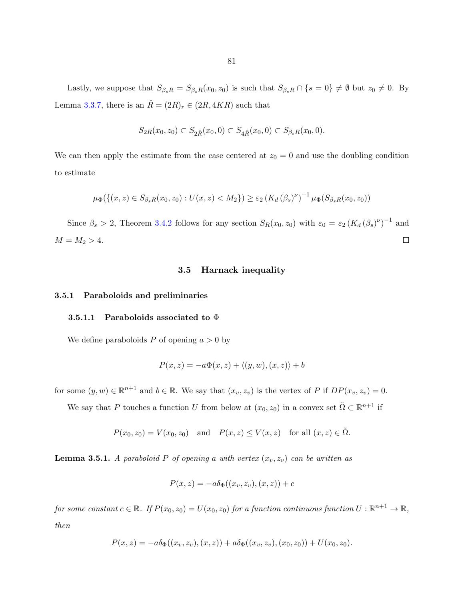Lastly, we suppose that  $S_{\beta_s R} = S_{\beta_s R}(x_0, z_0)$  is such that  $S_{\beta_s R} \cap \{s = 0\} \neq \emptyset$  but  $z_0 \neq 0$ . By Lemma [3.3.7,](#page-81-0) there is an  $\hat{R} = (2R)_r \in (2R, 4KR)$  such that

$$
S_{2R}(x_0, z_0) \subset S_{2\hat{R}}(x_0, 0) \subset S_{4\hat{R}}(x_0, 0) \subset S_{\beta_s R}(x_0, 0).
$$

We can then apply the estimate from the case centered at  $z_0 = 0$  and use the doubling condition to estimate

$$
\mu_{\Phi}(\{(x, z) \in S_{\beta_{s}R}(x_0, z_0) : U(x, z) < M_2\}) \geq \varepsilon_2 \left(K_d \left(\beta_s\right)^{\nu}\right)^{-1} \mu_{\Phi}(S_{\beta_{s}R}(x_0, z_0))
$$

Since  $\beta_s > 2$ , Theorem [3.4.2](#page-82-0) follows for any section  $S_R(x_0, z_0)$  with  $\varepsilon_0 = \varepsilon_2 (K_d (\beta_s)^{\nu})^{-1}$  and  $M = M_2 > 4.$  $\Box$ 

## 3.5 Harnack inequality

# 3.5.1 Paraboloids and preliminaries

#### 3.5.1.1 Paraboloids associated to  $\Phi$

We define paraboloids P of opening  $a > 0$  by

$$
P(x, z) = -a\Phi(x, z) + \langle (y, w), (x, z) \rangle + b
$$

for some  $(y, w) \in \mathbb{R}^{n+1}$  and  $b \in \mathbb{R}$ . We say that  $(x_v, z_v)$  is the vertex of P if  $DP(x_v, z_v) = 0$ .

We say that P touches a function U from below at  $(x_0, z_0)$  in a convex set  $\tilde{\Omega} \subset \mathbb{R}^{n+1}$  if

$$
P(x_0, z_0) = V(x_0, z_0)
$$
 and  $P(x, z) \le V(x, z)$  for all  $(x, z) \in \tilde{\Omega}$ .

**Lemma 3.5.1.** A paraboloid P of opening a with vertex  $(x_v, z_v)$  can be written as

$$
P(x, z) = -a\delta_{\Phi}((x_v, z_v), (x, z)) + c
$$

for some constant  $c \in \mathbb{R}$ . If  $P(x_0, z_0) = U(x_0, z_0)$  for a function continuous function  $U : \mathbb{R}^{n+1} \to \mathbb{R}$ , then

$$
P(x, z) = -a\delta_{\Phi}((x_v, z_v), (x, z)) + a\delta_{\Phi}((x_v, z_v), (x_0, z_0)) + U(x_0, z_0).
$$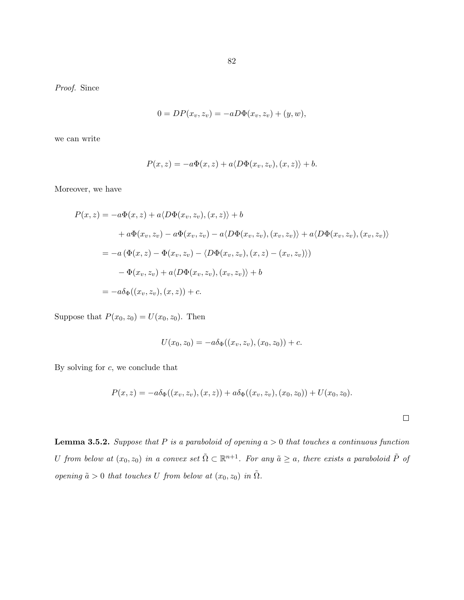Proof. Since

$$
0 = DP(x_v, z_v) = -aD\Phi(x_v, z_v) + (y, w),
$$

we can write

$$
P(x, z) = -a\Phi(x, z) + a\langle D\Phi(x_v, z_v), (x, z)\rangle + b.
$$

Moreover, we have

$$
P(x, z) = -a\Phi(x, z) + a\langle D\Phi(x_v, z_v), (x, z)\rangle + b
$$
  
+  $a\Phi(x_v, z_v) - a\Phi(x_v, z_v) - a\langle D\Phi(x_v, z_v), (x_v, z_v)\rangle + a\langle D\Phi(x_v, z_v), (x_v, z_v)\rangle$   
=  $-a(\Phi(x, z) - \Phi(x_v, z_v) - \langle D\Phi(x_v, z_v), (x, z) - (x_v, z_v)\rangle)$   
-  $\Phi(x_v, z_v) + a\langle D\Phi(x_v, z_v), (x_v, z_v)\rangle + b$   
=  $-a\delta_{\Phi}((x_v, z_v), (x, z)) + c$ .

Suppose that  $P(x_0, z_0) = U(x_0, z_0)$ . Then

$$
U(x_0, z_0) = -a\delta_{\Phi}((x_v, z_v), (x_0, z_0)) + c.
$$

By solving for  $c$ , we conclude that

$$
P(x, z) = -a\delta_{\Phi}((x_v, z_v), (x, z)) + a\delta_{\Phi}((x_v, z_v), (x_0, z_0)) + U(x_0, z_0).
$$

 $\Box$ 

**Lemma 3.5.2.** Suppose that P is a paraboloid of opening  $a > 0$  that touches a continuous function U from below at  $(x_0, z_0)$  in a convex set  $\tilde{\Omega} \subset \mathbb{R}^{n+1}$ . For any  $\tilde{a} \geq a$ , there exists a paraboloid  $\tilde{P}$  of opening  $\tilde{a} > 0$  that touches U from below at  $(x_0, z_0)$  in  $\tilde{\Omega}$ .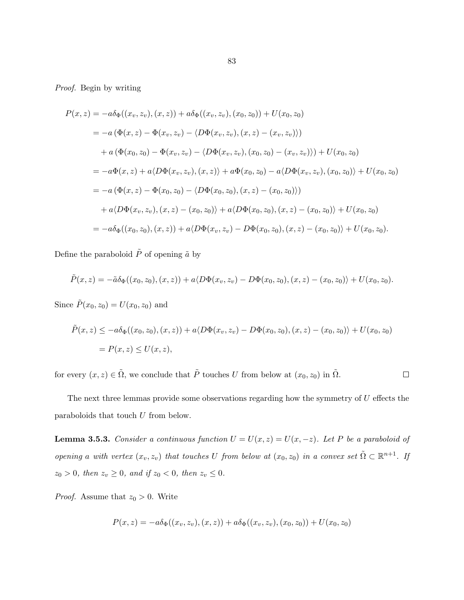Proof. Begin by writing

$$
P(x, z) = -a\delta_{\Phi}((x_v, z_v), (x, z)) + a\delta_{\Phi}((x_v, z_v), (x_0, z_0)) + U(x_0, z_0)
$$
  
\n
$$
= -a(\Phi(x, z) - \Phi(x_v, z_v) - \langle D\Phi(x_v, z_v), (x, z) - (x_v, z_v) \rangle)
$$
  
\n
$$
+ a(\Phi(x_0, z_0) - \Phi(x_v, z_v) - \langle D\Phi(x_v, z_v), (x_0, z_0) - (x_v, z_v) \rangle) + U(x_0, z_0)
$$
  
\n
$$
= -a\Phi(x, z) + a\langle D\Phi(x_v, z_v), (x, z) \rangle + a\Phi(x_0, z_0) - a\langle D\Phi(x_v, z_v), (x_0, z_0) \rangle + U(x_0, z_0)
$$
  
\n
$$
= -a(\Phi(x, z) - \Phi(x_0, z_0) - \langle D\Phi(x_0, z_0), (x, z) - (x_0, z_0) \rangle)
$$
  
\n
$$
+ a\langle D\Phi(x_v, z_v), (x, z) - (x_0, z_0) \rangle + a\langle D\Phi(x_0, z_0), (x, z) - (x_0, z_0) \rangle + U(x_0, z_0)
$$
  
\n
$$
= -a\delta_{\Phi}((x_0, z_0), (x, z)) + a\langle D\Phi(x_v, z_v) - D\Phi(x_0, z_0), (x, z) - (x_0, z_0) \rangle + U(x_0, z_0).
$$

Define the paraboloid  $\tilde{P}$  of opening  $\tilde{a}$  by

$$
\tilde{P}(x,z) = -\tilde{a}\delta_{\Phi}((x_0,z_0), (x,z)) + a\langle D\Phi(x_v,z_v) - D\Phi(x_0,z_0), (x,z) - (x_0,z_0) \rangle + U(x_0,z_0).
$$

Since  $\tilde{P}(x_0, z_0) = U(x_0, z_0)$  and

$$
\tilde{P}(x, z) \le -a\delta_{\Phi}((x_0, z_0), (x, z)) + a\langle D\Phi(x_v, z_v) - D\Phi(x_0, z_0), (x, z) - (x_0, z_0) \rangle + U(x_0, z_0)
$$
  
=  $P(x, z) \le U(x, z),$ 

for every  $(x, z) \in \tilde{\Omega}$ , we conclude that  $\tilde{P}$  touches U from below at  $(x_0, z_0)$  in  $\tilde{\Omega}$ .  $\Box$ 

The next three lemmas provide some observations regarding how the symmetry of  $U$  effects the paraboloids that touch U from below.

**Lemma 3.5.3.** Consider a continuous function  $U = U(x, z) = U(x, -z)$ . Let P be a paraboloid of opening a with vertex  $(x_v, z_v)$  that touches U from below at  $(x_0, z_0)$  in a convex set  $\tilde{\Omega} \subset \mathbb{R}^{n+1}$ . If  $z_0 > 0$ , then  $z_v \ge 0$ , and if  $z_0 < 0$ , then  $z_v \le 0$ .

*Proof.* Assume that  $z_0 > 0$ . Write

$$
P(x, z) = -a\delta_{\Phi}((x_v, z_v), (x, z)) + a\delta_{\Phi}((x_v, z_v), (x_0, z_0)) + U(x_0, z_0)
$$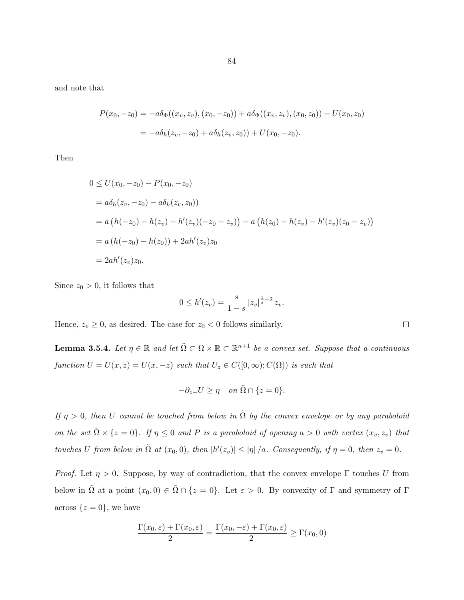<span id="page-89-0"></span>and note that

$$
P(x_0, -z_0) = -a\delta_{\Phi}((x_v, z_v), (x_0, -z_0)) + a\delta_{\Phi}((x_v, z_v), (x_0, z_0)) + U(x_0, z_0)
$$
  
= 
$$
-a\delta_h(z_v, -z_0) + a\delta_h(z_v, z_0)) + U(x_0, -z_0).
$$

Then

$$
0 \le U(x_0, -z_0) - P(x_0, -z_0)
$$
  
=  $a\delta_h(z_v, -z_0) - a\delta_h(z_v, z_0)$   
=  $a (h(-z_0) - h(z_v) - h'(z_v)(-z_0 - z_v)) - a (h(z_0) - h'(z_v)(z_0 - z_v))$   
=  $a (h(-z_0) - h(z_0)) + 2ah'(z_v)z_0$   
=  $2ah'(z_v)z_0$ .

Since  $z_0 > 0$ , it follows that

$$
0 \le h'(z_v) = \frac{s}{1-s} \left| z_v \right|^{\frac{1}{s}-2} z_v.
$$

Hence,  $z_v \geq 0$ , as desired. The case for  $z_0 < 0$  follows similarly.

**Lemma 3.5.4.** Let  $\eta \in \mathbb{R}$  and let  $\tilde{\Omega} \subset \Omega \times \mathbb{R} \subset \mathbb{R}^{n+1}$  be a convex set. Suppose that a continuous function  $U = U(x, z) = U(x, -z)$  such that  $U_z \in C([0, \infty); C(\Omega))$  is such that

$$
-\partial_{z+}U \ge \eta \quad on \ \tilde{\Omega} \cap \{z=0\}.
$$

If  $\eta > 0$ , then U cannot be touched from below in  $\tilde{\Omega}$  by the convex envelope or by any paraboloid on the set  $\tilde{\Omega} \times \{z=0\}$ . If  $\eta \leq 0$  and P is a paraboloid of opening  $a > 0$  with vertex  $(x_v, z_v)$  that touches U from below in  $\tilde{\Omega}$  at  $(x_0,0)$ , then  $|h'(z_v)| \leq |\eta|/a$ . Consequently, if  $\eta = 0$ , then  $z_v = 0$ .

*Proof.* Let  $\eta > 0$ . Suppose, by way of contradiction, that the convex envelope  $\Gamma$  touches U from below in  $\tilde{\Omega}$  at a point  $(x_0, 0) \in \tilde{\Omega} \cap \{z = 0\}$ . Let  $\varepsilon > 0$ . By convexity of  $\Gamma$  and symmetry of  $\Gamma$ across  $\{z=0\}$ , we have

$$
\frac{\Gamma(x_0,\varepsilon) + \Gamma(x_0,\varepsilon)}{2} = \frac{\Gamma(x_0,-\varepsilon) + \Gamma(x_0,\varepsilon)}{2} \ge \Gamma(x_0,0)
$$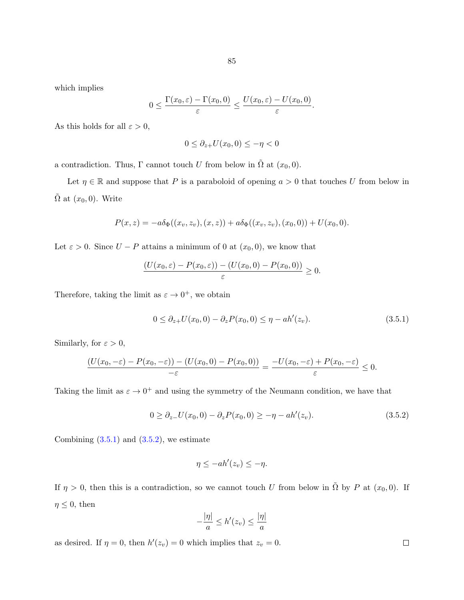which implies

$$
0 \leq \frac{\Gamma(x_0, \varepsilon) - \Gamma(x_0, 0)}{\varepsilon} \leq \frac{U(x_0, \varepsilon) - U(x_0, 0)}{\varepsilon}.
$$

As this holds for all  $\varepsilon > 0$ ,

$$
0 \leq \partial_{z+} U(x_0, 0) \leq -\eta < 0
$$

a contradiction. Thus, Γ cannot touch U from below in  $\tilde{\Omega}$  at  $(x_0, 0)$ .

Let  $\eta \in \mathbb{R}$  and suppose that P is a paraboloid of opening  $a > 0$  that touches U from below in  $\tilde{\Omega}$  at  $(x_0, 0)$ . Write

$$
P(x, z) = -a\delta_{\Phi}((x_v, z_v), (x, z)) + a\delta_{\Phi}((x_v, z_v), (x_0, 0)) + U(x_0, 0).
$$

Let  $\varepsilon > 0$ . Since  $U - P$  attains a minimum of 0 at  $(x_0, 0)$ , we know that

$$
\frac{(U(x_0,\varepsilon)-P(x_0,\varepsilon))-(U(x_0,0)-P(x_0,0))}{\varepsilon}\geq 0.
$$

Therefore, taking the limit as  $\varepsilon \to 0^+$ , we obtain

$$
0 \le \partial_{z+} U(x_0, 0) - \partial_z P(x_0, 0) \le \eta - ah'(z_v). \tag{3.5.1}
$$

Similarly, for  $\varepsilon > 0$ ,

$$
\frac{(U(x_0,-\varepsilon)-P(x_0,-\varepsilon))-(U(x_0,0)-P(x_0,0))}{-\varepsilon}=\frac{-U(x_0,-\varepsilon)+P(x_0,-\varepsilon)}{\varepsilon}\leq 0.
$$

Taking the limit as  $\varepsilon \to 0^+$  and using the symmetry of the Neumann condition, we have that

$$
0 \ge \partial_{z-} U(x_0, 0) - \partial_{z} P(x_0, 0) \ge -\eta - ah'(z_v). \tag{3.5.2}
$$

Combining  $(3.5.1)$  and  $(3.5.2)$ , we estimate

$$
\eta \le -ah'(z_v) \le -\eta.
$$

If  $\eta > 0$ , then this is a contradiction, so we cannot touch U from below in  $\tilde{\Omega}$  by P at  $(x_0, 0)$ . If  $\eta \leq 0$ , then

$$
-\frac{|\eta|}{a} \le h'(z_v) \le \frac{|\eta|}{a}
$$

as desired. If  $\eta = 0$ , then  $h'(z_v) = 0$  which implies that  $z_v = 0$ .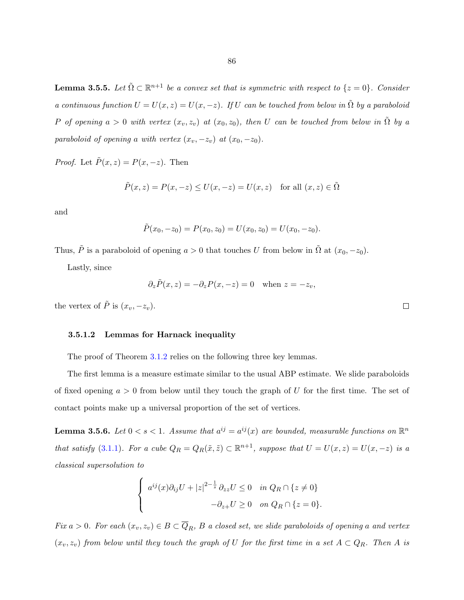<span id="page-91-0"></span>**Lemma 3.5.5.** Let  $\tilde{\Omega} \subset \mathbb{R}^{n+1}$  be a convex set that is symmetric with respect to  $\{z=0\}$ . Consider a continuous function  $U = U(x, z) = U(x, -z)$ . If U can be touched from below in  $\tilde{\Omega}$  by a paraboloid P of opening  $a > 0$  with vertex  $(x_v, z_v)$  at  $(x_0, z_0)$ , then U can be touched from below in  $\tilde{\Omega}$  by a paraboloid of opening a with vertex  $(x_v, -z_v)$  at  $(x_0, -z_0)$ .

*Proof.* Let  $\tilde{P}(x, z) = P(x, -z)$ . Then

$$
\tilde{P}(x, z) = P(x, -z) \le U(x, -z) = U(x, z) \quad \text{for all } (x, z) \in \tilde{\Omega}
$$

and

$$
\tilde{P}(x_0, -z_0) = P(x_0, z_0) = U(x_0, z_0) = U(x_0, -z_0).
$$

Thus,  $\tilde{P}$  is a paraboloid of opening  $a > 0$  that touches U from below in  $\tilde{\Omega}$  at  $(x_0, -z_0)$ .

Lastly, since

$$
\partial_z \tilde{P}(x, z) = -\partial_z P(x, -z) = 0
$$
 when  $z = -z_v$ ,

the vertex of  $\tilde{P}$  is  $(x_v, -z_v)$ .

# 3.5.1.2 Lemmas for Harnack inequality

The proof of Theorem [3.1.2](#page-68-0) relies on the following three key lemmas.

The first lemma is a measure estimate similar to the usual ABP estimate. We slide paraboloids of fixed opening  $a > 0$  from below until they touch the graph of U for the first time. The set of contact points make up a universal proportion of the set of vertices.

**Lemma 3.5.6.** Let  $0 < s < 1$ . Assume that  $a^{ij} = a^{ij}(x)$  are bounded, measurable functions on  $\mathbb{R}^n$ that satisfy [\(3.1.1\)](#page-67-0). For a cube  $Q_R = Q_R(\tilde{x}, \tilde{z}) \subset \mathbb{R}^{n+1}$ , suppose that  $U = U(x, z) = U(x, -z)$  is a classical supersolution to

$$
\begin{cases}\n a^{ij}(x)\partial_{ij}U + |z|^{2-\frac{1}{s}}\partial_{zz}U \le 0 & \text{in } Q_R \cap \{z \ne 0\} \\
 -\partial_{z+}U \ge 0 & \text{on } Q_R \cap \{z = 0\}.\n\end{cases}
$$

Fix  $a > 0$ . For each  $(x_v, z_v) \in B \subset \overline{Q}_R$ , B a closed set, we slide paraboloids of opening a and vertex  $(x_v, z_v)$  from below until they touch the graph of U for the first time in a set  $A \subset Q_R$ . Then A is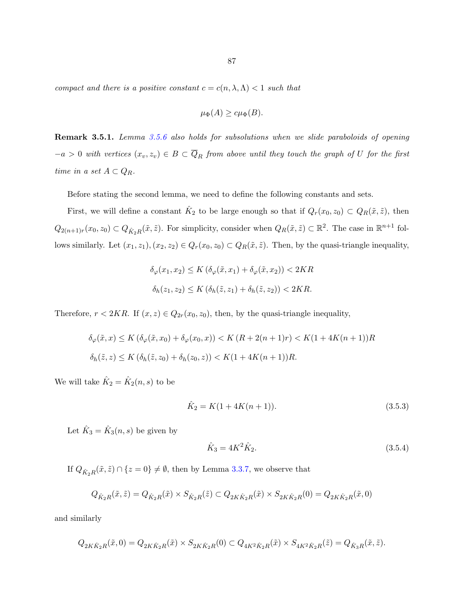<span id="page-92-0"></span>compact and there is a positive constant  $c = c(n, \lambda, \Lambda) < 1$  such that

$$
\mu_{\Phi}(A) \geq c\mu_{\Phi}(B).
$$

Remark 3.5.1. Lemma [3.5.6](#page-91-0) also holds for subsolutions when we slide paraboloids of opening  $-a > 0$  with vertices  $(x_v, z_v) \in B \subset \overline{Q}_R$  from above until they touch the graph of U for the first time in a set  $A \subset Q_R$ .

Before stating the second lemma, we need to define the following constants and sets.

First, we will define a constant  $\hat{K}_2$  to be large enough so that if  $Q_r(x_0, z_0) \subset Q_R(\tilde{x}, \tilde{z})$ , then  $Q_{2(n+1)r}(x_0, z_0) \subset Q_{\hat{K}_2R}(\tilde{x}, \tilde{z})$ . For simplicity, consider when  $Q_R(\tilde{x}, \tilde{z}) \subset \mathbb{R}^2$ . The case in  $\mathbb{R}^{n+1}$  follows similarly. Let  $(x_1, z_1), (x_2, z_2) \in Q_r(x_0, z_0) \subset Q_R(\tilde{x}, \tilde{z})$ . Then, by the quasi-triangle inequality,

$$
\delta_{\varphi}(x_1, x_2) \le K \left( \delta_{\varphi}(\tilde{x}, x_1) + \delta_{\varphi}(\tilde{x}, x_2) \right) < 2KR
$$
\n
$$
\delta_h(z_1, z_2) \le K \left( \delta_h(\tilde{z}, z_1) + \delta_h(\tilde{z}, z_2) \right) < 2KR.
$$

Therefore,  $r < 2KR$ . If  $(x, z) \in Q_{2r}(x_0, z_0)$ , then, by the quasi-triangle inequality,

$$
\delta_{\varphi}(\tilde{x}, x) \le K \left( \delta_{\varphi}(\tilde{x}, x_0) + \delta_{\varphi}(x_0, x) \right) < K \left( R + 2(n+1)r \right) < K \left( 1 + 4K(n+1) \right) R
$$
\n
$$
\delta_h(\tilde{z}, z) \le K \left( \delta_h(\tilde{z}, z_0) + \delta_h(z_0, z) \right) < K \left( 1 + 4K(n+1) \right) R.
$$

We will take  $\hat{K}_2 = \hat{K}_2(n, s)$  to be

$$
\hat{K}_2 = K(1 + 4K(n+1)).\tag{3.5.3}
$$

Let  $\hat{K}_3 = \hat{K}_3(n, s)$  be given by

$$
\hat{K}_3 = 4K^2 \hat{K}_2. \tag{3.5.4}
$$

If  $Q_{\hat{K}_2R}(\tilde{x}, \tilde{z}) \cap \{z = 0\} \neq \emptyset$ , then by Lemma [3.3.7,](#page-81-0) we observe that

$$
Q_{\hat{K}_2R}(\tilde{x},\tilde{z})=Q_{\hat{K}_2R}(\tilde{x})\times S_{\hat{K}_2R}(\tilde{z})\subset Q_{2K\hat{K}_2R}(\tilde{x})\times S_{2K\hat{K}_2R}(0)=Q_{2K\hat{K}_2R}(\tilde{x},0)
$$

and similarly

$$
Q_{2K\hat{K}_2R}(\tilde{x},0) = Q_{2K\hat{K}_2R}(\tilde{x}) \times S_{2K\hat{K}_2R}(0) \subset Q_{4K^2\hat{K}_2R}(\tilde{x}) \times S_{4K^2\hat{K}_2R}(\tilde{z}) = Q_{\hat{K}_3R}(\tilde{x},\tilde{z}).
$$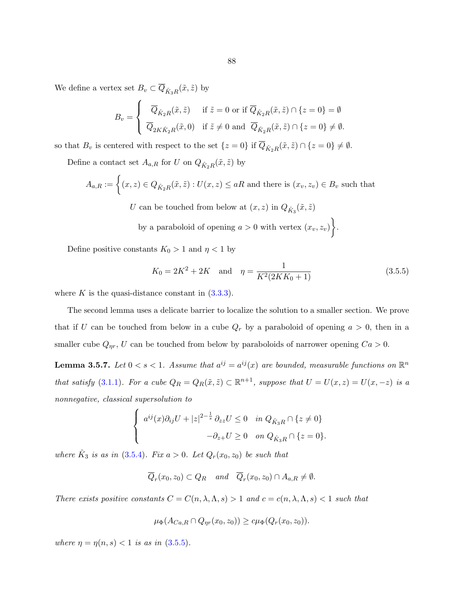<span id="page-93-0"></span>We define a vertex set  $B_v \subset \overline{Q}_{\hat{K}_3R}(\tilde{x}, \tilde{z})$  by

$$
B_v = \begin{cases} \overline{Q}_{\hat{K}_2R}(\tilde{x}, \tilde{z}) & \text{if } \tilde{z} = 0 \text{ or if } \overline{Q}_{\hat{K}_2R}(\tilde{x}, \tilde{z}) \cap \{z = 0\} = \emptyset \\ \overline{Q}_{2K\hat{K}_2R}(\tilde{x}, 0) & \text{if } \tilde{z} \neq 0 \text{ and } \overline{Q}_{\hat{K}_2R}(\tilde{x}, \tilde{z}) \cap \{z = 0\} \neq \emptyset. \end{cases}
$$

so that  $B_v$  is centered with respect to the set  $\{z=0\}$  if  $\overline{Q}_{\hat{K}_2R}(\tilde{x},\tilde{z}) \cap \{z=0\} \neq \emptyset$ .

Define a contact set  $A_{a,R}$  for U on  $Q_{\hat{K}_2R}(\tilde{x},\tilde{z})$  by

$$
A_{a,R} := \left\{ (x,z) \in Q_{\hat{K}_2 R}(\tilde{x}, \tilde{z}) : U(x,z) \le aR \text{ and there is } (x_v, z_v) \in B_v \text{ such that } \right\}
$$

U can be touched from below at  $(x, z)$  in  $Q_{\hat{K}_3}(\tilde{x}, \tilde{z})$ by a paraboloid of opening  $a > 0$  with vertex  $(x_v, z_v)$ .

Define positive constants  $K_0 > 1$  and  $\eta < 1$  by

$$
K_0 = 2K^2 + 2K \quad \text{and} \quad \eta = \frac{1}{K^2(2KK_0 + 1)}\tag{3.5.5}
$$

where K is the quasi-distance constant in  $(3.3.3)$ .

The second lemma uses a delicate barrier to localize the solution to a smaller section. We prove that if U can be touched from below in a cube  $Q_r$  by a paraboloid of opening  $a > 0$ , then in a smaller cube  $Q_{\eta r}$ , U can be touched from below by paraboloids of narrower opening  $Ca > 0$ .

**Lemma 3.5.7.** Let  $0 < s < 1$ . Assume that  $a^{ij} = a^{ij}(x)$  are bounded, measurable functions on  $\mathbb{R}^n$ that satisfy [\(3.1.1\)](#page-67-0). For a cube  $Q_R = Q_R(\tilde{x}, \tilde{z}) \subset \mathbb{R}^{n+1}$ , suppose that  $U = U(x, z) = U(x, -z)$  is a nonnegative, classical supersolution to

$$
\begin{cases} a^{ij}(x)\partial_{ij}U + |z|^{2-\frac{1}{s}}\partial_{zz}U \le 0 & \text{in } Q_{\hat{K}_3R} \cap \{z \ne 0\} \\ -\partial_{z+}U \ge 0 & \text{on } Q_{\hat{K}_3R} \cap \{z = 0\}. \end{cases}
$$

where  $\hat{K}_3$  is as in [\(3.5.4\)](#page-92-0). Fix  $a > 0$ . Let  $Q_r(x_0, z_0)$  be such that

$$
\overline{Q}_r(x_0, z_0) \subset Q_R \quad and \quad \overline{Q}_r(x_0, z_0) \cap A_{a,R} \neq \emptyset.
$$

There exists positive constants  $C = C(n, \lambda, \Lambda, s) > 1$  and  $c = c(n, \lambda, \Lambda, s) < 1$  such that

$$
\mu_{\Phi}(A_{Ca,R} \cap Q_{\eta r}(x_0,z_0)) \geq c\mu_{\Phi}(Q_r(x_0,z_0)).
$$

where  $\eta = \eta(n, s) < 1$  is as in (3.5.5).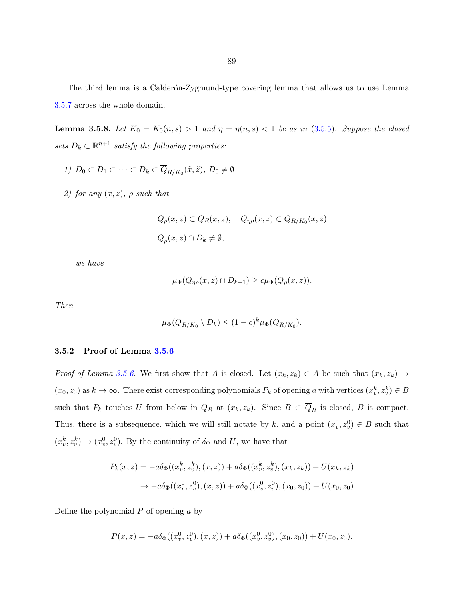The third lemma is a Calderón-Zygmund-type covering lemma that allows us to use Lemma [3.5.7](#page-93-0) across the whole domain.

**Lemma 3.5.8.** Let  $K_0 = K_0(n, s) > 1$  and  $\eta = \eta(n, s) < 1$  be as in [\(3.5.5\)](#page-93-0). Suppose the closed sets  $D_k \subset \mathbb{R}^{n+1}$  satisfy the following properties:

- 1)  $D_0 \subset D_1 \subset \cdots \subset D_k \subset \overline{Q}_{R/K_0}(\tilde{x}, \tilde{z}), D_0 \neq \emptyset$
- 2) for any  $(x, z)$ ,  $\rho$  such that

$$
Q_{\rho}(x, z) \subset Q_R(\tilde{x}, \tilde{z}), \quad Q_{\eta \rho}(x, z) \subset Q_{R/K_0}(\tilde{x}, \tilde{z})
$$
  

$$
\overline{Q}_{\rho}(x, z) \cap D_k \neq \emptyset,
$$

we have

$$
\mu_{\Phi}(Q_{\eta\rho}(x,z)\cap D_{k+1})\geq c\mu_{\Phi}(Q_{\rho}(x,z)).
$$

Then

$$
\mu_{\Phi}(Q_{R/K_0} \setminus D_k) \le (1-c)^k \mu_{\Phi}(Q_{R/K_0}).
$$

# 3.5.2 Proof of Lemma [3.5.6](#page-91-0)

Proof of Lemma [3.5.6.](#page-91-0) We first show that A is closed. Let  $(x_k, z_k) \in A$  be such that  $(x_k, z_k) \to A$  $(x_0, z_0)$  as  $k \to \infty$ . There exist corresponding polynomials  $P_k$  of opening a with vertices  $(x_v^k, z_v^k) \in B$ such that  $P_k$  touches U from below in  $Q_R$  at  $(x_k, z_k)$ . Since  $B \subset \overline{Q}_R$  is closed, B is compact. Thus, there is a subsequence, which we will still notate by k, and a point  $(x_v^0, z_v^0) \in B$  such that  $(x_v^k, z_v^k) \rightarrow (x_v^0, z_v^0)$ . By the continuity of  $\delta_{\Phi}$  and U, we have that

$$
P_k(x, z) = -a\delta_{\Phi}((x_v^k, z_v^k), (x, z)) + a\delta_{\Phi}((x_v^k, z_v^k), (x_k, z_k)) + U(x_k, z_k)
$$
  

$$
\rightarrow -a\delta_{\Phi}((x_v^0, z_v^0), (x, z)) + a\delta_{\Phi}((x_v^0, z_v^0), (x_0, z_0)) + U(x_0, z_0)
$$

Define the polynomial  $P$  of opening  $\alpha$  by

$$
P(x,z) = -a\delta_{\Phi}((x_v^0, z_v^0), (x, z)) + a\delta_{\Phi}((x_v^0, z_v^0), (x_0, z_0)) + U(x_0, z_0).
$$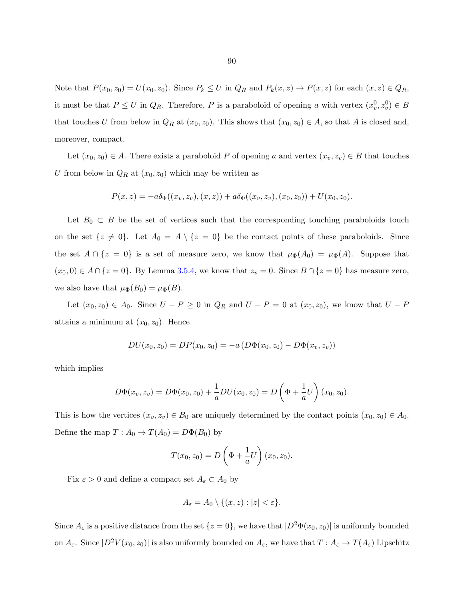Note that  $P(x_0, z_0) = U(x_0, z_0)$ . Since  $P_k \leq U$  in  $Q_R$  and  $P_k(x, z) \to P(x, z)$  for each  $(x, z) \in Q_R$ , it must be that  $P \leq U$  in  $Q_R$ . Therefore, P is a paraboloid of opening a with vertex  $(x_v^0, z_v^0) \in B$ that touches U from below in  $Q_R$  at  $(x_0, z_0)$ . This shows that  $(x_0, z_0) \in A$ , so that A is closed and, moreover, compact.

Let  $(x_0, z_0) \in A$ . There exists a paraboloid P of opening a and vertex  $(x_v, z_v) \in B$  that touches U from below in  $Q_R$  at  $(x_0, z_0)$  which may be written as

$$
P(x, z) = -a\delta_{\Phi}((x_v, z_v), (x, z)) + a\delta_{\Phi}((x_v, z_v), (x_0, z_0)) + U(x_0, z_0).
$$

Let  $B_0 \subset B$  be the set of vertices such that the corresponding touching paraboloids touch on the set  $\{z \neq 0\}$ . Let  $A_0 = A \setminus \{z = 0\}$  be the contact points of these paraboloids. Since the set  $A \cap \{z = 0\}$  is a set of measure zero, we know that  $\mu_{\Phi}(A_0) = \mu_{\Phi}(A)$ . Suppose that  $(x_0, 0) \in A \cap \{z = 0\}$ . By Lemma [3.5.4,](#page-89-0) we know that  $z_v = 0$ . Since  $B \cap \{z = 0\}$  has measure zero, we also have that  $\mu_{\Phi}(B_0) = \mu_{\Phi}(B)$ .

Let  $(x_0, z_0) \in A_0$ . Since  $U - P \ge 0$  in  $Q_R$  and  $U - P = 0$  at  $(x_0, z_0)$ , we know that  $U - P$ attains a minimum at  $(x_0, z_0)$ . Hence

$$
DU(x_0, z_0) = DP(x_0, z_0) = -a(D\Phi(x_0, z_0) - D\Phi(x_v, z_v))
$$

which implies

$$
D\Phi(x_v, z_v) = D\Phi(x_0, z_0) + \frac{1}{a}DU(x_0, z_0) = D\left(\Phi + \frac{1}{a}U\right)(x_0, z_0).
$$

This is how the vertices  $(x_v, z_v) \in B_0$  are uniquely determined by the contact points  $(x_0, z_0) \in A_0$ . Define the map  $T: A_0 \to T(A_0) = D\Phi(B_0)$  by

$$
T(x_0, z_0) = D\left(\Phi + \frac{1}{a}U\right)(x_0, z_0).
$$

Fix  $\varepsilon > 0$  and define a compact set  $A_{\varepsilon} \subset A_0$  by

$$
A_{\varepsilon} = A_0 \setminus \{(x, z) : |z| < \varepsilon\}.
$$

Since  $A_\varepsilon$  is a positive distance from the set  $\{z=0\}$ , we have that  $|D^2\Phi(x_0, z_0)|$  is uniformly bounded on  $A_{\varepsilon}$ . Since  $|D^2V(x_0, z_0)|$  is also uniformly bounded on  $A_{\varepsilon}$ , we have that  $T: A_{\varepsilon} \to T(A_{\varepsilon})$  Lipschitz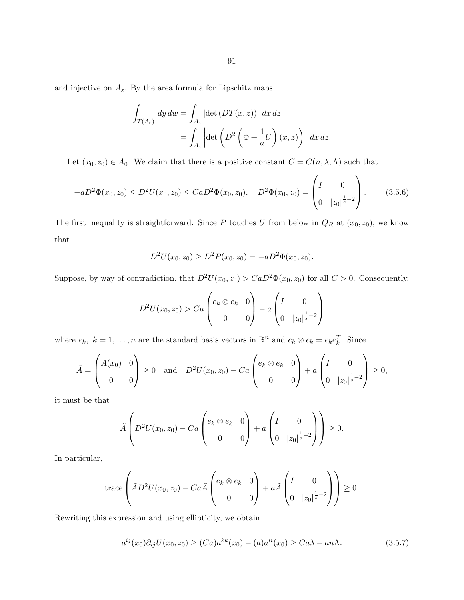<span id="page-96-0"></span>and injective on  $A_{\varepsilon}$ . By the area formula for Lipschitz maps,

$$
\int_{T(A_{\varepsilon})} dy \, dw = \int_{A_{\varepsilon}} |\det \left( DT(x, z) \right)| \, dx \, dz
$$
\n
$$
= \int_{A_{\varepsilon}} \left| \det \left( D^2 \left( \Phi + \frac{1}{a} U \right) (x, z) \right) \right| \, dx \, dz.
$$

Let  $(x_0, z_0) \in A_0$ . We claim that there is a positive constant  $C = C(n, \lambda, \Lambda)$  such that

$$
-aD^2\Phi(x_0, z_0) \le D^2U(x_0, z_0) \le CaD^2\Phi(x_0, z_0), \quad D^2\Phi(x_0, z_0) = \begin{pmatrix} I & 0 \ 0 & |z_0|^{\frac{1}{s}-2} \end{pmatrix}.
$$
 (3.5.6)

The first inequality is straightforward. Since P touches U from below in  $Q_R$  at  $(x_0, z_0)$ , we know that

$$
D2U(x0, z0) \ge D2P(x0, z0) = -aD2\Phi(x0, z0).
$$

Suppose, by way of contradiction, that  $D^2U(x_0, z_0) > CaD^2\Phi(x_0, z_0)$  for all  $C > 0$ . Consequently,

$$
D^{2}U(x_{0}, z_{0}) > Ca\begin{pmatrix} e_{k} \otimes e_{k} & 0\\ 0 & 0 \end{pmatrix} - a\begin{pmatrix} I & 0\\ 0 & |z_{0}|^{\frac{1}{s}-2} \end{pmatrix}
$$

where  $e_k$ ,  $k = 1, ..., n$  are the standard basis vectors in  $\mathbb{R}^n$  and  $e_k \otimes e_k = e_k e_k^T$ . Since

$$
\tilde{A} = \begin{pmatrix} A(x_0) & 0 \\ 0 & 0 \end{pmatrix} \ge 0 \text{ and } D^2U(x_0, z_0) - Ca\begin{pmatrix} e_k \otimes e_k & 0 \\ 0 & 0 \end{pmatrix} + a\begin{pmatrix} I & 0 \\ 0 & |z_0|^{\frac{1}{s}-2} \end{pmatrix} \ge 0,
$$

it must be that

$$
\tilde{A}\left(D^2U(x_0,z_0)-Ca\begin{pmatrix}e_k\otimes e_k&0\\0&0\end{pmatrix}+a\begin{pmatrix}I&0\\0&|z_0|^{\frac{1}{s}-2}\end{pmatrix}\right)\geq 0.
$$

In particular,

$$
\operatorname{trace}\left(\tilde{A}D^2U(x_0,z_0)-Ca\tilde{A}\begin{pmatrix}e_k\otimes e_k & 0\\ 0 & 0\end{pmatrix}+a\tilde{A}\begin{pmatrix}I & 0\\ 0 & |z_0|^{\frac{1}{s}-2}\end{pmatrix}\right)\geq 0.
$$

Rewriting this expression and using ellipticity, we obtain

$$
a^{ij}(x_0)\partial_{ij}U(x_0, z_0) \ge (Ca)a^{kk}(x_0) - (a)a^{ii}(x_0) \ge Ca\lambda - an\Lambda.
$$
 (3.5.7)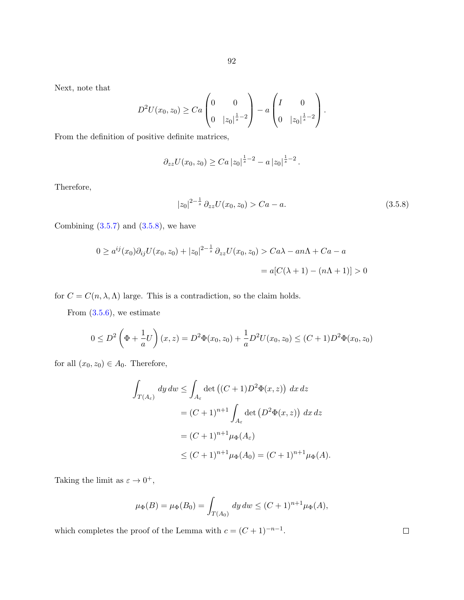Next, note that

$$
D^{2}U(x_{0}, z_{0}) \geq Ca\begin{pmatrix} 0 & 0 \ 0 & |z_{0}|^{\frac{1}{s}-2} \end{pmatrix} - a\begin{pmatrix} I & 0 \ 0 & |z_{0}|^{\frac{1}{s}-2} \end{pmatrix}.
$$

From the definition of positive definite matrices,

$$
\partial_{zz} U(x_0, z_0) \geq C a \, |z_0|^{\frac{1}{s}-2} - a \, |z_0|^{\frac{1}{s}-2} \, .
$$

Therefore,

$$
|z_0|^{2-\frac{1}{s}} \partial_{zz} U(x_0, z_0) > Ca - a. \tag{3.5.8}
$$

Combining  $(3.5.7)$  and  $(3.5.8)$ , we have

$$
0 \ge a^{ij}(x_0)\partial_{ij}U(x_0, z_0) + |z_0|^{2-\frac{1}{s}}\partial_{zz}U(x_0, z_0) > Ca\lambda - an\Lambda + Ca - a
$$
  
=  $a[C(\lambda + 1) - (n\Lambda + 1)] > 0$ 

for  $C = C(n, \lambda, \Lambda)$  large. This is a contradiction, so the claim holds.

From  $(3.5.6)$ , we estimate

$$
0 \le D^2 \left(\Phi + \frac{1}{a}U\right)(x, z) = D^2 \Phi(x_0, z_0) + \frac{1}{a}D^2 U(x_0, z_0) \le (C+1)D^2 \Phi(x_0, z_0)
$$

for all  $(x_0, z_0) \in A_0$ . Therefore,

$$
\int_{T(A_{\varepsilon})} dy dw \le \int_{A_{\varepsilon}} \det ((C+1)D^2 \Phi(x, z)) dx dz
$$
  
=  $(C+1)^{n+1} \int_{A_{\varepsilon}} \det (D^2 \Phi(x, z)) dx dz$   
=  $(C+1)^{n+1} \mu_{\Phi}(A_{\varepsilon})$   
 $\le (C+1)^{n+1} \mu_{\Phi}(A_0) = (C+1)^{n+1} \mu_{\Phi}(A).$ 

Taking the limit as  $\varepsilon \to 0^+,$ 

$$
\mu_{\Phi}(B) = \mu_{\Phi}(B_0) = \int_{T(A_0)} dy \, dw \le (C+1)^{n+1} \mu_{\Phi}(A),
$$

which completes the proof of the Lemma with  $c = (C + 1)^{-n-1}$ .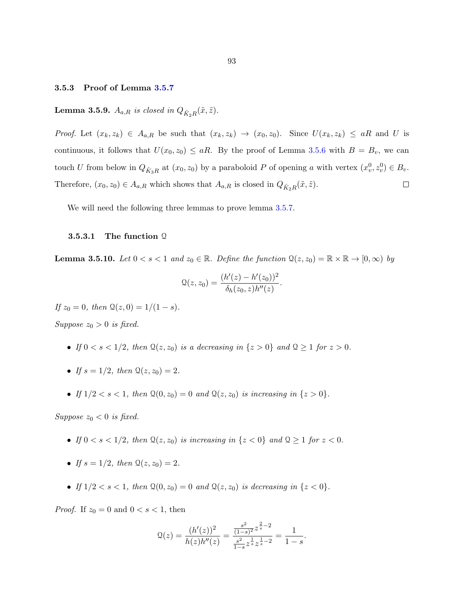## <span id="page-98-0"></span>3.5.3 Proof of Lemma [3.5.7](#page-93-0)

# **Lemma 3.5.9.**  $A_{a,R}$  is closed in  $Q_{\hat{K}_2R}(\tilde{x},\tilde{z})$ .

Proof. Let  $(x_k, z_k) \in A_{a,R}$  be such that  $(x_k, z_k) \to (x_0, z_0)$ . Since  $U(x_k, z_k) \le aR$  and U is continuous, it follows that  $U(x_0, z_0) \le aR$ . By the proof of Lemma [3.5.6](#page-91-0) with  $B = B_v$ , we can touch U from below in  $Q_{\hat{K}_3R}$  at  $(x_0, z_0)$  by a paraboloid P of opening a with vertex  $(x_v^0, z_v^0) \in B_v$ .  $\Box$ Therefore,  $(x_0, z_0) \in A_{a,R}$  which shows that  $A_{a,R}$  is closed in  $Q_{\hat{K}_2R}(\tilde{x}, \tilde{z})$ .

We will need the following three lemmas to prove lemma  $3.5.7$ .

# 3.5.3.1 The function Q

**Lemma 3.5.10.** Let  $0 < s < 1$  and  $z_0 \in \mathbb{R}$ . Define the function  $\mathcal{Q}(z, z_0) = \mathbb{R} \times \mathbb{R} \to [0, \infty)$  by

$$
\mathcal{Q}(z,z_0) = \frac{(h'(z) - h'(z_0))^2}{\delta_h(z_0, z)h''(z)}.
$$

If  $z_0 = 0$ , then  $\mathcal{Q}(z, 0) = 1/(1 - s)$ .

Suppose  $z_0 > 0$  is fixed.

- If  $0 < s < 1/2$ , then  $\mathcal{Q}(z, z_0)$  is a decreasing in  $\{z > 0\}$  and  $\mathcal{Q} \ge 1$  for  $z > 0$ .
- If  $s = 1/2$ , then  $\mathcal{Q}(z, z_0) = 2$ .
- If  $1/2 < s < 1$ , then  $\mathcal{Q}(0, z_0) = 0$  and  $\mathcal{Q}(z, z_0)$  is increasing in  $\{z > 0\}$ .

Suppose  $z_0 < 0$  is fixed.

- If  $0 < s < 1/2$ , then  $\mathcal{Q}(z, z_0)$  is increasing in  $\{z < 0\}$  and  $\mathcal{Q} \geq 1$  for  $z < 0$ .
- If  $s = 1/2$ , then  $\mathcal{Q}(z, z_0) = 2$ .
- If  $1/2 < s < 1$ , then  $\mathcal{Q}(0, z_0) = 0$  and  $\mathcal{Q}(z, z_0)$  is decreasing in  $\{z < 0\}$ .

*Proof.* If  $z_0 = 0$  and  $0 < s < 1$ , then

$$
\mathcal{Q}(z) = \frac{(h'(z))^2}{h(z)h''(z)} = \frac{\frac{s^2}{(1-s)^2}z^{\frac{2}{s}-2}}{\frac{s^2}{1-s}z^{\frac{1}{s}}z^{\frac{1}{s}-2}} = \frac{1}{1-s}.
$$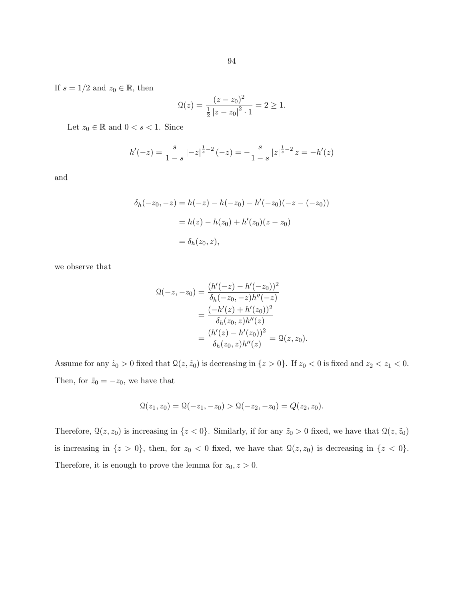If  $s=1/2$  and  $z_0\in\mathbb{R},$  then

$$
Q(z) = \frac{(z - z_0)^2}{\frac{1}{2} |z - z_0|^2 \cdot 1} = 2 \ge 1.
$$

Let  $z_0 \in \mathbb{R}$  and  $0 < s < 1$ . Since

$$
h'(-z) = \frac{s}{1-s} \left| -z \right|^{\frac{1}{s}-2} (-z) = -\frac{s}{1-s} \left| z \right|^{\frac{1}{s}-2} z = -h'(z)
$$

and

$$
\delta_h(-z_0, -z) = h(-z) - h(-z_0) - h'(-z_0)(-z - (-z_0))
$$
  
=  $h(z) - h(z_0) + h'(z_0)(z - z_0)$   
=  $\delta_h(z_0, z)$ ,

we observe that

$$
\begin{aligned} \mathfrak{Q}(-z, -z_0) &= \frac{(h'(-z) - h'(-z_0))^2}{\delta_h(-z_0, -z)h''(-z)} \\ &= \frac{(-h'(z) + h'(z_0))^2}{\delta_h(z_0, z)h''(z)} \\ &= \frac{(h'(z) - h'(z_0))^2}{\delta_h(z_0, z)h''(z)} = \mathfrak{Q}(z, z_0). \end{aligned}
$$

Assume for any  $\tilde{z}_0 > 0$  fixed that  $\mathcal{Q}(z, \tilde{z}_0)$  is decreasing in  $\{z > 0\}$ . If  $z_0 < 0$  is fixed and  $z_2 < z_1 < 0$ . Then, for  $\tilde{z}_0 = -z_0$ , we have that

$$
\mathcal{Q}(z_1, z_0) = \mathcal{Q}(-z_1, -z_0) > \mathcal{Q}(-z_2, -z_0) = Q(z_2, z_0).
$$

Therefore,  $\mathcal{Q}(z, z_0)$  is increasing in  $\{z < 0\}$ . Similarly, if for any  $\tilde{z}_0 > 0$  fixed, we have that  $\mathcal{Q}(z, \tilde{z}_0)$ is increasing in  $\{z > 0\}$ , then, for  $z_0 < 0$  fixed, we have that  $\mathcal{Q}(z, z_0)$  is decreasing in  $\{z < 0\}$ . Therefore, it is enough to prove the lemma for  $z_0, z > 0$ .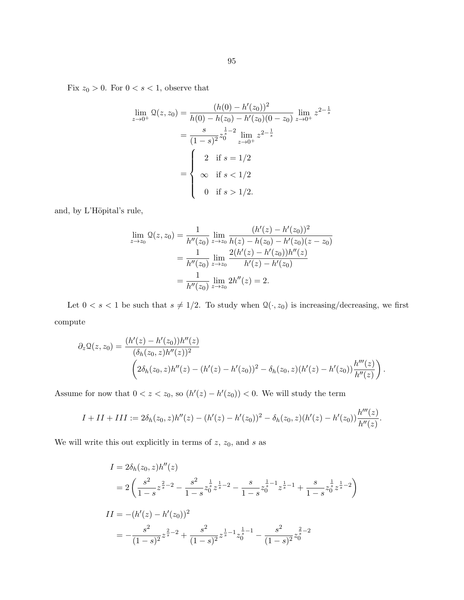Fix  $z_0 > 0$ . For  $0 < s < 1$ , observe that

$$
\lim_{z \to 0^{+}} \mathcal{Q}(z, z_{0}) = \frac{(h(0) - h'(z_{0}))^{2}}{h(0) - h(z_{0}) - h'(z_{0})(0 - z_{0})} \lim_{z \to 0^{+}} z^{2 - \frac{1}{s}}
$$

$$
= \frac{s}{(1 - s)^{2}} z_{0}^{\frac{1}{s} - 2} \lim_{z \to 0^{+}} z^{2 - \frac{1}{s}}
$$

$$
= \begin{cases} 2 & \text{if } s = 1/2 \\ \infty & \text{if } s < 1/2 \\ 0 & \text{if } s > 1/2. \end{cases}
$$

and, by L'Höpital's rule,

$$
\lim_{z \to z_0} \mathcal{Q}(z, z_0) = \frac{1}{h''(z_0)} \lim_{z \to z_0} \frac{(h'(z) - h'(z_0))^2}{h(z) - h(z_0) - h'(z_0)(z - z_0)}
$$

$$
= \frac{1}{h''(z_0)} \lim_{z \to z_0} \frac{2(h'(z) - h'(z_0))h''(z)}{h'(z) - h'(z_0)}
$$

$$
= \frac{1}{h''(z_0)} \lim_{z \to z_0} 2h''(z) = 2.
$$

Let  $0 < s < 1$  be such that  $s \neq 1/2$ . To study when  $\mathcal{Q}(\cdot, z_0)$  is increasing/decreasing, we first compute

$$
\partial_z \mathfrak{Q}(z, z_0) = \frac{(h'(z) - h'(z_0))h''(z)}{(\delta_h(z_0, z)h''(z))^2} \left(2\delta_h(z_0, z)h''(z) - (h'(z) - h'(z_0))^2 - \delta_h(z_0, z)(h'(z) - h'(z_0))\frac{h'''(z)}{h''(z)}\right).
$$

Assume for now that  $0 < z < z_0$ , so  $(h'(z) - h'(z_0)) < 0$ . We will study the term

$$
I + II + III := 2\delta_h(z_0, z)h''(z) - (h'(z) - h'(z_0))^2 - \delta_h(z_0, z)(h'(z) - h'(z_0))\frac{h'''(z)}{h''(z)}.
$$

We will write this out explicitly in terms of  $z, z_0$ , and  $s$  as

$$
I = 2\delta_h(z_0, z)h''(z)
$$
  
=  $2\left(\frac{s^2}{1-s}z^{\frac{2}{s}-2} - \frac{s^2}{1-s}z^{\frac{1}{s}}z^{\frac{1}{s}-2} - \frac{s}{1-s}z^{\frac{1}{s}-1}z^{\frac{1}{s}-1} + \frac{s}{1-s}z^{\frac{1}{s}}z^{\frac{1}{s}-2}\right)$   

$$
II = -(h'(z) - h'(z_0))^2
$$
  
=  $-\frac{s^2}{(1-s)^2}z^{\frac{2}{s}-2} + \frac{s^2}{(1-s)^2}z^{\frac{1}{s}-1}z^{\frac{1}{s}-1} - \frac{s^2}{(1-s)^2}z^{\frac{2}{s}-2}$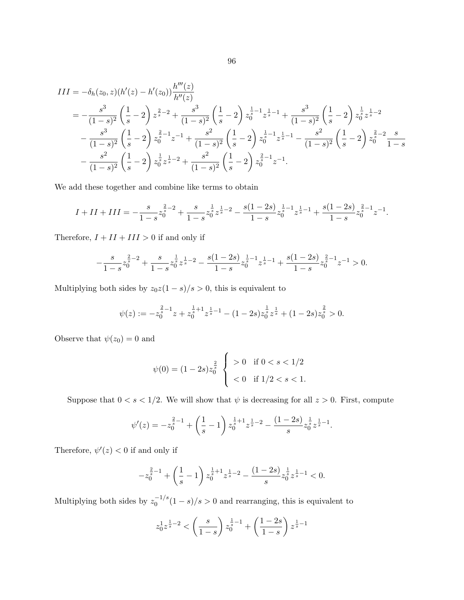$$
III = -\delta_h(z_0, z)(h'(z) - h'(z_0))\frac{h'''(z)}{h''(z)}
$$
  
=  $-\frac{s^3}{(1-s)^2} \left(\frac{1}{s} - 2\right) z^{\frac{2}{s} - 2} + \frac{s^3}{(1-s)^2} \left(\frac{1}{s} - 2\right) z_0^{\frac{1}{s} - 1} z^{\frac{1}{s} - 1} + \frac{s^3}{(1-s)^2} \left(\frac{1}{s} - 2\right) z_0^{\frac{1}{s}} z^{\frac{1}{s} - 2}$   
 $-\frac{s^3}{(1-s)^2} \left(\frac{1}{s} - 2\right) z_0^{\frac{2}{s} - 1} z^{-1} + \frac{s^2}{(1-s)^2} \left(\frac{1}{s} - 2\right) z_0^{\frac{1}{s} - 1} z^{\frac{1}{s} - 1} - \frac{s^2}{(1-s)^2} \left(\frac{1}{s} - 2\right) z_0^{\frac{2}{s} - 2} \frac{s}{1-s}$   
 $-\frac{s^2}{(1-s)^2} \left(\frac{1}{s} - 2\right) z_0^{\frac{1}{s}} z^{\frac{1}{s} - 2} + \frac{s^2}{(1-s)^2} \left(\frac{1}{s} - 2\right) z_0^{\frac{2}{s} - 1} z^{-1}.$ 

We add these together and combine like terms to obtain

$$
I + II + III = -\frac{s}{1-s}z_0^{\frac{2}{s}-2} + \frac{s}{1-s}z_0^{\frac{1}{s}}z^{\frac{1}{s}-2} - \frac{s(1-2s)}{1-s}z_0^{\frac{1}{s}-1}z^{\frac{1}{s}-1} + \frac{s(1-2s)}{1-s}z_0^{\frac{2}{s}-1}z^{-1}.
$$

Therefore,  $I + II + III > 0$  if and only if

$$
-\frac{s}{1-s}z_0^{\frac{2}{s}-2}+\frac{s}{1-s}z_0^{\frac{1}{s}}z^{\frac{1}{s}-2}-\frac{s(1-2s)}{1-s}z_0^{\frac{1}{s}-1}z^{\frac{1}{s}-1}+\frac{s(1-2s)}{1-s}z_0^{\frac{2}{s}-1}z^{-1}>0.
$$

Multiplying both sides by  $z_0z(1-s)/s > 0$ , this is equivalent to

$$
\psi(z) := -z_0^{\frac{2}{s}-1}z + z_0^{\frac{1}{s}+1}z^{\frac{1}{s}-1} - (1-2s)z_0^{\frac{1}{s}}z^{\frac{1}{s}} + (1-2s)z_0^{\frac{2}{s}} > 0.
$$

Observe that  $\psi(z_0) = 0$  and

$$
\psi(0) = (1 - 2s)z_0^{\frac{2}{s}} \begin{cases} > 0 \quad \text{if } 0 < s < 1/2 \\ < 0 \quad \text{if } 1/2 < s < 1. \end{cases}
$$

Suppose that  $0 < s < 1/2$ . We will show that  $\psi$  is decreasing for all  $z > 0$ . First, compute

$$
\psi'(z) = -z_0^{\frac{2}{s}-1} + \left(\frac{1}{s}-1\right)z_0^{\frac{1}{s}+1}z^{\frac{1}{s}-2} - \frac{(1-2s)}{s}z_0^{\frac{1}{s}}z^{\frac{1}{s}-1}.
$$

Therefore,  $\psi'(z) < 0$  if and only if

$$
-z_0^{\frac{2}{s}-1}+\left(\frac{1}{s}-1\right)z_0^{\frac{1}{s}+1}z^{\frac{1}{s}-2}-\frac{(1-2s)}{s}z_0^{\frac{1}{s}}z^{\frac{1}{s}-1}<0.
$$

Multiplying both sides by  $z_0^{-1/s}$  $\int_0^{-1/5} (1-s)/s > 0$  and rearranging, this is equivalent to

$$
z_0^1 z^{\frac{1}{s}-2} < \left(\frac{s}{1-s}\right) z_0^{\frac{1}{s}-1} + \left(\frac{1-2s}{1-s}\right) z^{\frac{1}{s}-1}
$$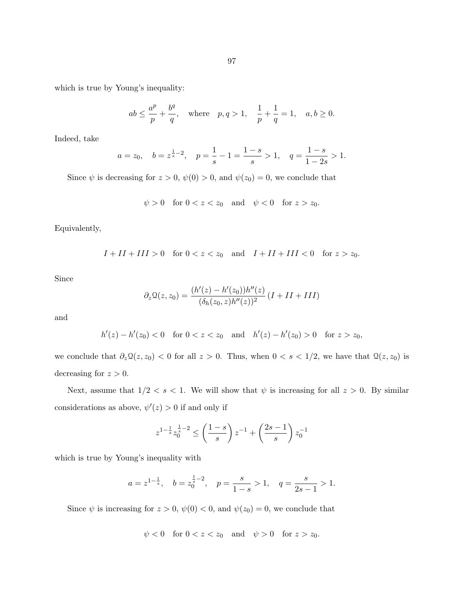97

which is true by Young's inequality:

$$
ab \le \frac{a^p}{p} + \frac{b^q}{q}
$$
, where  $p, q > 1$ ,  $\frac{1}{p} + \frac{1}{q} = 1$ ,  $a, b \ge 0$ .

Indeed, take

$$
a = z_0
$$
,  $b = z^{\frac{1}{s}-2}$ ,  $p = \frac{1}{s} - 1 = \frac{1-s}{s} > 1$ ,  $q = \frac{1-s}{1-2s} > 1$ .

Since  $\psi$  is decreasing for  $z > 0$ ,  $\psi(0) > 0$ , and  $\psi(z_0) = 0$ , we conclude that

$$
\psi > 0 \quad \text{for } 0 < z < z_0 \quad \text{and} \quad \psi < 0 \quad \text{for } z > z_0.
$$

Equivalently,

$$
I + II + III > 0 \quad \text{for } 0 < z < z_0 \quad \text{and} \quad I + II + III < 0 \quad \text{for } z > z_0.
$$

Since

$$
\partial_z \mathfrak{Q}(z,z_0) = \frac{(h'(z) - h'(z_0))h''(z)}{(\delta_h(z_0, z)h''(z))^2} (I + II + III)
$$

and

$$
h'(z) - h'(z_0) < 0 \quad \text{for } 0 < z < z_0 \quad \text{and} \quad h'(z) - h'(z_0) > 0 \quad \text{for } z > z_0,
$$

we conclude that  $\partial_z \mathcal{Q}(z, z_0) < 0$  for all  $z > 0$ . Thus, when  $0 < s < 1/2$ , we have that  $\mathcal{Q}(z, z_0)$  is decreasing for  $z > 0$ .

Next, assume that  $1/2 < s < 1$ . We will show that  $\psi$  is increasing for all  $z > 0$ . By similar considerations as above,  $\psi'(z) > 0$  if and only if

$$
z^{1-\frac{1}{s}} z_0^{\frac{1}{s}-2} \le \left(\frac{1-s}{s}\right) z^{-1} + \left(\frac{2s-1}{s}\right) z_0^{-1}
$$

which is true by Young's inequality with

$$
a = z^{1-\frac{1}{s}}, \quad b = z_0^{\frac{1}{s}-2}, \quad p = \frac{s}{1-s} > 1, \quad q = \frac{s}{2s-1} > 1.
$$

Since  $\psi$  is increasing for  $z > 0$ ,  $\psi(0) < 0$ , and  $\psi(z_0) = 0$ , we conclude that

$$
\psi < 0 \quad \text{for } 0 < z < z_0 \quad \text{and} \quad \psi > 0 \quad \text{for } z > z_0.
$$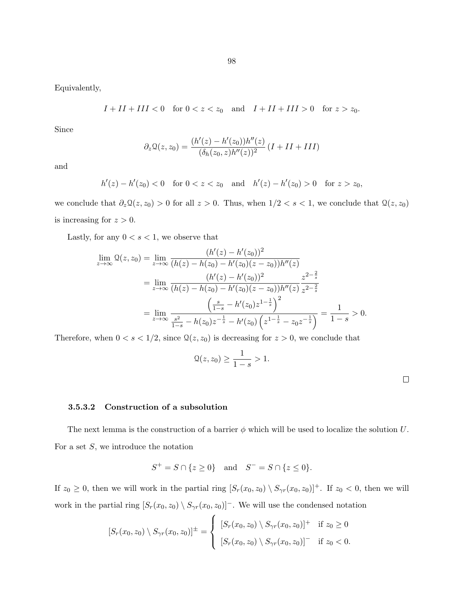98

Equivalently,

$$
I + II + III < 0 \quad \text{for } 0 < z < z_0 \quad \text{and} \quad I + II + III > 0 \quad \text{for } z > z_0.
$$

Since

$$
\partial_z \mathfrak{Q}(z, z_0) = \frac{(h'(z) - h'(z_0))h''(z)}{(\delta_h(z_0, z)h''(z))^2} (I + II + III)
$$

and

$$
h'(z) - h'(z_0) < 0 \quad \text{for } 0 < z < z_0 \quad \text{and} \quad h'(z) - h'(z_0) > 0 \quad \text{for } z > z_0,
$$

we conclude that  $\partial_z \mathcal{Q}(z, z_0) > 0$  for all  $z > 0$ . Thus, when  $1/2 < s < 1$ , we conclude that  $\mathcal{Q}(z, z_0)$ is increasing for  $z > 0$ .

Lastly, for any  $0 < s < 1$ , we observe that

$$
\lim_{z \to \infty} \mathcal{Q}(z, z_0) = \lim_{z \to \infty} \frac{(h'(z) - h'(z_0))^2}{(h(z) - h(z_0) - h'(z_0)(z - z_0))h''(z)}
$$
\n
$$
= \lim_{z \to \infty} \frac{(h'(z) - h'(z_0))^2}{(h(z) - h(z_0) - h'(z_0)(z - z_0))h''(z)} \frac{z^{2 - \frac{2}{s}}}{z^{2 - \frac{2}{s}}}
$$
\n
$$
= \lim_{z \to \infty} \frac{\left(\frac{s}{1 - s} - h'(z_0)z^{1 - \frac{1}{s}}\right)^2}{\frac{s^2}{1 - s} - h(z_0)z^{-\frac{1}{s}} - h'(z_0)\left(z^{1 - \frac{1}{s}} - z_0z^{-\frac{1}{s}}\right)} = \frac{1}{1 - s} > 0.
$$

Therefore, when  $0 < s < 1/2$ , since  $\mathcal{Q}(z, z_0)$  is decreasing for  $z > 0$ , we conclude that

$$
\Omega(z, z_0) \ge \frac{1}{1-s} > 1.
$$

#### 3.5.3.2 Construction of a subsolution

The next lemma is the construction of a barrier  $\phi$  which will be used to localize the solution U. For a set  $S$ , we introduce the notation

$$
S^{+} = S \cap \{ z \ge 0 \} \quad \text{and} \quad S^{-} = S \cap \{ z \le 0 \}.
$$

If  $z_0 \geq 0$ , then we will work in the partial ring  $[S_r(x_0, z_0) \setminus S_{\gamma r}(x_0, z_0)]^+$ . If  $z_0 < 0$ , then we will work in the partial ring  $[S_r(x_0, z_0) \setminus S_{\gamma r}(x_0, z_0)]$ . We will use the condensed notation

$$
[S_r(x_0, z_0) \setminus S_{\gamma r}(x_0, z_0)]^{\pm} = \begin{cases} [S_r(x_0, z_0) \setminus S_{\gamma r}(x_0, z_0)]^+ & \text{if } z_0 \ge 0 \\ [S_r(x_0, z_0) \setminus S_{\gamma r}(x_0, z_0)]^- & \text{if } z_0 < 0. \end{cases}
$$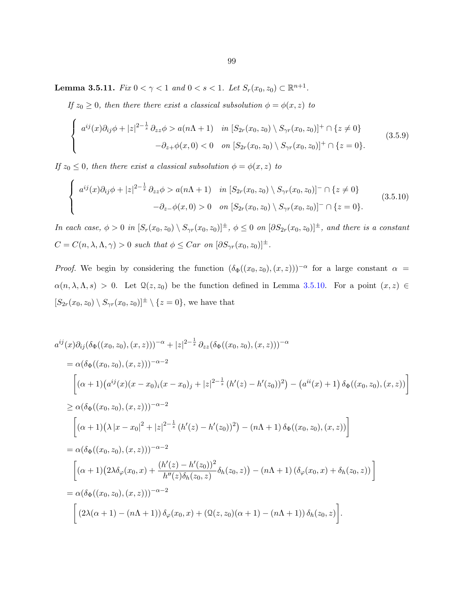<span id="page-104-0"></span>**Lemma 3.5.11.** Fix  $0 < \gamma < 1$  and  $0 < s < 1$ . Let  $S_r(x_0, z_0) \subset \mathbb{R}^{n+1}$ .

If  $z_0 \geq 0$ , then there there exist a classical subsolution  $\phi = \phi(x, z)$  to

$$
\begin{cases}\n a^{ij}(x)\partial_{ij}\phi + |z|^{2-\frac{1}{s}}\partial_{zz}\phi > a(n\Lambda + 1) \quad \text{in } [S_{2r}(x_0, z_0) \setminus S_{\gamma r}(x_0, z_0)]^+ \cap \{z \neq 0\} \\
 -\partial_{z+}\phi(x, 0) < 0 \quad \text{on } [S_{2r}(x_0, z_0) \setminus S_{\gamma r}(x_0, z_0)]^+ \cap \{z = 0\}.\n\end{cases} \tag{3.5.9}
$$

If  $z_0 \leq 0$ , then there exist a classical subsolution  $\phi = \phi(x, z)$  to

$$
\begin{cases}\n a^{ij}(x)\partial_{ij}\phi + |z|^{2-\frac{1}{s}}\partial_{zz}\phi > a(n\Lambda + 1) \quad \text{in } [S_{2r}(x_0, z_0) \setminus S_{\gamma r}(x_0, z_0)]^- \cap \{z \neq 0\} \\
 -\partial_{z-\phi}(x, 0) > 0 \quad \text{on } [S_{2r}(x_0, z_0) \setminus S_{\gamma r}(x_0, z_0)]^- \cap \{z = 0\}.\n\end{cases} \tag{3.5.10}
$$

In each case,  $\phi > 0$  in  $[S_r(x_0, z_0) \setminus S_{\gamma r}(x_0, z_0)]^{\pm}$ ,  $\phi \leq 0$  on  $[\partial S_{2r}(x_0, z_0)]^{\pm}$ , and there is a constant  $C = C(n, \lambda, \Lambda, \gamma) > 0$  such that  $\phi \leq Car$  on  $[\partial S_{\gamma r}(x_0, z_0)]^{\pm}$ .

*Proof.* We begin by considering the function  $(\delta_{\Phi}((x_0, z_0), (x, z)))^{-\alpha}$  for a large constant  $\alpha =$  $\alpha(n, \lambda, \Lambda, s) > 0$ . Let  $\mathcal{Q}(z, z_0)$  be the function defined in Lemma [3.5.10.](#page-98-0) For a point  $(x, z) \in$  $[S_{2r}(x_0, z_0) \setminus S_{\gamma r}(x_0, z_0)]^{\pm} \setminus \{z = 0\}$ , we have that

$$
a^{ij}(x)\partial_{ij}(\delta_{\Phi}((x_{0},z_{0}),(x,z)))^{-\alpha}+|z|^{2-\frac{1}{s}}\partial_{zz}(\delta_{\Phi}((x_{0},z_{0}),(x,z)))^{-\alpha}
$$
  
\n
$$
=\alpha(\delta_{\Phi}((x_{0},z_{0}),(x,z)))^{-\alpha-2}
$$
  
\n
$$
[(\alpha+1)(a^{ij}(x)(x-x_{0})_{i}(x-x_{0})_{j}+|z|^{2-\frac{1}{s}}(h'(z)-h'(z_{0}))^{2})-(a^{ii}(x)+1)\delta_{\Phi}((x_{0},z_{0}),(x,z))]
$$
  
\n
$$
\geq \alpha(\delta_{\Phi}((x_{0},z_{0}),(x,z)))^{-\alpha-2}
$$
  
\n
$$
[(\alpha+1)(\lambda|x-x_{0}|^{2}+|z|^{2-\frac{1}{s}}(h'(z)-h'(z_{0}))^{2})-(n\Lambda+1)\delta_{\Phi}((x_{0},z_{0}),(x,z))]
$$
  
\n
$$
=\alpha(\delta_{\Phi}((x_{0},z_{0}),(x,z)))^{-\alpha-2}
$$
  
\n
$$
[(\alpha+1)(2\lambda\delta_{\varphi}(x_{0},x)+\frac{(h'(z)-h'(z_{0}))^{2}}{h''(z)\delta_{h}(z_{0},z)}\delta_{h}(z_{0},z))-(n\Lambda+1)(\delta_{\varphi}(x_{0},x)+\delta_{h}(z_{0},z))]
$$
  
\n
$$
=\alpha(\delta_{\Phi}((x_{0},z_{0}),(x,z)))^{-\alpha-2}
$$
  
\n
$$
[(2\lambda(\alpha+1)-(n\Lambda+1))\delta_{\varphi}(x_{0},x)+(\Omega(z,z_{0})(\alpha+1)-(n\Lambda+1))\delta_{h}(z_{0},z)].
$$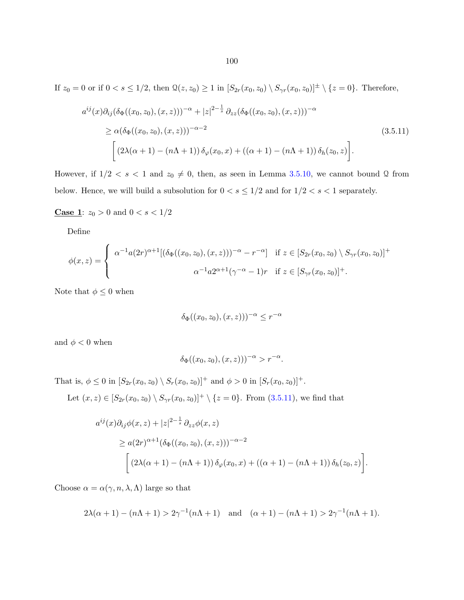If  $z_0 = 0$  or if  $0 < s \le 1/2$ , then  $\mathcal{Q}(z, z_0) \ge 1$  in  $[S_{2r}(x_0, z_0) \setminus S_{\gamma r}(x_0, z_0)]^{\pm} \setminus \{z = 0\}$ . Therefore,

$$
a^{ij}(x)\partial_{ij}(\delta_{\Phi}((x_0, z_0), (x, z)))^{-\alpha} + |z|^{2-\frac{1}{s}} \partial_{zz}(\delta_{\Phi}((x_0, z_0), (x, z)))^{-\alpha}
$$
  
\n
$$
\geq \alpha(\delta_{\Phi}((x_0, z_0), (x, z)))^{-\alpha-2}
$$
  
\n
$$
\left[ (2\lambda(\alpha+1) - (n\Lambda+1)) \delta_{\varphi}(x_0, x) + ((\alpha+1) - (n\Lambda+1)) \delta_h(z_0, z) \right].
$$
\n(3.5.11)

However, if  $1/2 < s < 1$  and  $z_0 \neq 0$ , then, as seen in Lemma [3.5.10,](#page-98-0) we cannot bound Q from below. Hence, we will build a subsolution for  $0 < s \leq 1/2$  and for  $1/2 < s < 1$  separately.

**Case 1:**  $z_0 > 0$  and  $0 < s < 1/2$ 

Define

$$
\phi(x, z) = \begin{cases} \alpha^{-1} a(2r)^{\alpha+1} [(\delta_{\Phi}((x_0, z_0), (x, z)))^{-\alpha} - r^{-\alpha}] & \text{if } z \in [S_{2r}(x_0, z_0) \setminus S_{\gamma r}(x_0, z_0)]^+ \\ \alpha^{-1} a 2^{\alpha+1} (\gamma^{-\alpha} - 1)r & \text{if } z \in [S_{\gamma r}(x_0, z_0)]^+ .\end{cases}
$$

Note that  $\phi \leq 0$  when

$$
\delta_{\Phi}((x_0, z_0), (x, z)))^{-\alpha} \leq r^{-\alpha}
$$

and  $\phi < 0$  when

$$
\delta_{\Phi}((x_0, z_0), (x, z)))^{-\alpha} > r^{-\alpha}.
$$

That is,  $\phi \le 0$  in  $[S_{2r}(x_0, z_0) \setminus S_r(x_0, z_0)]^+$  and  $\phi > 0$  in  $[S_r(x_0, z_0)]^+$ .

Let  $(x, z) \in [S_{2r}(x_0, z_0) \setminus S_{\gamma r}(x_0, z_0)]^+ \setminus \{z = 0\}$ . From  $(3.5.11)$ , we find that

$$
a^{ij}(x)\partial_{ij}\phi(x,z) + |z|^{2-\frac{1}{s}} \partial_{zz}\phi(x,z)
$$
  
\n
$$
\geq a(2r)^{\alpha+1}(\delta_{\Phi}((x_0,z_0),(x,z)))^{-\alpha-2}
$$
  
\n
$$
\left[ (2\lambda(\alpha+1)-(n\Lambda+1)) \delta_{\varphi}(x_0,x) + ((\alpha+1)-(n\Lambda+1)) \delta_h(z_0,z) \right].
$$

Choose  $\alpha = \alpha(\gamma, n, \lambda, \Lambda)$  large so that

$$
2\lambda(\alpha + 1) - (n\Lambda + 1) > 2\gamma^{-1}(n\Lambda + 1) \text{ and } (\alpha + 1) - (n\Lambda + 1) > 2\gamma^{-1}(n\Lambda + 1).
$$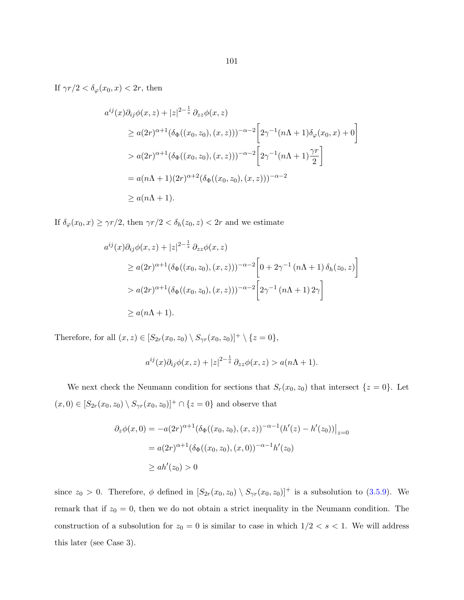If  $\gamma r/2 < \delta_{\varphi}(x_0, x) < 2r$ , then

$$
a^{ij}(x)\partial_{ij}\phi(x,z) + |z|^{2-\frac{1}{s}} \partial_{zz}\phi(x,z)
$$
  
\n
$$
\geq a(2r)^{\alpha+1}(\delta_{\Phi}((x_0, z_0), (x, z)))^{-\alpha-2} \left[2\gamma^{-1}(n\Lambda + 1)\delta_{\varphi}(x_0, x) + 0\right]
$$
  
\n
$$
> a(2r)^{\alpha+1}(\delta_{\Phi}((x_0, z_0), (x, z)))^{-\alpha-2} \left[2\gamma^{-1}(n\Lambda + 1)\frac{\gamma r}{2}\right]
$$
  
\n
$$
= a(n\Lambda + 1)(2r)^{\alpha+2}(\delta_{\Phi}((x_0, z_0), (x, z)))^{-\alpha-2}
$$
  
\n
$$
\geq a(n\Lambda + 1).
$$

If  $\delta_{\varphi}(x_0, x) \ge \gamma r/2$ , then  $\gamma r/2 < \delta_h(z_0, z) < 2r$  and we estimate

$$
a^{ij}(x)\partial_{ij}\phi(x,z) + |z|^{2-\frac{1}{s}} \partial_{zz}\phi(x,z)
$$
  
\n
$$
\geq a(2r)^{\alpha+1}(\delta_{\Phi}((x_0, z_0), (x, z)))^{-\alpha-2} \left[0 + 2\gamma^{-1} (n\Lambda + 1) \delta_h(z_0, z)\right]
$$
  
\n
$$
> a(2r)^{\alpha+1}(\delta_{\Phi}((x_0, z_0), (x, z)))^{-\alpha-2} \left[2\gamma^{-1} (n\Lambda + 1) 2\gamma\right]
$$
  
\n
$$
\geq a(n\Lambda + 1).
$$

Therefore, for all  $(x, z) \in [S_{2r}(x_0, z_0) \setminus S_{\gamma r}(x_0, z_0)]^+ \setminus \{z = 0\},\$ 

$$
a^{ij}(x)\partial_{ij}\phi(x,z)+|z|^{2-\frac{1}{s}}\partial_{zz}\phi(x,z)>a(n\Lambda+1).
$$

We next check the Neumann condition for sections that  $S_r(x_0, z_0)$  that intersect  $\{z = 0\}$ . Let  $(x, 0) \in [S_{2r}(x_0, z_0) \setminus S_{\gamma r}(x_0, z_0)]^+ \cap \{z = 0\}$  and observe that

$$
\partial_z \phi(x,0) = -a(2r)^{\alpha+1} (\delta_{\Phi}((x_0, z_0), (x, z))^{-\alpha-1} (h'(z) - h'(z_0))\Big|_{z=0}
$$
  
=  $a(2r)^{\alpha+1} (\delta_{\Phi}((x_0, z_0), (x, 0))^{-\alpha-1} h'(z_0)$   
 $\ge ah'(z_0) > 0$ 

since  $z_0 > 0$ . Therefore,  $\phi$  defined in  $[S_{2r}(x_0, z_0) \setminus S_{\gamma r}(x_0, z_0)]^+$  is a subsolution to [\(3.5.9\)](#page-104-0). We remark that if  $z_0 = 0$ , then we do not obtain a strict inequality in the Neumann condition. The construction of a subsolution for  $z_0 = 0$  is similar to case in which  $1/2 < s < 1$ . We will address this later (see Case 3).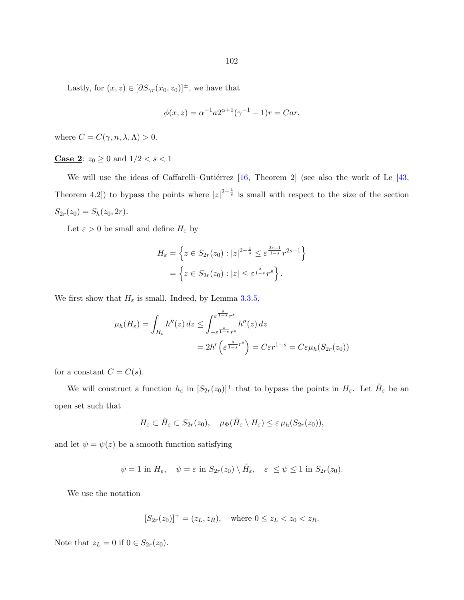Lastly, for  $(x, z) \in [\partial S_{\gamma r}(x_0, z_0)]^{\pm}$ , we have that

$$
\phi(x, z) = \alpha^{-1} a 2^{\alpha + 1} (\gamma^{-1} - 1) r = C a r.
$$

where  $C = C(\gamma, n, \lambda, \Lambda) > 0$ .

**Case 2:**  $z_0 \ge 0$  and  $1/2 < s < 1$ 

We will use the ideas of Caffarelli–Gutiérrez  $[16,$  Theorem 2] (see also the work of Le  $[43,$ Theorem 4.2) to bypass the points where  $|z|^{2-\frac{1}{s}}$  is small with respect to the size of the section  $S_{2r}(z_0) = S_h(z_0, 2r).$ 

Let  $\varepsilon>0$  be small and define  $H_\varepsilon$  by

$$
H_{\varepsilon} = \left\{ z \in S_{2r}(z_0) : |z|^{2 - \frac{1}{s}} \le \varepsilon^{\frac{2s - 1}{1 - s}} r^{2s - 1} \right\}
$$
  
=  $\left\{ z \in S_{2r}(z_0) : |z| \le \varepsilon^{\frac{s}{1 - s}} r^s \right\}.$ 

We first show that  $H_{\varepsilon}$  is small. Indeed, by Lemma [3.3.5,](#page-80-0)

$$
\mu_h(H_{\varepsilon}) = \int_{H_{\varepsilon}} h''(z) dz \le \int_{-\varepsilon}^{\varepsilon} \frac{s}{1-s} r^s} \mu''(z) dz
$$
  
=  $2h' \left( \varepsilon^{\frac{s}{1-s} r^s} \right) = C \varepsilon r^{1-s} = C \varepsilon \mu_h(S_{2r}(z_0))$ 

for a constant  $C=C(s).$ 

We will construct a function  $h_{\varepsilon}$  in  $[S_{2r}(z_0)]^+$  that to bypass the points in  $H_{\varepsilon}$ . Let  $\tilde{H}_{\varepsilon}$  be an open set such that

$$
H_{\varepsilon} \subset \tilde{H}_{\varepsilon} \subset S_{2r}(z_0), \quad \mu_{\Phi}(\tilde{H}_{\varepsilon} \setminus H_{\varepsilon}) \leq \varepsilon \mu_h(S_{2r}(z_0)),
$$

and let  $\psi = \psi(z)$  be a smooth function satisfying

$$
\psi = 1
$$
 in  $H_{\varepsilon}$ ,  $\psi = \varepsilon$  in  $S_{2r}(z_0) \setminus \tilde{H}_{\varepsilon}$ ,  $\varepsilon \leq \psi \leq 1$  in  $S_{2r}(z_0)$ .

We use the notation

$$
[S_{2r}(z_0)]^+ = (z_L, z_R), \text{ where } 0 \le z_L < z_0 < z_R.
$$

Note that  $z_L = 0$  if  $0 \in S_{2r}(z_0)$ .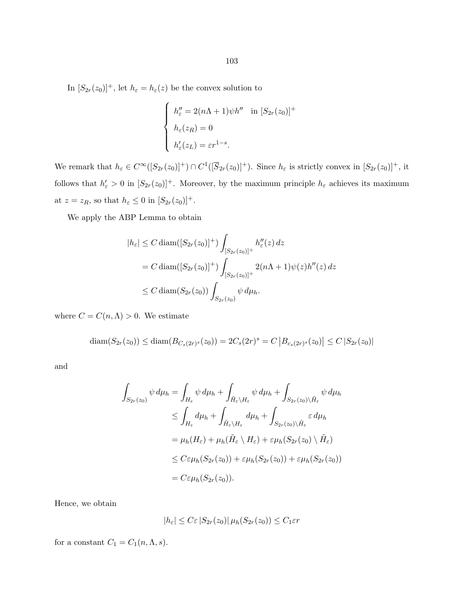In  $[S_{2r}(z_0)]^+$ , let  $h_{\varepsilon} = h_{\varepsilon}(z)$  be the convex solution to

$$
\begin{cases}\nh''_{\varepsilon} = 2(n\Lambda + 1)\psi h'' & \text{in } [S_{2r}(z_0)]^+ \\
h_{\varepsilon}(z_R) = 0 \\
h'_{\varepsilon}(z_L) = \varepsilon r^{1-s}.\n\end{cases}
$$

We remark that  $h_{\varepsilon} \in C^{\infty}([S_{2r}(z_0)]^+) \cap C^1([\overline{S}_{2r}(z_0)]^+)$ . Since  $h_{\varepsilon}$  is strictly convex in  $[S_{2r}(z_0)]^+$ , it follows that  $h'_\varepsilon > 0$  in  $[S_{2r}(z_0)]^+$ . Moreover, by the maximum principle  $h_\varepsilon$  achieves its maximum at  $z = z_R$ , so that  $h_{\varepsilon} \leq 0$  in  $[S_{2r}(z_0)]^+$ .

We apply the ABP Lemma to obtain

$$
|h_{\varepsilon}| \le C \operatorname{diam}([S_{2r}(z_0)]^+) \int_{[S_{2r}(z_0)]^+} h_{\varepsilon}''(z) dz
$$
  
= C \operatorname{diam}([S\_{2r}(z\_0)]^+) \int\_{[S\_{2r}(z\_0)]^+} 2(n\Lambda + 1)\psi(z)h''(z) dz  

$$
\le C \operatorname{diam}(S_{2r}(z_0)) \int_{S_{2r}(z_0)} \psi d\mu_h.
$$

where  $C = C(n, \Lambda) > 0$ . We estimate

$$
diam(S_{2r}(z_0)) \leq diam(B_{C_s(2r)^s}(z_0)) = 2C_s(2r)^s = C |B_{c_s(2r)^s}(z_0)| \leq C |S_{2r}(z_0)|
$$

and

$$
\int_{S_{2r}(z_0)} \psi \, d\mu_h = \int_{H_{\varepsilon}} \psi \, d\mu_h + \int_{\tilde{H}_{\varepsilon} \setminus H_{\varepsilon}} \psi \, d\mu_h + \int_{S_{2r}(z_0) \setminus \tilde{H}_{\varepsilon}} \psi \, d\mu_h
$$
\n
$$
\leq \int_{H_{\varepsilon}} d\mu_h + \int_{\tilde{H}_{\varepsilon} \setminus H_{\varepsilon}} d\mu_h + \int_{S_{2r}(z_0) \setminus \tilde{H}_{\varepsilon}} \varepsilon \, d\mu_h
$$
\n
$$
= \mu_h(H_{\varepsilon}) + \mu_h(\tilde{H}_{\varepsilon} \setminus H_{\varepsilon}) + \varepsilon \mu_h(S_{2r}(z_0) \setminus \tilde{H}_{\varepsilon})
$$
\n
$$
\leq C \varepsilon \mu_h(S_{2r}(z_0)) + \varepsilon \mu_h(S_{2r}(z_0)) + \varepsilon \mu_h(S_{2r}(z_0))
$$
\n
$$
= C \varepsilon \mu_h(S_{2r}(z_0)).
$$

Hence, we obtain

$$
|h_{\varepsilon}| \leq C \varepsilon |S_{2r}(z_0)| \,\mu_h(S_{2r}(z_0)) \leq C_1 \varepsilon r
$$

for a constant  $C_1 = C_1(n, \Lambda, s)$ .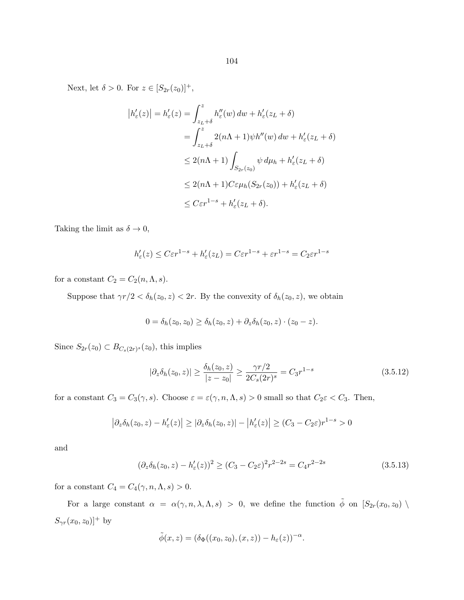<span id="page-109-0"></span>Next, let  $\delta > 0$ . For  $z \in [S_{2r}(z_0)]^+,$ 

$$
|h'_{\varepsilon}(z)| = h'_{\varepsilon}(z) = \int_{z_L + \delta}^{z} h''_{\varepsilon}(w) dw + h'_{\varepsilon}(z_L + \delta)
$$
  

$$
= \int_{z_L + \delta}^{z} 2(n\Lambda + 1) \psi h''(w) dw + h'_{\varepsilon}(z_L + \delta)
$$
  

$$
\leq 2(n\Lambda + 1) \int_{S_{2r}(z_0)} \psi d\mu_h + h'_{\varepsilon}(z_L + \delta)
$$
  

$$
\leq 2(n\Lambda + 1) C \varepsilon \mu_h(S_{2r}(z_0)) + h'_{\varepsilon}(z_L + \delta)
$$
  

$$
\leq C \varepsilon r^{1-s} + h'_{\varepsilon}(z_L + \delta).
$$

Taking the limit as  $\delta \to 0$ ,

$$
h'_{\varepsilon}(z) \le C \varepsilon r^{1-s} + h'_{\varepsilon}(z_L) = C \varepsilon r^{1-s} + \varepsilon r^{1-s} = C_2 \varepsilon r^{1-s}
$$

for a constant  $C_2 = C_2(n, \Lambda, s)$ .

Suppose that  $\gamma r/2 < \delta_h(z_0, z) < 2r$ . By the convexity of  $\delta_h(z_0, z)$ , we obtain

$$
0 = \delta_h(z_0, z_0) \ge \delta_h(z_0, z) + \partial_z \delta_h(z_0, z) \cdot (z_0 - z).
$$

Since  $S_{2r}(z_0) \subset B_{C_s(2r)^s}(z_0)$ , this implies

$$
|\partial_z \delta_h(z_0, z)| \ge \frac{\delta_h(z_0, z)}{|z - z_0|} \ge \frac{\gamma r/2}{2C_s(2r)^s} = C_3 r^{1-s}
$$
\n(3.5.12)

for a constant  $C_3 = C_3(\gamma, s)$ . Choose  $\varepsilon = \varepsilon(\gamma, n, \Lambda, s) > 0$  small so that  $C_2 \varepsilon < C_3$ . Then,

$$
\left|\partial_z \delta_h(z_0, z) - h'_\varepsilon(z)\right| \geq \left|\partial_z \delta_h(z_0, z)\right| - \left|h'_\varepsilon(z)\right| \geq (C_3 - C_2\varepsilon)r^{1-s} > 0
$$

and

$$
(\partial_z \delta_h(z_0, z) - h'_\varepsilon(z))^2 \ge (C_3 - C_2 \varepsilon)^2 r^{2-2s} = C_4 r^{2-2s}
$$
\n(3.5.13)

for a constant  $C_4 = C_4(\gamma, n, \Lambda, s) > 0$ .

For a large constant  $\alpha = \alpha(\gamma, n, \lambda, \Lambda, s) > 0$ , we define the function  $\tilde{\phi}$  on  $[S_{2r}(x_0, z_0) \setminus$  $S_{\gamma r}(x_0, z_0)]^+$  by

$$
\tilde{\phi}(x,z)=(\delta_{\Phi}((x_0,z_0),(x,z))-h_{\varepsilon}(z))^{-\alpha}.
$$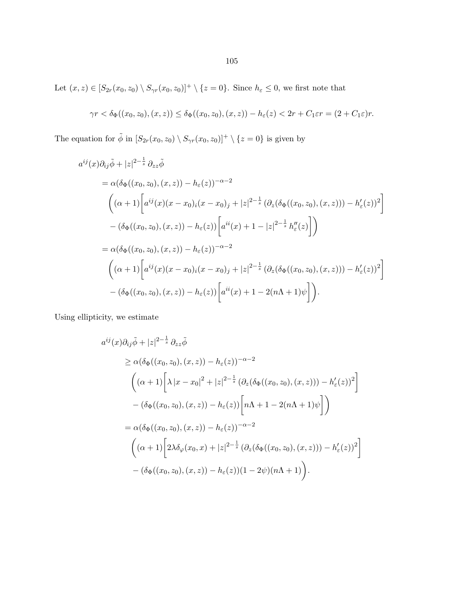Let  $(x, z) \in [S_{2r}(x_0, z_0) \setminus S_{\gamma r}(x_0, z_0)]^+ \setminus \{z = 0\}$ . Since  $h_{\varepsilon} \leq 0$ , we first note that

$$
\gamma r < \delta_{\Phi}((x_0, z_0), (x, z)) \leq \delta_{\Phi}((x_0, z_0), (x, z)) - h_{\varepsilon}(z) < 2r + C_1 \varepsilon r = (2 + C_1 \varepsilon)r.
$$

The equation for  $\tilde{\phi}$  in  $[S_{2r}(x_0, z_0) \setminus S_{\gamma r}(x_0, z_0)]^+ \setminus \{z = 0\}$  is given by

$$
a^{ij}(x)\partial_{ij}\tilde{\phi} + |z|^{2-\frac{1}{s}} \partial_{zz}\tilde{\phi}
$$
  
=  $\alpha(\delta_{\Phi}((x_0, z_0), (x, z)) - h_{\varepsilon}(z))^{-\alpha-2}$   

$$
\left( (\alpha+1) \left[ a^{ij}(x)(x-x_0)_i(x-x_0)_j + |z|^{2-\frac{1}{s}} (\partial_z(\delta_{\Phi}((x_0, z_0), (x, z))) - h'_{\varepsilon}(z))^2 \right] - (\delta_{\Phi}((x_0, z_0), (x, z)) - h_{\varepsilon}(z)) \left[ a^{ii}(x) + 1 - |z|^{2-\frac{1}{s}} h''_{\varepsilon}(z) \right] \right)
$$
  
=  $\alpha(\delta_{\Phi}((x_0, z_0), (x, z)) - h_{\varepsilon}(z))^{-\alpha-2}$   

$$
\left( (\alpha+1) \left[ a^{ij}(x)(x-x_0)_i(x-x_0)_j + |z|^{2-\frac{1}{s}} (\partial_z(\delta_{\Phi}((x_0, z_0), (x, z))) - h'_{\varepsilon}(z))^2 \right] - (\delta_{\Phi}((x_0, z_0), (x, z)) - h_{\varepsilon}(z)) \left[ a^{ii}(x) + 1 - 2(n\Lambda + 1)\psi \right] \right).
$$

Using ellipticity, we estimate

$$
a^{ij}(x)\partial_{ij}\tilde{\phi} + |z|^{2-\frac{1}{s}} \partial_{zz}\tilde{\phi}
$$
  
\n
$$
\geq \alpha(\delta_{\Phi}((x_0, z_0), (x, z)) - h_{\varepsilon}(z))^{-\alpha - 2}
$$
  
\n
$$
\left( (\alpha + 1) \left[ \lambda |x - x_0|^2 + |z|^{2-\frac{1}{s}} \left( \partial_z(\delta_{\Phi}((x_0, z_0), (x, z))) - h'_{\varepsilon}(z) \right)^2 \right] - (\delta_{\Phi}((x_0, z_0), (x, z)) - h_{\varepsilon}(z)) \left[ n\Lambda + 1 - 2(n\Lambda + 1)\psi \right] \right)
$$
  
\n
$$
= \alpha(\delta_{\Phi}((x_0, z_0), (x, z)) - h_{\varepsilon}(z))^{-\alpha - 2}
$$
  
\n
$$
\left( (\alpha + 1) \left[ 2\lambda \delta_{\varphi}(x_0, x) + |z|^{2-\frac{1}{s}} \left( \partial_z(\delta_{\Phi}((x_0, z_0), (x, z))) - h'_{\varepsilon}(z) \right)^2 \right] - (\delta_{\Phi}((x_0, z_0), (x, z)) - h_{\varepsilon}(z))(1 - 2\psi)(n\Lambda + 1) \right).
$$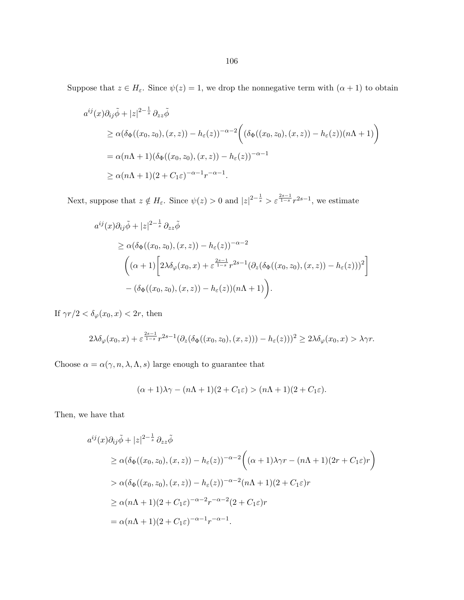Suppose that  $z \in H_{\varepsilon}$ . Since  $\psi(z) = 1$ , we drop the nonnegative term with  $(\alpha + 1)$  to obtain

$$
a^{ij}(x)\partial_{ij}\tilde{\phi} + |z|^{2-\frac{1}{s}} \partial_{zz}\tilde{\phi}
$$
  
\n
$$
\geq \alpha(\delta_{\Phi}((x_0, z_0), (x, z)) - h_{\varepsilon}(z))^{-\alpha-2} \Big( (\delta_{\Phi}((x_0, z_0), (x, z)) - h_{\varepsilon}(z))(n\Lambda + 1) \Big)
$$
  
\n
$$
= \alpha(n\Lambda + 1)(\delta_{\Phi}((x_0, z_0), (x, z)) - h_{\varepsilon}(z))^{-\alpha-1}
$$
  
\n
$$
\geq \alpha(n\Lambda + 1)(2 + C_1\varepsilon)^{-\alpha-1}r^{-\alpha-1}.
$$

Next, suppose that  $z \notin H_{\varepsilon}$ . Since  $\psi(z) > 0$  and  $|z|^{2-\frac{1}{s}} > \varepsilon^{\frac{2s-1}{1-s}} r^{2s-1}$ , we estimate

$$
a^{ij}(x)\partial_{ij}\tilde{\phi} + |z|^{2-\frac{1}{s}}\partial_{zz}\tilde{\phi}
$$
  
\n
$$
\geq \alpha(\delta_{\Phi}((x_0, z_0), (x, z)) - h_{\varepsilon}(z))^{-\alpha-2}
$$
  
\n
$$
\left((\alpha+1)\left[2\lambda\delta_{\varphi}(x_0, x) + \varepsilon^{\frac{2s-1}{1-s}}r^{2s-1}(\partial_z(\delta_{\Phi}((x_0, z_0), (x, z)) - h_{\varepsilon}(z)))^2\right] - (\delta_{\Phi}((x_0, z_0), (x, z)) - h_{\varepsilon}(z))(n\Lambda + 1)\right).
$$

If  $\gamma r/2 < \delta_\varphi(x_0, x) < 2r$ , then

$$
2\lambda \delta_{\varphi}(x_0, x) + \varepsilon^{\frac{2s-1}{1-s}} r^{2s-1} (\partial_z(\delta_{\Phi}((x_0, z_0), (x, z))) - h_{\varepsilon}(z)))^2 \ge 2\lambda \delta_{\varphi}(x_0, x) > \lambda \gamma r.
$$

Choose  $\alpha=\alpha(\gamma,n,\lambda,\Lambda,s)$  large enough to guarantee that

$$
(\alpha + 1)\lambda \gamma - (n\Lambda + 1)(2 + C_1\varepsilon) > (n\Lambda + 1)(2 + C_1\varepsilon).
$$

Then, we have that

$$
a^{ij}(x)\partial_{ij}\tilde{\phi} + |z|^{2-\frac{1}{s}}\partial_{zz}\tilde{\phi}
$$
  
\n
$$
\geq \alpha(\delta_{\Phi}((x_0, z_0), (x, z)) - h_{\varepsilon}(z))^{-\alpha-2} \left( (\alpha+1)\lambda\gamma r - (n\Lambda+1)(2r + C_1\varepsilon)r \right)
$$
  
\n
$$
> \alpha(\delta_{\Phi}((x_0, z_0), (x, z)) - h_{\varepsilon}(z))^{-\alpha-2}(n\Lambda+1)(2 + C_1\varepsilon)r
$$
  
\n
$$
\geq \alpha(n\Lambda+1)(2 + C_1\varepsilon)^{-\alpha-2}r^{-\alpha-2}(2 + C_1\varepsilon)r
$$
  
\n
$$
= \alpha(n\Lambda+1)(2 + C_1\varepsilon)^{-\alpha-1}r^{-\alpha-1}.
$$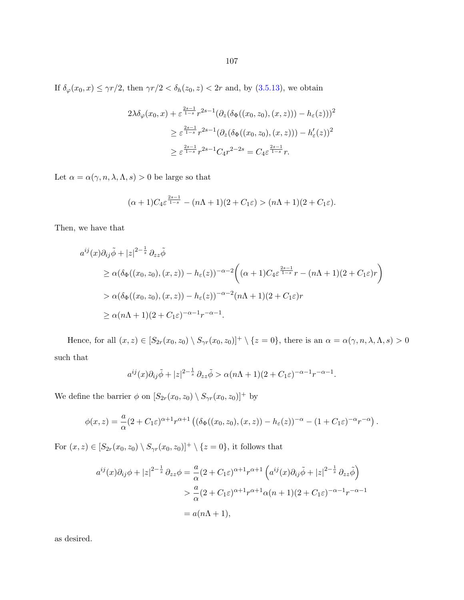If  $\delta_{\varphi}(x_0, x) \le \gamma r/2$ , then  $\gamma r/2 < \delta_h(z_0, z) < 2r$  and, by  $(3.5.13)$ , we obtain

$$
2\lambda \delta_{\varphi}(x_0, x) + \varepsilon^{\frac{2s-1}{1-s}} r^{2s-1} (\partial_z(\delta_{\Phi}((x_0, z_0), (x, z))) - h_{\varepsilon}(z)))^2
$$
  

$$
\geq \varepsilon^{\frac{2s-1}{1-s}} r^{2s-1} (\partial_z(\delta_{\Phi}((x_0, z_0), (x, z))) - h'_{\varepsilon}(z))^2
$$
  

$$
\geq \varepsilon^{\frac{2s-1}{1-s}} r^{2s-1} C_4 r^{2-2s} = C_4 \varepsilon^{\frac{2s-1}{1-s}} r.
$$

Let  $\alpha=\alpha(\gamma,n,\lambda,\Lambda,s)>0$  be large so that

$$
(\alpha+1)C_4\varepsilon^{\frac{2s-1}{1-s}}-(n\Lambda+1)(2+C_1\varepsilon)>(n\Lambda+1)(2+C_1\varepsilon).
$$

Then, we have that

$$
a^{ij}(x)\partial_{ij}\tilde{\phi} + |z|^{2-\frac{1}{s}}\partial_{zz}\tilde{\phi}
$$
  
\n
$$
\geq \alpha(\delta_{\Phi}((x_0, z_0), (x, z)) - h_{\varepsilon}(z))^{-\alpha-2} \left( (\alpha+1)C_4\varepsilon^{\frac{2s-1}{1-s}}r - (n\Lambda+1)(2+C_1\varepsilon)r \right)
$$
  
\n
$$
> \alpha(\delta_{\Phi}((x_0, z_0), (x, z)) - h_{\varepsilon}(z))^{-\alpha-2}(n\Lambda+1)(2+C_1\varepsilon)r
$$
  
\n
$$
\geq \alpha(n\Lambda+1)(2+C_1\varepsilon)^{-\alpha-1}r^{-\alpha-1}.
$$

Hence, for all  $(x, z) \in [S_{2r}(x_0, z_0) \setminus S_{\gamma r}(x_0, z_0)]^+ \setminus \{z = 0\}$ , there is an  $\alpha = \alpha(\gamma, n, \lambda, \Lambda, s) > 0$ such that

$$
a^{ij}(x)\partial_{ij}\tilde{\phi}+|z|^{2-\frac{1}{s}}\partial_{zz}\tilde{\phi} > \alpha(n\Lambda+1)(2+C_1\varepsilon)^{-\alpha-1}r^{-\alpha-1}.
$$

We define the barrier  $\phi$  on  $[S_{2r}(x_0, z_0) \setminus S_{\gamma r}(x_0, z_0)]^+$  by

$$
\phi(x,z) = \frac{a}{\alpha}(2+C_1\varepsilon)^{\alpha+1}r^{\alpha+1}\left((\delta_{\Phi}((x_0,z_0),(x,z))-h_{\varepsilon}(z))^{-\alpha}-(1+C_1\varepsilon)^{-\alpha}r^{-\alpha}\right).
$$

For  $(x, z) \in [S_{2r}(x_0, z_0) \setminus S_{\gamma r}(x_0, z_0)]^+ \setminus \{z = 0\}$ , it follows that

$$
a^{ij}(x)\partial_{ij}\phi + |z|^{2-\frac{1}{s}}\partial_{zz}\phi = \frac{a}{\alpha}(2+C_1\varepsilon)^{\alpha+1}r^{\alpha+1}\left(a^{ij}(x)\partial_{ij}\tilde{\phi} + |z|^{2-\frac{1}{s}}\partial_{zz}\tilde{\phi}\right)
$$
  

$$
> \frac{a}{\alpha}(2+C_1\varepsilon)^{\alpha+1}r^{\alpha+1}\alpha(n+1)(2+C_1\varepsilon)^{-\alpha-1}r^{-\alpha-1}
$$
  

$$
= a(n\Lambda+1),
$$

as desired.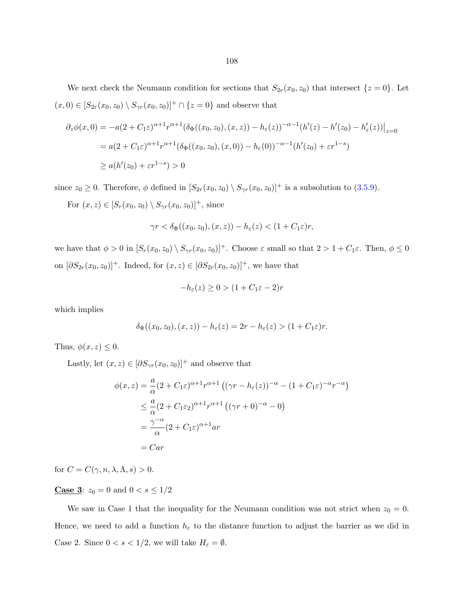We next check the Neumann condition for sections that  $S_{2r}(x_0, z_0)$  that intersect  $\{z = 0\}$ . Let  $(x, 0) \in [S_{2r}(x_0, z_0) \setminus S_{\gamma r}(x_0, z_0)]^+ \cap \{z = 0\}$  and observe that

$$
\partial_z \phi(x,0) = -a(2+C_1\varepsilon)^{\alpha+1} r^{\alpha+1} (\delta_\Phi((x_0,z_0),(x,z)) - h_\varepsilon(z))^{-\alpha-1} (h'(z) - h'(z_0) - h'_\varepsilon(z)) \Big|_{z=0}
$$
  
=  $a(2+C_1\varepsilon)^{\alpha+1} r^{\alpha+1} (\delta_\Phi((x_0,z_0),(x,0)) - h_\varepsilon(0))^{-\alpha-1} (h'(z_0) + \varepsilon r^{1-s})$   
 $\ge a(h'(z_0) + \varepsilon r^{1-s}) > 0$ 

since  $z_0 \ge 0$ . Therefore,  $\phi$  defined in  $[S_{2r}(x_0, z_0) \setminus S_{\gamma r}(x_0, z_0)]^+$  is a subsolution to [\(3.5.9\)](#page-104-0).

For  $(x, z) \in [S_r(x_0, z_0) \setminus S_{\gamma r}(x_0, z_0)]^+$ , since

$$
\gamma r < \delta_{\Phi}((x_0, z_0), (x, z)) - h_{\varepsilon}(z) < (1 + C_1 \varepsilon)r,
$$

we have that  $\phi > 0$  in  $[S_r(x_0, z_0) \setminus S_{\gamma r}(x_0, z_0)]^+$ . Choose  $\varepsilon$  small so that  $2 > 1 + C_1 \varepsilon$ . Then,  $\phi \leq 0$ on  $[\partial S_{2r}(x_0, z_0)]^+$ . Indeed, for  $(x, z) \in [\partial S_{2r}(x_0, z_0)]^+$ , we have that

$$
-h_{\varepsilon}(z) \ge 0 > (1 + C_1 \varepsilon - 2)r
$$

which implies

$$
\delta_{\Phi}((x_0, z_0), (x, z)) - h_{\varepsilon}(z) = 2r - h_{\varepsilon}(z) > (1 + C_1 \varepsilon)r.
$$

Thus,  $\phi(x, z) \leq 0$ .

Lastly, let  $(x, z) \in [\partial S_{\gamma r}(x_0, z_0)]^+$  and observe that

$$
\phi(x, z) = \frac{a}{\alpha} (2 + C_1 \varepsilon)^{\alpha + 1} r^{\alpha + 1} ((\gamma r - h_{\varepsilon}(z))^{-\alpha} - (1 + C_1 \varepsilon)^{-\alpha} r^{-\alpha})
$$
  

$$
\leq \frac{a}{\alpha} (2 + C_1 \varepsilon_2)^{\alpha + 1} r^{\alpha + 1} ((\gamma r + 0)^{-\alpha} - 0)
$$
  

$$
= \frac{\gamma^{-\alpha}}{\alpha} (2 + C_1 \varepsilon)^{\alpha + 1} ar
$$
  

$$
= Car
$$

for  $C = C(\gamma, n, \lambda, \Lambda, s) > 0$ .

**Case 3:**  $z_0 = 0$  and  $0 < s \le 1/2$ 

We saw in Case 1 that the inequality for the Neumann condition was not strict when  $z_0 = 0$ . Hence, we need to add a function  $h_{\varepsilon}$  to the distance function to adjust the barrier as we did in Case 2. Since  $0 < s < 1/2$ , we will take  $H_{\varepsilon} = \emptyset$ .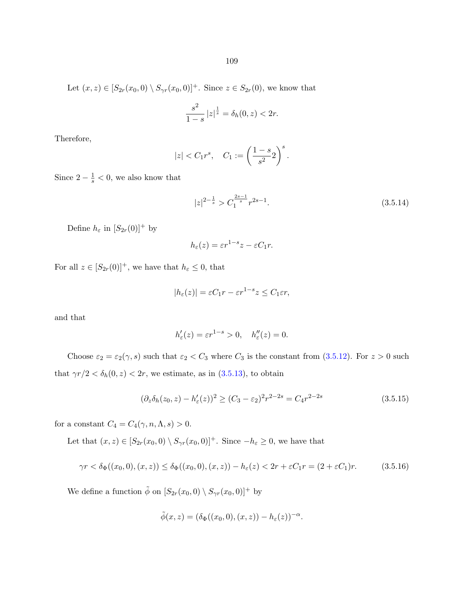<span id="page-114-0"></span>Let  $(x, z) \in [S_{2r}(x_0, 0) \setminus S_{\gamma r}(x_0, 0)]^+$ . Since  $z \in S_{2r}(0)$ , we know that

$$
\frac{s^2}{1-s} |z|^{\frac{1}{s}} = \delta_h(0, z) < 2r.
$$

Therefore,

$$
|z| < C_1 r^s
$$
,  $C_1 := \left(\frac{1-s}{s^2}\right)^s$ .

Since  $2 - \frac{1}{s} < 0$ , we also know that

$$
|z|^{2-\frac{1}{s}} > C_1^{\frac{2s-1}{s}} r^{2s-1}.
$$
\n(3.5.14)

Define  $h_{\varepsilon}$  in  $[S_{2r}(0)]^+$  by

$$
h_{\varepsilon}(z) = \varepsilon r^{1-s} z - \varepsilon C_1 r.
$$

For all  $z \in [S_{2r}(0)]^+$ , we have that  $h_{\varepsilon} \leq 0$ , that

$$
|h_{\varepsilon}(z)| = \varepsilon C_1 r - \varepsilon r^{1-s} z \le C_1 \varepsilon r,
$$

and that

$$
h'_{\varepsilon}(z) = \varepsilon r^{1-s} > 0, \quad h''_{\varepsilon}(z) = 0.
$$

Choose  $\varepsilon_2 = \varepsilon_2(\gamma, s)$  such that  $\varepsilon_2 < C_3$  where  $C_3$  is the constant from [\(3.5.12\)](#page-109-0). For  $z > 0$  such that  $\gamma r/2 < \delta_h(0, z) < 2r$ , we estimate, as in [\(3.5.13\)](#page-109-0), to obtain

$$
(\partial_z \delta_h(z_0, z) - h'_\varepsilon(z))^2 \ge (C_3 - \varepsilon_2)^2 r^{2-2s} = C_4 r^{2-2s}
$$
\n(3.5.15)

for a constant  $C_4 = C_4(\gamma, n, \Lambda, s) > 0$ .

Let that  $(x, z) \in [S_{2r}(x_0, 0) \setminus S_{\gamma r}(x_0, 0)]^+$ . Since  $-h_\varepsilon \geq 0$ , we have that

$$
\gamma r < \delta_{\Phi}((x_0, 0), (x, z)) \leq \delta_{\Phi}((x_0, 0), (x, z)) - h_{\varepsilon}(z) < 2r + \varepsilon C_1 r = (2 + \varepsilon C_1)r. \tag{3.5.16}
$$

We define a function  $\tilde{\phi}$  on  $[S_{2r}(x_0, 0) \setminus S_{\gamma r}(x_0, 0)]^+$  by

$$
\tilde{\phi}(x,z) = (\delta_{\Phi}((x_0,0),(x,z)) - h_{\varepsilon}(z))^{-\alpha}.
$$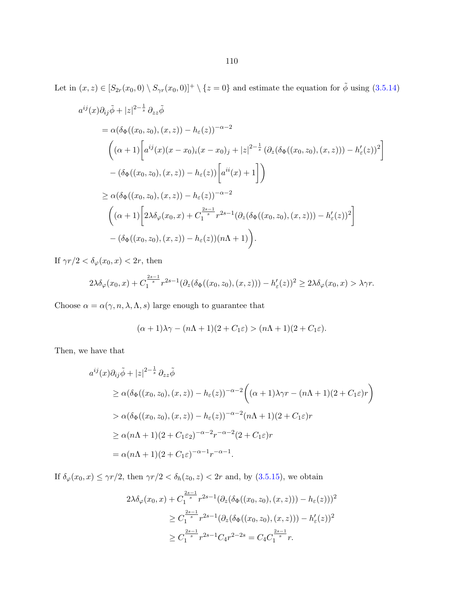Let in  $(x, z) \in [S_{2r}(x_0, 0) \setminus S_{\gamma r}(x_0, 0)]^+ \setminus \{z = 0\}$  and estimate the equation for  $\tilde{\phi}$  using  $(3.5.14)$ 

$$
a^{ij}(x)\partial_{ij}\tilde{\phi} + |z|^{2-\frac{1}{s}} \partial_{zz}\tilde{\phi}
$$
  
=  $\alpha(\delta_{\Phi}((x_0, z_0), (x, z)) - h_{\varepsilon}(z))^{-\alpha-2}$   

$$
\left( (\alpha+1) \left[ a^{ij}(x)(x-x_0)_i(x-x_0)_j + |z|^{2-\frac{1}{s}} (\partial_z(\delta_{\Phi}((x_0, z_0), (x, z))) - h'_{\varepsilon}(z))^2 \right] - (\delta_{\Phi}((x_0, z_0), (x, z)) - h_{\varepsilon}(z)) \left[ a^{ii}(x) + 1 \right] \right)
$$
  

$$
\geq \alpha(\delta_{\Phi}((x_0, z_0), (x, z)) - h_{\varepsilon}(z))^{-\alpha-2}
$$
  

$$
\left( (\alpha+1) \left[ 2\lambda \delta_{\varphi}(x_0, x) + C_1^{\frac{2s-1}{s}} r^{2s-1} (\partial_z(\delta_{\Phi}((x_0, z_0), (x, z))) - h'_{\varepsilon}(z))^2 \right] - (\delta_{\Phi}((x_0, z_0), (x, z)) - h_{\varepsilon}(z)) (n\Lambda + 1) \right).
$$

If  $\gamma r/2 < \delta_{\varphi}(x_0, x) < 2r$ , then

$$
2\lambda \delta_{\varphi}(x_0, x) + C_1^{\frac{2s-1}{s}} r^{2s-1} (\partial_z(\delta_{\Phi}((x_0, z_0), (x, z))) - h'_{\varepsilon}(z))^2 \ge 2\lambda \delta_{\varphi}(x_0, x) > \lambda \gamma r.
$$

Choose  $\alpha=\alpha(\gamma,n,\lambda,\Lambda,s)$  large enough to guarantee that

$$
(\alpha+1)\lambda\gamma - (n\Lambda+1)(2+C_1\varepsilon) > (n\Lambda+1)(2+C_1\varepsilon).
$$

Then, we have that

$$
a^{ij}(x)\partial_{ij}\tilde{\phi} + |z|^{2-\frac{1}{s}}\partial_{zz}\tilde{\phi}
$$
  
\n
$$
\geq \alpha(\delta_{\Phi}((x_0, z_0), (x, z)) - h_{\varepsilon}(z))^{-\alpha-2} \left( (\alpha+1)\lambda\gamma r - (n\Lambda+1)(2+C_1\varepsilon)r \right)
$$
  
\n
$$
> \alpha(\delta_{\Phi}((x_0, z_0), (x, z)) - h_{\varepsilon}(z))^{-\alpha-2}(n\Lambda+1)(2+C_1\varepsilon)r
$$
  
\n
$$
\geq \alpha(n\Lambda+1)(2+C_1\varepsilon)^{-\alpha-2}r^{-\alpha-2}(2+C_1\varepsilon)r
$$
  
\n
$$
= \alpha(n\Lambda+1)(2+C_1\varepsilon)^{-\alpha-1}r^{-\alpha-1}.
$$

If  $\delta_{\varphi}(x_0, x) \le \gamma r/2$ , then  $\gamma r/2 < \delta_h(z_0, z) < 2r$  and, by  $(3.5.15)$ , we obtain

$$
2\lambda \delta_{\varphi}(x_0, x) + C_1^{\frac{2s-1}{s}} r^{2s-1} (\partial_z(\delta_{\Phi}((x_0, z_0), (x, z))) - h_{\varepsilon}(z)))^2
$$
  
\n
$$
\geq C_1^{\frac{2s-1}{s}} r^{2s-1} (\partial_z(\delta_{\Phi}((x_0, z_0), (x, z))) - h'_{\varepsilon}(z))^2
$$
  
\n
$$
\geq C_1^{\frac{2s-1}{s}} r^{2s-1} C_4 r^{2-2s} = C_4 C_1^{\frac{2s-1}{s}} r.
$$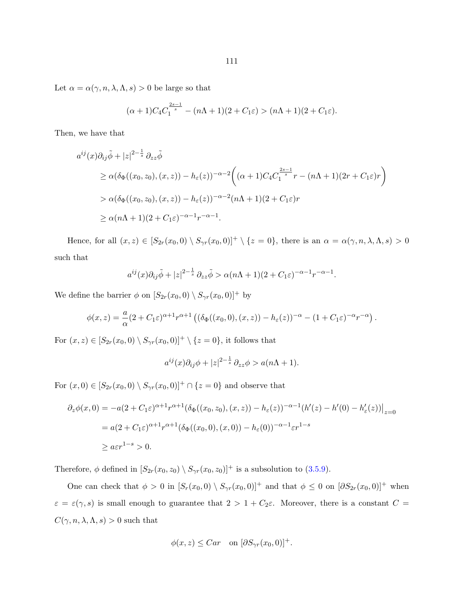Let  $\alpha = \alpha(\gamma, n, \lambda, \Lambda, s) > 0$  be large so that

$$
(\alpha + 1)C_4C_1^{\frac{2s-1}{s}} - (n\Lambda + 1)(2 + C_1\varepsilon) > (n\Lambda + 1)(2 + C_1\varepsilon).
$$

Then, we have that

$$
a^{ij}(x)\partial_{ij}\tilde{\phi} + |z|^{2-\frac{1}{s}}\partial_{zz}\tilde{\phi}
$$
  
\n
$$
\geq \alpha(\delta_{\Phi}((x_0, z_0), (x, z)) - h_{\varepsilon}(z))^{-\alpha-2} \left( (\alpha+1)C_4C_1^{\frac{2s-1}{s}}r - (n\Lambda+1)(2r + C_1\varepsilon)r \right)
$$
  
\n
$$
> \alpha(\delta_{\Phi}((x_0, z_0), (x, z)) - h_{\varepsilon}(z))^{-\alpha-2}(n\Lambda+1)(2 + C_1\varepsilon)r
$$
  
\n
$$
\geq \alpha(n\Lambda+1)(2 + C_1\varepsilon)^{-\alpha-1}r^{-\alpha-1}.
$$

Hence, for all  $(x, z) \in [S_{2r}(x_0, 0) \setminus S_{\gamma r}(x_0, 0)]^+ \setminus \{z = 0\}$ , there is an  $\alpha = \alpha(\gamma, n, \lambda, \Lambda, s) > 0$ such that

$$
a^{ij}(x)\partial_{ij}\tilde{\phi}+|z|^{2-\frac{1}{s}}\partial_{zz}\tilde{\phi}>\alpha(n\Lambda+1)(2+C_1\varepsilon)^{-\alpha-1}r^{-\alpha-1}.
$$

We define the barrier  $\phi$  on  $[S_{2r}(x_0, 0) \setminus S_{\gamma r}(x_0, 0)]^+$  by

$$
\phi(x,z) = \frac{a}{\alpha}(2+C_1\varepsilon)^{\alpha+1}r^{\alpha+1}\left((\delta_{\Phi}((x_0,0),(x,z))-h_{\varepsilon}(z))^{-\alpha}-(1+C_1\varepsilon)^{-\alpha}r^{-\alpha}\right).
$$

For  $(x, z) \in [S_{2r}(x_0, 0) \setminus S_{\gamma r}(x_0, 0)]^+ \setminus \{z = 0\}$ , it follows that

$$
a^{ij}(x)\partial_{ij}\phi+|z|^{2-\frac{1}{s}}\partial_{zz}\phi>a(n\Lambda+1).
$$

For  $(x, 0) \in [S_{2r}(x_0, 0) \setminus S_{\gamma r}(x_0, 0)]^+ \cap \{z = 0\}$  and observe that

$$
\partial_z \phi(x,0) = -a(2 + C_1 \varepsilon)^{\alpha+1} r^{\alpha+1} (\delta_\Phi((x_0, z_0), (x, z)) - h_\varepsilon(z))^{-\alpha-1} (h'(z) - h'(0) - h'_\varepsilon(z)) \Big|_{z=0}
$$
  
=  $a(2 + C_1 \varepsilon)^{\alpha+1} r^{\alpha+1} (\delta_\Phi((x_0, 0), (x, 0)) - h_\varepsilon(0))^{-\alpha-1} \varepsilon r^{1-s}$   
 $\ge a \varepsilon r^{1-s} > 0.$ 

Therefore,  $\phi$  defined in  $[S_{2r}(x_0, z_0) \setminus S_{\gamma r}(x_0, z_0)]^+$  is a subsolution to [\(3.5.9\)](#page-104-0).

One can check that  $\phi > 0$  in  $[S_r(x_0, 0) \setminus S_{\gamma r}(x_0, 0)]^+$  and that  $\phi \leq 0$  on  $[\partial S_{2r}(x_0, 0)]^+$  when  $\varepsilon = \varepsilon(\gamma, s)$  is small enough to guarantee that  $2 > 1 + C_2 \varepsilon$ . Moreover, there is a constant  $C =$  $C(\gamma, n, \lambda, \Lambda, s) > 0$  such that

$$
\phi(x, z) \leq Car \quad \text{on } [\partial S_{\gamma r}(x_0, 0)]^+.
$$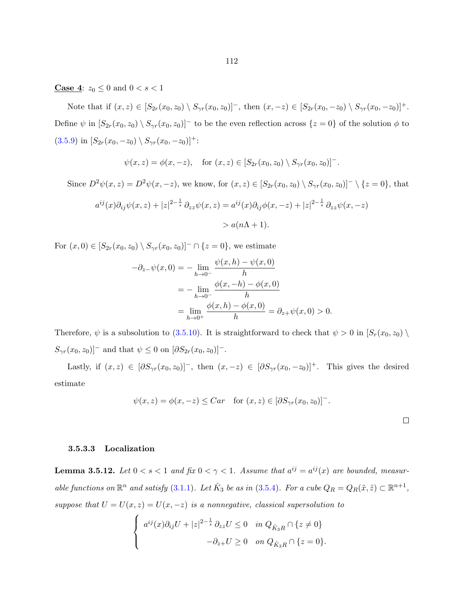<span id="page-117-0"></span>**Case 4:**  $z_0 \le 0$  and  $0 < s < 1$ 

Note that if  $(x, z) \in [S_{2r}(x_0, z_0) \setminus S_{\gamma r}(x_0, z_0)]^-$ , then  $(x, -z) \in [S_{2r}(x_0, -z_0) \setminus S_{\gamma r}(x_0, -z_0)]^+$ . Define  $\psi$  in  $[S_{2r}(x_0, z_0) \setminus S_{\gamma r}(x_0, z_0)]$  to be the even reflection across  $\{z = 0\}$  of the solution  $\phi$  to [\(3.5.9\)](#page-104-0) in  $[S_{2r}(x_0, -z_0) \setminus S_{\gamma r}(x_0, -z_0)]^+$ :

$$
\psi(x, z) = \phi(x, -z),
$$
 for  $(x, z) \in [S_{2r}(x_0, z_0) \setminus S_{\gamma r}(x_0, z_0)]^-.$ 

Since  $D^2\psi(x, z) = D^2\psi(x, -z)$ , we know, for  $(x, z) \in [S_{2r}(x_0, z_0) \setminus S_{\gamma r}(x_0, z_0)]^{-} \setminus \{z = 0\}$ , that

$$
a^{ij}(x)\partial_{ij}\psi(x,z) + |z|^{2-\frac{1}{s}}\partial_{zz}\psi(x,z) = a^{ij}(x)\partial_{ij}\phi(x,-z) + |z|^{2-\frac{1}{s}}\partial_{zz}\psi(x,-z)
$$

$$
> a(n\Lambda + 1).
$$

For  $(x, 0) \in [S_{2r}(x_0, z_0) \setminus S_{\gamma r}(x_0, z_0)]^- \cap \{z = 0\}$ , we estimate

$$
-\partial_{z-}\psi(x,0) = -\lim_{h \to 0^{-}} \frac{\psi(x,h) - \psi(x,0)}{h}
$$
  
=  $-\lim_{h \to 0^{-}} \frac{\phi(x,-h) - \phi(x,0)}{h}$   
=  $\lim_{h \to 0^{+}} \frac{\phi(x,h) - \phi(x,0)}{h} = \partial_{z+}\psi(x,0) > 0.$ 

Therefore,  $\psi$  is a subsolution to [\(3.5.10\)](#page-104-0). It is straightforward to check that  $\psi > 0$  in  $[S_r(x_0, z_0) \setminus$  $S_{\gamma r}(x_0, z_0)$ <sup>-</sup> and that  $\psi \leq 0$  on  $[\partial S_{2r}(x_0, z_0)]^{-}$ .

Lastly, if  $(x, z) \in [\partial S_{\gamma r}(x_0, z_0)]^{-}$ , then  $(x, -z) \in [\partial S_{\gamma r}(x_0, -z_0)]^{+}$ . This gives the desired estimate

$$
\psi(x, z) = \phi(x, -z) \leq Car \quad \text{for } (x, z) \in [\partial S_{\gamma r}(x_0, z_0)]^-.
$$

### 3.5.3.3 Localization

**Lemma 3.5.12.** Let  $0 < s < 1$  and fix  $0 < \gamma < 1$ . Assume that  $a^{ij} = a^{ij}(x)$  are bounded, measurable functions on  $\mathbb{R}^n$  and satisfy [\(3.1.1\)](#page-67-0). Let  $\hat{K}_3$  be as in [\(3.5.4\)](#page-92-0). For a cube  $Q_R = Q_R(\tilde{x}, \tilde{z}) \subset \mathbb{R}^{n+1}$ , suppose that  $U = U(x, z) = U(x, -z)$  is a nonnegative, classical supersolution to

$$
\begin{cases} a^{ij}(x)\partial_{ij}U + |z|^{2-\frac{1}{s}}\partial_{zz}U \le 0 & \text{in } Q_{\hat{K}_3R} \cap \{z \ne 0\} \\ -\partial_{z+}U \ge 0 & \text{on } Q_{\hat{K}_3R} \cap \{z = 0\}. \end{cases}
$$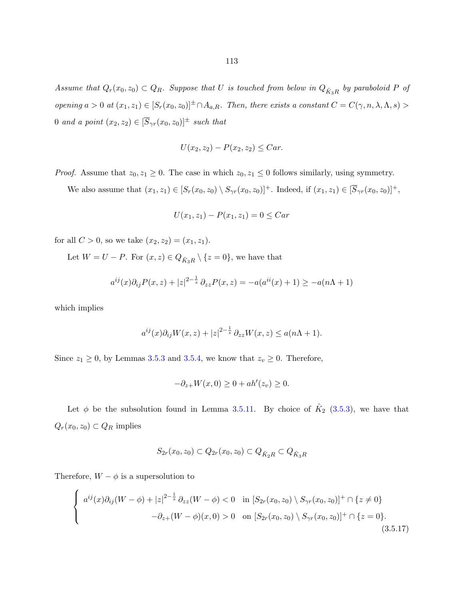<span id="page-118-0"></span>Assume that  $Q_r(x_0, z_0) \subset Q_R$ . Suppose that U is touched from below in  $Q_{\hat{K}_3R}$  by paraboloid P of opening  $a > 0$  at  $(x_1, z_1) \in [S_r(x_0, z_0)]^{\pm} \cap A_{a,R}$ . Then, there exists a constant  $C = C(\gamma, n, \lambda, \Lambda, s)$ 0 and a point  $(x_2, z_2) \in [\overline{S}_{\gamma r}(x_0, z_0)]^{\pm}$  such that

$$
U(x_2, z_2) - P(x_2, z_2) \leq Car.
$$

*Proof.* Assume that  $z_0, z_1 \geq 0$ . The case in which  $z_0, z_1 \leq 0$  follows similarly, using symmetry.

We also assume that  $(x_1, z_1) \in [S_r(x_0, z_0) \setminus S_{\gamma r}(x_0, z_0)]^+$ . Indeed, if  $(x_1, z_1) \in [\overline{S}_{\gamma r}(x_0, z_0)]^+$ ,

$$
U(x_1, z_1) - P(x_1, z_1) = 0 \leq Car
$$

for all  $C > 0$ , so we take  $(x_2, z_2) = (x_1, z_1)$ .

Let  $W = U - P$ . For  $(x, z) \in Q_{\hat{K}_3 R} \setminus \{z = 0\}$ , we have that

$$
a^{ij}(x)\partial_{ij}P(x,z) + |z|^{2-\frac{1}{s}}\partial_{zz}P(x,z) = -a(a^{ii}(x) + 1) \ge -a(n\Lambda + 1)
$$

which implies

$$
a^{ij}(x)\partial_{ij}W(x,z) + |z|^{2-\frac{1}{s}}\partial_{zz}W(x,z) \le a(n\Lambda + 1).
$$

Since  $z_1 \ge 0$ , by Lemmas [3.5.3](#page-88-0) and [3.5.4,](#page-89-0) we know that  $z_v \ge 0$ . Therefore,

$$
-\partial_{z+}W(x,0) \ge 0 + ah'(z_v) \ge 0.
$$

Let  $\phi$  be the subsolution found in Lemma [3.5.11.](#page-103-0) By choice of  $\hat{K}_2$  [\(3.5.3\)](#page-92-0), we have that  $Q_r(x_0, z_0) \subset Q_R$  implies

$$
S_{2r}(x_0, z_0) \subset Q_{2r}(x_0, z_0) \subset Q_{\hat{K}_2 R} \subset Q_{\hat{K}_3 R}
$$

Therefore,  $W - \phi$  is a supersolution to

$$
\begin{cases}\n a^{ij}(x)\partial_{ij}(W-\phi) + |z|^{2-\frac{1}{s}}\partial_{zz}(W-\phi) < 0 \quad \text{in } [S_{2r}(x_0, z_0) \setminus S_{\gamma r}(x_0, z_0)]^+ \cap \{z \neq 0\} \\
 -\partial_{z+}(W-\phi)(x, 0) > 0 \quad \text{on } [S_{2r}(x_0, z_0) \setminus S_{\gamma r}(x_0, z_0)]^+ \cap \{z = 0\}.\n \end{cases}
$$
\n(3.5.17)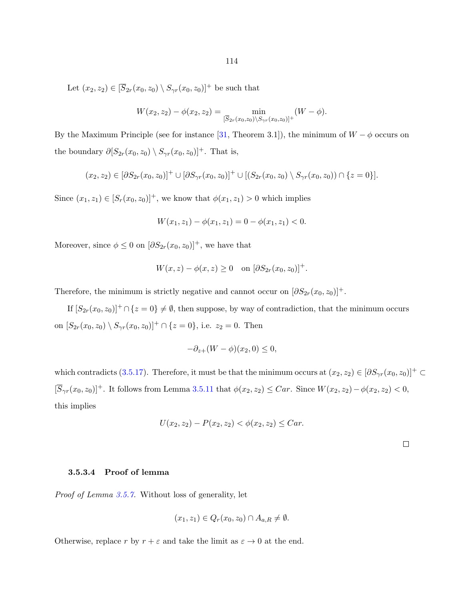114

Let  $(x_2, z_2) \in [\overline{S}_{2r}(x_0, z_0) \setminus S_{\gamma r}(x_0, z_0)]^+$  be such that

$$
W(x_2, z_2) - \phi(x_2, z_2) = \min_{\overline{S}_{2r}(x_0, z_0) \setminus S_{\gamma r}(x_0, z_0)]^+} (W - \phi).
$$

By the Maximum Principle (see for instance [\[31,](#page-143-0) Theorem 3.1]), the minimum of  $W - \phi$  occurs on the boundary  $\partial [S_{2r}(x_0, z_0) \setminus S_{\gamma r}(x_0, z_0)]^+$ . That is,

$$
(x_2, z_2) \in [\partial S_{2r}(x_0, z_0)]^+ \cup [\partial S_{\gamma r}(x_0, z_0)]^+ \cup [(S_{2r}(x_0, z_0) \setminus S_{\gamma r}(x_0, z_0)) \cap \{z = 0\}].
$$

Since  $(x_1, z_1) \in [S_r(x_0, z_0)]^+$ , we know that  $\phi(x_1, z_1) > 0$  which implies

$$
W(x_1, z_1) - \phi(x_1, z_1) = 0 - \phi(x_1, z_1) < 0.
$$

Moreover, since  $\phi \leq 0$  on  $[\partial S_{2r}(x_0, z_0)]^+$ , we have that

$$
W(x, z) - \phi(x, z) \ge 0 \quad \text{on } [\partial S_{2r}(x_0, z_0)]^+.
$$

Therefore, the minimum is strictly negative and cannot occur on  $[\partial S_{2r}(x_0, z_0)]^+$ .

If  $[S_{2r}(x_0, z_0)]^+ \cap \{z = 0\} \neq \emptyset$ , then suppose, by way of contradiction, that the minimum occurs on  $[S_{2r}(x_0, z_0) \setminus S_{\gamma r}(x_0, z_0)]^+ \cap \{z = 0\}$ , i.e.  $z_2 = 0$ . Then

$$
-\partial_{z+}(W-\phi)(x_2,0) \le 0,
$$

which contradicts [\(3.5.17\)](#page-118-0). Therefore, it must be that the minimum occurs at  $(x_2, z_2) \in [\partial S_{\gamma r}(x_0, z_0)]^+ \subset$  $[\overline{S}_{\gamma r}(x_0, z_0)]^+$ . It follows from Lemma [3.5.11](#page-103-0) that  $\phi(x_2, z_2) \leq Car$ . Since  $W(x_2, z_2) - \phi(x_2, z_2) < 0$ , this implies

$$
U(x_2, z_2) - P(x_2, z_2) < \phi(x_2, z_2) \leq C a r.
$$

 $\Box$ 

# 3.5.3.4 Proof of lemma

Proof of Lemma [3.5.7.](#page-93-0) Without loss of generality, let

$$
(x_1, z_1) \in Q_r(x_0, z_0) \cap A_{a,R} \neq \emptyset.
$$

Otherwise, replace r by  $r + \varepsilon$  and take the limit as  $\varepsilon \to 0$  at the end.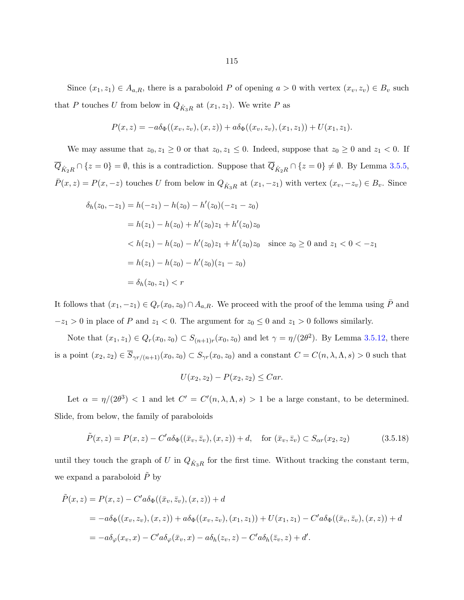Since  $(x_1, z_1) \in A_{a,R}$ , there is a paraboloid P of opening  $a > 0$  with vertex  $(x_v, z_v) \in B_v$  such that P touches U from below in  $Q_{\hat{K}_3R}$  at  $(x_1, z_1)$ . We write P as

$$
P(x, z) = -a\delta_{\Phi}((x_v, z_v), (x, z)) + a\delta_{\Phi}((x_v, z_v), (x_1, z_1)) + U(x_1, z_1).
$$

We may assume that  $z_0, z_1 \geq 0$  or that  $z_0, z_1 \leq 0$ . Indeed, suppose that  $z_0 \geq 0$  and  $z_1 < 0$ . If  $Q_{\hat{K}_2R} \cap \{z=0\} = \emptyset$ , this is a contradiction. Suppose that  $Q_{\hat{K}_2R} \cap \{z=0\} \neq \emptyset$ . By Lemma [3.5.5,](#page-90-0)  $\overline{P}(x, z) = P(x, -z)$  touches U from below in  $Q_{\hat{K}_3R}$  at  $(x_1, -z_1)$  with vertex  $(x_v, -z_v) \in B_v$ . Since

$$
\delta_h(z_0, -z_1) = h(-z_1) - h(z_0) - h'(z_0)(-z_1 - z_0)
$$
  
=  $h(z_1) - h(z_0) + h'(z_0)z_1 + h'(z_0)z_0$   
 $< h(z_1) - h(z_0) - h'(z_0)z_1 + h'(z_0)z_0$  since  $z_0 \ge 0$  and  $z_1 < 0 < -z_1$   
=  $h(z_1) - h(z_0) - h'(z_0)(z_1 - z_0)$   
=  $\delta_h(z_0, z_1) < r$ 

It follows that  $(x_1, -z_1) \in Q_r(x_0, z_0) \cap A_{a,R}$ . We proceed with the proof of the lemma using  $\overline{P}$  and  $-z_1 > 0$  in place of P and  $z_1 < 0$ . The argument for  $z_0 \le 0$  and  $z_1 > 0$  follows similarly.

Note that  $(x_1, z_1) \in Q_r(x_0, z_0) \subset S_{(n+1)r}(x_0, z_0)$  and let  $\gamma = \eta/(2\theta^2)$ . By Lemma [3.5.12,](#page-117-0) there is a point  $(x_2, z_2) \in \overline{S}_{\gamma r/(n+1)}(x_0, z_0) \subset S_{\gamma r}(x_0, z_0)$  and a constant  $C = C(n, \lambda, \Lambda, s) > 0$  such that

$$
U(x_2, z_2) - P(x_2, z_2) \leq Car.
$$

Let  $\alpha = \eta/(2\theta^3) < 1$  and let  $C' = C'(n, \lambda, \Lambda, s) > 1$  be a large constant, to be determined. Slide, from below, the family of paraboloids

$$
\tilde{P}(x, z) = P(x, z) - C'a\delta_{\Phi}((\bar{x}_v, \bar{z}_v), (x, z)) + d, \quad \text{for } (\bar{x}_v, \bar{z}_v) \subset S_{\alpha r}(x_2, z_2)
$$
\n(3.5.18)

until they touch the graph of U in  $Q_{\hat{K}_3R}$  for the first time. Without tracking the constant term, we expand a paraboloid  $\ddot{P}$  by

$$
\tilde{P}(x, z) = P(x, z) - C'a\delta_{\Phi}((\bar{x}_v, \bar{z}_v), (x, z)) + d
$$
\n
$$
= -a\delta_{\Phi}((x_v, z_v), (x, z)) + a\delta_{\Phi}((x_v, z_v), (x_1, z_1)) + U(x_1, z_1) - C'a\delta_{\Phi}((\bar{x}_v, \bar{z}_v), (x, z)) + d
$$
\n
$$
= -a\delta_{\varphi}(x_v, x) - C'a\delta_{\varphi}(\bar{x}_v, x) - a\delta_{h}(z_v, z) - C'a\delta_{h}(\bar{z}_v, z) + d'.
$$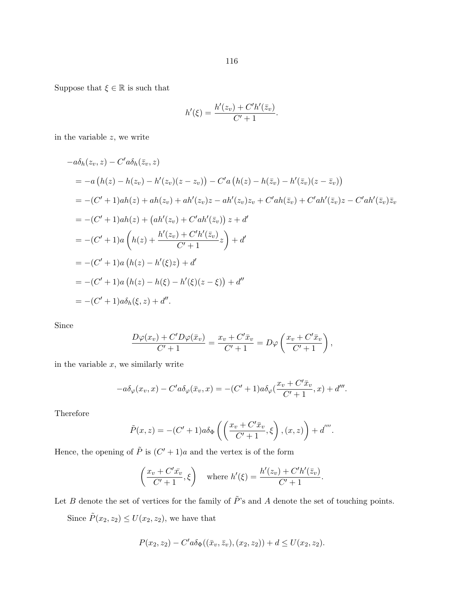Suppose that  $\xi \in \mathbb{R}$  is such that

$$
h'(\xi) = \frac{h'(z_v) + C'h'(\bar{z}_v)}{C' + 1}.
$$

in the variable  $z$ , we write

$$
-a\delta_h(z_v, z) - C'a\delta_h(\bar{z}_v, z)
$$
  
=  $-a(h(z) - h(z_v) - h'(z_v)(z - z_v)) - C'a(h(z) - h(\bar{z}_v) - h'(\bar{z}_v)(z - \bar{z}_v))$   
=  $-(C' + 1)ah(z) + ah(z_v) + ah'(z_v)z - ah'(z_v)z_v + C'ah(\bar{z}_v) + C'ah'(\bar{z}_v)z - C'ah'(\bar{z}_v)\bar{z}_v$   
=  $-(C' + 1)ah(z) + (ah'(z_v) + C'ah'(\bar{z}_v))z + d'$   
=  $-(C' + 1)a(h(z) + \frac{h'(z_v) + C'h'(\bar{z}_v)}{C' + 1}z) + d'$   
=  $-(C' + 1)a(h(z) - h'(\xi)z) + d'$   
=  $-(C' + 1)a(h(z) - h(\xi) - h'(\xi)(z - \xi)) + d''$   
=  $-(C' + 1)a\delta_h(\xi, z) + d''$ .

Since

$$
\frac{D\varphi(x_v) + C'D\varphi(\bar{x}_v)}{C' + 1} = \frac{x_v + C'\bar{x}_v}{C' + 1} = D\varphi\left(\frac{x_v + C'\bar{x}_v}{C' + 1}\right),\,
$$

in the variable  $x$ , we similarly write

$$
-a\delta_{\varphi}(x_v, x) - C'a\delta_{\varphi}(\bar{x}_v, x) = -(C' + 1)a\delta_{\varphi}(\frac{x_v + C'\bar{x}_v}{C' + 1}, x) + d'''.
$$

Therefore

$$
\tilde{P}(x, z) = -(C' + 1)a\delta_{\Phi}\left(\left(\frac{x_v + C'\bar{x}_v}{C' + 1}, \xi\right), (x, z)\right) + d''''.
$$

Hence, the opening of  $\tilde{P}$  is  $(C'+1)a$  and the vertex is of the form

$$
\left(\frac{x_v + C' \bar{x_v}}{C' + 1}, \xi\right) \quad \text{where } h'(\xi) = \frac{h'(z_v) + C'h'(\bar{z}_v)}{C' + 1}.
$$

Let B denote the set of vertices for the family of  $\tilde{P}$ 's and A denote the set of touching points.

Since  $\tilde{P}(x_2, z_2) \le U(x_2, z_2)$ , we have that

$$
P(x_2, z_2) - C'a\delta_{\Phi}((\bar{x}_v, \bar{z}_v), (x_2, z_2)) + d \le U(x_2, z_2).
$$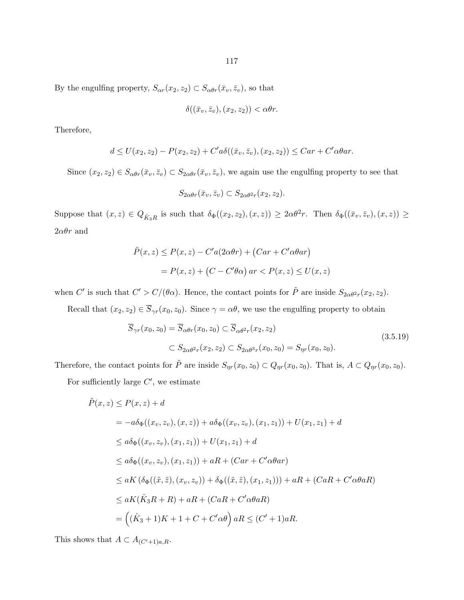117

By the engulfing property,  $S_{\alpha r}(x_2, z_2) \subset S_{\alpha \theta r}(\bar{x}_v, \bar{z}_v)$ , so that

$$
\delta((\bar{x}_v, \bar{z}_v), (x_2, z_2)) < \alpha \theta r
$$

Therefore,

$$
d \le U(x_2, z_2) - P(x_2, z_2) + C'a\delta((\bar{x}_v, \bar{z}_v), (x_2, z_2)) \le Car + C'a\theta ar.
$$

Since  $(x_2, z_2) \in S_{\alpha\theta r}(\bar{x}_v, \bar{z}_v) \subset S_{2\alpha\theta r}(\bar{x}_v, \bar{z}_v)$ , we again use the engulfing property to see that

$$
S_{2\alpha\theta r}(\bar{x}_v, \bar{z}_v) \subset S_{2\alpha\theta^2 r}(x_2, z_2).
$$

Suppose that  $(x, z) \in Q_{\hat{K}_3R}$  is such that  $\delta_{\Phi}((x_2, z_2), (x, z)) \geq 2\alpha\theta^2 r$ . Then  $\delta_{\Phi}((\bar{x}_v, \bar{z}_v), (x, z)) \geq$  $2\alpha\theta r$  and

$$
\tilde{P}(x, z) \le P(x, z) - C'a(2\alpha\theta r) + (Car + C'a\theta ar)
$$

$$
= P(x, z) + (C - C'\theta\alpha) \text{ ar} < P(x, z) \le U(x, z)
$$

when C' is such that  $C' > C/(\theta \alpha)$ . Hence, the contact points for  $\tilde{P}$  are inside  $S_{2\alpha\theta^2 r}(x_2, z_2)$ .

Recall that  $(x_2, z_2) \in \overline{S}_{\gamma r}(x_0, z_0)$ . Since  $\gamma = \alpha \theta$ , we use the engulfing property to obtain

$$
\overline{S}_{\gamma r}(x_0, z_0) = \overline{S}_{\alpha\theta r}(x_0, z_0) \subset \overline{S}_{\alpha\theta^2 r}(x_2, z_2)
$$
\n
$$
\subset S_{2\alpha\theta^2 r}(x_2, z_2) \subset S_{2\alpha\theta^3 r}(x_0, z_0) = S_{\eta r}(x_0, z_0).
$$
\n(3.5.19)

Therefore, the contact points for  $\tilde{P}$  are inside  $S_{\eta r}(x_0, z_0) \subset Q_{\eta r}(x_0, z_0)$ . That is,  $A \subset Q_{\eta r}(x_0, z_0)$ .

For sufficiently large  $C'$ , we estimate

$$
\tilde{P}(x, z) \le P(x, z) + d
$$
\n
$$
= -a\delta_{\Phi}((x_v, z_v), (x, z)) + a\delta_{\Phi}((x_v, z_v), (x_1, z_1)) + U(x_1, z_1) + d
$$
\n
$$
\le a\delta_{\Phi}((x_v, z_v), (x_1, z_1)) + U(x_1, z_1) + d
$$
\n
$$
\le a\delta_{\Phi}((x_v, z_v), (x_1, z_1)) + aR + (Car + C'\alpha\theta ar)
$$
\n
$$
\le aK(\delta_{\Phi}((\tilde{x}, \tilde{z}), (x_v, z_v)) + \delta_{\Phi}((\tilde{x}, \tilde{z}), (x_1, z_1))) + aR + (CaR + C'\alpha\theta aR)
$$
\n
$$
\le aK(\hat{K}_3R + R) + aR + (CaR + C'\alpha\theta aR)
$$
\n
$$
= ((\hat{K}_3 + 1)K + 1 + C + C'\alpha\theta) aR \le (C' + 1)aR.
$$

This shows that  $A \subset A_{(C'+1)a,R}$ .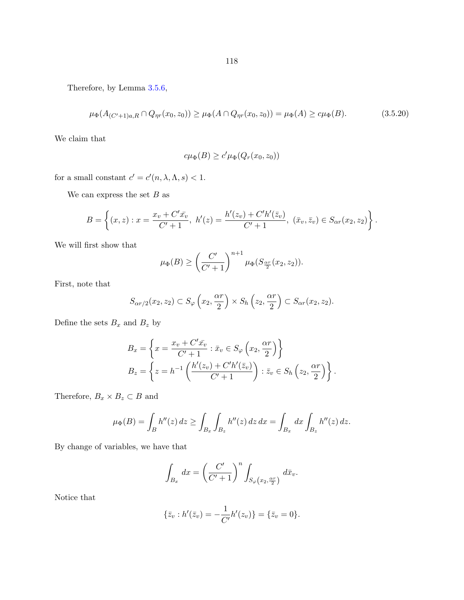<span id="page-123-0"></span>Therefore, by Lemma [3.5.6,](#page-91-0)

$$
\mu_{\Phi}(A_{(C'+1)a,R} \cap Q_{\eta r}(x_0,z_0)) \ge \mu_{\Phi}(A \cap Q_{\eta r}(x_0,z_0)) = \mu_{\Phi}(A) \ge c\mu_{\Phi}(B). \tag{3.5.20}
$$

We claim that

$$
c\mu_{\Phi}(B) \ge c'\mu_{\Phi}(Q_r(x_0,z_0))
$$

for a small constant  $c' = c'(n, \lambda, \Lambda, s) < 1$ .

We can express the set  $B$  as

$$
B = \left\{ (x, z) : x = \frac{x_v + C' \bar{x_v}}{C' + 1}, \ h'(z) = \frac{h'(z_v) + C'h'(\bar{z}_v)}{C' + 1}, \ (\bar{x}_v, \bar{z}_v) \in S_{\alpha r}(x_2, z_2) \right\}.
$$

We will first show that

$$
\mu_{\Phi}(B) \ge \left(\frac{C'}{C'+1}\right)^{n+1} \mu_{\Phi}(S_{\frac{\alpha r}{2}}(x_2, z_2)).
$$

First, note that

$$
S_{\alpha r/2}(x_2, z_2) \subset S_{\varphi}\left(x_2, \frac{\alpha r}{2}\right) \times S_h\left(z_2, \frac{\alpha r}{2}\right) \subset S_{\alpha r}(x_2, z_2).
$$

Define the sets  $B_x$  and  $B_z$  by

$$
B_x = \left\{ x = \frac{x_v + C'\bar{x_v}}{C' + 1} : \bar{x}_v \in S_\varphi \left( x_2, \frac{\alpha r}{2} \right) \right\}
$$
  
\n
$$
B_z = \left\{ z = h^{-1} \left( \frac{h'(z_v) + C'h'(\bar{z}_v)}{C' + 1} \right) : \bar{z}_v \in S_h \left( z_2, \frac{\alpha r}{2} \right) \right\}.
$$

Therefore,  $B_x \times B_z \subset B$  and

$$
\mu_{\Phi}(B) = \int_{B} h''(z) dz \ge \int_{B_x} \int_{B_z} h''(z) dz dx = \int_{B_x} dx \int_{B_z} h''(z) dz.
$$

By change of variables, we have that

$$
\int_{B_x} dx = \left(\frac{C'}{C'+1}\right)^n \int_{S_{\varphi}\left(x_2, \frac{\alpha r}{2}\right)} d\bar{x}_v.
$$

Notice that

$$
\{\bar{z}_v : h'(\bar{z}_v) = -\frac{1}{C'}h'(z_v)\} = \{\bar{z}_v = 0\}.
$$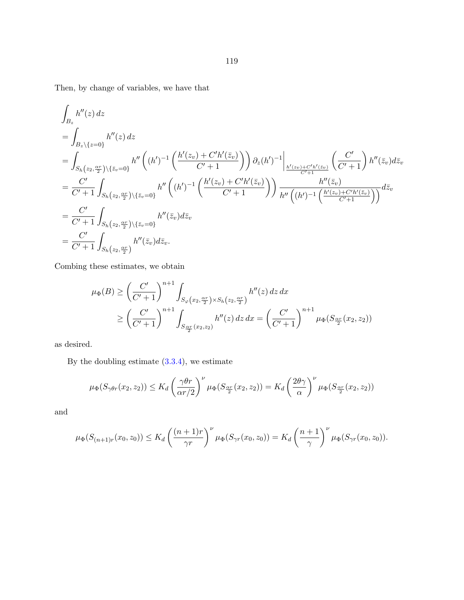Then, by change of variables, we have that

$$
\int_{B_z} h''(z) dz
$$
\n
$$
= \int_{B_z \setminus \{z=0\}} h''(z) dz
$$
\n
$$
= \int_{S_h(z_2, \frac{\alpha r}{2}) \setminus \{\bar{z}_v=0\}} h''\left( (h')^{-1} \left( \frac{h'(z_v) + C'h'(\bar{z}_v)}{C' + 1} \right) \right) \partial_z(h')^{-1} \Big|_{\frac{h'(z_v) + C'h'(\bar{z}_v)}{C' + 1}} \left( \frac{C'}{C' + 1} \right) h''(\bar{z}_v) d\bar{z}_v
$$
\n
$$
= \frac{C'}{C' + 1} \int_{S_h(z_2, \frac{\alpha r}{2}) \setminus \{\bar{z}_v=0\}} h''\left( (h')^{-1} \left( \frac{h'(z_v) + C'h'(\bar{z}_v)}{C' + 1} \right) \right) \frac{h''(\bar{z}_v)}{h''\left( (h')^{-1} \left( \frac{h'(z_v) + C'h'(\bar{z}_v)}{C' + 1} \right) \right)} d\bar{z}_v
$$
\n
$$
= \frac{C'}{C' + 1} \int_{S_h(z_2, \frac{\alpha r}{2}) \setminus \{\bar{z}_v=0\}} h''(\bar{z}_v) d\bar{z}_v
$$
\n
$$
= \frac{C'}{C' + 1} \int_{S_h(z_2, \frac{\alpha r}{2})} h''(\bar{z}_v) d\bar{z}_v.
$$

Combing these estimates, we obtain

$$
\mu_{\Phi}(B) \ge \left(\frac{C'}{C'+1}\right)^{n+1} \int_{S_{\varphi}(x_2, \frac{\alpha r}{2}) \times S_h(z_2, \frac{\alpha r}{2})} h''(z) dz dx
$$
  
 
$$
\ge \left(\frac{C'}{C'+1}\right)^{n+1} \int_{S_{\frac{\alpha r}{2}}(x_2, z_2)} h''(z) dz dx = \left(\frac{C'}{C'+1}\right)^{n+1} \mu_{\Phi}(S_{\frac{\alpha r}{2}}(x_2, z_2))
$$

as desired.

By the doubling estimate [\(3.3.4\)](#page-80-0), we estimate

$$
\mu_{\Phi}(S_{\gamma\theta r}(x_2, z_2)) \leq K_d \left(\frac{\gamma\theta r}{\alpha r/2}\right)^{\nu} \mu_{\Phi}(S_{\frac{\alpha r}{2}}(x_2, z_2)) = K_d \left(\frac{2\theta\gamma}{\alpha}\right)^{\nu} \mu_{\Phi}(S_{\frac{\alpha r}{2}}(x_2, z_2))
$$

and

$$
\mu_{\Phi}(S_{(n+1)r}(x_0,z_0)) \leq K_d \left(\frac{(n+1)r}{\gamma r}\right)^{\nu} \mu_{\Phi}(S_{\gamma r}(x_0,z_0)) = K_d \left(\frac{n+1}{\gamma}\right)^{\nu} \mu_{\Phi}(S_{\gamma r}(x_0,z_0)).
$$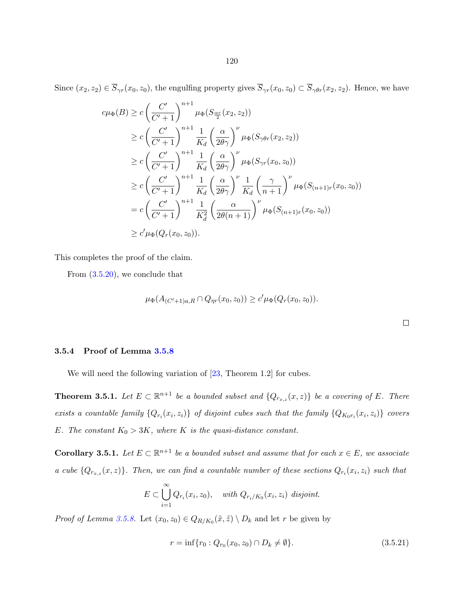<span id="page-125-0"></span>
$$
c\mu_{\Phi}(B) \ge c \left(\frac{C'}{C'+1}\right)^{n+1} \mu_{\Phi}(S_{\frac{\alpha r}{2}}(x_2, z_2))
$$
  
\n
$$
\ge c \left(\frac{C'}{C'+1}\right)^{n+1} \frac{1}{K_d} \left(\frac{\alpha}{2\theta\gamma}\right)^{\nu} \mu_{\Phi}(S_{\gamma\theta r}(x_2, z_2))
$$
  
\n
$$
\ge c \left(\frac{C'}{C'+1}\right)^{n+1} \frac{1}{K_d} \left(\frac{\alpha}{2\theta\gamma}\right)^{\nu} \mu_{\Phi}(S_{\gamma r}(x_0, z_0))
$$
  
\n
$$
\ge c \left(\frac{C'}{C'+1}\right)^{n+1} \frac{1}{K_d} \left(\frac{\alpha}{2\theta\gamma}\right)^{\nu} \frac{1}{K_d} \left(\frac{\gamma}{n+1}\right)^{\nu} \mu_{\Phi}(S_{(n+1)r}(x_0, z_0))
$$
  
\n
$$
= c \left(\frac{C'}{C'+1}\right)^{n+1} \frac{1}{K_d^2} \left(\frac{\alpha}{2\theta(n+1)}\right)^{\nu} \mu_{\Phi}(S_{(n+1)r}(x_0, z_0))
$$
  
\n
$$
\ge c' \mu_{\Phi}(Q_r(x_0, z_0)).
$$

This completes the proof of the claim.

From  $(3.5.20)$ , we conclude that

$$
\mu_{\Phi}(A_{(C'+1)a,R} \cap Q_{\eta r}(x_0,z_0)) \ge c' \mu_{\Phi}(Q_r(x_0,z_0)).
$$

#### 3.5.4 Proof of Lemma [3.5.8](#page-94-0)

We will need the following variation of  $[23,$  Theorem 1.2 for cubes.

**Theorem 3.5.1.** Let  $E \subset \mathbb{R}^{n+1}$  be a bounded subset and  $\{Q_{r_{x,z}}(x,z)\}\)$  be a covering of E. There exists a countable family  $\{Q_{r_i}(x_i, z_i)\}\$  of disjoint cubes such that the family  $\{Q_{K_0r_i}(x_i, z_i)\}\$ covers E. The constant  $K_0 > 3K$ , where K is the quasi-distance constant.

**Corollary 3.5.1.** Let  $E \subset \mathbb{R}^{n+1}$  be a bounded subset and assume that for each  $x \in E$ , we associate a cube  $\{Q_{r_{x,z}}(x,z)\}\$ . Then, we can find a countable number of these sections  $Q_{r_i}(x_i,z_i)$  such that

$$
E \subset \bigcup_{i=1}^{\infty} Q_{r_i}(x_i, z_0), \quad \text{with } Q_{r_i/K_0}(x_i, z_i) \text{ disjoint.}
$$

*Proof of Lemma [3.5.8.](#page-94-0)* Let  $(x_0, z_0) \in Q_{R/K_0}(\tilde{x}, \tilde{z}) \setminus D_k$  and let r be given by

$$
r = \inf \{ r_0 : Q_{r_0}(x_0, z_0) \cap D_k \neq \emptyset \}. \tag{3.5.21}
$$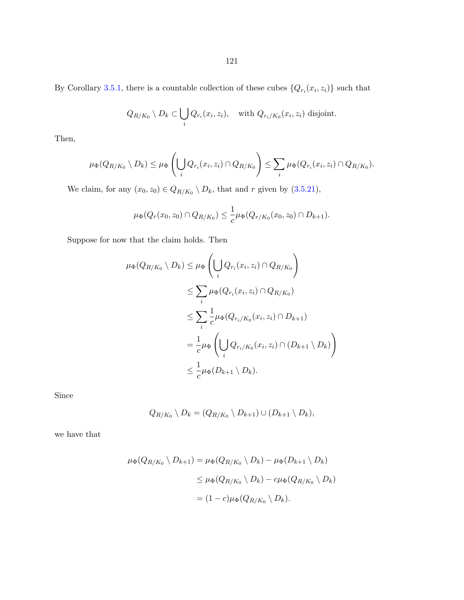By Corollary [3.5.1,](#page-125-0) there is a countable collection of these cubes  $\{Q_{r_i}(x_i, z_i)\}\)$  such that

$$
Q_{R/K_0} \setminus D_k \subset \bigcup_i Q_{r_i}(x_i, z_i), \quad \text{with } Q_{r_i/K_0}(x_i, z_i) \text{ disjoint.}
$$

Then,

$$
\mu_{\Phi}(Q_{R/K_0} \setminus D_k) \leq \mu_{\Phi}\left(\bigcup_i Q_{r_i}(x_i,z_i) \cap Q_{R/K_0}\right) \leq \sum_i \mu_{\Phi}(Q_{r_i}(x_i,z_i) \cap Q_{R/K_0}).
$$

We claim, for any  $(x_0, z_0) \in Q_{R/K_0} \setminus D_k$ , that and r given by  $(3.5.21)$ ,

$$
\mu_{\Phi}(Q_r(x_0,z_0) \cap Q_{R/K_0}) \leq \frac{1}{c} \mu_{\Phi}(Q_{r/K_0}(x_0,z_0) \cap D_{k+1}).
$$

Suppose for now that the claim holds. Then

$$
\mu_{\Phi}(Q_{R/K_0} \setminus D_k) \leq \mu_{\Phi} \left( \bigcup_i Q_{r_i}(x_i, z_i) \cap Q_{R/K_0} \right)
$$
  
\n
$$
\leq \sum_i \mu_{\Phi}(Q_{r_i}(x_i, z_i) \cap Q_{R/K_0})
$$
  
\n
$$
\leq \sum_i \frac{1}{c} \mu_{\Phi}(Q_{r_i/K_0}(x_i, z_i) \cap D_{k+1})
$$
  
\n
$$
= \frac{1}{c} \mu_{\Phi} \left( \bigcup_i Q_{r_i/K_0}(x_i, z_i) \cap (D_{k+1} \setminus D_k) \right)
$$
  
\n
$$
\leq \frac{1}{c} \mu_{\Phi}(D_{k+1} \setminus D_k).
$$

Since

$$
Q_{R/K_0} \setminus D_k = (Q_{R/K_0} \setminus D_{k+1}) \cup (D_{k+1} \setminus D_k),
$$

we have that

$$
\mu_{\Phi}(Q_{R/K_0} \setminus D_{k+1}) = \mu_{\Phi}(Q_{R/K_0} \setminus D_k) - \mu_{\Phi}(D_{k+1} \setminus D_k)
$$
  

$$
\leq \mu_{\Phi}(Q_{R/K_0} \setminus D_k) - c\mu_{\Phi}(Q_{R/K_0} \setminus D_k)
$$
  

$$
= (1 - c)\mu_{\Phi}(Q_{R/K_0} \setminus D_k).
$$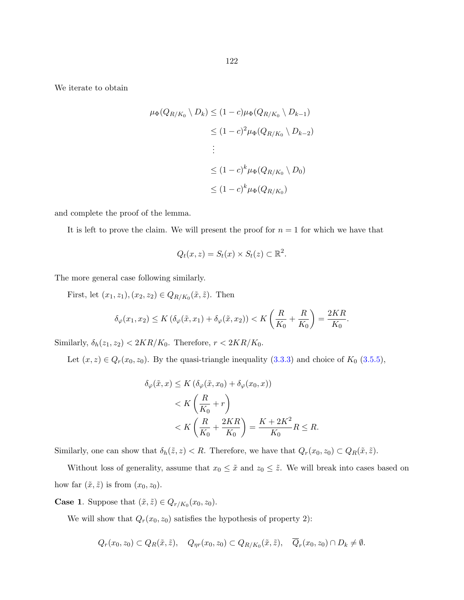We iterate to obtain

$$
\mu_{\Phi}(Q_{R/K_0} \setminus D_k) \le (1 - c)\mu_{\Phi}(Q_{R/K_0} \setminus D_{k-1})
$$
  
\n
$$
\le (1 - c)^2 \mu_{\Phi}(Q_{R/K_0} \setminus D_{k-2})
$$
  
\n
$$
\vdots
$$
  
\n
$$
\le (1 - c)^k \mu_{\Phi}(Q_{R/K_0} \setminus D_0)
$$
  
\n
$$
\le (1 - c)^k \mu_{\Phi}(Q_{R/K_0})
$$

and complete the proof of the lemma.

It is left to prove the claim. We will present the proof for  $n = 1$  for which we have that

$$
Q_t(x, z) = S_t(x) \times S_t(z) \subset \mathbb{R}^2.
$$

The more general case following similarly.

First, let  $(x_1, z_1), (x_2, z_2) \in Q_{R/K_0}(\tilde{x}, \tilde{z})$ . Then

$$
\delta_{\varphi}(x_1, x_2) \le K\left(\delta_{\varphi}(\tilde{x}, x_1) + \delta_{\varphi}(\tilde{x}, x_2)\right) < K\left(\frac{R}{K_0} + \frac{R}{K_0}\right) = \frac{2KR}{K_0}.
$$

Similarly,  $\delta_h(z_1, z_2) < 2KR/K_0$ . Therefore,  $r < 2KR/K_0$ .

Let  $(x, z) \in Q_r(x_0, z_0)$ . By the quasi-triangle inequality  $(3.3.3)$  and choice of  $K_0$   $(3.5.5)$ ,

$$
\delta_{\varphi}(\tilde{x}, x) \le K \left( \delta_{\varphi}(\tilde{x}, x_0) + \delta_{\varphi}(x_0, x) \right)
$$
  

$$
< K \left( \frac{R}{K_0} + r \right)
$$
  

$$
< K \left( \frac{R}{K_0} + \frac{2KR}{K_0} \right) = \frac{K + 2K^2}{K_0} R \le R.
$$

Similarly, one can show that  $\delta_h(\tilde{z}, z) < R$ . Therefore, we have that  $Q_r(x_0, z_0) \subset Q_R(\tilde{x}, \tilde{z})$ .

Without loss of generality, assume that  $x_0 \leq \tilde{x}$  and  $z_0 \leq \tilde{z}$ . We will break into cases based on how far  $(\tilde{x}, \tilde{z})$  is from  $(x_0, z_0)$ .

**Case 1.** Suppose that  $(\tilde{x}, \tilde{z}) \in Q_{r/K_0}(x_0, z_0)$ .

We will show that  $Q_r(x_0, z_0)$  satisfies the hypothesis of property 2):

$$
Q_r(x_0, z_0) \subset Q_R(\tilde{x}, \tilde{z}), \quad Q_{\eta r}(x_0, z_0) \subset Q_{R/K_0}(\tilde{x}, \tilde{z}), \quad \overline{Q}_r(x_0, z_0) \cap D_k \neq \emptyset.
$$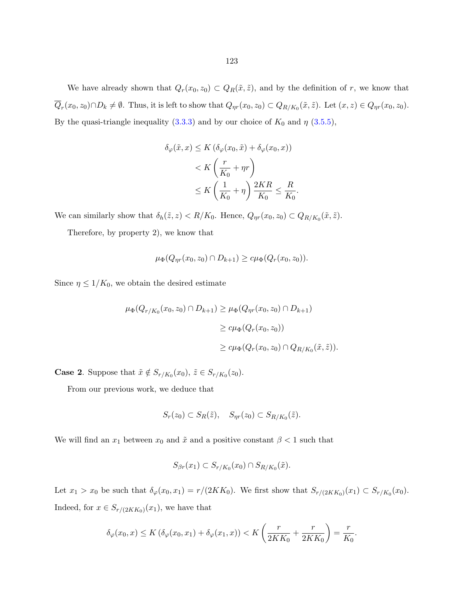We have already shown that  $Q_r(x_0, z_0) \subset Q_R(\tilde{x}, \tilde{z})$ , and by the definition of r, we know that  $Q_r(x_0, z_0) \cap D_k \neq \emptyset$ . Thus, it is left to show that  $Q_{\eta r}(x_0, z_0) \subset Q_{R/K_0}(\tilde{x}, \tilde{z})$ . Let  $(x, z) \in Q_{\eta r}(x_0, z_0)$ . By the quasi-triangle inequality  $(3.3.3)$  and by our choice of  $K_0$  and  $\eta$   $(3.5.5)$ ,

$$
\delta_{\varphi}(\tilde{x}, x) \le K \left( \delta_{\varphi}(x_0, \tilde{x}) + \delta_{\varphi}(x_0, x) \right)
$$
  

$$
< K \left( \frac{r}{K_0} + \eta r \right)
$$
  

$$
\le K \left( \frac{1}{K_0} + \eta \right) \frac{2KR}{K_0} \le \frac{R}{K_0}.
$$

We can similarly show that  $\delta_h(\tilde{z}, z) < R/K_0$ . Hence,  $Q_{\eta r}(x_0, z_0) \subset Q_{R/K_0}(\tilde{x}, \tilde{z})$ .

Therefore, by property 2), we know that

$$
\mu_{\Phi}(Q_{\eta r}(x_0, z_0) \cap D_{k+1}) \geq c \mu_{\Phi}(Q_r(x_0, z_0)).
$$

Since  $\eta \leq 1/K_0$ , we obtain the desired estimate

$$
\mu_{\Phi}(Q_{r/K_0}(x_0, z_0) \cap D_{k+1}) \ge \mu_{\Phi}(Q_{\eta r}(x_0, z_0) \cap D_{k+1})
$$
  

$$
\ge c\mu_{\Phi}(Q_r(x_0, z_0))
$$
  

$$
\ge c\mu_{\Phi}(Q_r(x_0, z_0) \cap Q_{R/K_0}(\tilde{x}, \tilde{z})).
$$

**Case 2.** Suppose that  $\tilde{x} \notin S_{r/K_0}(x_0), \tilde{z} \in S_{r/K_0}(z_0)$ .

From our previous work, we deduce that

$$
S_r(z_0) \subset S_R(\tilde{z}), \quad S_{\eta r}(z_0) \subset S_{R/K_0}(\tilde{z}).
$$

We will find an  $x_1$  between  $x_0$  and  $\tilde{x}$  and a positive constant  $\beta < 1$  such that

$$
S_{\beta r}(x_1) \subset S_{r/K_0}(x_0) \cap S_{R/K_0}(\tilde{x}).
$$

Let  $x_1 > x_0$  be such that  $\delta_{\varphi}(x_0, x_1) = r/(2KK_0)$ . We first show that  $S_{r/(2KK_0)}(x_1) \subset S_{r/K_0}(x_0)$ . Indeed, for  $x \in S_{r/(2KK_0)}(x_1)$ , we have that

$$
\delta_{\varphi}(x_0, x) \le K \left( \delta_{\varphi}(x_0, x_1) + \delta_{\varphi}(x_1, x) \right) < K \left( \frac{r}{2KK_0} + \frac{r}{2KK_0} \right) = \frac{r}{K_0}.
$$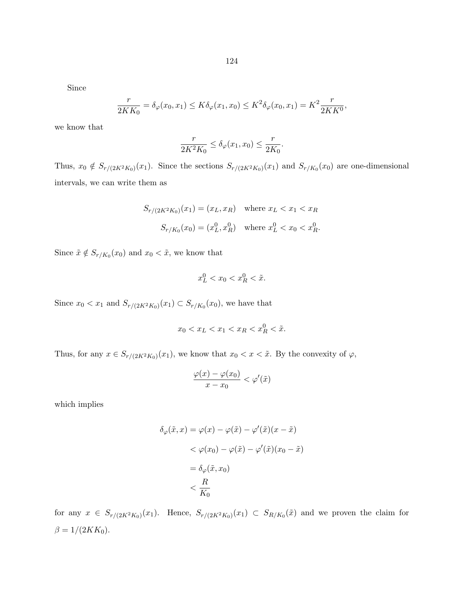Since

$$
\frac{r}{2KK_0} = \delta_{\varphi}(x_0, x_1) \le K \delta_{\varphi}(x_1, x_0) \le K^2 \delta_{\varphi}(x_0, x_1) = K^2 \frac{r}{2KK^0},
$$

we know that

$$
\frac{r}{2K^2K_0} \le \delta_\varphi(x_1, x_0) \le \frac{r}{2K_0}.
$$

Thus,  $x_0 \notin S_{r/(2K^2K_0)}(x_1)$ . Since the sections  $S_{r/(2K^2K_0)}(x_1)$  and  $S_{r/K_0}(x_0)$  are one-dimensional intervals, we can write them as

$$
S_{r/(2K^2K_0)}(x_1) = (x_L, x_R) \quad \text{where } x_L < x_1 < x_R
$$
\n
$$
S_{r/K_0}(x_0) = (x_L^0, x_R^0) \quad \text{where } x_L^0 < x_0 < x_R^0.
$$

Since  $\tilde{x} \notin S_{r/K_0}(x_0)$  and  $x_0 < \tilde{x}$ , we know that

$$
x_L^0 < x_0 < x_R^0 < \tilde{x}.
$$

Since  $x_0 < x_1$  and  $S_{r/(2K^2K_0)}(x_1) \subset S_{r/K_0}(x_0)$ , we have that

$$
x_0 < x_L < x_1 < x_R < x_R^0 < \tilde{x}.
$$

Thus, for any  $x \in S_{r/(2K^2K_0)}(x_1)$ , we know that  $x_0 < x < \tilde{x}$ . By the convexity of  $\varphi$ ,

$$
\frac{\varphi(x) - \varphi(x_0)}{x - x_0} < \varphi'(\tilde{x})
$$

which implies

$$
\delta_{\varphi}(\tilde{x}, x) = \varphi(x) - \varphi(\tilde{x}) - \varphi'(\tilde{x})(x - \tilde{x})
$$
  
< 
$$
< \varphi(x_0) - \varphi(\tilde{x}) - \varphi'(\tilde{x})(x_0 - \tilde{x})
$$
  

$$
= \delta_{\varphi}(\tilde{x}, x_0)
$$
  

$$
< \frac{R}{K_0}
$$

for any  $x \in S_{r/(2K^2K_0)}(x_1)$ . Hence,  $S_{r/(2K^2K_0)}(x_1) \subset S_{R/K_0}(\tilde{x})$  and we proven the claim for  $\beta = 1/(2KK_0).$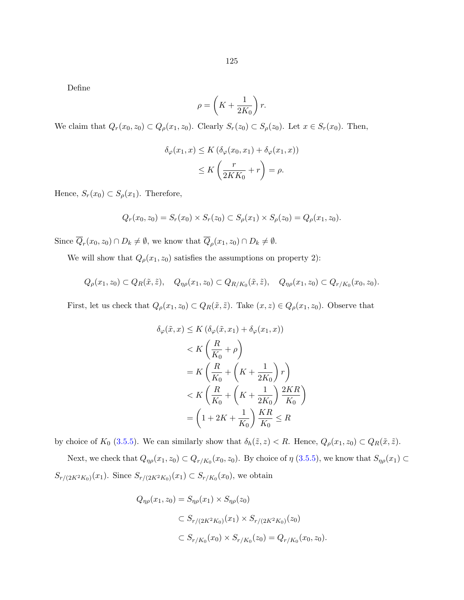Define

$$
\rho = \left( K + \frac{1}{2K_0} \right) r.
$$

We claim that  $Q_r(x_0, z_0) \subset Q_\rho(x_1, z_0)$ . Clearly  $S_r(z_0) \subset S_\rho(z_0)$ . Let  $x \in S_r(x_0)$ . Then,

$$
\delta_{\varphi}(x_1, x) \le K \left( \delta_{\varphi}(x_0, x_1) + \delta_{\varphi}(x_1, x) \right)
$$
  

$$
\le K \left( \frac{r}{2KK_0} + r \right) = \rho.
$$

Hence,  $S_r(x_0) \subset S_\rho(x_1)$ . Therefore,

$$
Q_r(x_0, z_0) = S_r(x_0) \times S_r(z_0) \subset S_\rho(x_1) \times S_\rho(z_0) = Q_\rho(x_1, z_0).
$$

Since  $\overline{Q}_r(x_0, z_0) \cap D_k \neq \emptyset$ , we know that  $\overline{Q}_\rho(x_1, z_0) \cap D_k \neq \emptyset$ .

We will show that  $Q_{\rho}(x_1, z_0)$  satisfies the assumptions on property 2):

$$
Q_{\rho}(x_1, z_0) \subset Q_R(\tilde{x}, \tilde{z}), \quad Q_{\eta\rho}(x_1, z_0) \subset Q_{R/K_0}(\tilde{x}, \tilde{z}), \quad Q_{\eta\rho}(x_1, z_0) \subset Q_{r/K_0}(x_0, z_0).
$$

First, let us check that  $Q_{\rho}(x_1, z_0) \subset Q_R(\tilde{x}, \tilde{z})$ . Take  $(x, z) \in Q_{\rho}(x_1, z_0)$ . Observe that

$$
\delta_{\varphi}(\tilde{x}, x) \le K \left( \delta_{\varphi}(\tilde{x}, x_1) + \delta_{\varphi}(x_1, x) \right)
$$
  

$$
< K \left( \frac{R}{K_0} + \rho \right)
$$
  

$$
= K \left( \frac{R}{K_0} + \left( K + \frac{1}{2K_0} \right) r \right)
$$
  

$$
< K \left( \frac{R}{K_0} + \left( K + \frac{1}{2K_0} \right) \frac{2KR}{K_0} \right)
$$
  

$$
= \left( 1 + 2K + \frac{1}{K_0} \right) \frac{KR}{K_0} \le R
$$

by choice of  $K_0$  [\(3.5.5\)](#page-93-0). We can similarly show that  $\delta_h(\tilde{z}, z) < R$ . Hence,  $Q_\rho(x_1, z_0) \subset Q_R(\tilde{x}, \tilde{z})$ .

Next, we check that  $Q_{\eta\rho}(x_1, z_0) \subset Q_{r/K_0}(x_0, z_0)$ . By choice of  $\eta$  [\(3.5.5\)](#page-93-0), we know that  $S_{\eta\rho}(x_1) \subset$  $S_{r/(2K^2K_0)}(x_1)$ . Since  $S_{r/(2K^2K_0)}(x_1) \subset S_{r/K_0}(x_0)$ , we obtain

$$
Q_{\eta\rho}(x_1, z_0) = S_{\eta\rho}(x_1) \times S_{\eta\rho}(z_0)
$$
  

$$
\subset S_{r/(2K^2K_0)}(x_1) \times S_{r/(2K^2K_0)}(z_0)
$$
  

$$
\subset S_{r/K_0}(x_0) \times S_{r/K_0}(z_0) = Q_{r/K_0}(x_0, z_0).
$$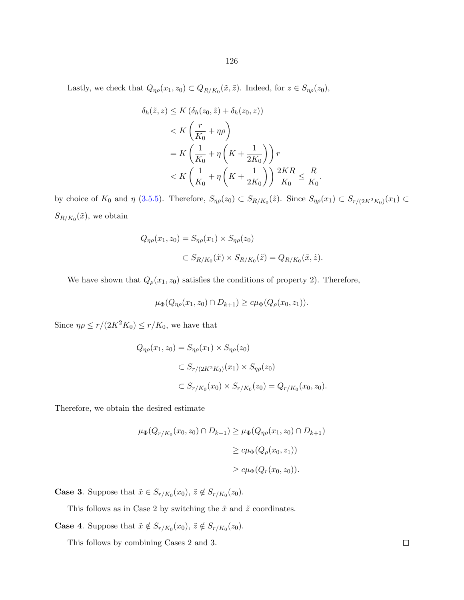Lastly, we check that  $Q_{\eta\rho}(x_1, z_0) \subset Q_{R/K_0}(\tilde{x}, \tilde{z})$ . Indeed, for  $z \in S_{\eta\rho}(z_0)$ ,

$$
\delta_h(\tilde{z}, z) \le K \left(\delta_h(z_0, \tilde{z}) + \delta_h(z_0, z)\right)
$$
  

$$
< K \left(\frac{r}{K_0} + \eta \rho\right)
$$
  

$$
= K \left(\frac{1}{K_0} + \eta \left(K + \frac{1}{2K_0}\right)\right) r
$$
  

$$
< K \left(\frac{1}{K_0} + \eta \left(K + \frac{1}{2K_0}\right)\right) \frac{2KR}{K_0} \le \frac{R}{K_0}.
$$

by choice of  $K_0$  and  $\eta$  [\(3.5.5\)](#page-93-0). Therefore,  $S_{\eta\rho}(z_0) \subset S_{R/K_0}(\tilde{z})$ . Since  $S_{\eta\rho}(x_1) \subset S_{r/(2K^2K_0)}(x_1) \subset$  $S_{R/K_0}(\tilde{x})$ , we obtain

$$
Q_{\eta\rho}(x_1, z_0) = S_{\eta\rho}(x_1) \times S_{\eta\rho}(z_0)
$$
  

$$
\subset S_{R/K_0}(\tilde{x}) \times S_{R/K_0}(\tilde{z}) = Q_{R/K_0}(\tilde{x}, \tilde{z}).
$$

We have shown that  $Q_{\rho}(x_1, z_0)$  satisfies the conditions of property 2). Therefore,

$$
\mu_{\Phi}(Q_{\eta\rho}(x_1, z_0) \cap D_{k+1}) \geq c\mu_{\Phi}(Q_{\rho}(x_0, z_1)).
$$

Since  $\eta \rho \le r/(2K^2K_0) \le r/K_0$ , we have that

$$
Q_{\eta\rho}(x_1, z_0) = S_{\eta\rho}(x_1) \times S_{\eta\rho}(z_0)
$$
  

$$
\subset S_{r/(2K^2K_0)}(x_1) \times S_{\eta\rho}(z_0)
$$
  

$$
\subset S_{r/K_0}(x_0) \times S_{r/K_0}(z_0) = Q_{r/K_0}(x_0, z_0).
$$

Therefore, we obtain the desired estimate

$$
\mu_{\Phi}(Q_{r/K_0}(x_0, z_0) \cap D_{k+1}) \geq \mu_{\Phi}(Q_{\eta\rho}(x_1, z_0) \cap D_{k+1})
$$
  

$$
\geq c\mu_{\Phi}(Q_{\rho}(x_0, z_1))
$$
  

$$
\geq c\mu_{\Phi}(Q_r(x_0, z_0)).
$$

**Case 3.** Suppose that  $\tilde{x} \in S_{r/K_0}(x_0)$ ,  $\tilde{z} \notin S_{r/K_0}(z_0)$ .

This follows as in Case 2 by switching the  $\tilde{x}$  and  $\tilde{z}$  coordinates.

**Case 4.** Suppose that  $\tilde{x} \notin S_{r/K_0}(x_0)$ ,  $\tilde{z} \notin S_{r/K_0}(z_0)$ .

This follows by combining Cases 2 and 3.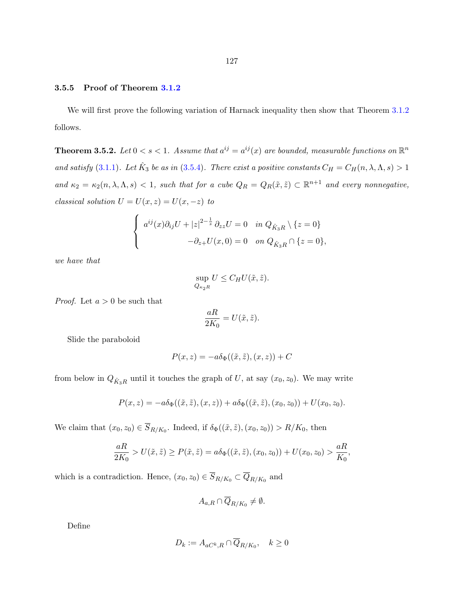#### <span id="page-132-0"></span>3.5.5 Proof of Theorem [3.1.2](#page-68-0)

We will first prove the following variation of Harnack inequality then show that Theorem [3.1.2](#page-68-0) follows.

**Theorem 3.5.2.** Let  $0 < s < 1$ . Assume that  $a^{ij} = a^{ij}(x)$  are bounded, measurable functions on  $\mathbb{R}^n$ and satisfy [\(3.1.1\)](#page-67-0). Let  $\hat{K}_3$  be as in [\(3.5.4\)](#page-92-0). There exist a positive constants  $C_H = C_H(n, \lambda, \Lambda, s) > 1$ and  $\kappa_2 = \kappa_2(n, \lambda, \Lambda, s) < 1$ , such that for a cube  $Q_R = Q_R(\tilde{x}, \tilde{z}) \subset \mathbb{R}^{n+1}$  and every nonnegative, classical solution  $U = U(x, z) = U(x, -z)$  to

$$
\begin{cases}\n a^{ij}(x)\partial_{ij}U + |z|^{2-\frac{1}{s}}\partial_{zz}U = 0 & \text{in } Q_{\hat{K}_3R} \setminus \{z = 0\} \\
 -\partial_{z+}U(x,0) = 0 & \text{on } Q_{\hat{K}_3R} \cap \{z = 0\},\n\end{cases}
$$

we have that

$$
\sup_{Q_{\kappa_2 R}} U \leq C_H U(\tilde{x}, \tilde{z}).
$$

*Proof.* Let  $a > 0$  be such that

$$
\frac{aR}{2K_0}=U(\tilde{x},\tilde{z}).
$$

Slide the paraboloid

$$
P(x, z) = -a\delta_{\Phi}((\tilde{x}, \tilde{z}), (x, z)) + C
$$

from below in  $Q_{\hat{K}_3R}$  until it touches the graph of U, at say  $(x_0, z_0)$ . We may write

$$
P(x, z) = -a\delta_{\Phi}((\tilde{x}, \tilde{z}), (x, z)) + a\delta_{\Phi}((\tilde{x}, \tilde{z}), (x_0, z_0)) + U(x_0, z_0).
$$

We claim that  $(x_0, z_0) \in \overline{S}_{R/K_0}$ . Indeed, if  $\delta_{\Phi}((\tilde{x}, \tilde{z}), (x_0, z_0)) > R/K_0$ , then

$$
\frac{aR}{2K_0} > U(\tilde{x}, \tilde{z}) \ge P(\tilde{x}, \tilde{z}) = a\delta_{\Phi}((\tilde{x}, \tilde{z}), (x_0, z_0)) + U(x_0, z_0) > \frac{aR}{K_0},
$$

which is a contradiction. Hence,  $(x_0, z_0) \in \overline{S}_{R/K_0} \subset \overline{Q}_{R/K_0}$  and

$$
A_{a,R}\cap \overline{Q}_{R/K_0}\neq \emptyset.
$$

Define

$$
D_k := A_{aC^k, R} \cap \overline{Q}_{R/K_0}, \quad k \ge 0
$$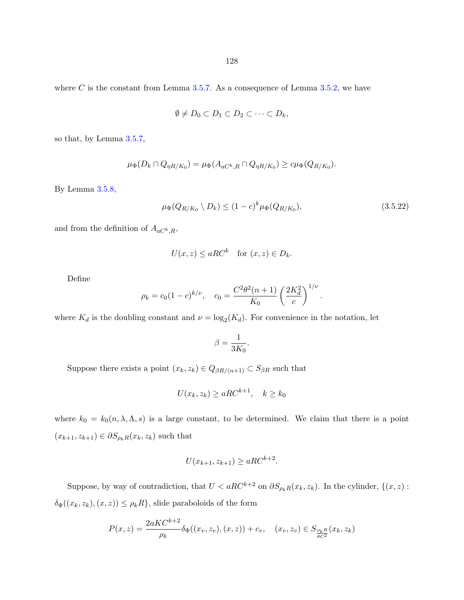<span id="page-133-0"></span>where C is the constant from Lemma [3.5.7.](#page-93-0) As a consequence of Lemma [3.5.2,](#page-87-0) we have

$$
\emptyset \neq D_0 \subset D_1 \subset D_2 \subset \cdots \subset D_k,
$$

so that, by Lemma [3.5.7,](#page-93-0)

$$
\mu_{\Phi}(D_k \cap Q_{\eta R/K_0}) = \mu_{\Phi}(A_{aC^k,R} \cap Q_{\eta R/K_0}) \geq c\mu_{\Phi}(Q_{R/K_0}).
$$

By Lemma [3.5.8,](#page-94-0)

$$
\mu_{\Phi}(Q_{R/K_0} \setminus D_k) \le (1 - c)^k \mu_{\Phi}(Q_{R/K_0}), \tag{3.5.22}
$$

.

and from the definition of  $A_{aC^k, R}$ ,

$$
U(x, z) \le aRC^k \quad \text{for } (x, z) \in D_k.
$$

Define

$$
\rho_k = c_0 (1 - c)^{k/\nu}, \quad c_0 = \frac{C^2 \theta^2 (n + 1)}{K_0} \left(\frac{2K_d^2}{c}\right)^{1/\nu}
$$

where  $K_d$  is the doubling constant and  $\nu = \log_2(K_d)$ . For convenience in the notation, let

$$
\beta = \frac{1}{3K_0}.
$$

Suppose there exists a point  $(x_k, z_k) \in Q_{\beta R/(n+1)} \subset S_{\beta R}$  such that

$$
U(x_k, z_k) \ge aRC^{k+1}, \quad k \ge k_0
$$

where  $k_0 = k_0(n, \lambda, \Lambda, s)$  is a large constant, to be determined. We claim that there is a point  $(x_{k+1}, z_{k+1}) \in \partial S_{\rho_k R}(x_k, z_k)$  such that

$$
U(x_{k+1}, z_{k+1}) \ge aRC^{k+2}.
$$

Suppose, by way of contradiction, that  $U < aRC^{k+2}$  on  $\partial S_{\rho_kR}(x_k, z_k)$ . In the cylinder,  $\{(x, z) :$  $\delta_{\Phi}((x_k, z_k), (x, z)) \leq \rho_k R$ , slide paraboloids of the form

$$
P(x,z) = \frac{2aKC^{k+2}}{\rho_k} \delta_{\Phi}((x_v, z_v), (x, z)) + c_v, \quad (x_v, z_v) \in S_{\frac{\rho_k R}{\theta C^2}}(x_k, z_k)
$$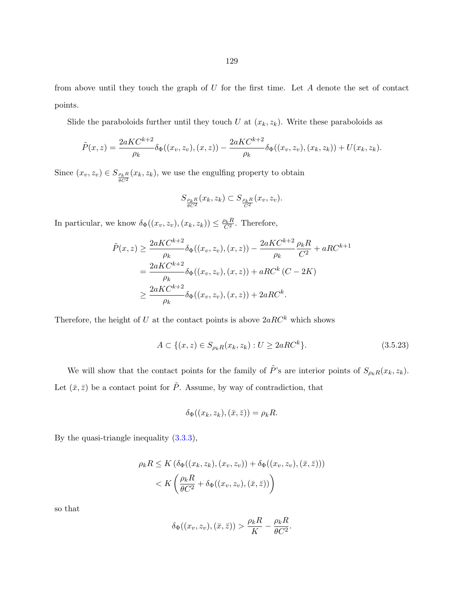<span id="page-134-0"></span>from above until they touch the graph of  $U$  for the first time. Let  $A$  denote the set of contact points.

Slide the paraboloids further until they touch U at  $(x_k, z_k)$ . Write these paraboloids as

$$
\tilde{P}(x,z) = \frac{2aKC^{k+2}}{\rho_k} \delta_{\Phi}((x_v, z_v), (x, z)) - \frac{2aKC^{k+2}}{\rho_k} \delta_{\Phi}((x_v, z_v), (x_k, z_k)) + U(x_k, z_k).
$$

Since  $(x_v, z_v) \in S_{\frac{\rho_k R}{\theta C^2}}(x_k, z_k)$ , we use the engulfing property to obtain

$$
S_{\frac{\rho_k R}{\theta C^2}}(x_k,z_k)\subset S_{\frac{\rho_k R}{C^2}}(x_v,z_v).
$$

In particular, we know  $\delta_{\Phi}((x_v, z_v), (x_k, z_k)) \leq \frac{\rho_k R}{C^2}$ . Therefore,

$$
\tilde{P}(x, z) \ge \frac{2aKC^{k+2}}{\rho_k} \delta_{\Phi}((x_v, z_v), (x, z)) - \frac{2aKC^{k+2}}{\rho_k} \frac{\rho_k R}{C^2} + aRC^{k+1}
$$
\n
$$
= \frac{2aKC^{k+2}}{\rho_k} \delta_{\Phi}((x_v, z_v), (x, z)) + aRC^k (C - 2K)
$$
\n
$$
\ge \frac{2aKC^{k+2}}{\rho_k} \delta_{\Phi}((x_v, z_v), (x, z)) + 2aRC^k.
$$

Therefore, the height of U at the contact points is above  $2aRC^k$  which shows

$$
A \subset \{(x, z) \in S_{\rho_k R}(x_k, z_k) : U \ge 2aRC^k\}.
$$
\n(3.5.23)

We will show that the contact points for the family of  $\tilde{P}$ 's are interior points of  $S_{\rho_kR}(x_k, z_k)$ . Let  $(\bar{x}, \bar{z})$  be a contact point for  $\tilde{P}$ . Assume, by way of contradiction, that

$$
\delta_{\Phi}((x_k, z_k), (\bar{x}, \bar{z})) = \rho_k R.
$$

By the quasi-triangle inequality [\(3.3.3\)](#page-79-0),

$$
\rho_k R \leq K \left( \delta_{\Phi}((x_k, z_k), (x_v, z_v)) + \delta_{\Phi}((x_v, z_v), (\bar{x}, \bar{z}))) \right)
$$
  

$$
< K \left( \frac{\rho_k R}{\theta C^2} + \delta_{\Phi}((x_v, z_v), (\bar{x}, \bar{z})) \right)
$$

so that

$$
\delta_{\Phi}((x_v, z_v), (\bar{x}, \bar{z})) > \frac{\rho_k R}{K} - \frac{\rho_k R}{\theta C^2}.
$$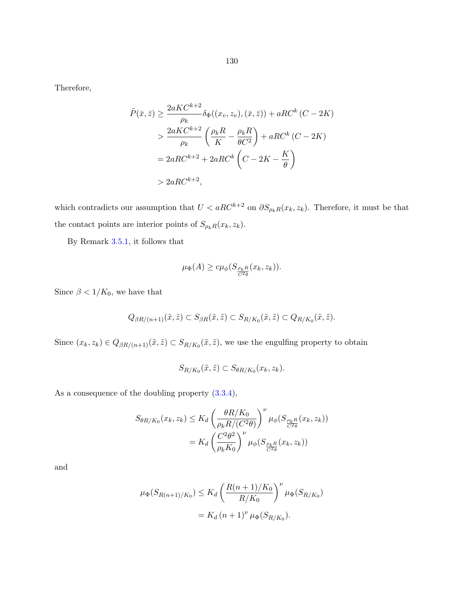Therefore,

$$
\tilde{P}(\bar{x}, \bar{z}) \ge \frac{2aKC^{k+2}}{\rho_k} \delta_{\Phi}((x_v, z_v), (\bar{x}, \bar{z})) + aRC^k (C - 2K)
$$
\n
$$
> \frac{2aKC^{k+2}}{\rho_k} \left(\frac{\rho_k R}{K} - \frac{\rho_k R}{\theta C^2}\right) + aRC^k (C - 2K)
$$
\n
$$
= 2aRC^{k+2} + 2aRC^k \left(C - 2K - \frac{K}{\theta}\right)
$$
\n
$$
> 2aRC^{k+2},
$$

which contradicts our assumption that  $U < aRC^{k+2}$  on  $\partial S_{\rho_kR}(x_k, z_k)$ . Therefore, it must be that the contact points are interior points of  $S_{\rho_kR}(x_k, z_k)$ .

By Remark [3.5.1,](#page-92-0) it follows that

$$
\mu_{\Phi}(A) \geq c\mu_{\phi}(S_{\frac{\rho_k R}{C^2 \theta}}(x_k, z_k)).
$$

Since  $\beta < 1/K_0$ , we have that

$$
Q_{\beta R/(n+1)}(\tilde{x},\tilde{z}) \subset S_{\beta R}(\tilde{x},\tilde{z}) \subset S_{R/K_0}(\tilde{x},\tilde{z}) \subset Q_{R/K_0}(\tilde{x},\tilde{z}).
$$

Since  $(x_k, z_k) \in Q_{\beta R/(n+1)}(\tilde{x}, \tilde{z}) \subset S_{R/K_0}(\tilde{x}, \tilde{z})$ , we use the engulfing property to obtain

$$
S_{R/K_0}(\tilde{x},\tilde{z}) \subset S_{\theta R/K_0}(x_k,z_k).
$$

As a consequence of the doubling property [\(3.3.4\)](#page-80-0),

$$
S_{\theta R/K_0}(x_k, z_k) \leq K_d \left(\frac{\theta R/K_0}{\rho_k R/(C^2 \theta)}\right)^{\nu} \mu_{\phi}(S_{\frac{\rho_k R}{C^2 \theta}}(x_k, z_k))
$$

$$
= K_d \left(\frac{C^2 \theta^2}{\rho_k K_0}\right)^{\nu} \mu_{\phi}(S_{\frac{\rho_k R}{C^2 \theta}}(x_k, z_k))
$$

and

$$
\mu_{\Phi}(S_{R(n+1)/K_0}) \le K_d \left(\frac{R(n+1)/K_0}{R/K_0}\right)^{\nu} \mu_{\Phi}(S_{R/K_0})
$$

$$
= K_d (n+1)^{\nu} \mu_{\Phi}(S_{R/K_0}).
$$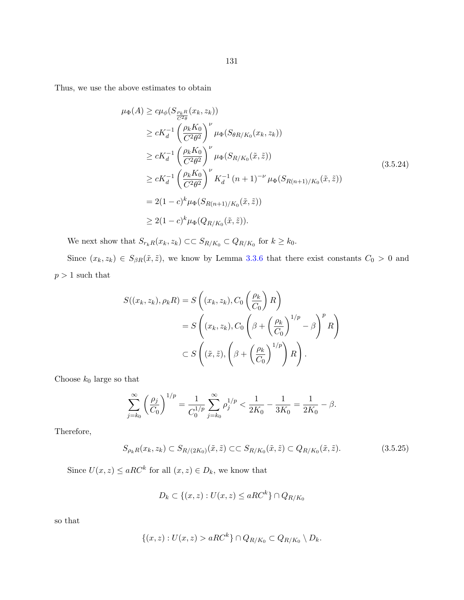<span id="page-136-0"></span>Thus, we use the above estimates to obtain

$$
\mu_{\Phi}(A) \geq c\mu_{\phi}(S_{\frac{\rho_{k}R}{C^{2}\theta}}(x_{k}, z_{k}))
$$
\n
$$
\geq cK_{d}^{-1} \left(\frac{\rho_{k}K_{0}}{C^{2}\theta^{2}}\right)^{\nu} \mu_{\Phi}(S_{\theta R/K_{0}}(x_{k}, z_{k}))
$$
\n
$$
\geq cK_{d}^{-1} \left(\frac{\rho_{k}K_{0}}{C^{2}\theta^{2}}\right)^{\nu} \mu_{\Phi}(S_{R/K_{0}}(\tilde{x}, \tilde{z}))
$$
\n
$$
\geq cK_{d}^{-1} \left(\frac{\rho_{k}K_{0}}{C^{2}\theta^{2}}\right)^{\nu} K_{d}^{-1} (n+1)^{-\nu} \mu_{\Phi}(S_{R(n+1)/K_{0}}(\tilde{x}, \tilde{z}))
$$
\n
$$
= 2(1-c)^{k} \mu_{\Phi}(S_{R(n+1)/K_{0}}(\tilde{x}, \tilde{z}))
$$
\n
$$
\geq 2(1-c)^{k} \mu_{\Phi}(Q_{R/K_{0}}(\tilde{x}, \tilde{z})).
$$
\n(3.5.24)

We next show that  $S_{r_kR}(x_k, z_k) \subset S_{R/K_0} \subset Q_{R/K_0}$  for  $k \geq k_0$ .

Since  $(x_k, z_k) \in S_{\beta R}(\tilde{x}, \tilde{z})$ , we know by Lemma [3.3.6](#page-81-0) that there exist constants  $C_0 > 0$  and  $p>1$  such that

$$
S((x_k, z_k), \rho_k R) = S\left((x_k, z_k), C_0\left(\frac{\rho_k}{C_0}\right)R\right)
$$
  
=  $S\left((x_k, z_k), C_0\left(\beta + \left(\frac{\rho_k}{C_0}\right)^{1/p} - \beta\right)^p R\right)$   
 $\subset S\left((\tilde{x}, \tilde{z}), \left(\beta + \left(\frac{\rho_k}{C_0}\right)^{1/p}\right)R\right).$ 

Choose  $k_0$  large so that

$$
\sum_{j=k_0}^{\infty} \left(\frac{\rho_j}{C_0}\right)^{1/p} = \frac{1}{C_0^{1/p}} \sum_{j=k_0}^{\infty} \rho_j^{1/p} < \frac{1}{2K_0} - \frac{1}{3K_0} = \frac{1}{2K_0} - \beta.
$$

Therefore,

$$
S_{\rho_k R}(x_k, z_k) \subset S_{R/(2K_0)}(\tilde{x}, \tilde{z}) \subset S_{R/K_0}(\tilde{x}, \tilde{z}) \subset Q_{R/K_0}(\tilde{x}, \tilde{z}). \tag{3.5.25}
$$

Since  $U(x, z) \le aRC^k$  for all  $(x, z) \in D_k$ , we know that

$$
D_k \subset \{(x, z) : U(x, z) \le aRC^k\} \cap Q_{R/K_0}
$$

so that

$$
\{(x,z): U(x,z) > aRC^k\} \cap Q_{R/K_0} \subset Q_{R/K_0} \setminus D_k.
$$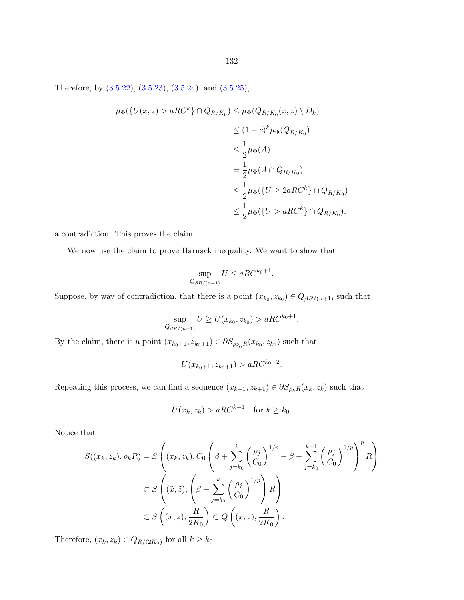Therefore, by [\(3.5.22\)](#page-133-0), [\(3.5.23\)](#page-134-0), [\(3.5.24\)](#page-136-0), and [\(3.5.25\)](#page-136-0),

$$
\mu_{\Phi}(\{U(x,z) > aRC^k\} \cap Q_{R/K_0}) \leq \mu_{\Phi}(Q_{R/K_0}(\tilde{x}, \tilde{z}) \setminus D_k)
$$
  
\n
$$
\leq (1-c)^k \mu_{\Phi}(Q_{R/K_0})
$$
  
\n
$$
\leq \frac{1}{2} \mu_{\Phi}(A)
$$
  
\n
$$
= \frac{1}{2} \mu_{\Phi}(A \cap Q_{R/K_0})
$$
  
\n
$$
\leq \frac{1}{2} \mu_{\Phi}(\{U \geq 2aRC^k\} \cap Q_{R/K_0})
$$
  
\n
$$
\leq \frac{1}{2} \mu_{\Phi}(\{U > aRC^k\} \cap Q_{R/K_0}),
$$

a contradiction. This proves the claim.

We now use the claim to prove Harnack inequality. We want to show that

$$
\sup_{Q_{\beta R/(n+1)}} U \le aRC^{k_0+1}.
$$

Suppose, by way of contradiction, that there is a point  $(x_{k_0}, z_{k_0}) \in Q_{\beta R/(n+1)}$  such that

$$
\sup_{Q_{\beta R/(n+1)}} U \ge U(x_{k_0}, z_{k_0}) > aRC^{k_0+1}.
$$

By the claim, there is a point  $(x_{k_0+1}, z_{k_0+1}) \in \partial S_{\rho_{k_0}R}(x_{k_0}, z_{k_0})$  such that

 $U(x_{k_0+1}, z_{k_0+1}) > a R C^{k_0+2}.$ 

Repeating this process, we can find a sequence  $(x_{k+1}, z_{k+1}) \in \partial S_{\rho_k R}(x_k, z_k)$  such that

$$
U(x_k, z_k) > aRC^{k+1} \quad \text{for } k \ge k_0.
$$

Notice that

$$
S((x_k, z_k), \rho_k R) = S\left((x_k, z_k), C_0 \left(\beta + \sum_{j=k_0}^k \left(\frac{\rho_j}{C_0}\right)^{1/p} - \beta - \sum_{j=k_0}^{k-1} \left(\frac{\rho_j}{C_0}\right)^{1/p}\right)^p R\right)
$$
  

$$
\subset S\left((\tilde{x}, \tilde{z}), \left(\beta + \sum_{j=k_0}^k \left(\frac{\rho_j}{C_0}\right)^{1/p}\right) R\right)
$$
  

$$
\subset S\left((\tilde{x}, \tilde{z}), \frac{R}{2K_0}\right) \subset Q\left((\tilde{x}, \tilde{z}), \frac{R}{2K_0}\right).
$$

Therefore,  $(x_k, z_k) \in Q_{R/(2K_0)}$  for all  $k \geq k_0$ .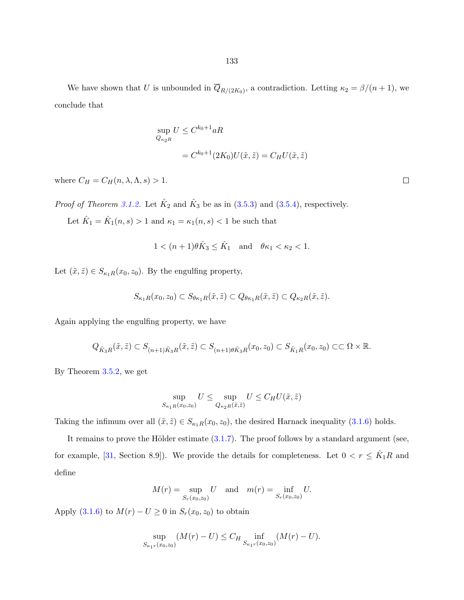We have shown that U is unbounded in  $\overline{Q}_{R/(2K_0)}$ , a contradiction. Letting  $\kappa_2 = \beta/(n+1)$ , we conclude that

$$
\sup_{Q_{\kappa_2 R}} U \le C^{k_0+1} aR
$$
  
=  $C^{k_0+1}(2K_0)U(\tilde{x}, \tilde{z}) = C_H U(\tilde{x}, \tilde{z})$ 

where  $C_H = C_H(n, \lambda, \Lambda, s) > 1$ .

*Proof of Theorem [3.1.2.](#page-68-0)* Let  $\hat{K}_2$  and  $\hat{K}_3$  be as in [\(3.5.3\)](#page-92-0) and [\(3.5.4\)](#page-92-0), respectively.

Let  $\hat{K}_1 = \hat{K}_1(n, s) > 1$  and  $\kappa_1 = \kappa_1(n, s) < 1$  be such that

$$
1 < (n+1)\theta \hat{K}_3 \le \hat{K}_1 \quad \text{and} \quad \theta \kappa_1 < \kappa_2 < 1.
$$

Let  $(\tilde{x}, \tilde{z}) \in S_{\kappa_1 R}(x_0, z_0)$ . By the engulfing property,

$$
S_{\kappa_1 R}(x_0, z_0) \subset S_{\theta \kappa_1 R}(\tilde{x}, \tilde{z}) \subset Q_{\theta \kappa_1 R}(\tilde{x}, \tilde{z}) \subset Q_{\kappa_2 R}(\tilde{x}, \tilde{z}).
$$

Again applying the engulfing property, we have

$$
Q_{\hat K_3 R}(\tilde x,\tilde z)\subset S_{(n+1)\hat K_3 R}(\tilde x,\tilde z)\subset S_{(n+1)\theta \hat K_3 R}(x_0,z_0)\subset S_{\hat K_1 R}(x_0,z_0)\subset\subset \Omega\times \mathbb{R}.
$$

By Theorem [3.5.2,](#page-132-0) we get

$$
\sup_{S_{\kappa_1 R}(x_0, z_0)} U \le \sup_{Q_{\kappa_2 R}(\tilde{x}, \tilde{z})} U \le C_H U(\tilde{x}, \tilde{z})
$$

Taking the infimum over all  $(\tilde{x}, \tilde{z}) \in S_{\kappa_1 R}(x_0, z_0)$ , the desired Harnack inequality  $(3.1.6)$  holds.

It remains to prove the Hölder estimate  $(3.1.7)$ . The proof follows by a standard argument (see, for example, [\[31,](#page-143-0) Section 8.9]). We provide the details for completeness. Let  $0 < r \leq \hat{K}_1 R$  and define

$$
M(r) = \sup_{S_r(x_0, z_0)} U
$$
 and  $m(r) = \inf_{S_r(x_0, z_0)} U$ .

Apply [\(3.1.6\)](#page-69-0) to  $M(r) - U \ge 0$  in  $S_r(x_0, z_0)$  to obtain

$$
\sup_{S_{\kappa_1 r}(x_0, z_0)} (M(r) - U) \le C_H \inf_{S_{\kappa_1 r}(x_0, z_0)} (M(r) - U).
$$

 $\Box$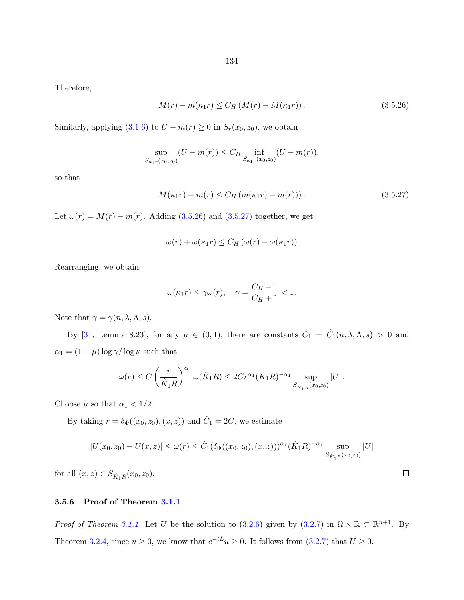Therefore,

$$
M(r) - m(\kappa_1 r) \le C_H (M(r) - M(\kappa_1 r)).
$$
\n(3.5.26)

Similarly, applying  $(3.1.6)$  to  $U - m(r) \ge 0$  in  $S_r(x_0, z_0)$ , we obtain

$$
\sup_{S_{\kappa_1 r}(x_0, z_0)} (U - m(r)) \le C_H \inf_{S_{\kappa_1 r}(x_0, z_0)} (U - m(r)),
$$

so that

$$
M(\kappa_1 r) - m(r) \le C_H \left( m(\kappa_1 r) - m(r) \right). \tag{3.5.27}
$$

Let  $\omega(r) = M(r) - m(r)$ . Adding (3.5.26) and (3.5.27) together, we get

$$
\omega(r) + \omega(\kappa_1 r) \le C_H \left(\omega(r) - \omega(\kappa_1 r)\right)
$$

Rearranging, we obtain

$$
\omega(\kappa_1 r) \le \gamma \omega(r), \quad \gamma = \frac{C_H - 1}{C_H + 1} < 1.
$$

Note that  $\gamma = \gamma(n, \lambda, \Lambda, s)$ .

By [\[31,](#page-143-0) Lemma 8.23], for any  $\mu \in (0,1)$ , there are constants  $\hat{C}_1 = \hat{C}_1(n,\lambda,\Lambda,s) > 0$  and  $\alpha_1 = (1-\mu)\log\gamma/\log\kappa$  such that

$$
\omega(r) \le C \left(\frac{r}{\hat{K}_1 R}\right)^{\alpha_1} \omega(\hat{K}_1 R) \le 2Cr^{\alpha_1} (\hat{K}_1 R)^{-\alpha_1} \sup_{S_{\hat{K}_1 R}(x_0, z_0)} |U|.
$$

Choose  $\mu$  so that  $\alpha_1<1/2.$ 

By taking  $r = \delta_{\Phi}((x_0, z_0), (x, z))$  and  $\hat{C}_1 = 2C$ , we estimate

$$
|U(x_0, z_0) - U(x, z)| \le \omega(r) \le \hat{C}_1(\delta_{\Phi}((x_0, z_0), (x, z)))^{\alpha_1} (\hat{K}_1 R)^{-\alpha_1} \sup_{S_{\hat{K}_1 R}(x_0, z_0)} |U|
$$

for all  $(x, z) \in S_{\hat{K}_1 R}(x_0, z_0)$ .

# 3.5.6 Proof of Theorem [3.1.1](#page-67-0)

*Proof of Theorem [3.1.1.](#page-67-0)* Let U be the solution to [\(3.2.6\)](#page-74-0) given by [\(3.2.7\)](#page-74-0) in  $\Omega \times \mathbb{R} \subset \mathbb{R}^{n+1}$ . By Theorem [3.2.4,](#page-71-0) since  $u \geq 0$ , we know that  $e^{-tL}u \geq 0$ . It follows from  $(3.2.7)$  that  $U \geq 0$ .

 $\Box$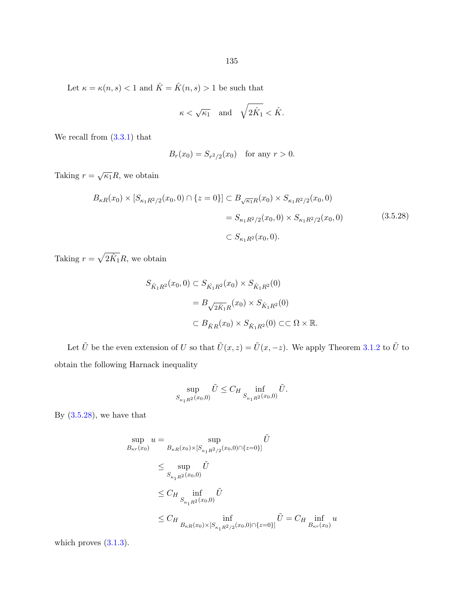Let  $\kappa=\kappa(n,s)<1$  and  $\hat{K}=\hat{K}(n,s)>1$  be such that

$$
\kappa<\sqrt{\kappa_1}\quad\text{and}\quad\sqrt{2\hat{K}_1}<\hat{K}.
$$

We recall from  $(3.3.1)$  that

$$
B_r(x_0) = S_{r^2/2}(x_0)
$$
 for any  $r > 0$ .

Taking  $r = \sqrt{\kappa_1}R$ , we obtain

$$
B_{\kappa R}(x_0) \times [S_{\kappa_1 R^2/2}(x_0, 0) \cap \{z = 0\}] \subset B_{\sqrt{\kappa_1} R}(x_0) \times S_{\kappa_1 R^2/2}(x_0, 0)
$$
  
=  $S_{\kappa_1 R^2/2}(x_0, 0) \times S_{\kappa_1 R^2/2}(x_0, 0)$  (3.5.28)  
 $\subset S_{\kappa_1 R^2}(x_0, 0).$ 

Taking  $r = \sqrt{2\hat{K}_1}R$ , we obtain

$$
S_{\hat{K}_1 R^2}(x_0, 0) \subset S_{\hat{K}_1 R^2}(x_0) \times S_{\hat{K}_1 R^2}(0)
$$
  
=  $B_{\sqrt{2\hat{K}_1}R}(x_0) \times S_{\hat{K}_1 R^2}(0)$   
 $\subset B_{\hat{K}_1 R}(x_0) \times S_{\hat{K}_1 R^2}(0) \subset\subset \Omega \times \mathbb{R}.$ 

Let  $\tilde{U}$  be the even extension of U so that  $\tilde{U}(x, z) = \tilde{U}(x, -z)$ . We apply Theorem [3.1.2](#page-68-0) to  $\tilde{U}$  to obtain the following Harnack inequality

$$
\sup_{S_{\kappa_1 R^2}(x_0,0)} \tilde{U} \leq C_H \inf_{S_{\kappa_1 R^2}(x_0,0)} \tilde{U}.
$$

By  $(3.5.28)$ , we have that

$$
\sup_{B_{\kappa r}(x_0)} u = \sup_{B_{\kappa R}(x_0) \times [S_{\kappa_1 R^2/2}(x_0,0) \cap \{z=0\}]} \tilde{U}
$$
\n
$$
\leq \sup_{S_{\kappa_1 R^2}(x_0,0)} \tilde{U}
$$
\n
$$
\leq C_H \inf_{S_{\kappa_1 R^2}(x_0,0)} \tilde{U}
$$
\n
$$
\leq C_H \inf_{B_{\kappa R}(x_0) \times [S_{\kappa_1 R^2/2}(x_0,0) \cap \{z=0\}]} \tilde{U} = C_H \inf_{B_{\kappa r}(x_0)} u
$$

which proves  $(3.1.3)$ .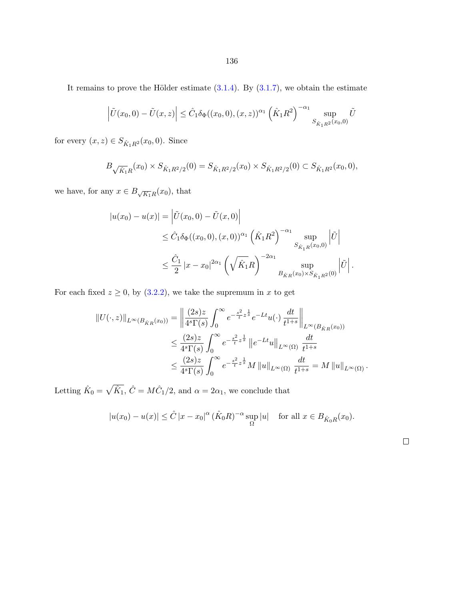It remains to prove the Hölder estimate  $(3.1.4)$ . By  $(3.1.7)$ , we obtain the estimate

$$
\left| \tilde{U}(x_0, 0) - \tilde{U}(x, z) \right| \leq \hat{C}_1 \delta_{\Phi}((x_0, 0), (x, z))^{\alpha_1} \left( \hat{K}_1 R^2 \right)^{-\alpha_1} \sup_{S_{\hat{K}_1 R^2}(x_0, 0)} \tilde{U}
$$

for every  $(x,z)\in S_{\hat{K}_1R^2}(x_0,0).$  Since

$$
B_{\sqrt{\hat{K}_1}R}(x_0) \times S_{\hat{K}_1R^2/2}(0) = S_{\hat{K}_1R^2/2}(x_0) \times S_{\hat{K}_1R^2/2}(0) \subset S_{\hat{K}_1R^2}(x_0, 0),
$$

we have, for any  $x \in B_{\sqrt{K_1}R}(x_0)$ , that

$$
|u(x_0) - u(x)| = \left| \tilde{U}(x_0, 0) - \tilde{U}(x, 0) \right|
$$
  
\n
$$
\leq \hat{C}_1 \delta_{\Phi}((x_0, 0), (x, 0))^{\alpha_1} \left( \hat{K}_1 R^2 \right)^{-\alpha_1} \sup_{S_{\hat{K}_1 R}(x_0, 0)} \left| \tilde{U} \right|
$$
  
\n
$$
\leq \frac{\hat{C}_1}{2} |x - x_0|^{2\alpha_1} \left( \sqrt{\hat{K}_1} R \right)^{-2\alpha_1} \sup_{B_{\hat{K}_1 R}(x_0) \times S_{\hat{K}_1 R^2}(0)} \left| \tilde{U} \right|.
$$

For each fixed  $z \ge 0$ , by [\(3.2.2\)](#page-72-0), we take the supremum in x to get

$$
||U(\cdot,z)||_{L^{\infty}(B_{\hat{K}R}(x_0))} = \left\| \frac{(2s)z}{4^{s}\Gamma(s)} \int_0^{\infty} e^{-\frac{s^2}{t}z^{\frac{1}{s}}} e^{-Lt} u(\cdot) \frac{dt}{t^{1+s}} \right\|_{L^{\infty}(B_{\hat{K}R}(x_0))}
$$
  

$$
\leq \frac{(2s)z}{4^{s}\Gamma(s)} \int_0^{\infty} e^{-\frac{s^2}{t}z^{\frac{1}{s}}} ||e^{-Lt}u||_{L^{\infty}(\Omega)} \frac{dt}{t^{1+s}}
$$
  

$$
\leq \frac{(2s)z}{4^{s}\Gamma(s)} \int_0^{\infty} e^{-\frac{s^2}{t}z^{\frac{1}{s}}} M ||u||_{L^{\infty}(\Omega)} \frac{dt}{t^{1+s}} = M ||u||_{L^{\infty}(\Omega)}.
$$

Letting  $\hat{K}_0 = \sqrt{\hat{K}_1}$ ,  $\hat{C} = M\hat{C}_1/2$ , and  $\alpha = 2\alpha_1$ , we conclude that

$$
|u(x_0) - u(x)| \leq \hat{C} |x - x_0|^\alpha \left(\hat{K}_0 R\right)^{-\alpha} \sup_{\Omega} |u| \quad \text{for all } x \in B_{\hat{K}_0 R}(x_0).
$$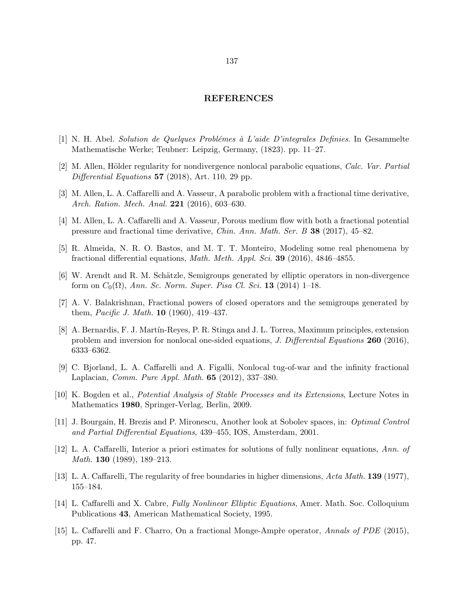#### REFERENCES

- $[1]$  N. H. Abel. Solution de Quelques Problémes à L'aide D'integrales Definies. In Gesammelte Mathematische Werke; Teubner: Leipzig, Germany, (1823). pp. 11–27.
- [2] M. Allen, Hölder regularity for nondivergence nonlocal parabolic equations, *Calc. Var. Partial* Differential Equations  $57$  (2018), Art. 110, 29 pp.
- [3] M. Allen, L. A. Caffarelli and A. Vasseur, A parabolic problem with a fractional time derivative, Arch. Ration. Mech. Anal. **221** (2016), 603-630.
- [4] M. Allen, L. A. Caffarelli and A. Vasseur, Porous medium flow with both a fractional potential pressure and fractional time derivative, Chin. Ann. Math. Ser. B 38 (2017), 45–82.
- [5] R. Almeida, N. R. O. Bastos, and M. T. T. Monteiro, Modeling some real phenomena by fractional differential equations, Math. Meth. Appl. Sci. 39 (2016), 4846–4855.
- [6] W. Arendt and R. M. Schätzle, Semigroups generated by elliptic operators in non-divergence form on  $C_0(\Omega)$ , Ann. Sc. Norm. Super. Pisa Cl. Sci. 13 (2014) 1–18.
- [7] A. V. Balakrishnan, Fractional powers of closed operators and the semigroups generated by them, Pacific J. Math. 10 (1960), 419–437.
- [8] A. Bernardis, F. J. Martín-Reyes, P. R. Stinga and J. L. Torrea, Maximum principles, extension problem and inversion for nonlocal one-sided equations, J. Differential Equations 260 (2016), 6333–6362.
- [9] C. Bjorland, L. A. Caffarelli and A. Figalli, Nonlocal tug-of-war and the infinity fractional Laplacian, Comm. Pure Appl. Math. 65 (2012), 337–380.
- [10] K. Bogden et al., Potential Analysis of Stable Processes and its Extensions, Lecture Notes in Mathematics 1980, Springer-Verlag, Berlin, 2009.
- [11] J. Bourgain, H. Brezis and P. Mironescu, Another look at Sobolev spaces, in: Optimal Control and Partial Differential Equations, 439–455, IOS, Amsterdam, 2001.
- [12] L. A. Caffarelli, Interior a priori estimates for solutions of fully nonlinear equations, Ann. of Math. **130** (1989), 189–213.
- [13] L. A. Caffarelli, The regularity of free boundaries in higher dimensions, Acta Math. 139 (1977), 155–184.
- [14] L. Caffarelli and X. Cabre, Fully Nonlinear Elliptic Equations, Amer. Math. Soc. Colloquium Publications 43, American Mathematical Society, 1995.
- [15] L. Caffarelli and F. Charro, On a fractional Monge-Ampie operator, Annals of PDE (2015), pp. 47.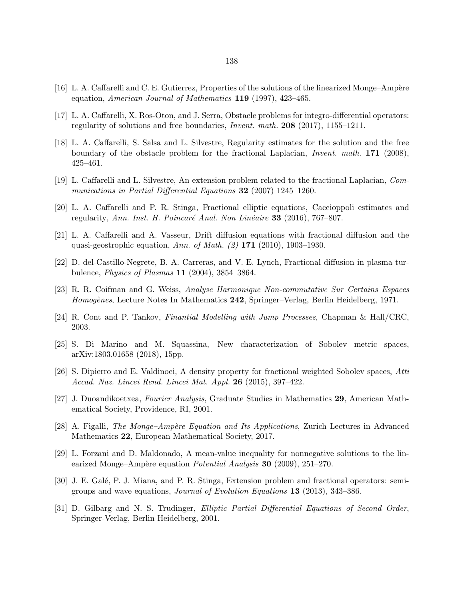- <span id="page-143-0"></span>[16] L. A. Caffarelli and C. E. Gutierrez, Properties of the solutions of the linearized Monge–Ampère equation, American Journal of Mathematics 119 (1997), 423–465.
- [17] L. A. Caffarelli, X. Ros-Oton, and J. Serra, Obstacle problems for integro-differential operators: regularity of solutions and free boundaries, Invent. math. 208 (2017), 1155–1211.
- [18] L. A. Caffarelli, S. Salsa and L. Silvestre, Regularity estimates for the solution and the free boundary of the obstacle problem for the fractional Laplacian, Invent. math. 171 (2008), 425–461.
- [19] L. Caffarelli and L. Silvestre, An extension problem related to the fractional Laplacian, Communications in Partial Differential Equations 32 (2007) 1245–1260.
- [20] L. A. Caffarelli and P. R. Stinga, Fractional elliptic equations, Caccioppoli estimates and regularity, Ann. Inst. H. Poincaré Anal. Non Linéaire 33 (2016), 767–807.
- [21] L. A. Caffarelli and A. Vasseur, Drift diffusion equations with fractional diffusion and the quasi-geostrophic equation, Ann. of Math. (2) 171 (2010), 1903–1930.
- [22] D. del-Castillo-Negrete, B. A. Carreras, and V. E. Lynch, Fractional diffusion in plasma turbulence, Physics of Plasmas 11 (2004), 3854–3864.
- [23] R. R. Coifman and G. Weiss, Analyse Harmonique Non-commutative Sur Certains Espaces Homogènes, Lecture Notes In Mathematics 242, Springer–Verlag, Berlin Heidelberg, 1971.
- [24] R. Cont and P. Tankov, Finantial Modelling with Jump Processes, Chapman & Hall/CRC, 2003.
- [25] S. Di Marino and M. Squassina, New characterization of Sobolev metric spaces, arXiv:1803.01658 (2018), 15pp.
- [26] S. Dipierro and E. Valdinoci, A density property for fractional weighted Sobolev spaces, Atti Accad. Naz. Lincei Rend. Lincei Mat. Appl. 26 (2015), 397–422.
- [27] J. Duoandikoetxea, Fourier Analysis, Graduate Studies in Mathematics 29, American Mathematical Society, Providence, RI, 2001.
- [28] A. Figalli, *The Monge–Ampère Equation and Its Applications*, Zurich Lectures in Advanced Mathematics 22, European Mathematical Society, 2017.
- [29] L. Forzani and D. Maldonado, A mean-value inequality for nonnegative solutions to the linearized Monge–Ampère equation *Potential Analysis* **30** (2009), 251–270.
- [30] J. E. Galé, P. J. Miana, and P. R. Stinga, Extension problem and fractional operators: semigroups and wave equations, Journal of Evolution Equations 13 (2013), 343–386.
- [31] D. Gilbarg and N. S. Trudinger, Elliptic Partial Differential Equations of Second Order, Springer-Verlag, Berlin Heidelberg, 2001.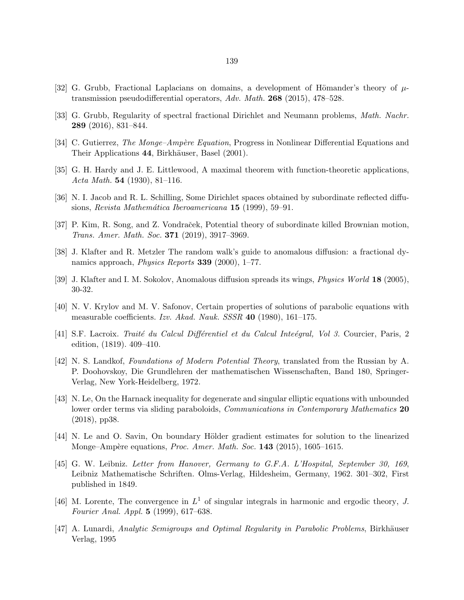- [32] G. Grubb, Fractional Laplacians on domains, a development of Hömander's theory of  $\mu$ transmission pseudodifferential operators, Adv. Math. 268 (2015), 478–528.
- [33] G. Grubb, Regularity of spectral fractional Dirichlet and Neumann problems, Math. Nachr. 289 (2016), 831–844.
- [34] C. Gutierrez, *The Monge–Ampère Equation*, Progress in Nonlinear Differential Equations and Their Applications 44, Birkhäuser, Basel (2001).
- [35] G. H. Hardy and J. E. Littlewood, A maximal theorem with function-theoretic applications, Acta Math. 54 (1930), 81–116.
- [36] N. I. Jacob and R. L. Schilling, Some Dirichlet spaces obtained by subordinate reflected diffusions, Revista Mathemática Iberoamericana 15 (1999), 59–91.
- [37] P. Kim, R. Song, and Z. Vondraček, Potential theory of subordinate killed Brownian motion, Trans. Amer. Math. Soc. 371 (2019), 3917–3969.
- [38] J. Klafter and R. Metzler The random walk's guide to anomalous diffusion: a fractional dynamics approach, Physics Reports 339 (2000), 1–77.
- [39] J. Klafter and I. M. Sokolov, Anomalous diffusion spreads its wings, Physics World 18 (2005), 30-32.
- [40] N. V. Krylov and M. V. Safonov, Certain properties of solutions of parabolic equations with measurable coefficients. Izv. Akad. Nauk. SSSR 40 (1980), 161–175.
- [41] S.F. Lacroix. Traité du Calcul Différentiel et du Calcul Inteégral, Vol 3. Courcier, Paris, 2 edition, (1819). 409–410.
- [42] N. S. Landkof, Foundations of Modern Potential Theory, translated from the Russian by A. P. Doohovskoy, Die Grundlehren der mathematischen Wissenschaften, Band 180, Springer-Verlag, New York-Heidelberg, 1972.
- [43] N. Le, On the Harnack inequality for degenerate and singular elliptic equations with unbounded lower order terms via sliding paraboloids, *Communications in Contemporary Mathematics* 20 (2018), pp38.
- [44] N. Le and O. Savin, On boundary Hölder gradient estimates for solution to the linearized Monge–Ampère equations, *Proc. Amer. Math. Soc.*  $143$  (2015), 1605–1615.
- [45] G. W. Leibniz. Letter from Hanover, Germany to G.F.A. L'Hospital, September 30, 169, Leibniz Mathematische Schriften. Olms-Verlag, Hildesheim, Germany, 1962. 301–302, First published in 1849.
- [46] M. Lorente, The convergence in  $L^1$  of singular integrals in harmonic and ergodic theory, J. Fourier Anal. Appl. 5 (1999), 617–638.
- [47] A. Lunardi, Analytic Semigroups and Optimal Regularity in Parabolic Problems, Birkhäuser Verlag, 1995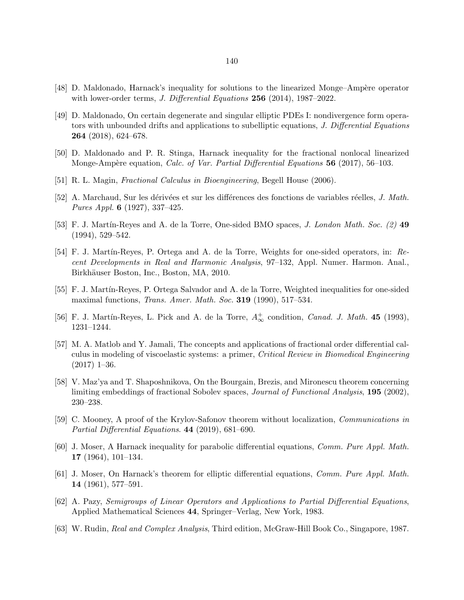- [48] D. Maldonado, Harnack's inequality for solutions to the linearized Monge–Ampère operator with lower-order terms, *J. Differential Equations* 256 (2014), 1987–2022.
- [49] D. Maldonado, On certain degenerate and singular elliptic PDEs I: nondivergence form operators with unbounded drifts and applications to subelliptic equations, J. Differential Equations 264 (2018), 624–678.
- [50] D. Maldonado and P. R. Stinga, Harnack inequality for the fractional nonlocal linearized Monge-Ampère equation, Calc. of Var. Partial Differential Equations 56 (2017), 56–103.
- [51] R. L. Magin, Fractional Calculus in Bioengineering, Begell House (2006).
- [52] A. Marchaud, Sur les dérivées et sur les différences des fonctions de variables réelles, J. Math. Pures Appl. 6 (1927), 337–425.
- [53] F. J. Martín-Reyes and A. de la Torre, One-sided BMO spaces, J. London Math. Soc. (2) 49 (1994), 529–542.
- [54] F. J. Martín-Reyes, P. Ortega and A. de la Torre, Weights for one-sided operators, in: Recent Developments in Real and Harmonic Analysis, 97–132, Appl. Numer. Harmon. Anal., Birkhäuser Boston, Inc., Boston, MA, 2010.
- [55] F. J. Martín-Reyes, P. Ortega Salvador and A. de la Torre, Weighted inequalities for one-sided maximal functions, Trans. Amer. Math. Soc. 319 (1990), 517–534.
- [56] F. J. Martín-Reyes, L. Pick and A. de la Torre,  $A^{\dagger}_{\infty}$  condition, *Canad. J. Math.* 45 (1993), 1231–1244.
- [57] M. A. Matlob and Y. Jamali, The concepts and applications of fractional order differential calculus in modeling of viscoelastic systems: a primer, Critical Review in Biomedical Engineering  $(2017)$  1–36.
- [58] V. Maz'ya and T. Shaposhnikova, On the Bourgain, Brezis, and Mironescu theorem concerning limiting embeddings of fractional Sobolev spaces, Journal of Functional Analysis, 195 (2002), 230–238.
- [59] C. Mooney, A proof of the Krylov-Safonov theorem without localization, Communications in Partial Differential Equations. 44 (2019), 681–690.
- [60] J. Moser, A Harnack inequality for parabolic differential equations, Comm. Pure Appl. Math. 17 (1964), 101–134.
- [61] J. Moser, On Harnack's theorem for elliptic differential equations, Comm. Pure Appl. Math. 14 (1961), 577–591.
- [62] A. Pazy, Semigroups of Linear Operators and Applications to Partial Differential Equations, Applied Mathematical Sciences 44, Springer–Verlag, New York, 1983.
- [63] W. Rudin, Real and Complex Analysis, Third edition, McGraw-Hill Book Co., Singapore, 1987.